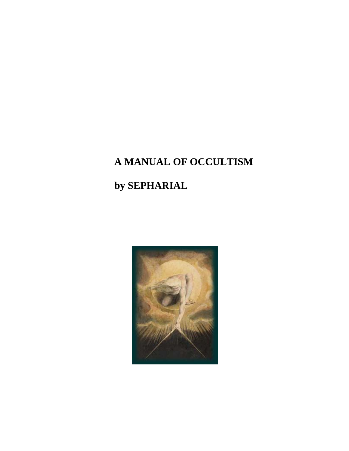# A MANUAL OF OCCULTISM

# by SEPHARIAL

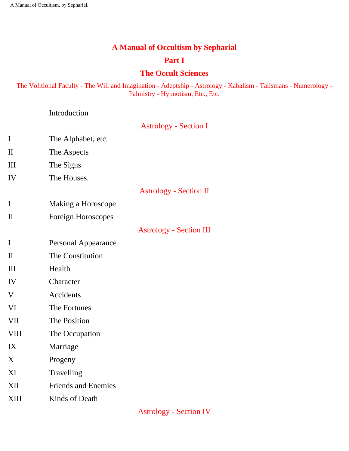#### **A Manual of Occultism by Sepharial**

#### **Part I**

#### **The Occult Sciences**

The Volitional Faculty - The Will and Imagination - Adeptship - Astrology - Kabalism - Talismans - Numerology - Palmistry - Hypnotism, Etc., Etc.

#### Introduction

|              |                            | <b>Astrology - Section I</b>   |
|--------------|----------------------------|--------------------------------|
| I            | The Alphabet, etc.         |                                |
| $\mathbf{I}$ | The Aspects                |                                |
| III          | The Signs                  |                                |
| IV           | The Houses.                |                                |
|              |                            | <b>Astrology - Section II</b>  |
| $\mathbf I$  | Making a Horoscope         |                                |
| $\mathbf{I}$ | Foreign Horoscopes         |                                |
|              |                            | <b>Astrology - Section III</b> |
| $\mathbf I$  | <b>Personal Appearance</b> |                                |
| $\mathbf{I}$ | The Constitution           |                                |
| $\mathbf{I}$ | Health                     |                                |
| IV           | Character                  |                                |
| V            | Accidents                  |                                |
| VI           | The Fortunes               |                                |
| <b>VII</b>   | The Position               |                                |
| <b>VIII</b>  | The Occupation             |                                |
| IX           | Marriage                   |                                |
| X            | Progeny                    |                                |
| XI           | Travelling                 |                                |
| XII          | <b>Friends and Enemies</b> |                                |
| <b>XIII</b>  | Kinds of Death             |                                |

Astrology - Section IV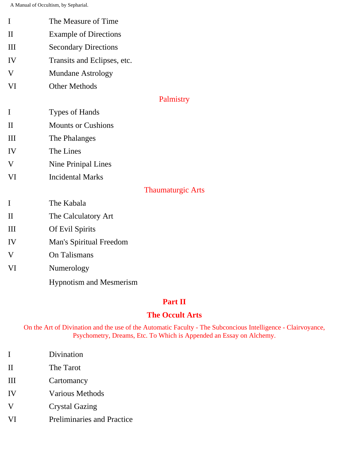A Manual of Occultism, by Sepharial.

| I                         | The Measure of Time          |                          |
|---------------------------|------------------------------|--------------------------|
| $\mathbf{I}$              | <b>Example of Directions</b> |                          |
| Ш                         | <b>Secondary Directions</b>  |                          |
| IV                        | Transits and Eclipses, etc.  |                          |
| $\boldsymbol{\mathrm{V}}$ | <b>Mundane Astrology</b>     |                          |
| VI                        | <b>Other Methods</b>         |                          |
|                           |                              | Palmistry                |
| I                         | <b>Types of Hands</b>        |                          |
| $\mathbf{I}$              | <b>Mounts or Cushions</b>    |                          |
| Ш                         | The Phalanges                |                          |
| IV                        | The Lines                    |                          |
| $\boldsymbol{\mathrm{V}}$ | <b>Nine Prinipal Lines</b>   |                          |
| VI                        | <b>Incidental Marks</b>      |                          |
|                           |                              | <b>Thaumaturgic Arts</b> |
| I                         | The Kabala                   |                          |
| $\mathbf{I}$              | The Calculatory Art          |                          |
| Ш                         | Of Evil Spirits              |                          |
| IV                        | Man's Spiritual Freedom      |                          |
| V                         | On Talismans                 |                          |
| VI                        | Numerology                   |                          |
|                           |                              |                          |

Hypnotism and Mesmerism

#### **Part II**

#### **The Occult Arts**

On the Art of Divination and the use of the Automatic Faculty - The Subconcious Intelligence - Clairvoyance, Psychometry, Dreams, Etc. To Which is Appended an Essay on Alchemy.

- I Divination
- II The Tarot
- III Cartomancy
- IV Various Methods
- V Crystal Gazing
- VI Preliminaries and Practice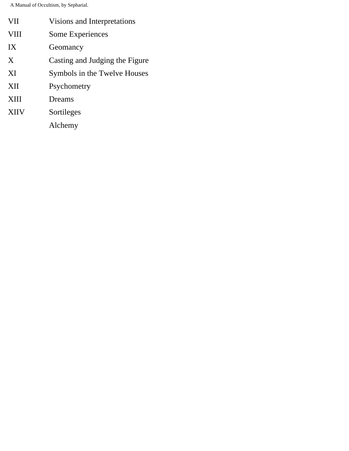A Manual of Occultism, by Sepharial.

| VII  | Visions and Interpretations    |
|------|--------------------------------|
| VIII | Some Experiences               |
| IX   | Geomancy                       |
| X    | Casting and Judging the Figure |
| ХI   | Symbols in the Twelve Houses   |
| XII  | Psychometry                    |
| XIII | Dreams                         |
| XIIV | Sortileges                     |
|      | Alchemy                        |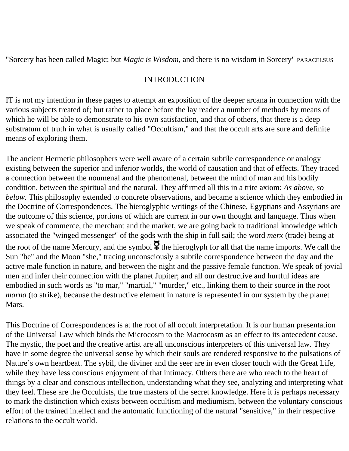"Sorcery has been called Magic: but *Magic is Wisdom,* and there is no wisdom in Sorcery" PARACELSUS.

#### INTRODUCTION

IT is not my intention in these pages to attempt an exposition of the deeper arcana in connection with the various subjects treated of; but rather to place before the lay reader a number of methods by means of which he will be able to demonstrate to his own satisfaction, and that of others, that there is a deep substratum of truth in what is usually called "Occultism," and that the occult arts are sure and definite means of exploring them.

The ancient Hermetic philosophers were well aware of a certain subtile correspondence or analogy existing between the superior and inferior worlds, the world of causation and that of effects. They traced a connection between the noumenal and the phenomenal, between the mind of man and his bodily condition, between the spiritual and the natural. They affirmed all this in a trite axiom: *As above, so below.* This philosophy extended to concrete observations, and became a science which they embodied in the Doctrine of Correspondences. The hieroglyphic writings of the Chinese, Egyptians and Assyrians are the outcome of this science, portions of which are current in our own thought and language. Thus when we speak of commerce, the merchant and the market, we are going back to traditional knowledge which associated the "winged messenger" of the gods with the ship in full sail; the word *merx* (trade) being at the root of the name Mercury, and the symbol  $\overline{P}$  the hieroglyph for all that the name imports. We call the Sun "he" and the Moon "she," tracing unconsciously a subtile correspondence between the day and the active male function in nature, and between the night and the passive female function. We speak of jovial men and infer their connection with the planet Jupiter; and all our destructive and hurtful ideas are embodied in such words as "to mar," "martial," "murder," etc., linking them to their source in the root *marna* (to strike), because the destructive element in nature is represented in our system by the planet Mars.

This Doctrine of Correspondences is at the root of all occult interpretation. It is our human presentation of the Universal Law which binds the Microcosm to the Macrocosm as an effect to its antecedent cause. The mystic, the poet and the creative artist are all unconscious interpreters of this universal law. They have in some degree the universal sense by which their souls are rendered responsive to the pulsations of Nature's own heartbeat. The sybil, the diviner and the seer are in even closer touch with the Great Life, while they have less conscious enjoyment of that intimacy. Others there are who reach to the heart of things by a clear and conscious intellection, understanding what they see, analyzing and interpreting what they feel. These are the Occultists, the true masters of the secret knowledge. Here it is perhaps necessary to mark the distinction which exists between occultism and mediumism, between the voluntary conscious effort of the trained intellect and the automatic functioning of the natural "sensitive," in their respective relations to the occult world.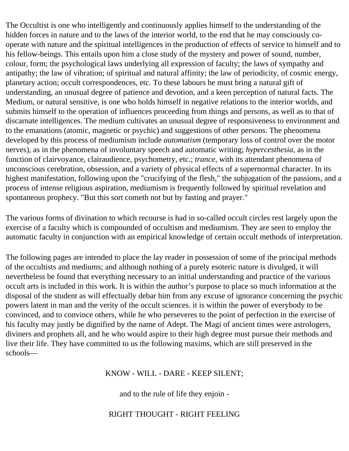The Occultist is one who intelligently and continuously applies himself to the understanding of the hidden forces in nature and to the laws of the interior world, to the end that he may consciously cooperate with nature and the spiritual intelligences in the production of effects of service to himself and to his fellow-beings. This entails upon him a close study of the mystery and power of sound, number, colour, form; the psychological laws underlying all expression of faculty; the laws of sympathy and antipathy; the law of vibration; of spiritual and natural affinity; the law of periodicity, of cosmic energy, planetary action; occult correspondences, etc. To these labours he must bring a natural gift of understanding, an unusual degree of patience and devotion, and a keen perception of natural facts. The Medium, or natural sensitive, is one who holds himself in negative relations to the interior worlds, and submits himself to the operation of influences proceeding from things and persons, as well as to that of discarnate intelligences. The medium cultivates an unusual degree of responsiveness to environment and to the emanations (atomic, magnetic or psychic) and suggestions of other persons. The phenomena developed by this process of mediumism include *automatism* (temporary loss of control over the motor nerves), as in the phenomena of involuntary speech and automatic writing; *hypercesthesia,* as in the function of clairvoyance, clairaudience, psychometry, etc.; *trance,* with its attendant phenomena of unconscious cerebration, obsession, and a variety of physical effects of a supernormal character. In its highest manifestation, following upon the "crucifying of the flesh," the subjugation of the passions, and a process of intense religious aspiration, mediumism is frequently followed by spiritual revelation and spontaneous prophecy. "But this sort cometh not but by fasting and prayer."

The various forms of divination to which recourse is had in so-called occult circles rest largely upon the exercise of a faculty which is compounded of occultism and mediumism. They are seen to employ the automatic faculty in conjunction with an empirical knowledge of certain occult methods of interpretation.

The following pages are intended to place the lay reader in possession of some of the principal methods of the occultists and mediums; and although nothing of a purely esoteric nature is divulged, it will nevertheless be found that everything necessary to an initial understanding and practice of the various occult arts is included in this work. It is within the author's purpose to place so much information at the disposal of the student as will effectually debar him from any excuse of ignorance concerning the psychic powers latent in man and the verity of the occult sciences. it is within the power of everybody to be convinced, and to convince others, while he who perseveres to the point of perfection in the exercise of his faculty may justly be dignified by the name of Adept. The Magi of ancient times were astrologers, diviners and prophets all, and he who would aspire to their high degree must pursue their methods and live their life. They have committed to us the following maxims, which are still preserved in the schools—

#### KNOW - WILL - DARE - KEEP SILENT;

and to the rule of life they enjoin -

#### RIGHT THOUGHT - RIGHT FEELING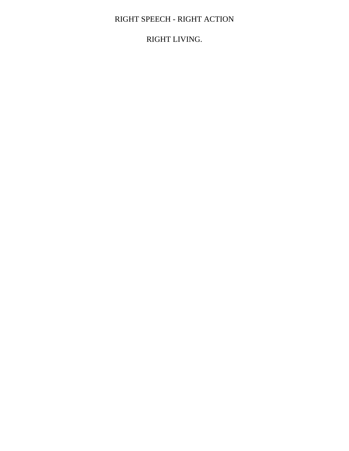#### RIGHT SPEECH - RIGHT ACTION

#### RIGHT LIVING.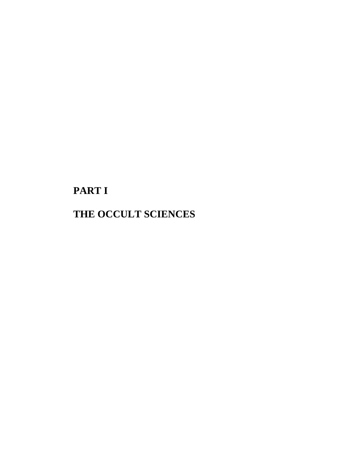## **PART I**

### THE OCCULT SCIENCES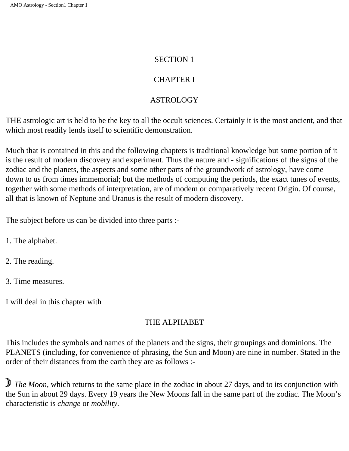#### SECTION 1

#### CHAPTER I

#### ASTROLOGY

THE astrologic art is held to be the key to all the occult sciences. Certainly it is the most ancient, and that which most readily lends itself to scientific demonstration.

Much that is contained in this and the following chapters is traditional knowledge but some portion of it is the result of modern discovery and experiment. Thus the nature and - significations of the signs of the zodiac and the planets, the aspects and some other parts of the groundwork of astrology, have come down to us from times immemorial; but the methods of computing the periods, the exact tunes of events, together with some methods of interpretation, are of modem or comparatively recent Origin. Of course, all that is known of Neptune and Uranus is the result of modern discovery.

The subject before us can be divided into three parts :-

- 1. The alphabet.
- 2. The reading.
- 3. Time measures.

I will deal in this chapter with

#### THE ALPHABET

This includes the symbols and names of the planets and the signs, their groupings and dominions. The PLANETS (including, for convenience of phrasing, the Sun and Moon) are nine in number. Stated in the order of their distances from the earth they are as follows :-

*The Moon*, which returns to the same place in the zodiac in about 27 days, and to its conjunction with the Sun in about 29 days. Every 19 years the New Moons fall in the same part of the zodiac. The Moon's characteristic is *change* or *mobility.*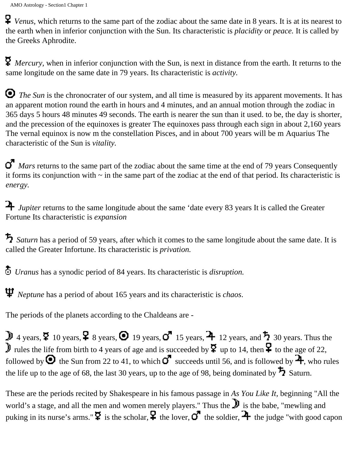*Venus,* which returns to the same part of the zodiac about the same date in 8 years. It is at its nearest to the earth when in inferior conjunction with the Sun. Its characteristic is *placidity* or *peace.* It is called by the Greeks Aphrodite.

*Mercury*, when in inferior conjunction with the Sun, is next in distance from the earth. It returns to the same longitude on the same date in 79 years. Its characteristic is *activity.*

**O** *The Sun* is the chronocrater of our system, and all time is measured by its apparent movements. It has an apparent motion round the earth in hours and 4 minutes, and an annual motion through the zodiac in 365 days 5 hours 48 minutes 49 seconds. The earth is nearer the sun than it used. to be, the day is shorter, and the precession of the equinoxes is greater The equinoxes pass through each sign in about 2,160 years The vernal equinox is now m the constellation Pisces, and in about 700 years will be m Aquarius The characteristic of the Sun is *vitality.*

*Mars* returns to the same part of the zodiac about the same time at the end of 79 years Consequently it forms its conjunction with  $\sim$  in the same part of the zodiac at the end of that period. Its characteristic is *energy.*

*Jupiter* returns to the same longitude about the same 'date every 83 years It is called the Greater Fortune Its characteristic is *expansion*

 *Saturn* has a period of 59 years, after which it comes to the same longitude about the same date. It is called the Greater Infortune. Its characteristic is *privation.*

*Uranus* has a synodic period of 84 years. Its characteristic is *disruption.*

*Neptune* has a period of about 165 years and its characteristic is *chaos*.

The periods of the planets according to the Chaldeans are -

 $\mathbf{D}$  4 years,  $\mathbf{\nabla}$  10 years,  $\mathbf{\nabla}$  8 years,  $\mathbf{\nabla}$  19 years,  $\mathbf{\nabla}$  15 years,  $\mathbf{\nabla}$  12 years, and  $\mathbf{\nabla}$  30 years. Thus the If rules the life from birth to 4 years of age and is succeeded by  $\bf{Q}$  up to 14, then  $\bf{Q}$  to the age of 22, followed by  $\bullet$  the Sun from 22 to 41, to which  $\bullet$  succeeds until 56, and is followed by  $\bullet$ , who rules the life up to the age of 68, the last 30 years, up to the age of 98, being dominated by  $\overline{7}$  Saturn.

These are the periods recited by Shakespeare in his famous passage in *As You Like It,* beginning "All the world's a stage, and all the men and women merely players." Thus the  $\mathbf{\hat{J}}$  is the babe, "mewling and puking in its nurse's arms."  $\sharp$  is the scholar,  $\sharp$  the lover,  $\sigma$  the soldier,  $\sharp$  the judge "with good capon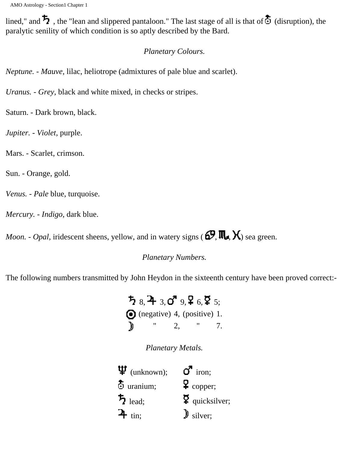lined," and  $\overline{b}$ , the "lean and slippered pantaloon." The last stage of all is that of  $\overline{d}$  (disruption), the paralytic senility of which condition is so aptly described by the Bard.

#### *Planetary Colours.*

*Neptune. - Mauve,* lilac, heliotrope (admixtures of pale blue and scarlet).

*Uranus. - Grey,* black and white mixed, in checks or stripes.

Saturn. - Dark brown, black.

*Jupiter. - Violet,* purple.

Mars. - Scarlet, crimson.

Sun. - Orange, gold.

*Venus. - Pale* blue, turquoise.

*Mercury. - Indigo,* dark blue.

*Moon. - Opal, iridescent sheens, yellow, and in watery signs* ( $\mathbb{G}$ ,  $\mathbb{R}$ ,  $\mathbb{N}$ ) sea green.

#### *Planetary Numbers.*

The following numbers transmitted by John Heydon in the sixteenth century have been proved correct:-

 $5, 8, 4, 3, 6, 9, 4, 6, 5;$ (negative) 4, (positive) 1. J) " 2, " 7.

*Planetary Metals.*

| $\mathbf{\Psi}$ (unknown); | $\sigma$ iron;                     |
|----------------------------|------------------------------------|
| $\overline{\Phi}$ uranium; | $\mathbf{\mathbf{\Sigma}}$ copper; |
| $\mathbf{h}_{\text{lead}}$ | $\overline{P}$ quicksilver;        |
| $\frac{1}{2}$ tin;         | $\mathbf{J}$ silver;               |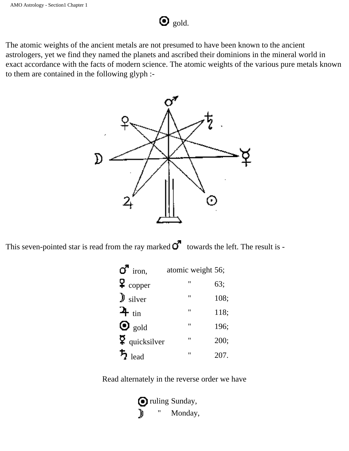

The atomic weights of the ancient metals are not presumed to have been known to the ancient astrologers, yet we find they named the planets and ascribed their dominions in the mineral world in exact accordance with the facts of modern science. The atomic weights of the various pure metals known to them are contained in the following glyph :-



This seven-pointed star is read from the ray marked  $\overrightarrow{G}$  towards the left. The result is -

| $\sigma$ iron,               | atomic weight 56;  |      |
|------------------------------|--------------------|------|
| $\mathbf{\mathsf{P}}$ copper | 11                 | 63;  |
| $\int$ silver                | 11                 | 108; |
| $\frac{1}{2}$ tin            | $^{\prime \prime}$ | 118; |
| $\mathbf{O}_{\text{gold}}$   | 11                 | 196; |
| $\overline{P}$ quicksilver   | 11                 | 200; |
| $\frac{1}{2}$ lead           | "                  | 207. |

Read alternately in the reverse order we have

 $\bigodot$  ruling Sunday, Monday,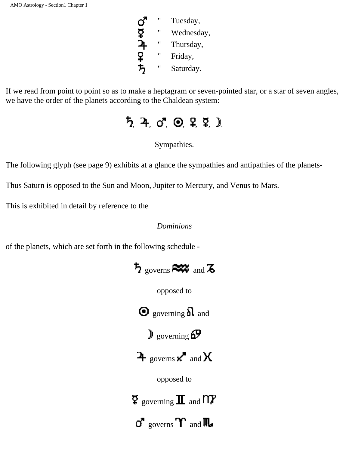" Tuesday, " Wednesday, " Thursday, " Friday, " Saturday.

If we read from point to point so as to make a heptagram or seven-pointed star, or a star of seven angles, we have the order of the planets according to the Chaldean system:

# $5, 4, 6, 0, 2, 2, 3$

Sympathies.

The following glyph (see page 9) exhibits at a glance the sympathies and antipathies of the planets-

Thus Saturn is opposed to the Sun and Moon, Jupiter to Mercury, and Venus to Mars.

This is exhibited in detail by reference to the

#### *Dominions*

of the planets, which are set forth in the following schedule -

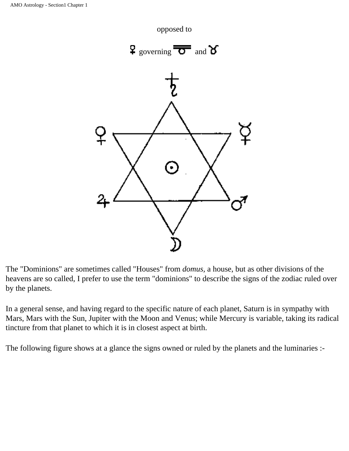

The "Dominions" are sometimes called "Houses" from *domus,* a house, but as other divisions of the heavens are so called, I prefer to use the term "dominions" to describe the signs of the zodiac ruled over by the planets.

In a general sense, and having regard to the specific nature of each planet, Saturn is in sympathy with Mars, Mars with the Sun, Jupiter with the Moon and Venus; while Mercury is variable, taking its radical tincture from that planet to which it is in closest aspect at birth.

The following figure shows at a glance the signs owned or ruled by the planets and the luminaries :-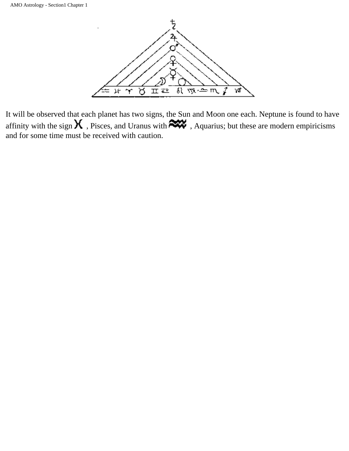

It will be observed that each planet has two signs, the Sun and Moon one each. Neptune is found to have affinity with the sign  $\chi$ , Pisces, and Uranus with  $\sim$ , Aquarius; but these are modern empiricisms and for some time must be received with caution.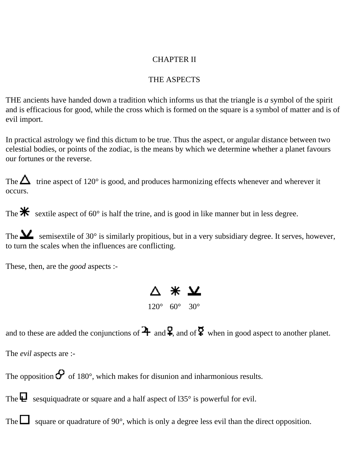#### CHAPTER II

#### THE ASPECTS

THE ancients have handed down a tradition which informs us that the triangle is *a* symbol of the spirit and is efficacious for good, while the cross which is formed on the square is a symbol of matter and is of evil import.

In practical astrology we find this dictum to be true. Thus the aspect, or angular distance between two celestial bodies, or points of the zodiac, is the means by which we determine whether a planet favours our fortunes or the reverse.

The  $\Delta$  trine aspect of 120° is good, and produces harmonizing effects whenever and wherever it occurs.

The  $\mathbf{\divideontimes}$  sextile aspect of 60° is half the trine, and is good in like manner but in less degree.

The semisextile of  $30^{\circ}$  is similarly propitious, but in a very subsidiary degree. It serves, however, to turn the scales when the influences are conflicting.

These, then, are the *good* aspects :-

### △ \* 乂

### $120^{\circ}$  60° 30°

and to these are added the conjunctions of  $\overline{P}$  and  $\overline{P}$ , and of  $\overline{P}$  when in good aspect to another planet.

The *evil* aspects are :-

The opposition  $\mathcal G$  of 180°, which makes for disunion and inharmonious results.

The  $\Box$  sesquiquadrate or square and a half aspect of 135 $^{\circ}$  is powerful for evil.

The  $\Box$  square or quadrature of 90 $^{\circ}$ , which is only a degree less evil than the direct opposition.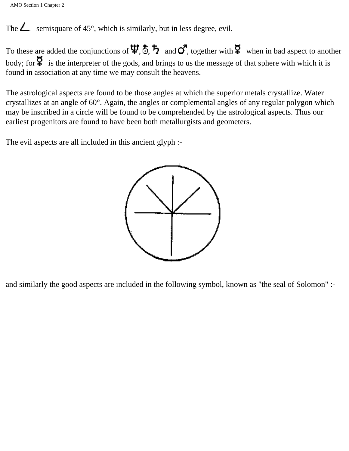AMO Section 1 Chapter 2

The  $\angle$  semisquare of 45°, which is similarly, but in less degree, evil.

To these are added the conjunctions of  $\Psi$ ,  $\Phi$ ,  $\bar{\Phi}$ , and  $\sigma$ , together with  $\Psi$  when in bad aspect to another body; for  $\overline{2}$  is the interpreter of the gods, and brings to us the message of that sphere with which it is found in association at any time we may consult the heavens.

The astrological aspects are found to be those angles at which the superior metals crystallize. Water crystallizes at an angle of 60°. Again, the angles or complemental angles of any regular polygon which may be inscribed in a circle will be found to be comprehended by the astrological aspects. Thus our earliest progenitors are found to have been both metallurgists and geometers.

The evil aspects are all included in this ancient glyph :-



and similarly the good aspects are included in the following symbol, known as "the seal of Solomon" :-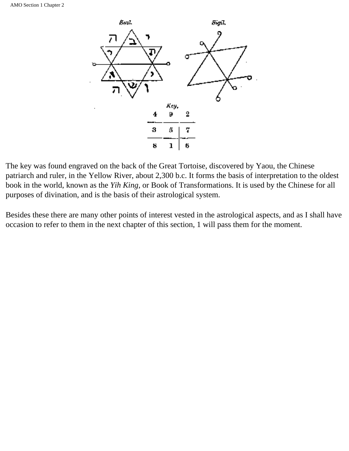

The key was found engraved on the back of the Great Tortoise, discovered by Yaou, the Chinese patriarch and ruler, in the Yellow River, about 2,300 b.c. It forms the basis of interpretation to the oldest book in the world, known as the *Yih King,* or Book of Transformations. It is used by the Chinese for all purposes of divination, and is the basis of their astrological system.

Besides these there are many other points of interest vested in the astrological aspects, and as I shall have occasion to refer to them in the next chapter of this section, 1 will pass them for the moment.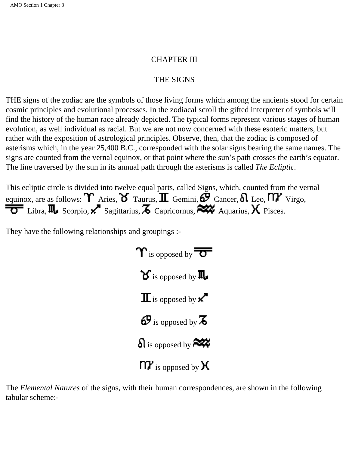#### CHAPTER III

#### THE SIGNS

THE signs of the zodiac are the symbols of those living forms which among the ancients stood for certain cosmic principles and evolutional processes. In the zodiacal scroll the gifted interpreter of symbols will find the history of the human race already depicted. The typical forms represent various stages of human evolution, as well individual as racial. But we are not now concerned with these esoteric matters, but rather with the exposition of astrological principles. Observe, then, that the zodiac is composed of asterisms which, in the year 25,400 B.C., corresponded with the solar signs bearing the same names. The signs are counted from the vernal equinox, or that point where the sun's path crosses the earth's equator. The line traversed by the sun in its annual path through the asterisms is called *The Ecliptic.*

This ecliptic circle is divided into twelve equal parts, called Signs, which, counted from the vernal equinox, are as follows:  $\Upsilon$  Aries,  $\Upsilon$  Taurus,  $\Iota$  Gemini,  $\epsilon$  Cancer,  $\Omega$  Leo,  $\Pi$ *P* Virgo,  $\overline{\bullet}$  Libra,  $\blacksquare$  Scorpio,  $\blacktriangleright$  Sagittarius,  $\lambda$  Capricornus,  $\curvearrowright$  Aquarius,  $\lambda$  Pisces.

They have the following relationships and groupings :-



The *Elemental Natures* of the signs, with their human correspondences, are shown in the following tabular scheme:-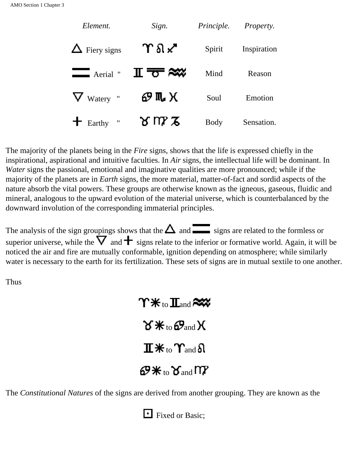| Element.             | Sign.                                             | <i>Principle.</i> | Property.   |  |
|----------------------|---------------------------------------------------|-------------------|-------------|--|
| $\Delta$ Fiery signs | ጕል∠                                               | Spirit            | Inspiration |  |
| Aerial "             | $\mathbb{I} \ \overline{\mathbf{\sigma}} \approx$ | Mind              | Reason      |  |
| $\nabla$ Watery "    | 69 M. X                                           | Soul              | Emotion     |  |
| $\pm$ Earthy<br>Ħ    | ን በን ኜ                                            | Body              | Sensation.  |  |

The majority of the planets being in the *Fire* signs, shows that the life is expressed chiefly in the inspirational, aspirational and intuitive faculties. In *Air* signs, the intellectual life will be dominant. In *Water* signs the passional, emotional and imaginative qualities are more pronounced; while if the majority of the planets are in *Earth* signs, the more material, matter-of-fact and sordid aspects of the nature absorb the vital powers. These groups are otherwise known as the igneous, gaseous, fluidic and mineral, analogous to the upward evolution of the material universe, which is counterbalanced by the downward involution of the corresponding immaterial principles.

The analysis of the sign groupings shows that the  $\Delta$  and signs are related to the formless or superior universe, while the  $\nabla$  and  $\blacktriangleright$  signs relate to the inferior or formative world. Again, it will be noticed the air and fire are mutually conformable, ignition depending on atmosphere; while similarly water is necessary to the earth for its fertilization. These sets of signs are in mutual sextile to one another.

Thus



The *Constitutional Natures* of the signs are derived from another grouping. They are known as the

Fixed or Basic;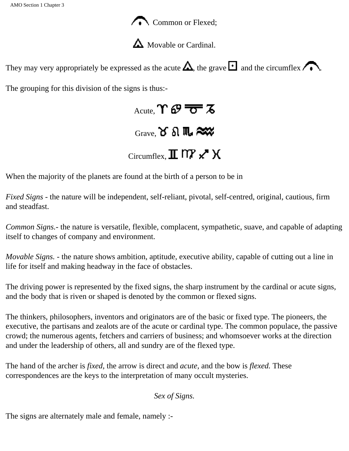Common or Flexed;

 $\Delta$  Movable or Cardinal.

They may very appropriately be expressed as the acute  $\Delta$ , the grave  $\Box$  and the circumflex  $\Box$ . The grouping for this division of the signs is thus:-

> Acute,  $\Upsilon \oplus \overline{\sigma}$   $\zeta$ Grave,  $\mathbf{Y}$   $\mathbf{\Omega}$   $\mathbf{\Pi}$   $\mathbf{\approx}$

# Circumflex,  $\mathbb{I}$  MP  $\mathcal{F}$  X

When the majority of the planets are found at the birth of a person to be in

*Fixed Signs -* the nature will be independent, self-reliant, pivotal, self-centred, original, cautious, firm and steadfast.

*Common Signs.-* the nature is versatile, flexible, complacent, sympathetic, suave, and capable of adapting itself to changes of company and environment.

*Movable Signs.* - the nature shows ambition, aptitude, executive ability, capable of cutting out a line in life for itself and making headway in the face of obstacles.

The driving power is represented by the fixed signs, the sharp instrument by the cardinal or acute signs, and the body that is riven or shaped is denoted by the common or flexed signs.

The thinkers, philosophers, inventors and originators are of the basic or fixed type. The pioneers, the executive, the partisans and zealots are of the acute or cardinal type. The common populace, the passive crowd; the numerous agents, fetchers and carriers of business; and whomsoever works at the direction and under the leadership of others, all and sundry are of the flexed type.

The hand of the archer is *fixed,* the arrow is direct and *acute,* and the bow is *flexed.* These correspondences are the keys to the interpretation of many occult mysteries.

*Sex of Signs.*

The signs are alternately male and female, namely :-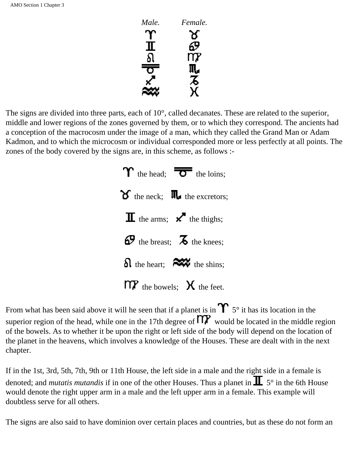

The signs are divided into three parts, each of 10°, called decanates. These are related to the superior, middle and lower regions of the zones governed by them, or to which they correspond. The ancients had a conception of the macrocosm under the image of a man, which they called the Grand Man or Adam Kadmon, and to which the microcosm or individual corresponded more or less perfectly at all points. The zones of the body covered by the signs are, in this scheme, as follows :-

| T the head; $\overline{\sigma}$ the loins;                             |
|------------------------------------------------------------------------|
| $\mathbf{Y}$ the neck; $\mathbf{\Pi}$ the excretors;                   |
| $\mathbf I$ the arms; $\mathbf x^*$ the thighs;                        |
| $\overline{\mathbf{C}}$ the breast; $\overline{\mathbf{A}}$ the knees; |
| $\delta$ the heart; $\sim$ the shins;                                  |
| $\Pi$ the bowels; $X$ the feet.                                        |

From what has been said above it will he seen that if a planet is in  $\Upsilon$  5° it has its location in the superior region of the head, while one in the 17th degree of  $\mathbb{H}$  would be located in the middle region of the bowels. As to whether it be upon the right or left side of the body will depend on the location of the planet in the heavens, which involves a knowledge of the Houses. These are dealt with in the next chapter.

If in the 1st, 3rd, 5th, 7th, 9th or 11th House, the left side in a male and the right side in a female is denoted; and *mutatis mutandis* if in one of the other Houses. Thus a planet in  $\mathbb{I}$  5° in the 6th House would denote the right upper arm in a male and the left upper arm in a female. This example will doubtless serve for all others.

The signs are also said to have dominion over certain places and countries, but as these do not form an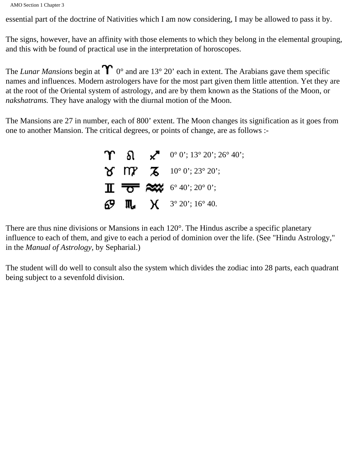```
AMO Section 1 Chapter 3
```
essential part of the doctrine of Nativities which I am now considering, I may be allowed to pass it by.

The signs, however, have an affinity with those elements to which they belong in the elemental grouping, and this with be found of practical use in the interpretation of horoscopes.

The *Lunar Mansions* begin at  $\Upsilon$  0° and are 13° 20' each in extent. The Arabians gave them specific names and influences. Modern astrologers have for the most part given them little attention. Yet they are at the root of the Oriental system of astrology, and are by them known as the Stations of the Moon, or *nakshatrams.* They have analogy with the diurnal motion of the Moon.

The Mansions are 27 in number, each of 800' extent. The Moon changes its signification as it goes from one to another Mansion. The critical degrees, or points of change, are as follows :-

> $\bullet$  0° 0'; 13° 20'; 26° 40'; า ถ **10° 0'; 23° 20';** 10° 0'; 23° 20';  $\mathbf{I}$   $\overline{\mathbf{G}}$   $\mathbf{\approx}$   $\mathbf{\approx}$   $6^{\circ}$  40'; 20 $^{\circ}$  0';  $\mathbf{G}^{\mathbf{D}}$  **II.**  $\mathbf{X}$   $3^{\circ}$  20'; 16° 40.

There are thus nine divisions or Mansions in each 120°. The Hindus ascribe a specific planetary influence to each of them, and give to each a period of dominion over the life. (See "Hindu Astrology," in the *Manual of Astrology,* by Sepharial.)

The student will do well to consult also the system which divides the zodiac into 28 parts, each quadrant being subject to a sevenfold division.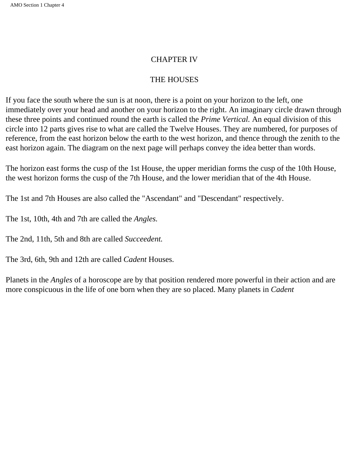#### CHAPTER IV

#### THE HOUSES

If you face the south where the sun is at noon, there is a point on your horizon to the left, one immediately over your head and another on your horizon to the right. An imaginary circle drawn through these three points and continued round the earth is called the *Prime Vertical.* An equal division of this circle into 12 parts gives rise to what are called the Twelve Houses. They are numbered, for purposes of reference, from the east horizon below the earth to the west horizon, and thence through the zenith to the east horizon again. The diagram on the next page will perhaps convey the idea better than words.

The horizon east forms the cusp of the 1st House, the upper meridian forms the cusp of the 10th House, the west horizon forms the cusp of the 7th House, and the lower meridian that of the 4th House.

The 1st and 7th Houses are also called the "Ascendant" and "Descendant" respectively.

The 1st, 10th, 4th and 7th are called the *Angles.*

The 2nd, 11th, 5th and 8th are called *Succeedent.*

The 3rd, 6th, 9th and 12th are called *Cadent* Houses.

Planets in the *Angles* of a horoscope are by that position rendered more powerful in their action and are more conspicuous in the life of one born when they are so placed. Many planets in *Cadent*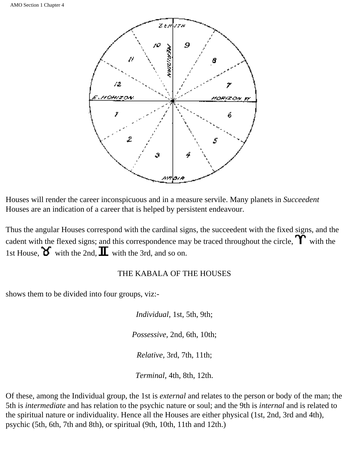

Houses will render the career inconspicuous and in a measure servile. Many planets in *Succeedent*  Houses are an indication of a career that is helped by persistent endeavour.

Thus the angular Houses correspond with the cardinal signs, the succeedent with the fixed signs, and the cadent with the flexed signs; and this correspondence may be traced throughout the circle,  $\Upsilon$  with the 1st House,  $\bullet$  with the 2nd,  $\mathbf{\Pi}$  with the 3rd, and so on.

#### THE KABALA OF THE HOUSES

shows them to be divided into four groups, viz:-

*Individual,* 1st, 5th, 9th; *Possessive,* 2nd, 6th, 10th; *Relative,* 3rd, 7th, 11th; *Terminal,* 4th, 8th, 12th.

Of these, among the Individual group, the 1st is *external* and relates to the person or body of the man; the 5th is *intermediate* and has relation to the psychic nature or soul; and the 9th is *internal* and is related to the spiritual nature or individuality. Hence all the Houses are either physical (1st, 2nd, 3rd and 4th), psychic (5th, 6th, 7th and 8th), or spiritual (9th, 10th, 11th and 12th.)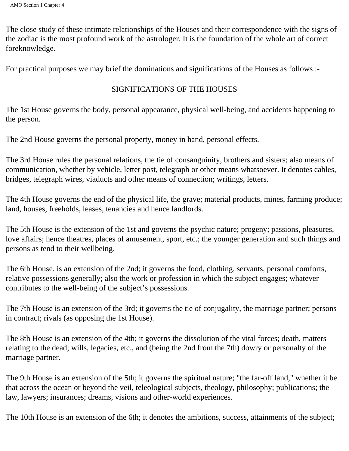The close study of these intimate relationships of the Houses and their correspondence with the signs of the zodiac is the most profound work of the astrologer. It is the foundation of the whole art of correct foreknowledge.

For practical purposes we may brief the dominations and significations of the Houses as follows :-

#### SIGNIFICATIONS OF THE HOUSES

The 1st House governs the body, personal appearance, physical well-being, and accidents happening to the person.

The 2nd House governs the personal property, money in hand, personal effects.

The 3rd House rules the personal relations, the tie of consanguinity, brothers and sisters; also means of communication, whether by vehicle, letter post, telegraph or other means whatsoever. It denotes cables, bridges, telegraph wires, viaducts and other means of connection; writings, letters.

The 4th House governs the end of the physical life, the grave; material products, mines, farming produce; land, houses, freeholds, leases, tenancies and hence landlords.

The 5th House is the extension of the 1st and governs the psychic nature; progeny; passions, pleasures, love affairs; hence theatres, places of amusement, sport, etc.; the younger generation and such things and persons as tend to their wellbeing.

The 6th House. is an extension of the 2nd; it governs the food, clothing, servants, personal comforts, relative possessions generally; also the work or profession in which the subject engages; whatever contributes to the well-being of the subject's possessions.

The 7th House is an extension of the 3rd; it governs the tie of conjugality, the marriage partner; persons in contract; rivals (as opposing the 1st House).

The 8th House is an extension of the 4th; it governs the dissolution of the vital forces; death, matters relating to the dead; wills, legacies, etc., and (being the 2nd from the 7th) dowry or personalty of the marriage partner.

The 9th House is an extension of the 5th; it governs the spiritual nature; "the far-off land," whether it be that across the ocean or beyond the veil, teleological subjects, theology, philosophy; publications; the law, lawyers; insurances; dreams, visions and other-world experiences.

The 10th House is an extension of the 6th; it denotes the ambitions, success, attainments of the subject;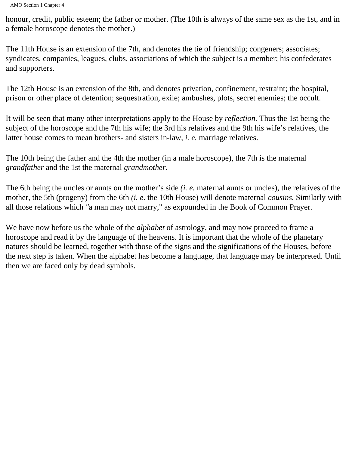honour, credit, public esteem; the father or mother. (The 10th is always of the same sex as the 1st, and in a female horoscope denotes the mother.)

The 11th House is an extension of the 7th, and denotes the tie of friendship; congeners; associates; syndicates, companies, leagues, clubs, associations of which the subject is a member; his confederates and supporters.

The 12th House is an extension of the 8th, and denotes privation, confinement, restraint; the hospital, prison or other place of detention; sequestration, exile; ambushes, plots, secret enemies; the occult.

It will be seen that many other interpretations apply to the House by *reflection.* Thus the 1st being the subject of the horoscope and the 7th his wife; the 3rd his relatives and the 9th his wife's relatives, the latter house comes to mean brothers- and sisters in-law, *i. e.* marriage relatives.

The 10th being the father and the 4th the mother (in a male horoscope), the 7th is the maternal *grandfather* and the 1st the maternal *grandmother.*

The 6th being the uncles or aunts on the mother's side *(i. e.* maternal aunts or uncles), the relatives of the mother, the 5th (progeny) from the 6th *(i. e.* the 10th House) will denote maternal *cousins.* Similarly with all those relations which *"*a man may not marry," as expounded in the Book of Common Prayer.

We have now before us the whole of the *alphabet* of astrology, and may now proceed to frame a horoscope and read it by the language of the heavens. It is important that the whole of the planetary natures should be learned, together with those of the signs and the significations of the Houses, before the next step is taken. When the alphabet has become a language, that language may be interpreted. Until then we are faced only by dead symbols.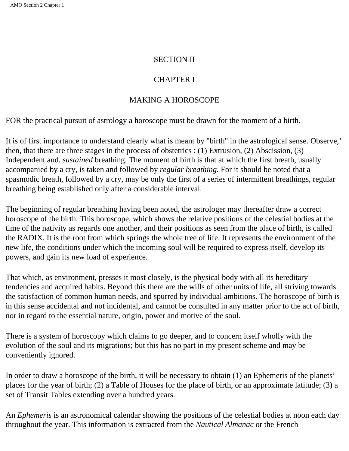#### SECTION II

#### CHAPTER I

#### MAKING A HOROSCOPE

FOR the practical pursuit of astrology a horoscope must be drawn for the moment of a birth.

It is of first importance to understand clearly what is meant by "birth" in the astrological sense. Observe,' then, that there are three stages in the process of obstetrics : (1) Extrusion, (2) Abscission, (3) Independent and. *sustained* breathing. The moment of birth is that at which the first breath, usually accompanied by a cry, is taken and followed by *regular breathing.* For it should be noted that a spasmodic breath, followed by a cry, may be only the first of a series of intermittent breathings, regular breathing being established only after a considerable interval.

The beginning of regular breathing having been noted, the astrologer may thereafter draw a correct horoscope of the birth. This horoscope, which shows the relative positions of the celestial bodies at the time of the nativity as regards one another, and their positions as seen from the place of birth, is called the RADIX. It is the root from which springs the whole tree of life. It represents the environment of the new life, the conditions under which the incoming soul will be required to express itself, develop its powers, and gain its new load of experience.

That which, as environment, presses it most closely, is the physical body with all its hereditary tendencies and acquired habits. Beyond this there are the wills of other units of life, all striving towards the satisfaction of common human needs, and spurred by individual ambitions. The horoscope of birth is in this sense accidental and not incidental, and cannot be consulted in any matter prior to the act of birth, nor in regard to the essential nature, origin, power and motive of the soul.

There is a system of horoscopy which claims to go deeper, and to concern itself wholly with the evolution of the soul and its migrations; but this has no part in my present scheme and may be conveniently ignored.

In order to draw a horoscope of the birth, it will be necessary to obtain (1) an Ephemeris of the planets' places for the year of birth; (2) a Table of Houses for the place of birth, or an approximate latitude; (3) a set of Transit Tables extending over a hundred years.

An *Ephemeris* is an astronomical calendar showing the positions of the celestial bodies at noon each day throughout the year. This information is extracted from the *Nautical Almanac* or the French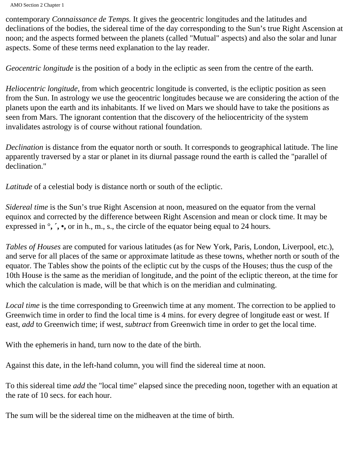```
AMO Section 2 Chapter 1
```
contemporary *Connaissance de Temps.* It gives the geocentric longitudes and the latitudes and declinations of the bodies, the sidereal time of the day corresponding to the Sun's true Right Ascension at noon; and the aspects formed between the planets (called "Mutual" aspects) and also the solar and lunar aspects. Some of these terms need explanation to the lay reader.

*Geocentric longitude* is the position of a body in the ecliptic as seen from the centre of the earth.

*Heliocentric longitude,* from which geocentric longitude is converted, is the ecliptic position as seen from the Sun. In astrology we use the geocentric longitudes because we are considering the action of the planets upon the earth and its inhabitants. If we lived on Mars we should have to take the positions as seen from Mars. The ignorant contention that the discovery of the heliocentricity of the system invalidates astrology is of course without rational foundation.

*Declination* is distance from the equator north or south. It corresponds to geographical latitude. The line apparently traversed by a star or planet in its diurnal passage round the earth is called the "parallel of declination."

*Latitude* of a celestial body is distance north or south of the ecliptic.

*Sidereal time* is the Sun's true Right Ascension at noon, measured on the equator from the vernal equinox and corrected by the difference between Right Ascension and mean or clock time. It may be expressed in  $\degree$ ,  $\degree$ ,  $\degree$ , or in h., m., s., the circle of the equator being equal to 24 hours.

*Tables of Houses* are computed for various latitudes (as for New York, Paris, London, Liverpool, etc.), and serve for all places of the same or approximate latitude as these towns, whether north or south of the equator. The Tables show the points of the ecliptic cut by the cusps of the Houses; thus the cusp of the 10th House is the same as the meridian of longitude, and the point of the ecliptic thereon, at the time for which the calculation is made, will be that which is on the meridian and culminating.

*Local time* is the time corresponding to Greenwich time at any moment. The correction to be applied to Greenwich time in order to find the local time is 4 mins. for every degree of longitude east or west. If east, *add* to Greenwich time; if west, *subtract* from Greenwich time in order to get the local time.

With the ephemeris in hand, turn now to the date of the birth.

Against this date, in the left-hand column, you will find the sidereal time at noon.

To this sidereal time *add* the "local time" elapsed since the preceding noon, together with an equation at the rate of 10 secs. for each hour.

The sum will be the sidereal time on the midheaven at the time of birth.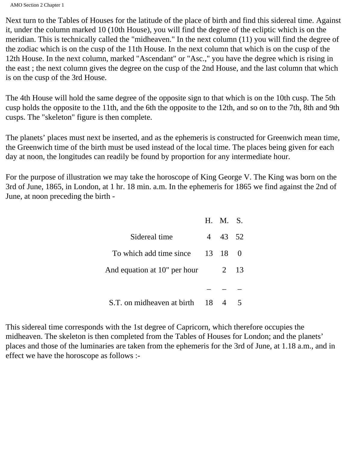AMO Section 2 Chapter 1

Next turn to the Tables of Houses for the latitude of the place of birth and find this sidereal time. Against it, under the column marked 10 (10th House), you will find the degree of the ecliptic which is on the meridian. This is technically called the "midheaven." In the next column (11) you will find the degree of the zodiac which is on the cusp of the 11th House. In the next column that which is on the cusp of the 12th House. In the next column, marked "Ascendant" or "Asc.," you have the degree which is rising in the east ; the next column gives the degree on the cusp of the 2nd House, and the last column that which is on the cusp of the 3rd House.

The 4th House will hold the same degree of the opposite sign to that which is on the 10th cusp. The 5th cusp holds the opposite to the 11th, and the 6th the opposite to the 12th, and so on to the 7th, 8th and 9th cusps. The "skeleton" figure is then complete.

The planets' places must next be inserted, and as the ephemeris is constructed for Greenwich mean time, the Greenwich time of the birth must be used instead of the local time. The places being given for each day at noon, the longitudes can readily be found by proportion for any intermediate hour.

For the purpose of illustration we may take the horoscope of King George V. The King was born on the 3rd of June, 1865, in London, at 1 hr. 18 min. a.m. In the ephemeris for 1865 we find against the 2nd of June, at noon preceding the birth -

|                              |    | H. M. S. |    |
|------------------------------|----|----------|----|
| Sidereal time                |    | 4 43 52  |    |
| To which add time since      | 13 | 18 0     |    |
| And equation at 10" per hour |    | 2        | 13 |
|                              |    |          |    |
| S.T. on midheaven at birth   | 18 |          |    |

This sidereal time corresponds with the 1st degree of Capricorn, which therefore occupies the midheaven. The skeleton is then completed from the Tables of Houses for London; and the planets' places and those of the luminaries are taken from the ephemeris for the 3rd of June, at 1.18 a.m., and in effect we have the horoscope as follows :-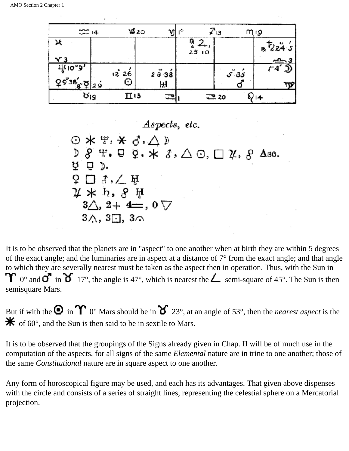| $\approx$ $-4$                  | γ3ί2Ο |      |                                 | $T_{13}$ | و، س         |
|---------------------------------|-------|------|---------------------------------|----------|--------------|
| ν.                              |       |      | $\frac{8}{25}$ , $\frac{2}{10}$ |          | $5^{7}/2245$ |
| YЗ                              |       |      |                                 |          | $-3$         |
|                                 | 12.26 | 2838 |                                 | کی تی    | F4'          |
| <u>र्गदेशक ये १२</u><br>संगण्डे | Θ     | Н    |                                 |          |              |
| oʻig                            | піз   | 马    |                                 | $-2.20$  |              |

Aspects, etc.  $\odot\star$   $\stackrel{w}{\ast}$ ,  $\star$   $\stackrel{r}{\circ}$ ,  $\triangle$  )  $D \nmid S$   $\forall$ ,  $\nabla$   $\varphi$ ,  $\star$   $\delta$ ,  $\triangle$   $\odot$ ,  $\square$   $\gamma$ ,  $S$  Asc. ¤ □ D. 9 口 孔 人 基  $\begin{array}{r} \mathcal{U} \ast h, \mathcal{S} \neq 3\triangle, 2+4 \rightleftarrows, 0 \triangledown \end{array}$  $3\wedge$ ,  $3\Box$ ,  $3\bigcirc$ 

It is to be observed that the planets are in "aspect" to one another when at birth they are within 5 degrees of the exact angle; and the luminaries are in aspect at a distance of 7° from the exact angle; and that angle to which they are severally nearest must be taken as the aspect then in operation. Thus, with the Sun in  $\mathbf{T}$  0° and  $\mathbf{C}$  in  $\mathbf{C}$  17°, the angle is 47°, which is nearest the  $\angle$  semi-square of 45°. The Sun is then semisquare Mars.

But if with the  $\bigcirc$  in  $\Upsilon$  0° Mars should be in  $\Upsilon$  23°, at an angle of 53°, then the *nearest aspect* is the  $*$  of 60 $^{\circ}$ , and the Sun is then said to be in sextile to Mars.

It is to be observed that the groupings of the Signs already given in Chap. II will be of much use in the computation of the aspects, for all signs of the same *Elemental* nature are in trine to one another; those of the same *Constitutional* nature are in square aspect to one another.

Any form of horoscopical figure may be used, and each has its advantages. That given above dispenses with the circle and consists of a series of straight lines, representing the celestial sphere on a Mercatorial projection.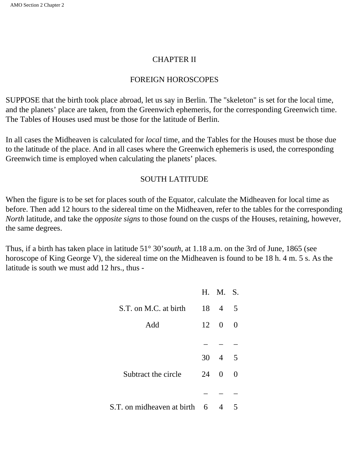#### CHAPTER II

#### FOREIGN HOROSCOPES

SUPPOSE that the birth took place abroad, let us say in Berlin. The "skeleton" is set for the local time, and the planets' place are taken, from the Greenwich ephemeris, for the corresponding Greenwich time. The Tables of Houses used must be those for the latitude of Berlin.

In all cases the Midheaven is calculated for *local* time, and the Tables for the Houses must be those due to the latitude of the place. And in all cases where the Greenwich ephemeris is used, the corresponding Greenwich time is employed when calculating the planets' places.

#### SOUTH LATITUDE

When the figure is to be set for places south of the Equator, calculate the Midheaven for local time as before. Then add 12 hours to the sidereal time on the Midheaven, refer to the tables for the corresponding *North* latitude, and take the *opposite signs* to those found on the cusps of the Houses, retaining, however, the same degrees.

Thus, if a birth has taken place in latitude 51° 30'*south,* at 1.18 a.m. on the 3rd of June, 1865 (see horoscope of King George V), the sidereal time on the Midheaven is found to be 18 h. 4 m. 5 s. As the latitude is south we must add 12 hrs., thus -

|                            |    | H. M. S.       |          |
|----------------------------|----|----------------|----------|
| S.T. on M.C. at birth      | 18 | $\overline{4}$ | 5        |
| Add                        | 12 | $\Omega$       | $\Omega$ |
|                            |    |                |          |
|                            | 30 | $\overline{4}$ | 5        |
| Subtract the circle        | 24 | $\theta$       | $\theta$ |
|                            |    |                |          |
| S.T. on midheaven at birth | 6  |                |          |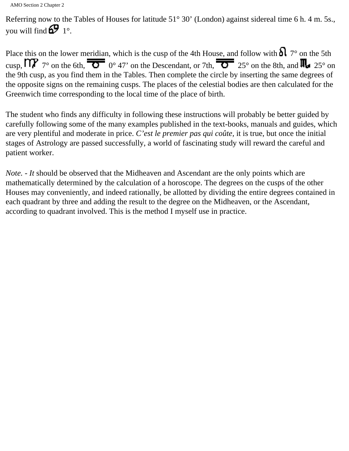Referring now to the Tables of Houses for latitude 51° 30' (London) against sidereal time 6 h. 4 m. 5s., you will find  $\overline{B}$  1°.

Place this on the lower meridian, which is the cusp of the 4th House, and follow with  $\delta$  7° on the 5th cusp,  $\prod_{\alpha=1}^{\infty}$  7° on the 6th,  $\frac{1}{\alpha}$  0° 47' on the Descendant, or 7th,  $\frac{1}{\alpha}$  25° on the 8th, and  $\prod_{\alpha=1}^{\infty}$  25° on the 9th cusp, as you find them in the Tables. Then complete the circle by inserting the same degrees of the opposite signs on the remaining cusps. The places of the celestial bodies are then calculated for the Greenwich time corresponding to the local time of the place of birth.

The student who finds any difficulty in following these instructions will probably be better guided by carefully following some of the many examples published in the text-books, manuals and guides, which are very plentiful and moderate in price. *C'est le premier pas qui coûte,* it is true, but once the initial stages of Astrology are passed successfully, a world of fascinating study will reward the careful and patient worker.

*Note. - It* should be observed that the Midheaven and Ascendant are the only points which are mathematically determined by the calculation of a horoscope. The degrees on the cusps of the other Houses may conveniently, and indeed rationally, be allotted by dividing the entire degrees contained in each quadrant by three and adding the result to the degree on the Midheaven, or the Ascendant, according to quadrant involved. This is the method I myself use in practice.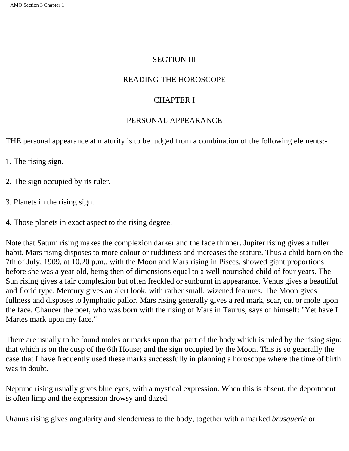#### SECTION III

#### READING THE HOROSCOPE

#### CHAPTER I

#### PERSONAL APPEARANCE

THE personal appearance at maturity is to be judged from a combination of the following elements:-

1. The rising sign.

2. The sign occupied by its ruler.

3. Planets in the rising sign.

4. Those planets in exact aspect to the rising degree.

Note that Saturn rising makes the complexion darker and the face thinner. Jupiter rising gives a fuller habit. Mars rising disposes to more colour or ruddiness and increases the stature. Thus a child born on the 7th of July, 1909, at 10.20 p.m., with the Moon and Mars rising in Pisces, showed giant proportions before she was a year old, being then of dimensions equal to a well-nourished child of four years. The Sun rising gives a fair complexion but often freckled or sunburnt in appearance. Venus gives a beautiful and florid type. Mercury gives an alert look, with rather small, wizened features. The Moon gives fullness and disposes to lymphatic pallor. Mars rising generally gives a red mark, scar, cut or mole upon the face. Chaucer the poet, who was born with the rising of Mars in Taurus, says of himself: "Yet have I Martes mark upon my face."

There are usually to be found moles or marks upon that part of the body which is ruled by the rising sign; that which is on the cusp of the 6th House; and the sign occupied by the Moon. This is so generally the case that I have frequently used these marks successfully in planning a horoscope where the time of birth was in doubt.

Neptune rising usually gives blue eyes, with a mystical expression. When this is absent, the deportment is often limp and the expression drowsy and dazed.

Uranus rising gives angularity and slenderness to the body, together with a marked *brusquerie* or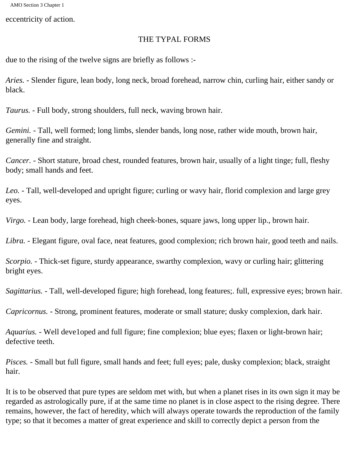eccentricity of action.

#### THE TYPAL FORMS

due to the rising of the twelve signs are briefly as follows :-

*Aries.* - Slender figure, lean body, long neck, broad forehead, narrow chin, curling hair, either sandy or black.

*Taurus.* - Full body, strong shoulders, full neck, waving brown hair.

*Gemini.* - Tall, well formed; long limbs, slender bands, long nose, rather wide mouth, brown hair, generally fine and straight.

*Cancer.* - Short stature, broad chest, rounded features, brown hair, usually of a light tinge; full, fleshy body; small hands and feet.

*Leo.* - Tall, well-developed and upright figure; curling or wavy hair, florid complexion and large grey eyes.

*Virgo.* - Lean body, large forehead, high cheek-bones, square jaws, long upper lip., brown hair.

*Libra.* - Elegant figure, oval face, neat features, good complexion; rich brown hair, good teeth and nails.

*Scorpio.* - Thick-set figure, sturdy appearance, swarthy complexion, wavy or curling hair; glittering bright eyes.

*Sagittarius.* - Tall, well-developed figure; high forehead, long features;. full, expressive eyes; brown hair.

*Capricornus.* - Strong, prominent features, moderate or small stature; dusky complexion, dark hair.

*Aquarius.* - Well deve1oped and full figure; fine complexion; blue eyes; flaxen or light-brown hair; defective teeth.

*Pisces.* - Small but full figure, small hands and feet; full eyes; pale, dusky complexion; black, straight hair.

It is to be observed that pure types are seldom met with, but when a planet rises in its own sign it may be regarded as astrologically pure, if at the same time no planet is in close aspect to the rising degree. There remains, however, the fact of heredity, which will always operate towards the reproduction of the family type; so that it becomes a matter of great experience and skill to correctly depict a person from the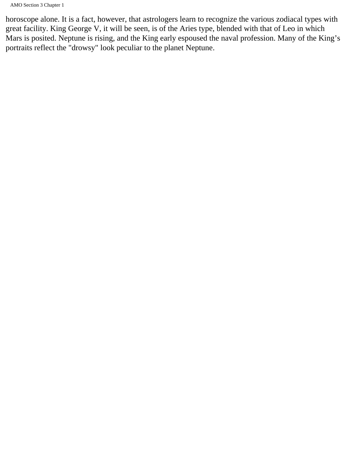horoscope alone. It is a fact, however, that astrologers learn to recognize the various zodiacal types with great facility. King George V, it will be seen, is of the Aries type, blended with that of Leo in which Mars is posited. Neptune is rising, and the King early espoused the naval profession. Many of the King's portraits reflect the "drowsy" look peculiar to the planet Neptune.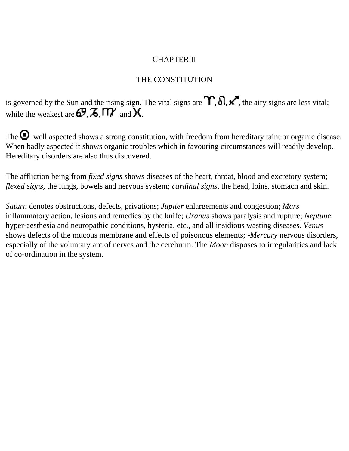### CHAPTER II

#### THE CONSTITUTION

is governed by the Sun and the rising sign. The vital signs are  $\Upsilon$ ,  $\Omega$ ,  $\checkmark$ , the airy signs are less vital; while the weakest are  $69$ ,  $\overline{6}$ ,  $n\overline{r}$  and  $\overline{r}$ .

The  $\bullet$  well aspected shows a strong constitution, with freedom from hereditary taint or organic disease. When badly aspected it shows organic troubles which in favouring circumstances will readily develop. Hereditary disorders are also thus discovered.

The affliction being from *fixed signs* shows diseases of the heart, throat, blood and excretory system; *flexed signs,* the lungs, bowels and nervous system; *cardinal signs,* the head, loins, stomach and skin.

*Saturn* denotes obstructions, defects, privations; *Jupiter* enlargements and congestion; *Mars*  inflammatory action, lesions and remedies by the knife; *Uranus* shows paralysis and rupture; *Neptune*  hyper-aesthesia and neuropathic conditions, hysteria, etc., and all insidious wasting diseases. *Venus*  shows defects of the mucous membrane and effects of poisonous elements; *-Mercury* nervous disorders, especially of the voluntary arc of nerves and the cerebrum. The *Moon* disposes to irregularities and lack of co-ordination in the system.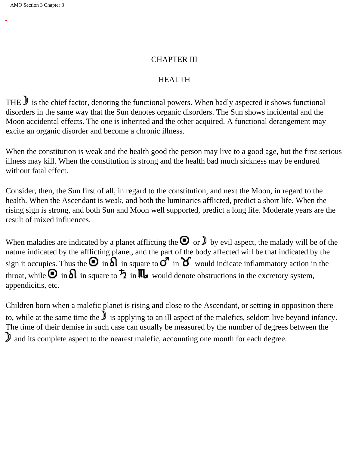#### CHAPTER III

#### HEALTH

THE  $\mathbf{J}$  is the chief factor, denoting the functional powers. When badly aspected it shows functional disorders in the same way that the Sun denotes organic disorders. The Sun shows incidental and the Moon accidental effects. The one is inherited and the other acquired. A functional derangement may excite an organic disorder and become a chronic illness.

When the constitution is weak and the health good the person may live to a good age, but the first serious illness may kill. When the constitution is strong and the health bad much sickness may be endured without fatal effect.

Consider, then, the Sun first of all, in regard to the constitution; and next the Moon, in regard to the health. When the Ascendant is weak, and both the luminaries afflicted, predict a short life. When the rising sign is strong, and both Sun and Moon well supported, predict a long life. Moderate years are the result of mixed influences.

When maladies are indicated by a planet afflicting the  $\bigcirc$  or  $\mathcal{V}$  by evil aspect, the malady will be of the nature indicated by the afflicting planet, and the part of the body affected will be that indicated by the sign it occupies. Thus the  $\odot$  in  $\Omega$  in square to  $\sigma'$  in  $\Upsilon$  would indicate inflammatory action in the throat, while  $\odot$  in  $\mathfrak A$  in square to  $\mathfrak h$  in  $\mathfrak m$  would denote obstructions in the excretory system, appendicitis, etc.

Children born when a malefic planet is rising and close to the Ascendant, or setting in opposition there to, while at the same time the  $\mathbb{J}$  is applying to an ill aspect of the malefics, seldom live beyond infancy. The time of their demise in such case can usually be measured by the number of degrees between the I and its complete aspect to the nearest malefic, accounting one month for each degree.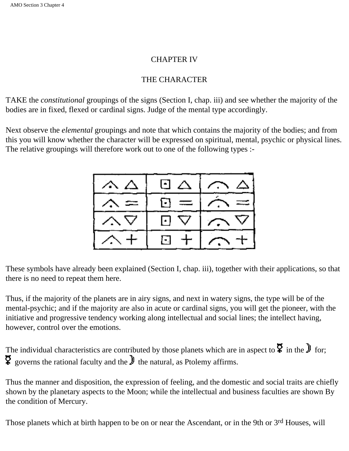### CHAPTER IV

### THE CHARACTER

TAKE the *constitutional* groupings of the signs (Section I, chap. iii) and see whether the majority of the bodies are in fixed, flexed or cardinal signs. Judge of the mental type accordingly.

Next observe the *elemental* groupings and note that which contains the majority of the bodies; and from this you will know whether the character will be expressed on spiritual, mental, psychic or physical lines. The relative groupings will therefore work out to one of the following types :-

| $\curvearrowright \triangle$ | د تا                | △<br>$\sim$   |
|------------------------------|---------------------|---------------|
| ≔                            | $\mathrm{E}$ $=$    |               |
| ヘロ                           | $\rm{E}$ $\Delta$   | $\mathcal{L}$ |
| $+$                          | $\mathbf{E}$<br>$+$ |               |

These symbols have already been explained (Section I, chap. iii), together with their applications, so that there is no need to repeat them here.

Thus, if the majority of the planets are in airy signs, and next in watery signs, the type will be of the mental-psychic; and if the majority are also in acute or cardinal signs, you will get the pioneer, with the initiative and progressive tendency working along intellectual and social lines; the intellect having, however, control over the emotions.

The individual characteristics are contributed by those planets which are in aspect to  $\overline{P}$  in the  $\overline{P}$  for;  $\boldsymbol{\Sigma}$  governs the rational faculty and the  $\boldsymbol{\Sigma}$  the natural, as Ptolemy affirms.

Thus the manner and disposition, the expression of feeling, and the domestic and social traits are chiefly shown by the planetary aspects to the Moon; while the intellectual and business faculties are shown By the condition of Mercury.

Those planets which at birth happen to be on or near the Ascendant, or in the 9th or 3rd Houses, will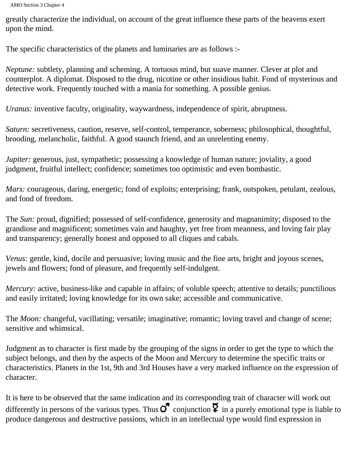greatly characterize the individual, on account of the great influence these parts of the heavens exert upon the mind.

The specific characteristics of the planets and luminaries are as follows :-

*Neptune:* subtlety, planning and scheming. A tortuous mind, but suave manner. Clever at plot and counterplot. A diplomat. Disposed to the drug, nicotine or other insidious habit. Fond of mysterious and detective work. Frequently touched with a mania for something. A possible genius.

*Uranus:* inventive faculty, originality, waywardness, independence of spirit, abruptness.

*Saturn:* secretiveness, caution, reserve, self-control, temperance, soberness; philosophical, thoughtful, brooding, melancholic, faithful. A good staunch friend, and an unrelenting enemy.

*Jupiter:* generous, just, sympathetic; possessing a knowledge of human nature; joviality, a good judgment, fruitful intellect; confidence; sometimes too optimistic and even bombastic.

*Mars:* courageous, daring, energetic; fond of exploits; enterprising; frank, outspoken, petulant, zealous, and fond of freedom.

The *Sun:* proud, dignified; possessed of self-confidence, generosity and magnanimity; disposed to the grandiose and magnificent; sometimes vain and haughty, yet free from meanness, and loving fair play and transparency; generally honest and opposed to all cliques and cabals.

*Venus:* gentle, kind, docile and persuasive; loving music and the fine arts, bright and joyous scenes, jewels and flowers; fond of pleasure, and frequently self-indulgent.

*Mercury:* active, business-like and capable in affairs; of voluble speech; attentive to details; punctilious and easily irritated; loving knowledge for its own sake; accessible and communicative.

The *Moon:* changeful, vacillating; versatile; imaginative; romantic; loving travel and change of scene; sensitive and whimsical.

Judgment as to character is first made by the grouping of the signs in order to get the type to which the subject belongs, and then by the aspects of the Moon and Mercury to determine the specific traits or characteristics. Planets in the 1st, 9th and 3rd Houses have a very marked influence on the expression of character.

It is here to be observed that the same indication and its corresponding trait of character will work out differently in persons of the various types. Thus  $\sigma$  conjunction  $\sigma$  in a purely emotional type is liable to produce dangerous and destructive passions, which in an intellectual type would find expression in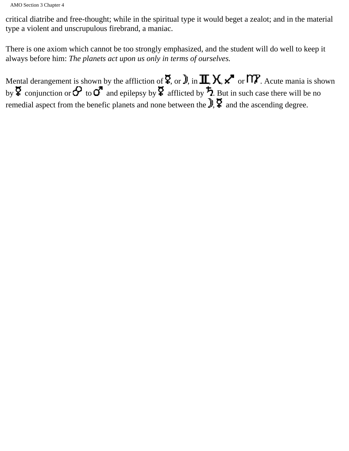critical diatribe and free-thought; while in the spiritual type it would beget a zealot; and in the material type a violent and unscrupulous firebrand, a maniac.

There is one axiom which cannot be too strongly emphasized, and the student will do well to keep it always before him: *The planets act upon us only in terms of ourselves.*

Mental derangement is shown by the affliction of  $\Sigma$ , or  $\Pi$ , in  $\Pi$ ,  $\Lambda$ ,  $\Lambda$  or  $\Pi$ . Acute mania is shown by  $\overline{P}$  conjunction or  $P$  to  $P$  and epilepsy by  $\overline{P}$  afflicted by  $\overline{P}$ . But in such case there will be no remedial aspect from the benefic planets and none between the  $\mathbb{R}$ ,  $\mathbb{R}$  and the ascending degree.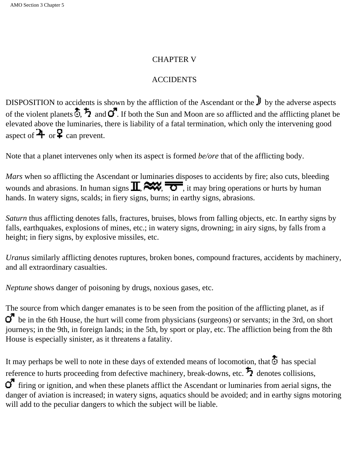### CHAPTER V

### ACCIDENTS

DISPOSITION to accidents is shown by the affliction of the Ascendant or the  $\mathbb{D}$  by the adverse aspects of the violent planets  $\ddot{\bullet}$ ,  $\ddot{\bullet}$  and  $\dot{\bullet}$ . If both the Sun and Moon are so afflicted and the afflicting planet be elevated above the luminaries, there is liability of a fatal termination, which only the intervening good aspect of  $\overline{4}$  or  $\overline{4}$  can prevent.

Note that a planet intervenes only when its aspect is formed *be/ore* that of the afflicting body.

*Mars* when so afflicting the Ascendant or luminaries disposes to accidents by fire; also cuts, bleeding wounds and abrasions. In human signs  $\mathbb{I}$ ,  $\mathbb{R}$ ,  $\mathbb{R}$ , it may bring operations or hurts by human hands. In watery signs, scalds; in fiery signs, burns; in earthy signs, abrasions.

*Saturn* thus afflicting denotes falls, fractures, bruises, blows from falling objects, etc. In earthy signs by falls, earthquakes, explosions of mines, etc.; in watery signs, drowning; in airy signs, by falls from a height; in fiery signs, by explosive missiles, etc.

*Uranus* similarly afflicting denotes ruptures, broken bones, compound fractures, accidents by machinery, and all extraordinary casualties.

*Neptune* shows danger of poisoning by drugs, noxious gases, etc.

The source from which danger emanates is to be seen from the position of the afflicting planet, as if  $\vec{p}$  be in the 6th House, the hurt will come from physicians (surgeons) or servants; in the 3rd, on short journeys; in the 9th, in foreign lands; in the 5th, by sport or play, etc. The affliction being from the 8th House is especially sinister, as it threatens a fatality.

It may perhaps be well to note in these days of extended means of locomotion, that  $\overline{\Phi}$  has special reference to hurts proceeding from defective machinery, break-downs, etc.  $\overline{B}$  denotes collisions,  $\sigma$  firing or ignition, and when these planets afflict the Ascendant or luminaries from aerial signs, the danger of aviation is increased; in watery signs, aquatics should be avoided; and in earthy signs motoring will add to the peculiar dangers to which the subject will be liable.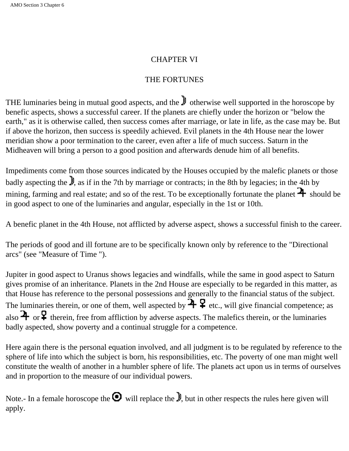# CHAPTER VI

# THE FORTUNES

THE luminaries being in mutual good aspects, and the  $\tilde{J}$  otherwise well supported in the horoscope by benefic aspects, shows a successful career. If the planets are chiefly under the horizon or "below the earth," as it is otherwise called, then success comes after marriage, or late in life, as the case may be. But if above the horizon, then success is speedily achieved. Evil planets in the 4th House near the lower meridian show a poor termination to the career, even after a life of much success. Saturn in the Midheaven will bring a person to a good position and afterwards denude him of all benefits.

Impediments come from those sources indicated by the Houses occupied by the malefic planets or those badly aspecting the  $\hat{J}$ , as if in the 7th by marriage or contracts; in the 8th by legacies; in the 4th by mining, farming and real estate; and so of the rest. To be exceptionally fortunate the planet  $\overline{4}$  should be in good aspect to one of the luminaries and angular, especially in the 1st or 10th.

A benefic planet in the 4th House, not afflicted by adverse aspect, shows a successful finish to the career.

The periods of good and ill fortune are to be specifically known only by reference to the "Directional arcs" (see "Measure of Time ").

Jupiter in good aspect to Uranus shows legacies and windfalls, while the same in good aspect to Saturn gives promise of an inheritance. Planets in the 2nd House are especially to be regarded in this matter, as that House has reference to the personal possessions and generally to the financial status of the subject. The luminaries therein, or one of them, well aspected by  $\rightarrow$   $\Box$  etc., will give financial competence; as also  $\rightarrow$  or  $\Gamma$  therein, free from affliction by adverse aspects. The malefics therein, or the luminaries badly aspected, show poverty and a continual struggle for a competence.

Here again there is the personal equation involved, and all judgment is to be regulated by reference to the sphere of life into which the subject is born, his responsibilities, etc. The poverty of one man might well constitute the wealth of another in a humbler sphere of life. The planets act upon us in terms of ourselves and in proportion to the measure of our individual powers.

Note.- In a female horoscope the  $\bigcirc$  will replace the  $\mathcal{I}$ , but in other respects the rules here given will apply.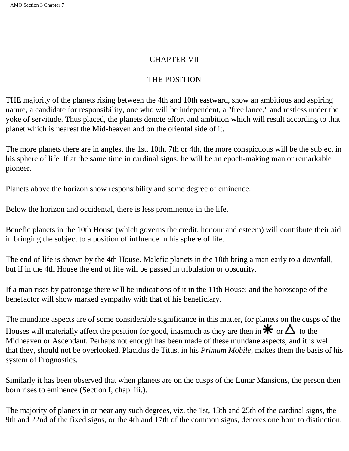### CHAPTER VII

### THE POSITION

THE majority of the planets rising between the 4th and 10th eastward, show an ambitious and aspiring nature, a candidate for responsibility, one who will be independent, a "free lance," and restless under the yoke of servitude. Thus placed, the planets denote effort and ambition which will result according to that planet which is nearest the Mid-heaven and on the oriental side of it.

The more planets there are in angles, the 1st, 10th, 7th or 4th, the more conspicuous will be the subject in his sphere of life. If at the same time in cardinal signs, he will be an epoch-making man or remarkable pioneer.

Planets above the horizon show responsibility and some degree of eminence.

Below the horizon and occidental, there is less prominence in the life.

Benefic planets in the 10th House (which governs the credit, honour and esteem) will contribute their aid in bringing the subject to a position of influence in his sphere of life.

The end of life is shown by the 4th House. Malefic planets in the 10th bring a man early to a downfall, but if in the 4th House the end of life will be passed in tribulation or obscurity.

If a man rises by patronage there will be indications of it in the 11th House; and the horoscope of the benefactor will show marked sympathy with that of his beneficiary.

The mundane aspects are of some considerable significance in this matter, for planets on the cusps of the Houses will materially affect the position for good, inasmuch as they are then in  $\mathbf{\divideontimes}$  or  $\Delta$  to the Midheaven or Ascendant. Perhaps not enough has been made of these mundane aspects, and it is well that they, should not be overlooked. Placidus de Titus, in his *Primum Mobile,* makes them the basis of his system of Prognostics.

Similarly it has been observed that when planets are on the cusps of the Lunar Mansions, the person then born rises to eminence (Section I, chap. iii.).

The majority of planets in or near any such degrees, viz, the 1st, 13th and 25th of the cardinal signs, the 9th and 22nd of the fixed signs, or the 4th and 17th of the common signs, denotes one born to distinction.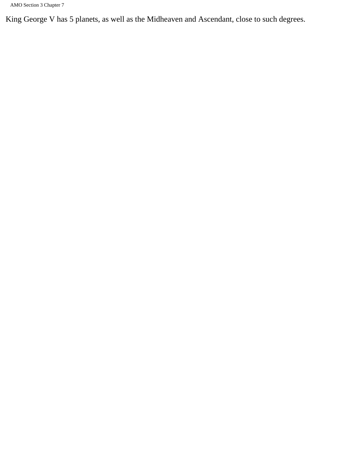King George V has 5 planets, as well as the Midheaven and Ascendant, close to such degrees.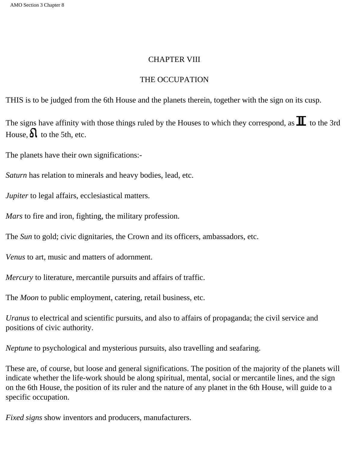#### CHAPTER VIII

#### THE OCCUPATION

THIS is to be judged from the 6th House and the planets therein, together with the sign on its cusp.

The signs have affinity with those things ruled by the Houses to which they correspond, as  $\mathbb{I}$  to the 3rd House,  $\delta$  to the 5th, etc.

The planets have their own significations:-

*Saturn* has relation to minerals and heavy bodies, lead, etc.

*Jupiter* to legal affairs, ecclesiastical matters.

*Mars* to fire and iron, fighting, the military profession.

The *Sun* to gold; civic dignitaries, the Crown and its officers, ambassadors, etc.

*Venus* to art, music and matters of adornment.

*Mercury* to literature, mercantile pursuits and affairs of traffic.

The *Moon* to public employment, catering, retail business, etc.

*Uranus* to electrical and scientific pursuits, and also to affairs of propaganda; the civil service and positions of civic authority.

*Neptune* to psychological and mysterious pursuits, also travelling and seafaring.

These are, of course, but loose and general significations. The position of the majority of the planets will indicate whether the life-work should be along spiritual, mental, social or mercantile lines, and the sign on the 6th House, the position of its ruler and the nature of any planet in the 6th House, will guide to a specific occupation.

*Fixed signs* show inventors and producers, manufacturers.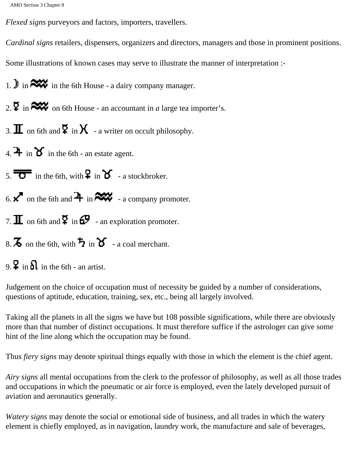```
AMO Section 3 Chapter 8
```
*Flexed signs* purveyors and factors, importers, travellers.

*Cardinal signs* retailers, dispensers, organizers and directors, managers and those in prominent positions.

Some illustrations of known cases may serve to illustrate the manner of interpretation :-

- 1.  $\mathbb{R}$  in  $\mathbb{R}$  in the 6th House a dairy company manager.
- 2.  $\sum$  in  $\sum$  on 6th House an accountant in *a* large tea importer's.
- 3.  $\mathbf{\mathbf{I}}$  on 6th and  $\mathbf{\nabla}$  in  $\mathbf{\nabla}$  a writer on occult philosophy.
- 4.  $\rightarrow$  in  $\rightarrow$  in the 6th an estate agent.
- 5.  $\overline{0}$  in the 6th, with  $\overline{4}$  in  $\overline{6}$  a stockbroker.
- 6.  $\triangleright$  on the 6th and  $\rightarrow$  in  $\sim$  a company promoter.
- 7.  $\mathbf{\Pi}$  on 6th and  $\mathbf{\Sigma}$  in  $\mathbf{\Theta}$  an exploration promoter.
- 8.  $\overline{3}$  on the 6th, with  $\overline{2}$  in  $\overline{3}$  a coal merchant.
- 9.  $\mathbf{\Omega}$  in  $\mathbf{\Omega}$  in the 6th an artist.

Judgement on the choice of occupation must of necessity be guided by a number of considerations, questions of aptitude, education, training, sex, etc., being all largely involved.

Taking all the planets in all the signs we have but 108 possible significations, while there are obviously more than that number of distinct occupations. It must therefore suffice if the astrologer can give some hint of the line along which the occupation may be found.

Thus *fiery signs* may denote spiritual things equally with those in which the element is the chief agent.

*Airy signs* all mental occupations from the clerk to the professor of philosophy, as well as all those trades and occupations in which the pneumatic or air force is employed, even the lately developed pursuit of aviation and aeronautics generally.

*Watery signs* may denote the social or emotional side of business, and all trades in which the watery element is chiefly employed, as in navigation, laundry work, the manufacture and sale of beverages,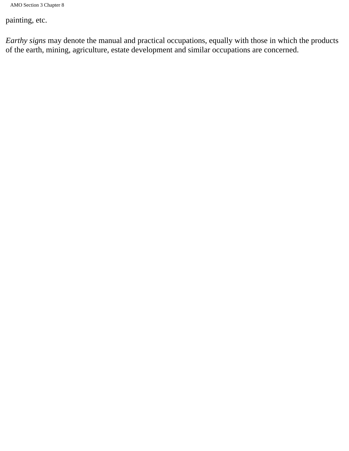AMO Section 3 Chapter 8

painting, etc.

*Earthy signs* may denote the manual and practical occupations, equally with those in which the products of the earth, mining, agriculture, estate development and similar occupations are concerned.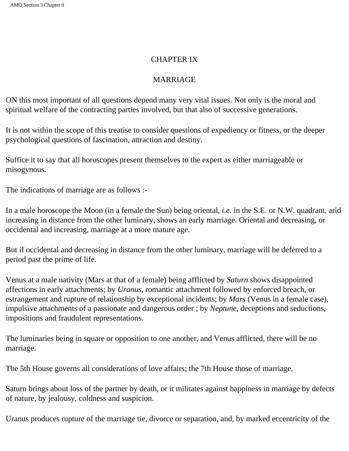#### CHAPTER IX

#### MARRIAGE

ON this most important of all questions depend many very vital issues. Not only is the moral and spiritual welfare of the contracting parties involved, but that also of successive generations.

It is not within the scope of this treatise to consider questions of expediency or fitness, or the deeper psychological questions of fascination, attraction and destiny.

Suffice it to say that all horoscopes present themselves to the expert as either marriageable or misogynous.

The indications of marriage are as follows :-

In a male horoscope the Moon (in a female the Sun) being oriental, *i.e.* in the S.E. or N.W. quadrant, arid increasing in distance from the other luminary, shows an early marriage. Oriental and decreasing, or occidental and increasing, marriage at a more mature age.

But if occidental and decreasing in distance from the other luminary, marriage will be deferred to a period past the prime of life.

Venus at a male nativity (Mars at that of a female) being afflicted by *Saturn* shows disappointed affections in early attachments; by *Uranus,* romantic attachment followed by enforced breach, or estrangement and rupture of relationship by exceptional incidents; by *Mars* (Venus in a female case), impulsive attachments of a passionate and dangerous order ; by *Neptune,* deceptions and seductions, impositions and fraudulent representations.

The luminaries being in square or opposition to one another, and Venus afflicted, there will be no marriage.

The 5th House governs all considerations of love affairs; the 7th House those of marriage.

Saturn brings about loss of the partner by death, or it militates against happiness in marriage by defects of nature, by jealousy, coldness and suspicion.

Uranus produces rupture of the marriage tie, divorce or separation, and, by marked eccentricity of the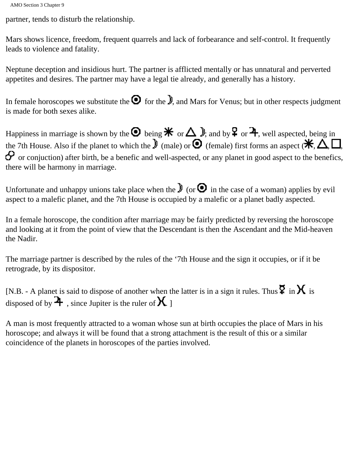partner, tends to disturb the relationship.

Mars shows licence, freedom, frequent quarrels and lack of forbearance and self-control. It frequently leads to violence and fatality.

Neptune deception and insidious hurt. The partner is afflicted mentally or has unnatural and perverted appetites and desires. The partner may have a legal tie already, and generally has a history.

In female horoscopes we substitute the  $\bigodot$  for the  $\mathbf{l}$ , and Mars for Venus; but in other respects judgment is made for both sexes alike.

Happiness in marriage is shown by the  $\bigcirc$  being  $\mathbf{\divideontimes}$  or  $\bigtriangleup$  ); and by  $\mathbf{\clubsuit}$  or  $\mathbf{\clubsuit}$ , well aspected, being in the 7th House. Also if the planet to which the  $\mathbb{D}$  (male) or  $\mathbb{O}$  (female) first forms an aspect ( $\mathbb{X}, \Delta, \Box$  $\sigma$  or conjuction) after birth, be a benefic and well-aspected, or any planet in good aspect to the benefics, there will be harmony in marriage.

Unfortunate and unhappy unions take place when the  $\mathbf{D}$  (or  $\mathbf{O}$  in the case of a woman) applies by evil aspect to a malefic planet, and the 7th House is occupied by a malefic or a planet badly aspected.

In a female horoscope, the condition after marriage may be fairly predicted by reversing the horoscope and looking at it from the point of view that the Descendant is then the Ascendant and the Mid-heaven the Nadir.

The marriage partner is described by the rules of the '7th House and the sign it occupies, or if it be retrograde, by its dispositor.

[N.B. - A planet is said to dispose of another when the latter is in a sign it rules. Thus  $\overline{Y}$  in  $\overline{X}$  is disposed of by  $\overline{4}$ , since Jupiter is the ruler of  $\overline{X}$ .

A man is most frequently attracted to a woman whose sun at birth occupies the place of Mars in his horoscope; and always it will be found that a strong attachment is the result of this or a similar coincidence of the planets in horoscopes of the parties involved.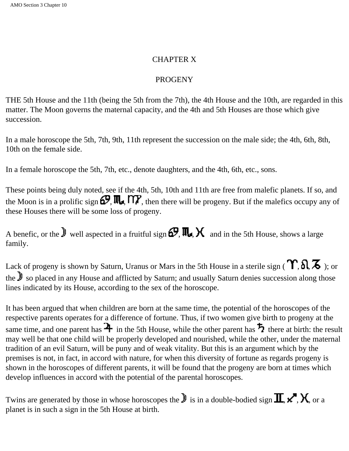### CHAPTER X

### PROGENY

THE 5th House and the 11th (being the 5th from the 7th), the 4th House and the 10th, are regarded in this matter. The Moon governs the maternal capacity, and the 4th and 5th Houses are those which give succession.

In a male horoscope the 5th, 7th, 9th, 11th represent the succession on the male side; the 4th, 6th, 8th, 10th on the female side.

In a female horoscope the 5th, 7th, etc., denote daughters, and the 4th, 6th, etc., sons.

These points being duly noted, see if the 4th, 5th, 10th and 11th are free from malefic planets. If so, and the Moon is in a prolific sign  $\mathbb{CP}$ ,  $\mathbb{R}$ ,  $\mathbb{CP}$ , then there will be progeny. But if the malefics occupy any of these Houses there will be some loss of progeny.

A benefic, or the  $\mathbb D$  well aspected in a fruitful sign  $\mathbb S^p$ ,  $\mathbb R$ ,  $\mathbb X$  and in the 5th House, shows a large family.

Lack of progeny is shown by Saturn, Uranus or Mars in the 5th House in a sterile sign ( $\Upsilon$ ,  $\Omega$ ,  $\overline{A}$ ); or the  $\mathbb D$  so placed in any House and afflicted by Saturn; and usually Saturn denies succession along those lines indicated by its House, according to the sex of the horoscope.

It has been argued that when children are born at the same time, the potential of the horoscopes of the respective parents operates for a difference of fortune. Thus, if two women give birth to progeny at the same time, and one parent has  $\overline{4}$  in the 5th House, while the other parent has  $\overline{5}$  there at birth: the result may well be that one child will be properly developed and nourished, while the other, under the maternal tradition of an evil Saturn, will be puny and of weak vitality. But this is an argument which by the premises is not, in fact, in accord with nature, for when this diversity of fortune as regards progeny is shown in the horoscopes of different parents, it will be found that the progeny are born at times which develop influences in accord with the potential of the parental horoscopes.

Twins are generated by those in whose horoscopes the  $\mathbb{D}$  is in a double-bodied sign  $\mathbb{I}, \mathbf{X}$ ,  $\mathbf{X}$ , or a planet is in such a sign in the 5th House at birth.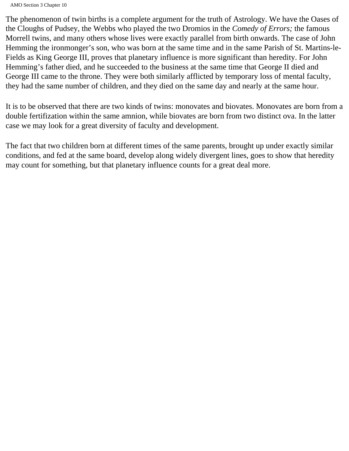The phenomenon of twin births is a complete argument for the truth of Astrology. We have the Oases of the Cloughs of Pudsey, the Webbs who played the two Dromios in the *Comedy of Errors;* the famous Morrell twins, and many others whose lives were exactly parallel from birth onwards. The case of John Hemming the ironmonger's son, who was born at the same time and in the same Parish of St. Martins-le-Fields as King George III, proves that planetary influence is more significant than heredity. For John Hemming's father died, and he succeeded to the business at the same time that George II died and George III came to the throne. They were both similarly afflicted by temporary loss of mental faculty, they had the same number of children, and they died on the same day and nearly at the same hour.

It is to be observed that there are two kinds of twins: monovates and biovates. Monovates are born from a double fertifization within the same amnion, while biovates are born from two distinct ova. In the latter case we may look for a great diversity of faculty and development.

The fact that two children born at different times of the same parents, brought up under exactly similar conditions, and fed at the same board, develop along widely divergent lines, goes to show that heredity may count for something, but that planetary influence counts for a great deal more.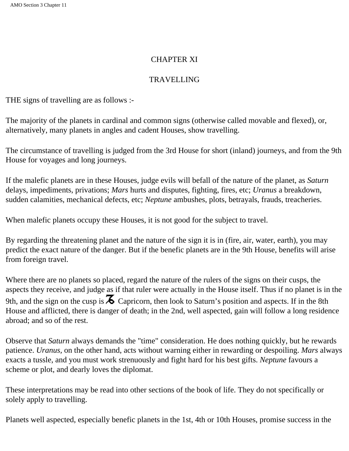### CHAPTER XI

### TRAVELLING

THE signs of travelling are as follows :-

The majority of the planets in cardinal and common signs (otherwise called movable and flexed), or, alternatively, many planets in angles and cadent Houses, show travelling.

The circumstance of travelling is judged from the 3rd House for short (inland) journeys, and from the 9th House for voyages and long journeys.

If the malefic planets are in these Houses, judge evils will befall of the nature of the planet, as *Saturn*  delays, impediments, privations; *Mars* hurts and disputes, fighting, fires, etc; *Uranus* a breakdown, sudden calamities, mechanical defects, etc; *Neptune* ambushes, plots, betrayals, frauds, treacheries.

When malefic planets occupy these Houses, it is not good for the subject to travel.

By regarding the threatening planet and the nature of the sign it is in (fire, air, water, earth), you may predict the exact nature of the danger. But if the benefic planets are in the 9th House, benefits will arise from foreign travel.

Where there are no planets so placed, regard the nature of the rulers of the signs on their cusps, the aspects they receive, and judge as if that ruler were actually in the House itself. Thus if no planet is in the 9th, and the sign on the cusp is  $\overline{\mathbf{A}}$  Capricorn, then look to Saturn's position and aspects. If in the 8th House and afflicted, there is danger of death; in the 2nd, well aspected, gain will follow a long residence abroad; and so of the rest.

Observe that *Saturn* always demands the "time" consideration. He does nothing quickly, but he rewards patience. *Uranus,* on the other hand, acts without warning either in rewarding or despoiling. *Mars* always exacts a tussle, and you must work strenuously and fight hard for his best gifts. *Neptune* favours a scheme or plot, and dearly loves the diplomat.

These interpretations may be read into other sections of the book of life. They do not specifically or solely apply to travelling.

Planets well aspected, especially benefic planets in the 1st, 4th or 10th Houses, promise success in the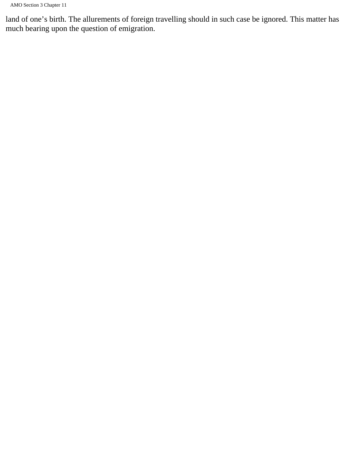land of one's birth. The allurements of foreign travelling should in such case be ignored. This matter has much bearing upon the question of emigration.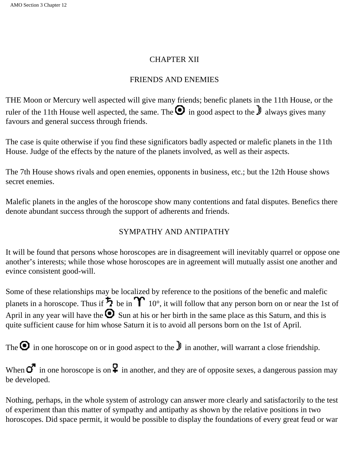# CHAPTER XII

### FRIENDS AND ENEMIES

THE Moon or Mercury well aspected will give many friends; benefic planets in the 11th House, or the ruler of the 11th House well aspected, the same. The  $\bullet$  in good aspect to the  $\bullet$  always gives many favours and general success through friends.

The case is quite otherwise if you find these significators badly aspected or malefic planets in the 11th House. Judge of the effects by the nature of the planets involved, as well as their aspects.

The 7th House shows rivals and open enemies, opponents in business, etc.; but the 12th House shows secret enemies.

Malefic planets in the angles of the horoscope show many contentions and fatal disputes. Benefics there denote abundant success through the support of adherents and friends.

### SYMPATHY AND ANTIPATHY

It will be found that persons whose horoscopes are in disagreement will inevitably quarrel or oppose one another's interests; while those whose horoscopes are in agreement will mutually assist one another and evince consistent good-will.

Some of these relationships may be localized by reference to the positions of the benefic and malefic planets in a horoscope. Thus if  $\bar{P}$  be in  $\hat{P}$  10°, it will follow that any person born on or near the 1st of April in any year will have the  $\bigcirc$  Sun at his or her birth in the same place as this Saturn, and this is quite sufficient cause for him whose Saturn it is to avoid all persons born on the 1st of April.

The  $\bullet$  in one horoscope on or in good aspect to the  $\mathbb I$  in another, will warrant a close friendship.

When  $\vec{C}$  in one horoscope is on  $\vec{P}$  in another, and they are of opposite sexes, a dangerous passion may be developed.

Nothing, perhaps, in the whole system of astrology can answer more clearly and satisfactorily to the test of experiment than this matter of sympathy and antipathy as shown by the relative positions in two horoscopes. Did space permit, it would be possible to display the foundations of every great feud or war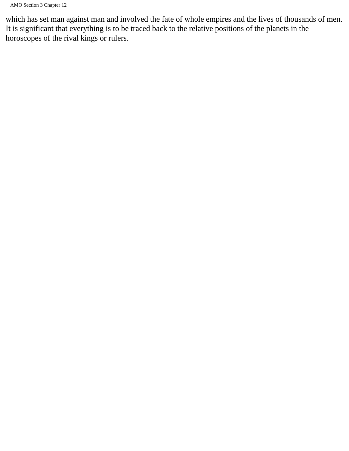which has set man against man and involved the fate of whole empires and the lives of thousands of men. It is significant that everything is to be traced back to the relative positions of the planets in the horoscopes of the rival kings or rulers.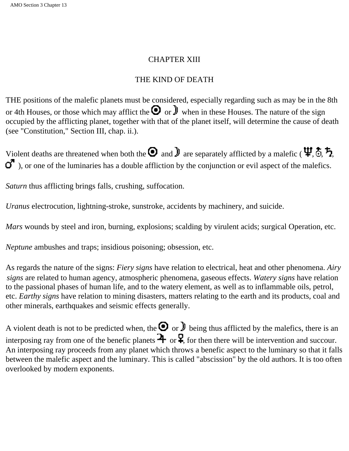# CHAPTER XIII

# THE KIND OF DEATH

THE positions of the malefic planets must be considered, especially regarding such as may be in the 8th or 4th Houses, or those which may afflict the  $\bullet$  or  $\mathbb{D}$  when in these Houses. The nature of the sign occupied by the afflicting planet, together with that of the planet itself, will determine the cause of death (see "Constitution," Section III, chap. ii.).

Violent deaths are threatened when both the  $\bigcirc$  and  $\bigcirc$  are separately afflicted by a malefic ( $\sharp$ ,  $\xi$ ,  $\xi$ ,  $\vec{C}$ , or one of the luminaries has a double affliction by the conjunction or evil aspect of the malefics.

*Saturn* thus afflicting brings falls, crushing, suffocation.

*Uranus* electrocution, lightning-stroke, sunstroke, accidents by machinery, and suicide.

*Mars* wounds by steel and iron, burning, explosions; scalding by virulent acids; surgical Operation, etc.

*Neptune* ambushes and traps; insidious poisoning; obsession, etc.

As regards the nature of the signs: *Fiery signs* have relation to electrical, heat and other phenomena. *Airy signs* are related to human agency, atmospheric phenomena, gaseous effects. *Watery signs* have relation to the passional phases of human life, and to the watery element, as well as to inflammable oils, petrol, etc. *Earthy signs* have relation to mining disasters, matters relating to the earth and its products, coal and other minerals, earthquakes and seismic effects generally.

A violent death is not to be predicted when, the  $\bigcirc$  or  $\bigcirc$  being thus afflicted by the malefics, there is an interposing ray from one of the benefic planets  $\overline{P}$  or  $\overline{P}$ , for then there will be intervention and succour. An interposing ray proceeds from any planet which throws a benefic aspect to the luminary so that it falls between the malefic aspect and the luminary. This is called "abscission" by the old authors. It is too often overlooked by modern exponents.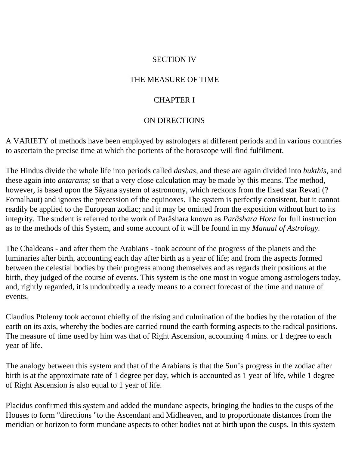#### SECTION IV

#### THE MEASURE OF TIME

#### CHAPTER I

#### ON DIRECTIONS

A VARIETY of methods have been employed by astrologers at different periods and in various countries to ascertain the precise time at which the portents of the horoscope will find fulfilment.

The Hindus divide the whole life into periods called *dashas,* and these are again divided into *bukthis,* and these again into *antarams;* so that a very close calculation may be made by this means. The method, however, is based upon the Sâyana system of astronomy, which reckons from the fixed star Revati (? Fomalhaut) and ignores the precession of the equinoxes. The system is perfectly consistent, but it cannot readily be applied to the European zodiac; and it may be omitted from the exposition without hurt to its integrity. The student is referred to the work of Parâshara known as *Parâshara Hora* for full instruction as to the methods of this System, and some account of it will be found in my *Manual of Astrology.*

The Chaldeans - and after them the Arabians - took account of the progress of the planets and the luminaries after birth, accounting each day after birth as a year of life; and from the aspects formed between the celestial bodies by their progress among themselves and as regards their positions at the birth, they judged of the course of events. This system is the one most in vogue among astrologers today, and, rightly regarded, it is undoubtedly a ready means to a correct forecast of the time and nature of events.

Claudius Ptolemy took account chiefly of the rising and culmination of the bodies by the rotation of the earth on its axis, whereby the bodies are carried round the earth forming aspects to the radical positions. The measure of time used by him was that of Right Ascension, accounting 4 mins. or 1 degree to each year of life.

The analogy between this system and that of the Arabians is that the Sun's progress in the zodiac after birth is at the approximate rate of 1 degree per day, which is accounted as 1 year of life, while 1 degree of Right Ascension is also equal to 1 year of life.

Placidus confirmed this system and added the mundane aspects, bringing the bodies to the cusps of the Houses to form "directions "to the Ascendant and Midheaven, and to proportionate distances from the meridian or horizon to form mundane aspects to other bodies not at birth upon the cusps. In this system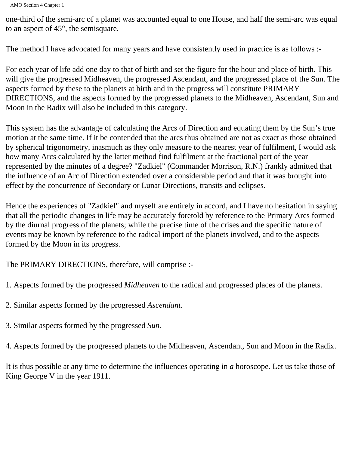AMO Section 4 Chapter 1

one-third of the semi-arc of a planet was accounted equal to one House, and half the semi-arc was equal to an aspect of 45°, the semisquare.

The method I have advocated for many years and have consistently used in practice is as follows :-

For each year of life add one day to that of birth and set the figure for the hour and place of birth. This will give the progressed Midheaven, the progressed Ascendant, and the progressed place of the Sun. The aspects formed by these to the planets at birth and in the progress will constitute PRIMARY DIRECTIONS, and the aspects formed by the progressed planets to the Midheaven, Ascendant, Sun and Moon in the Radix will also be included in this category.

This system has the advantage of calculating the Arcs of Direction and equating them by the Sun's true motion at the same time. If it be contended that the arcs thus obtained are not as exact as those obtained by spherical trigonometry, inasmuch as they only measure to the nearest year of fulfilment, I would ask how many Arcs calculated by the latter method find fulfilment at the fractional part of the year represented by the minutes of a degree? "Zadkiel" (Commander Morrison, R.N.) frankly admitted that the influence of an Arc of Direction extended over a considerable period and that it was brought into effect by the concurrence of Secondary or Lunar Directions, transits and eclipses.

Hence the experiences of "Zadkiel" and myself are entirely in accord, and I have no hesitation in saying that all the periodic changes in life may be accurately foretold by reference to the Primary Arcs formed by the diurnal progress of the planets; while the precise time of the crises and the specific nature of events may be known by reference to the radical import of the planets involved, and to the aspects formed by the Moon in its progress.

The PRIMARY DIRECTIONS, therefore, will comprise :-

- 1. Aspects formed by the progressed *Midheaven* to the radical and progressed places of the planets.
- 2. Similar aspects formed by the progressed *Ascendant.*
- 3. Similar aspects formed by the progressed *Sun.*
- 4. Aspects formed by the progressed planets to the Midheaven, Ascendant, Sun and Moon in the Radix.

It is thus possible at any time to determine the influences operating in *a* horoscope. Let us take those of King George V in the year 1911.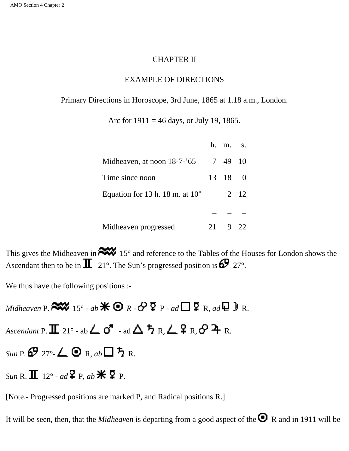#### CHAPTER II

#### EXAMPLE OF DIRECTIONS

Primary Directions in Horoscope, 3rd June, 1865 at 1.18 a.m., London.

Arc for  $1911 = 46$  days, or July 19, 1865.

|                                              |            | h. m. s. |      |
|----------------------------------------------|------------|----------|------|
| Midheaven, at noon $18-7-7$ <sup>-7</sup> 65 | $7\degree$ | 49       | 10   |
| Time since noon                              |            | 13 18 0  |      |
| Equation for $13$ h. $18$ m. at $10"$        |            |          | 2 12 |
|                                              |            |          |      |
| Midheaven progressed                         | 21         |          | 22.  |

This gives the Midheaven in **15°** and reference to the Tables of the Houses for London shows the Ascendant then to be in  $\mathbb{I}$  21°. The Sun's progressed position is  $\mathbb{S}$  27°.

We thus have the following positions :-

*Midheaven* P.  $\overrightarrow{X}$  15° *- ab*  $\overrightarrow{X}$   $\odot$  R  $\cdot$   $\overrightarrow{O}$   $\overrightarrow{R}$  P - ad  $\Box$  R  $\overrightarrow{R}$  R, ad  $\overrightarrow{Q}$  R.  $A$ *scendant* P.  $\mathbf{I}$  21° - ab  $\angle$   $\sigma$  - ad  $\triangle$   $\tau$  R,  $\angle$   $\varphi$  R,  $\varphi$   $\varphi$  R.  *69 27°- ∠ ⊙ R,*  $*ab*$  *Γ R.*  $Sun R. \mathbf{I}$  12° - *ad*  $\mathbf{P}$  P, *ab*  $\mathbf{\mathbf{\mathbf{\#}}} \mathbf{\Sigma}$  P.

[Note.- Progressed positions are marked P, and Radical positions R.]

It will be seen, then, that the *Midheaven* is departing from a good aspect of the  $\bigodot$  R and in 1911 will be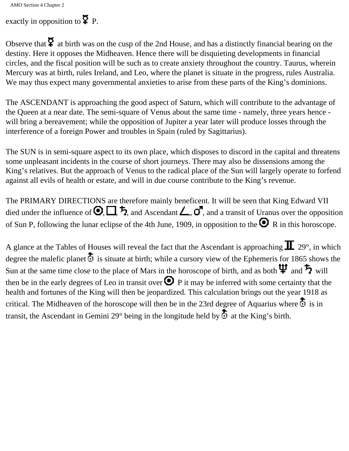exactly in opposition to  $\overline{P}$  P.

Observe that  $\overline{P}$  at birth was on the cusp of the 2nd House, and has a distinctly financial bearing on the destiny. Here it opposes the Midheaven. Hence there will be disquieting developments in financial circles, and the fiscal position will be such as to create anxiety throughout the country. Taurus, wherein Mercury was at birth, rules Ireland, and Leo, where the planet is situate in the progress, rules Australia. We may thus expect many governmental anxieties to arise from these parts of the King's dominions.

The ASCENDANT is approaching the good aspect of Saturn, which will contribute to the advantage of the Queen at a near date. The semi-square of Venus about the same time - namely, three years hence will bring a bereavement; while the opposition of Jupiter a year later will produce losses through the interference of a foreign Power and troubles in Spain (ruled by Sagittarius).

The SUN is in semi-square aspect to its own place, which disposes to discord in the capital and threatens some unpleasant incidents in the course of short journeys. There may also be dissensions among the King's relatives. But the approach of Venus to the radical place of the Sun will largely operate to forfend against all evils of health or estate, and will in due course contribute to the King's revenue.

The PRIMARY DIRECTIONS are therefore mainly beneficent. It will be seen that King Edward VII died under the influence of  $\Theta$ ,  $\Box$ ,  $\overline{\mathcal{D}}$ , and Ascendant  $\angle$ ,  $\overline{\mathcal{O}}$ , and a transit of Uranus over the opposition of Sun P, following the lunar eclipse of the 4th June, 1909, in opposition to the  $\bigodot$  R in this horoscope.

A glance at the Tables of Houses will reveal the fact that the Ascendant is approaching  $\mathbf{I}$  29°, in which degree the malefic planet  $\ddot{\bullet}$  is situate at birth; while a cursory view of the Ephemeris for 1865 shows the Sun at the same time close to the place of Mars in the horoscope of birth, and as both  $\ddagger$  and  $\ddagger$  will then be in the early degrees of Leo in transit over  $\bullet$  P it may be inferred with some certainty that the health and fortunes of the King will then be jeopardized. This calculation brings out the year 1918 as critical. The Midheaven of the horoscope will then be in the 23rd degree of Aquarius where  $\overline{G}$  is in transit, the Ascendant in Gemini 29° being in the longitude held by  $\ddot{\bullet}$  at the King's birth.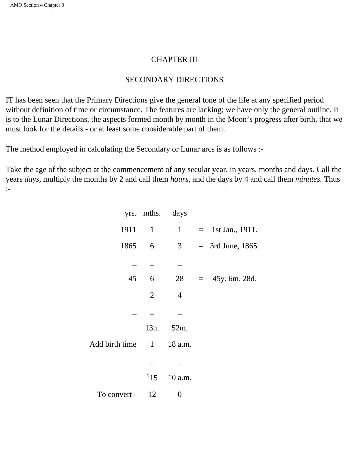#### CHAPTER III

#### SECONDARY DIRECTIONS

IT has been seen that the Primary Directions give the general tone of the life at any specified period without definition of time or circumstance. The features are lacking; we have only the general outline. It is to the Lunar Directions, the aspects formed month by month in the Moon's progress after birth, that we must look for the details - or at least some considerable part of them.

The method employed in calculating the Secondary or Lunar arcs is as follows :-

Take the age of the subject at the commencement of any secular year, in years, months and days. Call the years *days,* multiply the months by 2 and call them *hours,* and the days by 4 and call them *minutes.* Thus :-

|                          | yrs. mths. days |                        |                      |
|--------------------------|-----------------|------------------------|----------------------|
|                          | 1911 1          | $1 \quad \blacksquare$ | $=$ 1st Jan., 1911.  |
| 1865 6                   |                 | $\overline{3}$         | $=$ 3rd June, 1865.  |
|                          |                 |                        |                      |
|                          | 45 6            |                        | $28 = 45y. 6m. 28d.$ |
|                          | 2               | $\overline{4}$         |                      |
|                          |                 |                        |                      |
|                          |                 | 13h. 52m.              |                      |
| Add birth time 1 18 a.m. |                 |                        |                      |
|                          |                 |                        |                      |
|                          |                 | $115$ 10 a.m.          |                      |
| To convert - 12          |                 | $\boldsymbol{0}$       |                      |
|                          |                 |                        |                      |

 $\overline{\phantom{a}}$   $\overline{\phantom{a}}$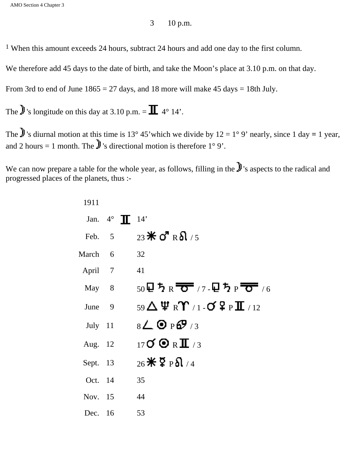1 When this amount exceeds 24 hours, subtract 24 hours and add one day to the first column.

We therefore add 45 days to the date of birth, and take the Moon's place at 3.10 p.m. on that day.

From 3rd to end of June  $1865 = 27$  days, and 18 more will make 45 days = 18th July.

The  $\mathbf{J}$  's longitude on this day at 3.10 p.m. =  $\mathbf{I}$  4° 14'.

The  $\mathbf{I}$ 's diurnal motion at this time is 13° 45' which we divide by 12 = 1° 9' nearly, since 1 day = 1 year, and 2 hours = 1 month. The  $\mathbf{J}$  's directional motion is therefore 1°9'.

We can now prepare a table for the whole year, as follows, filling in the  $\mathbf{I}$  's aspects to the radical and progressed places of the planets, thus :-

| 1911                 |  |                                                                                        |
|----------------------|--|----------------------------------------------------------------------------------------|
| Jan. $4^{\circ}$ 14' |  |                                                                                        |
| Feb. 5               |  | $23 \times d$ Ral $/5$                                                                 |
| March 6              |  | 32                                                                                     |
| April 7              |  | 41                                                                                     |
| May 8                |  | $_{50}$ ロちょうう / $_{7}$ -ロちょうつう / $_{6}$                                                |
| June 9               |  | 59 $\Delta$ $\mathfrak{P}$ R $\mathfrak{P}$ /1 - O $\mathfrak{P}$ P $\mathfrak{I}$ /12 |
| July 11              |  | $8\angle$ O pp $/3$                                                                    |
| Aug. 12              |  | 17 O R $\mathbf{I}$ /3                                                                 |
| Sept. $13$           |  | $_{26}$ $\star$ $\frac{1}{2}$ p $\Omega$ /4                                            |
| Oct. 14              |  | 35                                                                                     |
| Nov. 15              |  | 44                                                                                     |
| Dec. 16              |  | 53                                                                                     |
|                      |  |                                                                                        |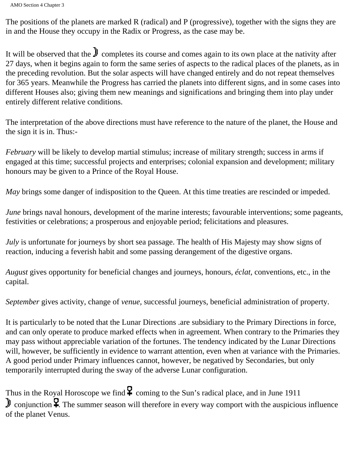AMO Section 4 Chapter 3

The positions of the planets are marked R (radical) and P (progressive), together with the signs they are in and the House they occupy in the Radix or Progress, as the case may be.

It will be observed that the  $\mathbb{I}$  completes its course and comes again to its own place at the nativity after 27 days, when it begins again to form the same series of aspects to the radical places of the planets, as in the preceding revolution. But the solar aspects will have changed entirely and do not repeat themselves for 365 years. Meanwhile the Progress has carried the planets into different signs, and in some cases into different Houses also; giving them new meanings and significations and bringing them into play under entirely different relative conditions.

The interpretation of the above directions must have reference to the nature of the planet, the House and the sign it is in. Thus:-

*February* will be likely to develop martial stimulus; increase of military strength; success in arms if engaged at this time; successful projects and enterprises; colonial expansion and development; military honours may be given to a Prince of the Royal House.

*May* brings some danger of indisposition to the Queen. At this time treaties are rescinded or impeded.

*June* brings naval honours, development of the marine interests; favourable interventions; some pageants, festivities or celebrations; a prosperous and enjoyable period; felicitations and pleasures.

*July* is unfortunate for journeys by short sea passage. The health of His Majesty may show signs of reaction, inducing a feverish habit and some passing derangement of the digestive organs.

*August* gives opportunity for beneficial changes and journeys, honours, *éclat,* conventions, etc., in the capital.

*September* gives activity, change of *venue,* successful journeys, beneficial administration of property.

It is particularly to be noted that the Lunar Directions .are subsidiary to the Primary Directions in force, and can only operate to produce marked effects when in agreement. When contrary to the Primaries they may pass without appreciable variation of the fortunes. The tendency indicated by the Lunar Directions will, however, be sufficiently in evidence to warrant attention, even when at variance with the Primaries. A good period under Primary influences cannot, however, be negatived by Secondaries, but only temporarily interrupted during the sway of the adverse Lunar configuration.

Thus in the Royal Horoscope we find  $\mathbf{\mathcal{Q}}$  coming to the Sun's radical place, and in June 1911 ) conjunction  $\mathsf{P}$ . The summer season will therefore in every way comport with the auspicious influence of the planet Venus.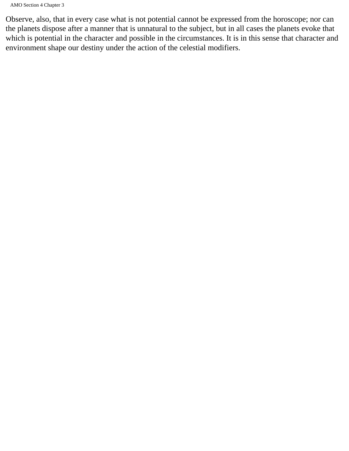Observe, also, that in every case what is not potential cannot be expressed from the horoscope; nor can the planets dispose after a manner that is unnatural to the subject, but in all cases the planets evoke that which is potential in the character and possible in the circumstances. It is in this sense that character and environment shape our destiny under the action of the celestial modifiers.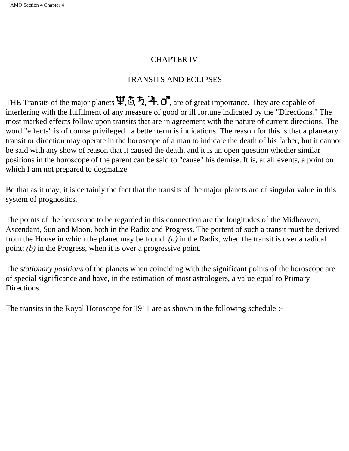# CHAPTER IV

### TRANSITS AND ECLIPSES

THE Transits of the major planets  $\ddagger$ ,  $\ddagger$ ,  $\ddagger$ ,  $\ddagger$ ,  $\ddagger$ ,  $\ddagger$ ,  $\ddagger$ , are of great importance. They are capable of interfering with the fulfilment of any measure of good or ill fortune indicated by the "Directions." The most marked effects follow upon transits that are in agreement with the nature of current directions. The word "effects" is of course privileged : a better term is indications. The reason for this is that a planetary transit or direction may operate in the horoscope of a man to indicate the death of his father, but it cannot be said with any show of reason that it caused the death, and it is an open question whether similar positions in the horoscope of the parent can be said to "cause" his demise. It is, at all events, a point on which I am not prepared to dogmatize.

Be that as it may, it is certainly the fact that the transits of the major planets are of singular value in this system of prognostics.

The points of the horoscope to be regarded in this connection are the longitudes of the Midheaven, Ascendant, Sun and Moon, both in the Radix and Progress. The portent of such a transit must be derived from the House in which the planet may be found: *(a)* in the Radix, when the transit is over a radical point; *(b)* in the Progress, when it is over a progressive point.

The *stationary positions* of the planets when coinciding with the significant points of the horoscope are of special significance and have, in the estimation of most astrologers, a value equal to Primary Directions.

The transits in the Royal Horoscope for 1911 are as shown in the following schedule :-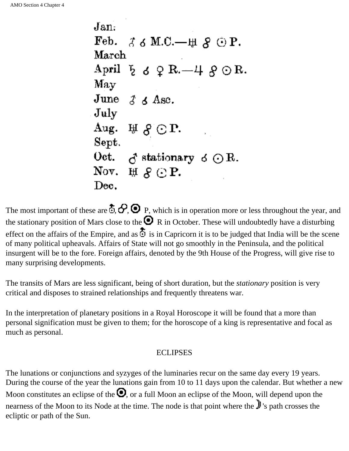Jan. Feb.  $\beta$  & M.C.-H  $\beta$  O P. March April  $\bar{p}$  &  $\Omega$  R. -4  $\mathcal{S}$  O R. May June  $\beta$  & Asc.  $July$ Aug.  $\# \mathcal{E} \odot \mathbf{P}$ .  ${\bf Sept.}$ Oct.  $\phi$  stationary  $\phi \odot R$ . Nov.  $\# S \odot P$ . Dec.

The most important of these are  $\ddot{\bullet}$ ,  $\Theta$ ,  $\Theta$  P, which is in operation more or less throughout the year, and the stationary position of Mars close to the  $\bigodot$  R in October. These will undoubtedly have a disturbing effect on the affairs of the Empire, and as  $\ddot{\ddot{\Phi}}$  is in Capricorn it is to be judged that India will be the scene of many political upheavals. Affairs of State will not go smoothly in the Peninsula, and the political insurgent will be to the fore. Foreign affairs, denoted by the 9th House of the Progress, will give rise to many surprising developments.

The transits of Mars are less significant, being of short duration, but the *stationary* position is very critical and disposes to strained relationships and frequently threatens war.

In the interpretation of planetary positions in a Royal Horoscope it will be found that a more than personal signification must be given to them; for the horoscope of a king is representative and focal as much as personal.

#### ECLIPSES

The lunations or conjunctions and syzyges of the luminaries recur on the same day every 19 years. During the course of the year the lunations gain from 10 to 11 days upon the calendar. But whether a new Moon constitutes an eclipse of the  $\bigcirc$ , or a full Moon an eclipse of the Moon, will depend upon the nearness of the Moon to its Node at the time. The node is that point where the  $\mathbf{J}$  's path crosses the ecliptic or path of the Sun.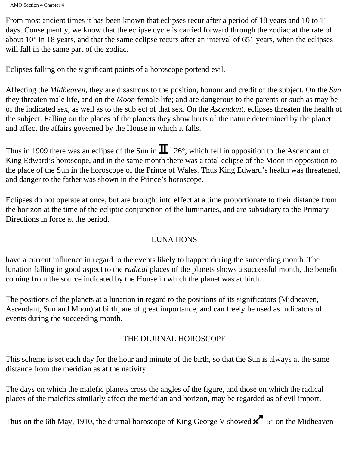```
AMO Section 4 Chapter 4
```
From most ancient times it has been known that eclipses recur after a period of 18 years and 10 to 11 days. Consequently, we know that the eclipse cycle is carried forward through the zodiac at the rate of about  $10^{\circ}$  in 18 years, and that the same eclipse recurs after an interval of 651 years, when the eclipses will fall in the same part of the zodiac.

Eclipses falling on the significant points of a horoscope portend evil.

Affecting the *Midheaven,* they are disastrous to the position, honour and credit of the subject. On the *Sun*  they threaten male life, and on the *Moon* female life; and are dangerous to the parents or such as may be of the indicated sex, as well as to the subject of that sex. On the *Ascendant,* eclipses threaten the health of the subject. Falling on the places of the planets they show hurts of the nature determined by the planet and affect the affairs governed by the House in which it falls.

Thus in 1909 there was an eclipse of the Sun in  $\mathbb{I}$  26°, which fell in opposition to the Ascendant of King Edward's horoscope, and in the same month there was a total eclipse of the Moon in opposition to the place of the Sun in the horoscope of the Prince of Wales. Thus King Edward's health was threatened, and danger to the father was shown in the Prince's horoscope.

Eclipses do not operate at once, but are brought into effect at a time proportionate to their distance from the horizon at the time of the ecliptic conjunction of the luminaries, and are subsidiary to the Primary Directions in force at the period.

# LUNATIONS

have a current influence in regard to the events likely to happen during the succeeding month. The lunation falling in good aspect to the *radical* places of the planets shows a successful month, the benefit coming from the source indicated by the House in which the planet was at birth.

The positions of the planets at a lunation in regard to the positions of its significators (Midheaven, Ascendant, Sun and Moon) at birth, are of great importance, and can freely be used as indicators of events during the succeeding month.

# THE DIURNAL HOROSCOPE

This scheme is set each day for the hour and minute of the birth, so that the Sun is always at the same distance from the meridian as at the nativity.

The days on which the malefic planets cross the angles of the figure, and those on which the radical places of the malefics similarly affect the meridian and horizon, may be regarded as of evil import.

Thus on the 6th May, 1910, the diurnal horoscope of King George V showed  $\boldsymbol{\times}$  5° on the Midheaven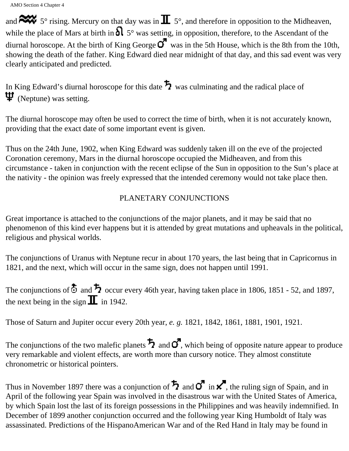AMO Section 4 Chapter 4

and  $\sim$  5° rising. Mercury on that day was in  $\mathbb{I}$  5°, and therefore in opposition to the Midheaven, while the place of Mars at birth in  $\mathbf{\Omega}$  5° was setting, in opposition, therefore, to the Ascendant of the diurnal horoscope. At the birth of King George  $\overline{C}$  was in the 5th House, which is the 8th from the 10th, showing the death of the father. King Edward died near midnight of that day, and this sad event was very clearly anticipated and predicted.

In King Edward's diurnal horoscope for this date  $\overline{L}$  was culminating and the radical place of  $\Psi$  (Neptune) was setting.

The diurnal horoscope may often be used to correct the time of birth, when it is not accurately known, providing that the exact date of some important event is given.

Thus on the 24th June, 1902, when King Edward was suddenly taken ill on the eve of the projected Coronation ceremony, Mars in the diurnal horoscope occupied the Midheaven, and from this circumstance - taken in conjunction with the recent eclipse of the Sun in opposition to the Sun's place at the nativity - the opinion was freely expressed that the intended ceremony would not take place then.

# PLANETARY CONJUNCTIONS

Great importance is attached to the conjunctions of the major planets, and it may be said that no phenomenon of this kind ever happens but it is attended by great mutations and upheavals in the political, religious and physical worlds.

The conjunctions of Uranus with Neptune recur in about 170 years, the last being that in Capricornus in 1821, and the next, which will occur in the same sign, does not happen until 1991.

The conjunctions of  $\overline{5}$  and  $\overline{7}$  occur every 46th year, having taken place in 1806, 1851 - 52, and 1897, the next being in the sign  $\mathbf{\mathbf{\Pi}}$  in 1942.

Those of Saturn and Jupiter occur every 20th year, *e. g.* 1821, 1842, 1861, 1881, 1901, 1921.

The conjunctions of the two malefic planets  $\bar{\mathbf{b}}$  and  $\bar{\mathbf{d}}$ , which being of opposite nature appear to produce very remarkable and violent effects, are worth more than cursory notice. They almost constitute chronometric or historical pointers.

Thus in November 1897 there was a conjunction of  $\overline{D}$  and  $\overline{O}$  in  $\overline{C}$ , the ruling sign of Spain, and in April of the following year Spain was involved in the disastrous war with the United States of America, by which Spain lost the last of its foreign possessions in the Philippines and was heavily indemnified. In December of 1899 another conjunction occurred and the following year King Humboldt of Italy was assassinated. Predictions of the HispanoAmerican War and of the Red Hand in Italy may be found in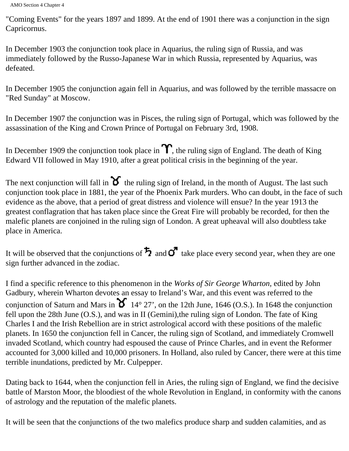"Coming Events" for the years 1897 and 1899. At the end of 1901 there was a conjunction in the sign Capricornus.

In December 1903 the conjunction took place in Aquarius, the ruling sign of Russia, and was immediately followed by the Russo-Japanese War in which Russia, represented by Aquarius, was defeated.

In December 1905 the conjunction again fell in Aquarius, and was followed by the terrible massacre on "Red Sunday" at Moscow.

In December 1907 the conjunction was in Pisces, the ruling sign of Portugal, which was followed by the assassination of the King and Crown Prince of Portugal on February 3rd, 1908.

In December 1909 the conjunction took place in  $\Upsilon$ , the ruling sign of England. The death of King Edward VII followed in May 1910, after a great political crisis in the beginning of the year.

The next conjunction will fall in  $\mathbf{\check{b}}$  the ruling sign of Ireland, in the month of August. The last such conjunction took place in 1881, the year of the Phoenix Park murders. Who can doubt, in the face of such evidence as the above, that a period of great distress and violence will ensue? In the year 1913 the greatest conflagration that has taken place since the Great Fire will probably be recorded, for then the malefic planets are conjoined in the ruling sign of London. A great upheaval will also doubtless take place in America.

It will be observed that the conjunctions of  $\bar{L}$  and  $\bar{C}$  take place every second year, when they are one sign further advanced in the zodiac.

I find a specific reference to this phenomenon in the *Works of Sir George Wharton,* edited by John Gadbury, wherein Wharton devotes an essay to Ireland's War, and this event was referred to the conjunction of Saturn and Mars in  $\sum 14^{\circ}$  27', on the 12th June, 1646 (O.S.). In 1648 the conjunction fell upon the 28th June (O.S.), and was in II (Gemini),the ruling sign of London. The fate of King Charles I and the Irish Rebellion are in strict astrological accord with these positions of the malefic planets. In 1650 the conjunction fell in Cancer, the ruling sign of Scotland, and immediately Cromwell invaded Scotland, which country had espoused the cause of Prince Charles, and in event the Reformer accounted for 3,000 killed and 10,000 prisoners. In Holland, also ruled by Cancer, there were at this time terrible inundations, predicted by Mr. Culpepper.

Dating back to 1644, when the conjunction fell in Aries, the ruling sign of England, we find the decisive battle of Marston Moor, the bloodiest of the whole Revolution in England, in conformity with the canons of astrology and the reputation of the malefic planets.

It will be seen that the conjunctions of the two malefics produce sharp and sudden calamities, and as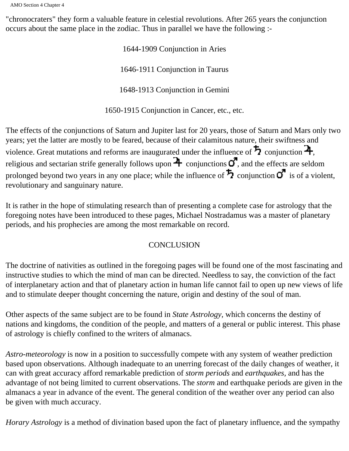"chronocraters" they form a valuable feature in celestial revolutions. After 265 years the conjunction occurs about the same place in the zodiac. Thus in parallel we have the following :-

> 1644-1909 Conjunction in Aries 1646-1911 Conjunction in Taurus 1648-1913 Conjunction in Gemini 1650-1915 Conjunction in Cancer, etc., etc.

The effects of the conjunctions of Saturn and Jupiter last for 20 years, those of Saturn and Mars only two years; yet the latter are mostly to be feared, because of their calamitous nature, their swiftness and violence. Great mutations and reforms are inaugurated under the influence of  $\tau$  conjunction  $\mathbf{\hat{A}}$ , religious and sectarian strife generally follows upon  $\overline{P}$  conjunctions  $\overline{O}$ , and the effects are seldom prolonged beyond two years in any one place; while the influence of  $\overline{B}$  conjunction  $\overline{O}$  is of a violent, revolutionary and sanguinary nature.

It is rather in the hope of stimulating research than of presenting a complete case for astrology that the foregoing notes have been introduced to these pages, Michael Nostradamus was a master of planetary periods, and his prophecies are among the most remarkable on record.

# **CONCLUSION**

The doctrine of nativities as outlined in the foregoing pages will be found one of the most fascinating and instructive studies to which the mind of man can be directed. Needless to say, the conviction of the fact of interplanetary action and that of planetary action in human life cannot fail to open up new views of life and to stimulate deeper thought concerning the nature, origin and destiny of the soul of man.

Other aspects of the same subject are to be found in *State Astrology,* which concerns the destiny of nations and kingdoms, the condition of the people, and matters of a general or public interest. This phase of astrology is chiefly confined to the writers of almanacs.

*Astro-meteorology* is now in a position to successfully compete with any system of weather prediction based upon observations. Although inadequate to an unerring forecast of the daily changes of weather, it can with great accuracy afford remarkable prediction of *storm periods* and *earthquakes,* and has the advantage of not being limited to current observations. The *storm* and earthquake periods are given in the almanacs a year in advance of the event. The general condition of the weather over any period can also be given with much accuracy.

*Horary Astrology* is a method of divination based upon the fact of planetary influence, and the sympathy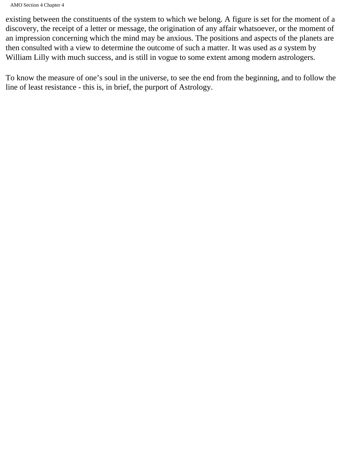```
AMO Section 4 Chapter 4
```
existing between the constituents of the system to which we belong. A figure is set for the moment of a discovery, the receipt of a letter or message, the origination of any affair whatsoever, or the moment of an impression concerning which the mind may be anxious. The positions and aspects of the planets are then consulted with a view to determine the outcome of such a matter. It was used as *a* system by William Lilly with much success, and is still in vogue to some extent among modern astrologers.

To know the measure of one's soul in the universe, to see the end from the beginning, and to follow the line of least resistance - this is, in brief, the purport of Astrology.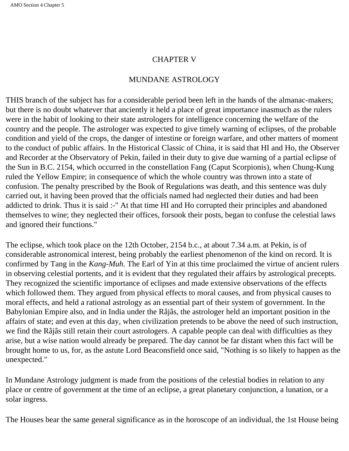#### CHAPTER V

#### MUNDANE ASTROLOGY

THIS branch of the subject has for a considerable period been left in the hands of the almanac-makers; but there is no doubt whatever that anciently it held a place of great importance inasmuch as the rulers were in the habit of looking to their state astrologers for intelligence concerning the welfare of the country and the people. The astrologer was expected to give timely warning of eclipses, of the probable condition and yield of the crops, the danger of intestine or foreign warfare, and other matters of moment to the conduct of public affairs. In the Historical Classic of China, it is said that HI and Ho, the Observer and Recorder at the Observatory of Pekin, failed in their duty to give due warning of a partial eclipse of the Sun in B.C. 2154, which occurred in the constellation Fang (Caput Scorpionis), when Chung-Kung ruled the Yellow Empire; in consequence of which the whole country was thrown into a state of confusion. The penalty prescribed by the Book of Regulations was death, and this sentence was duly carried out, it having been proved that the officials named had neglected their duties and had been addicted to drink. Thus it is said :-" At that time HI and Ho corrupted their principles and abandoned themselves to wine; they neglected their offices, forsook their posts, began to confuse the celestial laws and ignored their functions."

The eclipse, which took place on the 12th October, 2154 b.c., at about 7.34 a.m. at Pekin, is of considerable astronomical interest, being probably the earliest phenomenon of the kind on record. It is confirmed by Tang in the *Kang-Muh.* The Earl of Yin at this time proclaimed the virtue of ancient rulers in observing celestial portents, and it is evident that they regulated their affairs by astrological precepts. They recognized the scientific importance of eclipses and made extensive observations of the effects which followed them. They argued from physical effects to moral causes, and from physical causes to moral effects, and held a rational astrology as an essential part of their system of government. In the Babylonian Empire also, and in India under the Râjâs, the astrologer held an important position in the affairs of state; and even at this day, when civilization pretends to be above the need of such instruction, we find the Râjâs still retain their court astrologers. A capable people can deal with difficulties as they arise, but a wise nation would already be prepared. The day cannot be far distant when this fact will be brought home to us, for, as the astute Lord Beaconsfield once said, "Nothing is so likely to happen as the unexpected."

In Mundane Astrology judgment is made from the positions of the celestial bodies in relation to any place or centre of government at the time of an eclipse, a great planetary conjunction, a lunation, or a solar ingress.

The Houses bear the same general significance as in the horoscope of an individual, the 1st House being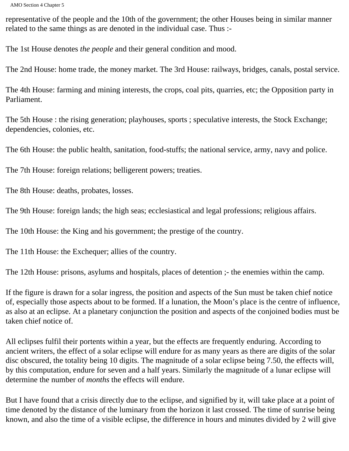representative of the people and the 10th of the government; the other Houses being in similar manner related to the same things as are denoted in the individual case. Thus :-

The 1st House denotes *the people* and their general condition and mood.

The 2nd House: home trade, the money market. The 3rd House: railways, bridges, canals, postal service.

The 4th House: farming and mining interests, the crops, coal pits, quarries, etc; the Opposition party in Parliament.

The 5th House : the rising generation; playhouses, sports ; speculative interests, the Stock Exchange; dependencies, colonies, etc.

The 6th House: the public health, sanitation, food-stuffs; the national service, army, navy and police.

The 7th House: foreign relations; belligerent powers; treaties.

The 8th House: deaths, probates, losses.

The 9th House: foreign lands; the high seas; ecclesiastical and legal professions; religious affairs.

The 10th House: the King and his government; the prestige of the country.

The 11th House: the Exchequer; allies of the country.

The 12th House: prisons, asylums and hospitals, places of detention ;- the enemies within the camp.

If the figure is drawn for a solar ingress, the position and aspects of the Sun must be taken chief notice of, especially those aspects about to be formed. If a lunation, the Moon's place is the centre of influence, as also at an eclipse. At a planetary conjunction the position and aspects of the conjoined bodies must be taken chief notice of.

All eclipses fulfil their portents within a year, but the effects are frequently enduring. According to ancient writers, the effect of a solar eclipse will endure for as many years as there are digits of the solar disc obscured, the totality being 10 digits. The magnitude of a solar eclipse being 7.50, the effects will, by this computation, endure for seven and a half years. Similarly the magnitude of a lunar eclipse will determine the number of *months* the effects will endure.

But I have found that a crisis directly due to the eclipse, and signified by it, will take place at a point of time denoted by the distance of the luminary from the horizon it last crossed. The time of sunrise being known, and also the time of a visible eclipse, the difference in hours and minutes divided by 2 will give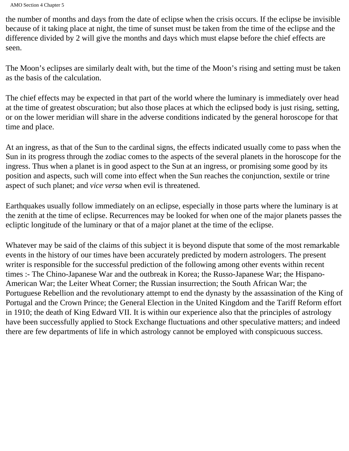```
AMO Section 4 Chapter 5
```
the number of months and days from the date of eclipse when the crisis occurs. If the eclipse be invisible because of it taking place at night, the time of sunset must be taken from the time of the eclipse and the difference divided by 2 will give the months and days which must elapse before the chief effects are seen.

The Moon's eclipses are similarly dealt with, but the time of the Moon's rising and setting must be taken as the basis of the calculation.

The chief effects may be expected in that part of the world where the luminary is immediately over head at the time of greatest obscuration; but also those places at which the eclipsed body is just rising, setting, or on the lower meridian will share in the adverse conditions indicated by the general horoscope for that time and place.

At an ingress, as that of the Sun to the cardinal signs, the effects indicated usually come to pass when the Sun in its progress through the zodiac comes to the aspects of the several planets in the horoscope for the ingress. Thus when a planet is in good aspect to the Sun at an ingress, or promising some good by its position and aspects, such will come into effect when the Sun reaches the conjunction, sextile or trine aspect of such planet; and *vice versa* when evil is threatened.

Earthquakes usually follow immediately on an eclipse, especially in those parts where the luminary is at the zenith at the time of eclipse. Recurrences may be looked for when one of the major planets passes the ecliptic longitude of the luminary or that of a major planet at the time of the eclipse.

Whatever may be said of the claims of this subject it is beyond dispute that some of the most remarkable events in the history of our times have been accurately predicted by modern astrologers. The present writer is responsible for the successful prediction of the following among other events within recent times :- The Chino-Japanese War and the outbreak in Korea; the Russo-Japanese War; the Hispano-American War; the Leiter Wheat Corner; the Russian insurrection; the South African War; the Portuguese Rebellion and the revolutionary attempt to end the dynasty by the assassination of the King of Portugal and the Crown Prince; the General Election in the United Kingdom and the Tariff Reform effort in 1910; the death of King Edward VII. It is within our experience also that the principles of astrology have been successfully applied to Stock Exchange fluctuations and other speculative matters; and indeed there are few departments of life in which astrology cannot be employed with conspicuous success.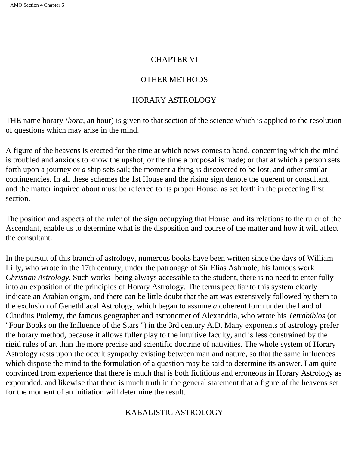#### CHAPTER VI

#### OTHER METHODS

#### HORARY ASTROLOGY

THE name horary *(hora,* an hour) is given to that section of the science which is applied to the resolution of questions which may arise in the mind.

A figure of the heavens is erected for the time at which news comes to hand, concerning which the mind is troubled and anxious to know the upshot; or the time a proposal is made; or that at which a person sets forth upon a journey or *a* ship sets sail; the moment a thing is discovered to be lost, and other similar contingencies. In all these schemes the 1st House and the rising sign denote the querent or consultant, and the matter inquired about must be referred to its proper House, as set forth in the preceding first section.

The position and aspects of the ruler of the sign occupying that House, and its relations to the ruler of the Ascendant, enable us to determine what is the disposition and course of the matter and how it will affect the consultant.

In the pursuit of this branch of astrology, numerous books have been written since the days of William Lilly, who wrote in the 17th century, under the patronage of Sir Elias Ashmole, his famous work *Christian Astrology.* Such works- being always accessible to the student, there is no need to enter fully into an exposition of the principles of Horary Astrology. The terms peculiar to this system clearly indicate an Arabian origin, and there can be little doubt that the art was extensively followed by them to the exclusion of Genethliacal Astrology, which began to assume *a* coherent form under the hand of Claudius Ptolemy, the famous geographer and astronomer of Alexandria, who wrote his *Tetrabiblos* (or "Four Books on the Influence of the Stars ") in the 3rd century A.D. Many exponents of astrology prefer the horary method, because it allows fuller play to the intuitive faculty, and is less constrained by the rigid rules of art than the more precise and scientific doctrine of nativities. The whole system of Horary Astrology rests upon the occult sympathy existing between man and nature, so that the same influences which dispose the mind to the formulation of a question may be said to determine its answer. I am quite convinced from experience that there is much that is both fictitious and erroneous in Horary Astrology as expounded, and likewise that there is much truth in the general statement that a figure of the heavens set for the moment of an initiation will determine the result.

#### KABALISTIC ASTROLOGY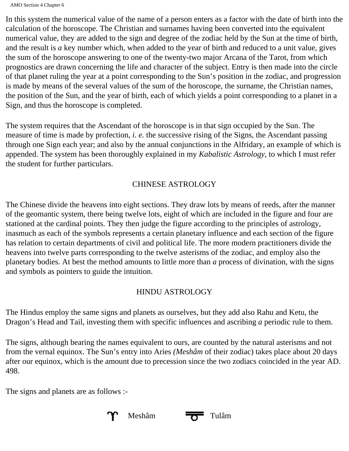AMO Section 4 Chapter 6

In this system the numerical value of the name of a person enters as a factor with the date of birth into the calculation of the horoscope. The Christian and surnames having been converted into the equivalent numerical value, they are added to the sign and degree of the zodiac held by the Sun at the time of birth, and the result is *a* key number which, when added to the year of birth and reduced to a unit value, gives the sum of the horoscope answering to one of the twenty-two major Arcana of the Tarot, from which prognostics are drawn concerning the life and character of the subject. Entry is then made into the circle of that planet ruling the year at a point corresponding to the Sun's position in the zodiac, and progression is made by means of the several values of the sum of the horoscope, the surname, the Christian names, the position of the Sun, and the year of birth, each of which yields a point corresponding to a planet in a Sign, and thus the horoscope is completed.

The system requires that the Ascendant of the horoscope is in that sign occupied by the Sun. The measure of time is made by profection, *i. e.* the successive rising of the Signs, the Ascendant passing through one Sign each year; and also by the annual conjunctions in the Alfridary, an example of which is appended. The system has been thoroughly explained in my *Kabalistic Astrology,* to which I must refer the student for further particulars.

# CHINESE ASTROLOGY

The Chinese divide the heavens into eight sections. They draw lots by means of reeds, after the manner of the geomantic system, there being twelve lots, eight of which are included in the figure and four are stationed at the cardinal points. They then judge the figure according to the principles of astrology, inasmuch as each of the symbols represents a certain planetary influence and each section of the figure has relation to certain departments of civil and political life. The more modern practitioners divide the heavens into twelve parts corresponding to the twelve asterisms of the zodiac, and employ also the planetary bodies. At best the method amounts to little more than *a* process of divination, with the signs and symbols as pointers to guide the intuition.

# HINDU ASTROLOGY

The Hindus employ the same signs and planets as ourselves, but they add also Rahu and Ketu, the Dragon's Head and Tail, investing them with specific influences and ascribing *a* periodic rule to them.

The signs, although bearing the names equivalent to ours, are counted by the natural asterisms and not from the vernal equinox. The Sun's entry into Aries *(Meshâm* of their zodiac) takes place about 20 days after our equinox, which is the amount due to precession since the two zodiacs coincided in the year AD. 498.

The signs and planets are as follows :-



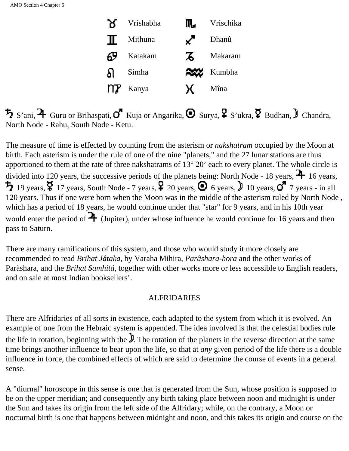

 $\mathbf{\dot{P}}$  S'ani,  $\mathbf{\dot{P}}$  Guru or Brihaspati, O' Kuja or Angarika, O Surya,  $\mathbf{\dot{P}}$  S'ukra,  $\mathbf{\dot{P}}$  Budhan,  $\mathbf{\dot{P}}$  Chandra, North Node - Rahu, South Node - Ketu.

The measure of time is effected by counting from the asterism or *nakshatram* occupied by the Moon at birth. Each asterism is under the rule of one of the nine "planets," and the 27 lunar stations are thus apportioned to them at the rate of three nakshatrams of 13° 20' each to every planet. The whole circle is divided into 120 years, the successive periods of the planets being: North Node - 18 years,  $\overline{4}$  16 years,  $\overline{1}$  19 years,  $\overline{2}$  17 years, South Node - 7 years,  $\overline{2}$  20 years,  $\overline{0}$  6 years,  $\overline{0}$  10 years,  $\overline{0}$  7 years - in all 120 years. Thus if one were born when the Moon was in the middle of the asterism ruled by North Node , which has a period of 18 years, he would continue under that "star" for 9 years, and in his 10th year would enter the period of  $\overline{ }$  (Jupiter), under whose influence he would continue for 16 years and then pass to Saturn.

There are many ramifications of this system, and those who would study it more closely are recommended to read *Brihat Jâtaka,* by Varaha Mihira, *Parâshara-hora* and the other works of Paràshara, and the *Brihat Samhitá,* together with other works more or less accessible to English readers, and on sale at most Indian booksellers'.

### ALFRIDARIES

There are Alfridaries of all sorts in existence, each adapted to the system from which it is evolved. An example of one from the Hebraic system is appended. The idea involved is that the celestial bodies rule the life in rotation, beginning with the  $\mathbb{J}$ . The rotation of the planets in the reverse direction at the same time brings another influence to bear upon the life, so that at *any* given period of the life there is a double influence in force, the combined effects of which are said to determine the course of events in a general sense.

A "diurnal" horoscope in this sense is one that is generated from the Sun, whose position is supposed to be on the upper meridian; and consequently any birth taking place between noon and midnight is under the Sun and takes its origin from the left side of the Alfridary; while, on the contrary, a Moon or nocturnal birth is one that happens between midnight and noon, and this takes its origin and course on the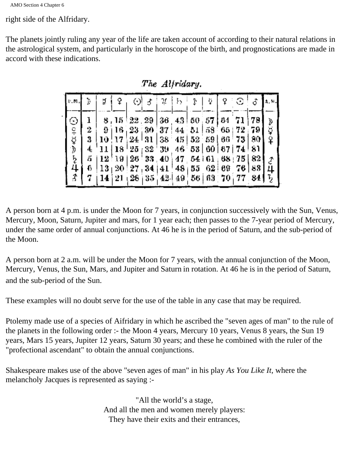right side of the Alfridary.

The planets jointly ruling any year of the life are taken account of according to their natural relations in the astrological system, and particularly in the horoscope of the birth, and prognostications are made in accord with these indications.

| t m.                                | Y.      | ₫ì | Ŷ. | のす                                                                                                                                                                                                                                                                                                                                                                                                              | $\mathcal{U}$ { | ħЧ | ΦI | Ÿ. |  | $\mathfrak{P} \subseteq \mathbb{Q} \setminus \mathfrak{F}$ and |
|-------------------------------------|---------|----|----|-----------------------------------------------------------------------------------------------------------------------------------------------------------------------------------------------------------------------------------------------------------------------------------------------------------------------------------------------------------------------------------------------------------------|-----------------|----|----|----|--|----------------------------------------------------------------|
| ⊙<br>$\frac{9}{9}$<br>$\mathcal{D}$ | 2.<br>3 |    |    | $8, 15 \{22, 29 \}36, 43 \}50, 57 \}34, 71 \}78$<br>$9\overline{)}16\overline{)}23\overline{)}30\overline{)}37\overline{)}44\overline{.}51\overline{)}58\overline{)}65\overline{)}72\overline{)}79\overline{]}$<br>$10$   $17$   $24$   $31$   $38$   $45$   $52$   $59$   $66$   $73$   $80$  <br>$^{\circ}$ 11   18 $^{\circ}$ 25 $_{\circ}$ 32 $^{\circ}$ 39 $_{\circ}$ 46 $^{\circ}$ 53   60   67   74   81 |                 |    |    |    |  | ৈ)<br>ਉ                                                        |
| ş<br>Ł                              | 6.      |    |    | $5   12   19   26   33, 40   47, 54   61, 68   75   82$<br>$\{13_120 \, \, 27_134 \, \, 41 \, \, 48_155 \, \, 62 \, \, 69 \, \, 76 \, \, 83\}$<br>$7   14   21   28   35   42   49   56   63   70   77   84$                                                                                                                                                                                                    |                 |    |    |    |  | 2                                                              |

# The Alfridary.

A person born at 4 p.m. is under the Moon for 7 years, in conjunction successively with the Sun, Venus, Mercury, Moon, Saturn, Jupiter and mars, for 1 year each; then passes to the 7-year period of Mercury, under the same order of annual conjunctions. At 46 he is in the period of Saturn, and the sub-period of the Moon.

A person born at 2 a.m. will be under the Moon for 7 years, with the annual conjunction of the Moon, Mercury, Venus, the Sun, Mars, and Jupiter and Saturn in rotation. At 46 he is in the period of Saturn, and the sub-period of the Sun.

These examples will no doubt serve for the use of the table in any case that may be required.

Ptolemy made use of a species of Aifridary in which he ascribed the "seven ages of man" to the rule of the planets in the following order :- the Moon 4 years, Mercury 10 years, Venus 8 years, the Sun 19 years, Mars 15 years, Jupiter 12 years, Saturn 30 years; and these he combined with the ruler of the "profectional ascendant" to obtain the annual conjunctions.

Shakespeare makes use of the above "seven ages of man" in his play *As You Like It,* where the melancholy Jacques is represented as saying :-

> "All the world's a stage, And all the men and women merely players: They have their exits and their entrances,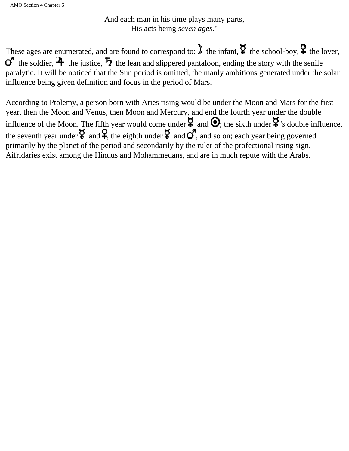AMO Section 4 Chapter 6

And each man in his time plays many parts, His acts being *seven ages.*"

These ages are enumerated, and are found to correspond to:  $\mathbf{F}$  the infant,  $\mathbf{\nabla}$  the school-boy,  $\mathbf{\nabla}$  the lover,  $\sigma$  the soldier,  $\overline{A}$  the justice,  $\overline{b}$  the lean and slippered pantaloon, ending the story with the senile paralytic. It will be noticed that the Sun period is omitted, the manly ambitions generated under the solar influence being given definition and focus in the period of Mars.

According to Ptolemy, a person born with Aries rising would be under the Moon and Mars for the first year, then the Moon and Venus, then Moon and Mercury, and end the fourth year under the double influence of the Moon. The fifth year would come under  $\overline{P}$  and  $\overline{Q}$ ; the sixth under  $\overline{P}$  's double influence, the seventh year under  $\overline{P}$  and  $\overline{P}$ , the eighth under  $\overline{P}$  and  $\overline{O}$ , and so on; each year being governed primarily by the planet of the period and secondarily by the ruler of the profectional rising sign. Aifridaries exist among the Hindus and Mohammedans, and are in much repute with the Arabs.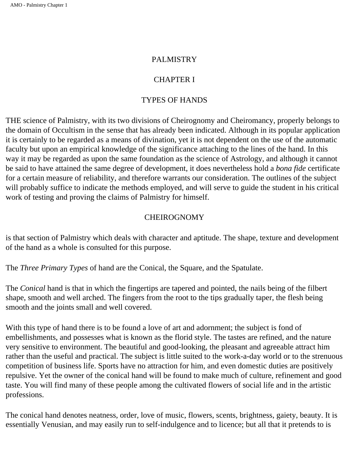### PALMISTRY

## CHAPTER I

### TYPES OF HANDS

THE science of Palmistry, with its two divisions of Cheirognomy and Cheiromancy, properly belongs to the domain of Occultism in the sense that has already been indicated. Although in its popular application it is certainly to be regarded as a means of divination, yet it is not dependent on the use of the automatic faculty but upon an empirical knowledge of the significance attaching to the lines of the hand. In this way it may be regarded as upon the same foundation as the science of Astrology, and although it cannot be said to have attained the same degree of development, it does nevertheless hold a *bona fide* certificate for a certain measure of reliability, and therefore warrants our consideration. The outlines of the subject will probably suffice to indicate the methods employed, and will serve to guide the student in his critical work of testing and proving the claims of Palmistry for himself.

#### CHEIROGNOMY

is that section of Palmistry which deals with character and aptitude. The shape, texture and development of the hand as a whole is consulted for this purpose.

The *Three Primary Types* of hand are the Conical, the Square, and the Spatulate.

The *Conical* hand is that in which the fingertips are tapered and pointed, the nails being of the filbert shape, smooth and well arched. The fingers from the root to the tips gradually taper, the flesh being smooth and the joints small and well covered.

With this type of hand there is to be found a love of art and adornment; the subject is fond of embellishments, and possesses what is known as the florid style. The tastes are refined, and the nature very sensitive to environment. The beautiful and good-looking, the pleasant and agreeable attract him rather than the useful and practical. The subject is little suited to the work-a-day world or to the strenuous competition of business life. Sports have no attraction for him, and even domestic duties are positively repulsive. Yet the owner of the conical hand will be found to make much of culture, refinement and good taste. You will find many of these people among the cultivated flowers of social life and in the artistic professions.

The conical hand denotes neatness, order, love of music, flowers, scents, brightness, gaiety, beauty. It is essentially Venusian, and may easily run to self-indulgence and to licence; but all that it pretends to is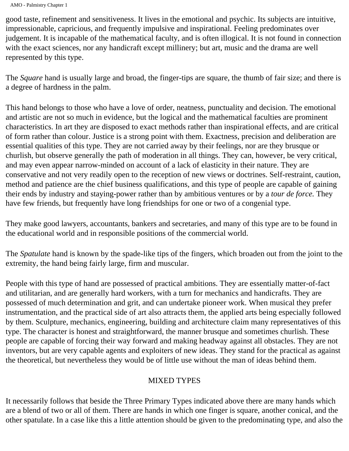good taste, refinement and sensitiveness. It lives in the emotional and psychic. Its subjects are intuitive, impressionable, capricious, and frequently impulsive and inspirational. Feeling predominates over judgement. It is incapable of the mathematical faculty, and is often illogical. It is not found in connection with the exact sciences, nor any handicraft except millinery; but art, music and the drama are well represented by this type.

The *Square* hand is usually large and broad, the finger-tips are square, the thumb of fair size; and there is a degree of hardness in the palm.

This hand belongs to those who have a love of order, neatness, punctuality and decision. The emotional and artistic are not so much in evidence, but the logical and the mathematical faculties are prominent characteristics. In art they are disposed to exact methods rather than inspirational effects, and are critical of form rather than colour. Justice is a strong point with them. Exactness, precision and deliberation are essential qualities of this type. They are not carried away by their feelings, nor are they brusque or churlish, but observe generally the path of moderation in all things. They can, however, be very critical, and may even appear narrow-minded on account of a lack of elasticity in their nature. They are conservative and not very readily open to the reception of new views or doctrines. Self-restraint, caution, method and patience are the chief business qualifications, and this type of people are capable of gaining their ends by industry and staying-power rather than by ambitious ventures or by a *tour de force.* They have few friends, but frequently have long friendships for one or two of a congenial type.

They make good lawyers, accountants, bankers and secretaries, and many of this type are to be found in the educational world and in responsible positions of the commercial world.

The *Spatulate* hand is known by the spade-like tips of the fingers, which broaden out from the joint to the extremity, the hand being fairly large, firm and muscular.

People with this type of hand are possessed of practical ambitions. They are essentially matter-of-fact and utilitarian, and are generally hard workers, with a turn for mechanics and handicrafts. They are possessed of much determination and grit, and can undertake pioneer work. When musical they prefer instrumentation, and the practical side of art also attracts them, the applied arts being especially followed by them. Sculpture, mechanics, engineering, building and architecture claim many representatives of this type. The character is honest and straightforward, the manner brusque and sometimes churlish. These people are capable of forcing their way forward and making headway against all obstacles. They are not inventors, but are very capable agents and exploiters of new ideas. They stand for the practical as against the theoretical, but nevertheless they would be of little use without the man of ideas behind them.

# MIXED TYPES

It necessarily follows that beside the Three Primary Types indicated above there are many hands which are a blend of two or all of them. There are hands in which one finger is square, another conical, and the other spatulate. In a case like this a little attention should be given to the predominating type, and also the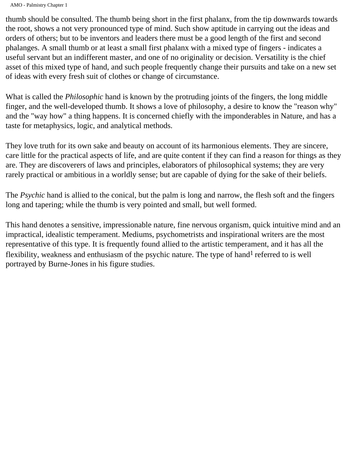thumb should be consulted. The thumb being short in the first phalanx, from the tip downwards towards the root, shows a not very pronounced type of mind. Such show aptitude in carrying out the ideas and orders of others; but to be inventors and leaders there must be a good length of the first and second phalanges. A small thumb or at least a small first phalanx with a mixed type of fingers - indicates a useful servant but an indifferent master, and one of no originality or decision. Versatility is the chief asset of this mixed type of hand, and such people frequently change their pursuits and take on a new set of ideas with every fresh suit of clothes or change of circumstance.

What is called the *Philosophic* hand is known by the protruding joints of the fingers, the long middle finger, and the well-developed thumb. It shows a love of philosophy, a desire to know the "reason why" and the "way how" a thing happens. It is concerned chiefly with the imponderables in Nature, and has a taste for metaphysics, logic, and analytical methods.

They love truth for its own sake and beauty on account of its harmonious elements. They are sincere, care little for the practical aspects of life, and are quite content if they can find a reason for things as they are. They are discoverers of laws and principles, elaborators of philosophical systems; they are very rarely practical or ambitious in a worldly sense; but are capable of dying for the sake of their beliefs.

The *Psychic* hand is allied to the conical, but the palm is long and narrow, the flesh soft and the fingers long and tapering; while the thumb is very pointed and small, but well formed.

This hand denotes a sensitive, impressionable nature, fine nervous organism, quick intuitive mind and an impractical, idealistic temperament. Mediums, psychometrists and inspirational writers are the most representative of this type. It is frequently found allied to the artistic temperament, and it has all the flexibility, weakness and enthusiasm of the psychic nature. The type of hand<sup>1</sup> referred to is well portrayed by Burne-Jones in his figure studies.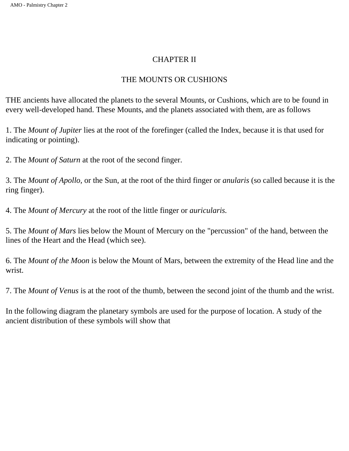### CHAPTER II

#### THE MOUNTS OR CUSHIONS

THE ancients have allocated the planets to the several Mounts, or Cushions, which are to be found in every well-developed hand. These Mounts, and the planets associated with them, are as follows

1. The *Mount of Jupiter* lies at the root of the forefinger (called the Index, because it is that used for indicating or pointing).

2. The *Mount of Saturn* at the root of the second finger.

3. The *Mount of Apollo,* or the Sun, at the root of the third finger or *anularis* (so called because it is the ring finger).

4. The *Mount of Mercury* at the root of the little finger or *auricularis.*

5. The *Mount of Mars* lies below the Mount of Mercury on the "percussion" of the hand, between the lines of the Heart and the Head (which see).

6. The *Mount of the Moon* is below the Mount of Mars, between the extremity of the Head line and the wrist.

7. The *Mount of Venus* is at the root of the thumb, between the second joint of the thumb and the wrist.

In the following diagram the planetary symbols are used for the purpose of location. A study of the ancient distribution of these symbols will show that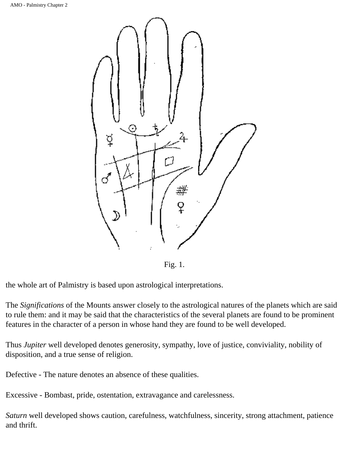

Fig. 1.

the whole art of Palmistry is based upon astrological interpretations.

The *Significations* of the Mounts answer closely to the astrological natures of the planets which are said to rule them: and it may be said that the characteristics of the several planets are found to be prominent features in the character of a person in whose hand they are found to be well developed.

Thus *Jupiter* well developed denotes generosity, sympathy, love of justice, conviviality, nobility of disposition, and a true sense of religion.

Defective - The nature denotes an absence of these qualities.

Excessive - Bombast, pride, ostentation, extravagance and carelessness.

*Saturn* well developed shows caution, carefulness, watchfulness, sincerity, strong attachment, patience and thrift.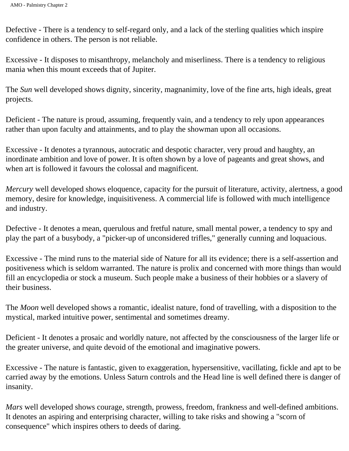Defective - There is a tendency to self-regard only, and a lack of the sterling qualities which inspire confidence in others. The person is not reliable.

Excessive - It disposes to misanthropy, melancholy and miserliness. There is a tendency to religious mania when this mount exceeds that of Jupiter.

The *Sun* well developed shows dignity, sincerity, magnanimity, love of the fine arts, high ideals, great projects.

Deficient - The nature is proud, assuming, frequently vain, and a tendency to rely upon appearances rather than upon faculty and attainments, and to play the showman upon all occasions.

Excessive - It denotes a tyrannous, autocratic and despotic character, very proud and haughty, an inordinate ambition and love of power. It is often shown by a love of pageants and great shows, and when art is followed it favours the colossal and magnificent.

*Mercury* well developed shows eloquence, capacity for the pursuit of literature, activity, alertness, a good memory, desire for knowledge, inquisitiveness. A commercial life is followed with much intelligence and industry.

Defective - It denotes a mean, querulous and fretful nature, small mental power, a tendency to spy and play the part of a busybody, a "picker-up of unconsidered trifles," generally cunning and loquacious.

Excessive - The mind runs to the material side of Nature for all its evidence; there is a self-assertion and positiveness which is seldom warranted. The nature is prolix and concerned with more things than would fill an encyclopedia or stock a museum. Such people make a business of their hobbies or a slavery of their business.

The *Moon* well developed shows a romantic, idealist nature, fond of travelling, with a disposition to the mystical, marked intuitive power, sentimental and sometimes dreamy.

Deficient - It denotes a prosaic and worldly nature, not affected by the consciousness of the larger life or the greater universe, and quite devoid of the emotional and imaginative powers.

Excessive - The nature is fantastic, given to exaggeration, hypersensitive, vacillating, fickle and apt to be carried away by the emotions. Unless Saturn controls and the Head line is well defined there is danger of insanity.

*Mars* well developed shows courage, strength, prowess, freedom, frankness and well-defined ambitions. It denotes an aspiring and enterprising character, willing to take risks and showing a "scorn of consequence" which inspires others to deeds of daring.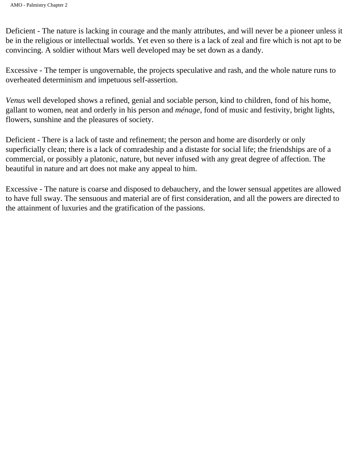Deficient - The nature is lacking in courage and the manly attributes, and will never be a pioneer unless it be in the religious or intellectual worlds. Yet even so there is a lack of zeal and fire which is not apt to be convincing. A soldier without Mars well developed may be set down as a dandy.

Excessive - The temper is ungovernable, the projects speculative and rash, and the whole nature runs to overheated determinism and impetuous self-assertion.

*Venus* well developed shows a refined, genial and sociable person, kind to children, fond of his home, gallant to women, neat and orderly in his person and *ménage,* fond of music and festivity, bright lights, flowers, sunshine and the pleasures of society.

Deficient - There is a lack of taste and refinement; the person and home are disorderly or only superficially clean; there is a lack of comradeship and a distaste for social life; the friendships are of a commercial, or possibly a platonic, nature, but never infused with any great degree of affection. The beautiful in nature and art does not make any appeal to him.

Excessive - The nature is coarse and disposed to debauchery, and the lower sensual appetites are allowed to have full sway. The sensuous and material are of first consideration, and all the powers are directed to the attainment of luxuries and the gratification of the passions.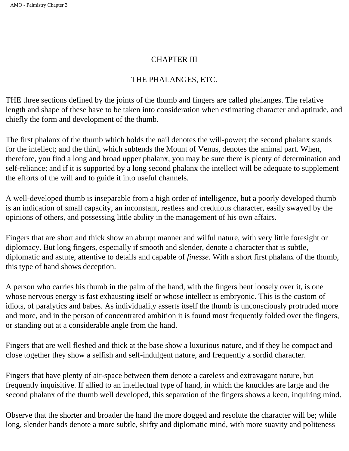### CHAPTER III

### THE PHALANGES, ETC.

THE three sections defined by the joints of the thumb and fingers are called phalanges. The relative length and shape of these have to be taken into consideration when estimating character and aptitude, and chiefly the form and development of the thumb.

The first phalanx of the thumb which holds the nail denotes the will-power; the second phalanx stands for the intellect; and the third, which subtends the Mount of Venus, denotes the animal part. When, therefore, you find a long and broad upper phalanx, you may be sure there is plenty of determination and self-reliance; and if it is supported by a long second phalanx the intellect will be adequate to supplement the efforts of the will and to guide it into useful channels.

A well-developed thumb is inseparable from a high order of intelligence, but a poorly developed thumb is an indication of small capacity, an inconstant, restless and credulous character, easily swayed by the opinions of others, and possessing little ability in the management of his own affairs.

Fingers that are short and thick show an abrupt manner and wilful nature, with very little foresight or diplomacy. But long fingers, especially if smooth and slender, denote a character that is subtle, diplomatic and astute, attentive to details and capable of *finesse.* With a short first phalanx of the thumb, this type of hand shows deception.

A person who carries his thumb in the palm of the hand, with the fingers bent loosely over it, is one whose nervous energy is fast exhausting itself or whose intellect is embryonic. This is the custom of idiots, of paralytics and babes. As individuality asserts itself the thumb is unconsciously protruded more and more, and in the person of concentrated ambition it is found most frequently folded over the fingers, or standing out at a considerable angle from the hand.

Fingers that are well fleshed and thick at the base show a luxurious nature, and if they lie compact and close together they show a selfish and self-indulgent nature, and frequently a sordid character.

Fingers that have plenty of air-space between them denote a careless and extravagant nature, but frequently inquisitive. If allied to an intellectual type of hand, in which the knuckles are large and the second phalanx of the thumb well developed, this separation of the fingers shows a keen, inquiring mind.

Observe that the shorter and broader the hand the more dogged and resolute the character will be; while long, slender hands denote a more subtle, shifty and diplomatic mind, with more suavity and politeness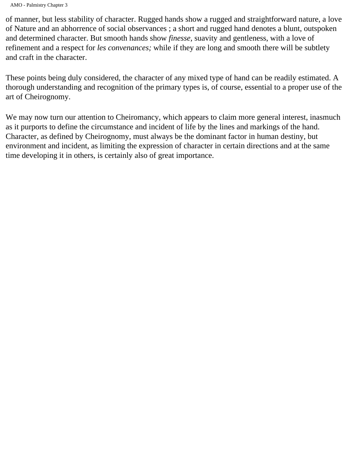of manner, but less stability of character. Rugged hands show a rugged and straightforward nature, a love of Nature and an abhorrence of social observances ; a short and rugged hand denotes a blunt, outspoken and determined character. But smooth hands show *finesse,* suavity and gentleness, with a love of refinement and a respect for *les convenances;* while if they are long and smooth there will be subtlety and craft in the character.

These points being duly considered, the character of any mixed type of hand can be readily estimated. A thorough understanding and recognition of the primary types is, of course, essential to a proper use of the art of Cheirognomy.

We may now turn our attention to Cheiromancy, which appears to claim more general interest, inasmuch as it purports to define the circumstance and incident of life by the lines and markings of the hand. Character, as defined by Cheirognomy, must always be the dominant factor in human destiny, but environment and incident, as limiting the expression of character in certain directions and at the same time developing it in others, is certainly also of great importance.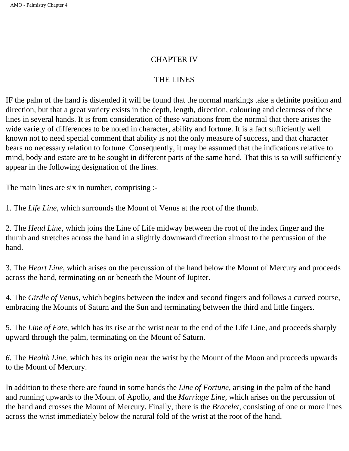### CHAPTER IV

### THE LINES

IF the palm of the hand is distended it will be found that the normal markings take a definite position and direction, but that a great variety exists in the depth, length, direction, colouring and clearness of these lines in several hands. It is from consideration of these variations from the normal that there arises the wide variety of differences to be noted in character, ability and fortune. It is a fact sufficiently well known not to need special comment that ability is not the only measure of success, and that character bears no necessary relation to fortune. Consequently, it may be assumed that the indications relative to mind, body and estate are to be sought in different parts of the same hand. That this is so will sufficiently appear in the following designation of the lines.

The main lines are six in number, comprising :-

1. The *Life Line,* which surrounds the Mount of Venus at the root of the thumb.

2. The *Head Line,* which joins the Line of Life midway between the root of the index finger and the thumb and stretches across the hand in a slightly downward direction almost to the percussion of the hand.

3. The *Heart Line,* which arises on the percussion of the hand below the Mount of Mercury and proceeds across the hand, terminating on or beneath the Mount of Jupiter.

4. The *Girdle of Venus,* which begins between the index and second fingers and follows a curved course, embracing the Mounts of Saturn and the Sun and terminating between the third and little fingers.

5. The *Line of Fate,* which has its rise at the wrist near to the end of the Life Line, and proceeds sharply upward through the palm, terminating on the Mount of Saturn.

*6.* The *Health Line,* which has its origin near the wrist by the Mount of the Moon and proceeds upwards to the Mount of Mercury.

In addition to these there are found in some hands the *Line of Fortune,* arising in the palm of the hand and running upwards to the Mount of Apollo, and the *Marriage Line,* which arises on the percussion of the hand and crosses the Mount of Mercury. Finally, there is the *Bracelet,* consisting of one or more lines across the wrist immediately below the natural fold of the wrist at the root of the hand.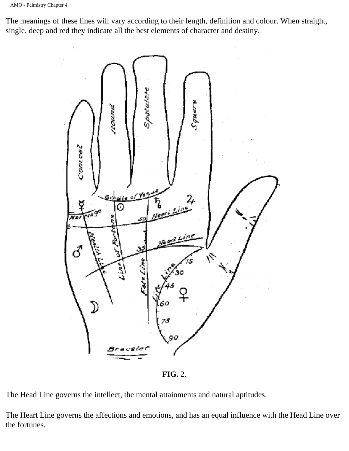AMO - Palmistry Chapter 4

The meanings of these lines will vary according to their length, definition and colour. When straight, single, deep and red they indicate all the best elements of character and destiny.



**FIG.** 2.

The Head Line governs the intellect, the mental attainments and natural aptitudes.

The Heart Line governs the affections and emotions, and has an equal influence with the Head Line over the fortunes.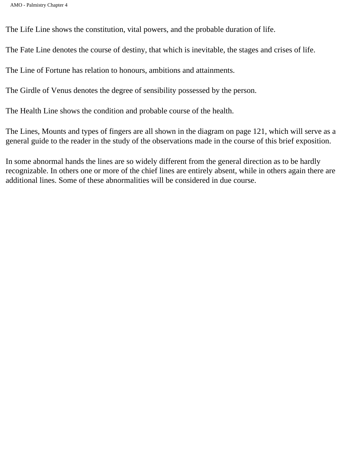The Life Line shows the constitution, vital powers, and the probable duration of life.

The Fate Line denotes the course of destiny, that which is inevitable, the stages and crises of life.

The Line of Fortune has relation to honours, ambitions and attainments.

The Girdle of Venus denotes the degree of sensibility possessed by the person.

The Health Line shows the condition and probable course of the health.

The Lines, Mounts and types of fingers are all shown in the diagram on page 121, which will serve as a general guide to the reader in the study of the observations made in the course of this brief exposition.

In some abnormal hands the lines are so widely different from the general direction as to be hardly recognizable. In others one or more of the chief lines are entirely absent, while in others again there are additional lines. Some of these abnormalities will be considered in due course.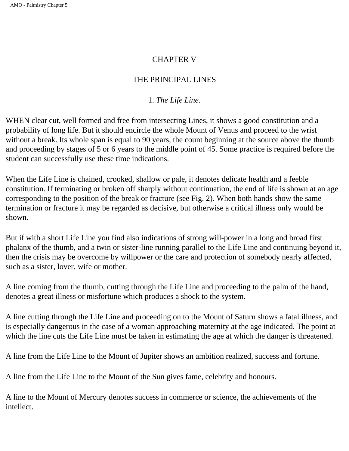## CHAPTER V

## THE PRINCIPAL LINES

### 1. *The Life Line.*

WHEN clear cut, well formed and free from intersecting Lines, it shows a good constitution and a probability of long life. But it should encircle the whole Mount of Venus and proceed to the wrist without a break. Its whole span is equal to 90 years, the count beginning at the source above the thumb and proceeding by stages of 5 or 6 years to the middle point of 45. Some practice is required before the student can successfully use these time indications.

When the Life Line is chained, crooked, shallow or pale, it denotes delicate health and a feeble constitution. If terminating or broken off sharply without continuation, the end of life is shown at an age corresponding to the position of the break or fracture (see Fig. 2). When both hands show the same termination or fracture it may be regarded as decisive, but otherwise a critical illness only would be shown.

But if with a short Life Line you find also indications of strong will-power in a long and broad first phalanx of the thumb, and a twin or sister-line running parallel to the Life Line and continuing beyond it, then the crisis may be overcome by willpower or the care and protection of somebody nearly affected, such as a sister, lover, wife or mother.

A line coming from the thumb, cutting through the Life Line and proceeding to the palm of the hand, denotes a great illness or misfortune which produces a shock to the system.

A line cutting through the Life Line and proceeding on to the Mount of Saturn shows a fatal illness, and is especially dangerous in the case of a woman approaching maternity at the age indicated. The point at which the line cuts the Life Line must be taken in estimating the age at which the danger is threatened.

A line from the Life Line to the Mount of Jupiter shows an ambition realized, success and fortune.

A line from the Life Line to the Mount of the Sun gives fame, celebrity and honours.

A line to the Mount of Mercury denotes success in commerce or science, the achievements of the intellect.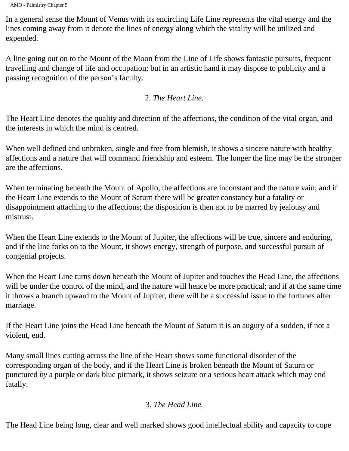```
AMO - Palmistry Chapter 5
```
In a general sense the Mount of Venus with its encircling Life Line represents the vital energy and the lines coming away from it denote the lines of energy along which the vitality will be utilized and expended.

A line going out on to the Mount of the Moon from the Line of Life shows fantastic pursuits, frequent travelling and change of life and occupation; but in an artistic hand it may dispose to publicity and a passing recognition of the person's faculty.

# 2. *The Heart Line.*

The Heart Line denotes the quality and direction of the affections, the condition of the vital organ, and the interests in which the mind is centred.

When well defined and unbroken, single and free from blemish, it shows a sincere nature with healthy affections and a nature that will command friendship and esteem. The longer the line may be the stronger are the affections.

When terminating beneath the Mount of Apollo, the affections are inconstant and the nature vain; and if the Heart Line extends to the Mount of Saturn there will be greater constancy but a fatality or disappointment attaching to the affections; the disposition is then apt to be marred by jealousy and mistrust.

When the Heart Line extends to the Mount of Jupiter, the affections will be true, sincere and enduring, and if the line forks on to the Mount, it shows energy, strength of purpose, and successful pursuit of congenial projects.

When the Heart Line turns down beneath the Mount of Jupiter and touches the Head Line, the affections will be under the control of the mind, and the nature will hence be more practical; and if at the same time it throws a branch upward to the Mount of Jupiter, there will be a successful issue to the fortunes after marriage.

If the Heart Line joins the Head Line beneath the Mount of Saturn it is an augury of a sudden, if not a violent, end.

Many small lines cutting across the line of the Heart shows some functional disorder of the corresponding organ of the body, and if the Heart Line is broken beneath the Mount of Saturn or punctured *by* a purple or dark blue pitmark, it shows seizure or a serious heart attack which may end fatally.

# 3. *The Head Line.*

The Head Line being long, clear and well marked shows good intellectual ability and capacity to cope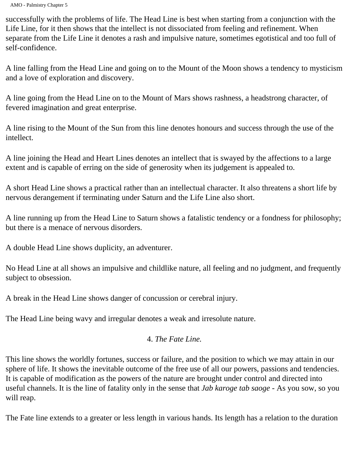successfully with the problems of life. The Head Line is best when starting from a conjunction with the Life Line, for it then shows that the intellect is not dissociated from feeling and refinement. When separate from the Life Line it denotes a rash and impulsive nature, sometimes egotistical and too full of self-confidence.

A line falling from the Head Line and going on to the Mount of the Moon shows a tendency to mysticism and a love of exploration and discovery.

A line going from the Head Line on to the Mount of Mars shows rashness, a headstrong character, of fevered imagination and great enterprise.

A line rising to the Mount of the Sun from this line denotes honours and success through the use of the intellect.

A line joining the Head and Heart Lines denotes an intellect that is swayed by the affections to a large extent and is capable of erring on the side of generosity when its judgement is appealed to.

A short Head Line shows a practical rather than an intellectual character. It also threatens a short life by nervous derangement if terminating under Saturn and the Life Line also short.

A line running up from the Head Line to Saturn shows a fatalistic tendency or a fondness for philosophy; but there is a menace of nervous disorders.

A double Head Line shows duplicity, an adventurer.

No Head Line at all shows an impulsive and childlike nature, all feeling and no judgment, and frequently subject to obsession.

A break in the Head Line shows danger of concussion or cerebral injury.

The Head Line being wavy and irregular denotes a weak and irresolute nature.

#### 4. *The Fate Line.*

This line shows the worldly fortunes, success or failure, and the position to which we may attain in our sphere of life. It shows the inevitable outcome of the free use of all our powers, passions and tendencies. It is capable of modification as the powers of the nature are brought under control and directed into useful channels. It is the line of fatality only in the sense that *Jab karoge tab saoge* - As you sow, so you will reap.

The Fate line extends to a greater or less length in various hands. Its length has a relation to the duration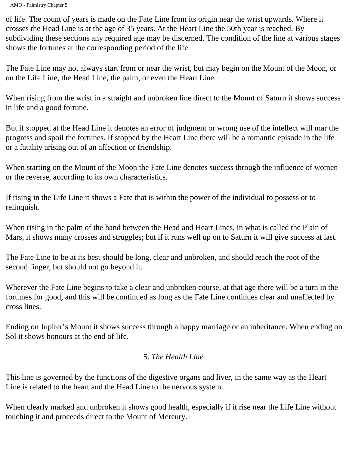of life. The count of years is made on the Fate Line from its origin near the wrist upwards. Where it crosses the Head Line is at the age of 35 years. At the Heart Line the 50th year is reached. By subdividing these sections any required age may be discerned. The condition of the line at various stages shows the fortunes at the corresponding period of the life.

The Fate Line may not always start from or near the wrist, but may begin on the Mount of the Moon, or on the Life Line, the Head Line, the palm, or even the Heart Line.

When rising from the wrist in a straight and unbroken line direct to the Mount of Saturn it shows success in life and a good fortune.

But if stopped at the Head Line it denotes an error of judgment or wrong use of the intellect will mar the progress and spoil the fortunes. If stopped by the Heart Line there will be a romantic episode in the life or a fatality arising out of an affection or friendship.

When starting on the Mount of the Moon the Fate Line denotes success through the influence of women or the reverse, according to its own characteristics.

If rising in the Life Line it shows a Fate that is within the power of the individual to possess or to relinquish.

When rising in the palm of the hand between the Head and Heart Lines, in what is called the Plain of Mars, it shows many crosses and struggles; but if it runs well up on to Saturn it will give success at last.

The Fate Line to be at its best should be long, clear and unbroken, and should reach the root of the second finger, but should not go beyond it.

Wherever the Fate Line begins to take a clear and unbroken course, at that age there will be a turn in the fortunes for good, and this will be continued as long as the Fate Line continues clear and unaffected by cross lines.

Ending on Jupiter's Mount it shows success through a happy marriage or an inheritance. When ending on Sol it shows honours at the end of life.

### 5. *The Health Line.*

This line is governed by the functions of the digestive organs and liver, in the same way as the Heart Line is related to the heart and the Head Line to the nervous system.

When clearly marked and unbroken it shows good health, especially if it rise near the Life Line without touching it and proceeds direct to the Mount of Mercury.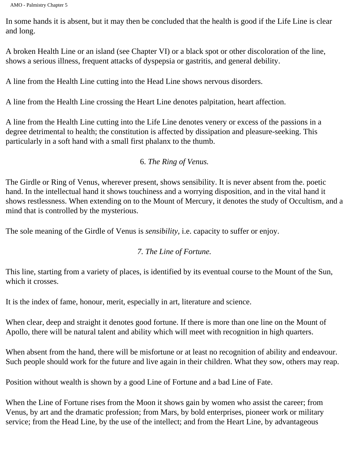```
AMO - Palmistry Chapter 5
```
In some hands it is absent, but it may then be concluded that the health is good if the Life Line is clear and long.

A broken Health Line or an island (see Chapter VI) or a black spot or other discoloration of the line, shows a serious illness, frequent attacks of dyspepsia or gastritis, and general debility.

A line from the Health Line cutting into the Head Line shows nervous disorders.

A line from the Health Line crossing the Heart Line denotes palpitation, heart affection.

A line from the Health Line cutting into the Life Line denotes venery or excess of the passions in a degree detrimental to health; the constitution is affected by dissipation and pleasure-seeking. This particularly in a soft hand with a small first phalanx to the thumb.

# 6. *The Ring of Venus.*

The Girdle or Ring of Venus, wherever present, shows sensibility. It is never absent from the. poetic hand. In the intellectual hand it shows touchiness and a worrying disposition, and in the vital hand it shows restlessness. When extending on to the Mount of Mercury, it denotes the study of Occultism, and a mind that is controlled by the mysterious.

The sole meaning of the Girdle of Venus is *sensibility,* i.e. capacity to suffer or enjoy.

# *7. The Line of Fortune.*

This line, starting from a variety of places, is identified by its eventual course to the Mount of the Sun, which it crosses.

It is the index of fame, honour, merit, especially in art, literature and science.

When clear, deep and straight it denotes good fortune. If there is more than one line on the Mount of Apollo, there will be natural talent and ability which will meet with recognition in high quarters.

When absent from the hand, there will be misfortune or at least no recognition of ability and endeavour. Such people should work for the future and live again in their children. What they sow, others may reap.

Position without wealth is shown by a good Line of Fortune and a bad Line of Fate.

When the Line of Fortune rises from the Moon it shows gain by women who assist the career; from Venus, by art and the dramatic profession; from Mars, by bold enterprises, pioneer work or military service; from the Head Line, by the use of the intellect; and from the Heart Line, by advantageous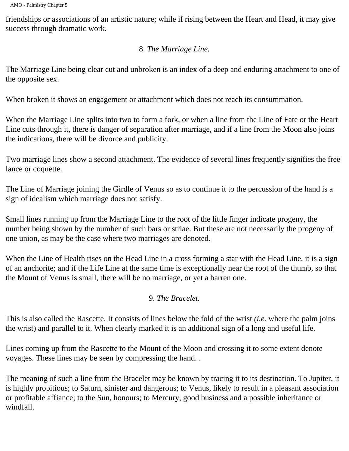friendships or associations of an artistic nature; while if rising between the Heart and Head, it may give success through dramatic work.

### 8. *The Marriage Line.*

The Marriage Line being clear cut and unbroken is an index of a deep and enduring attachment to one of the opposite sex.

When broken it shows an engagement or attachment which does not reach its consummation.

When the Marriage Line splits into two to form a fork, or when a line from the Line of Fate or the Heart Line cuts through it, there is danger of separation after marriage, and if a line from the Moon also joins the indications, there will be divorce and publicity.

Two marriage lines show a second attachment. The evidence of several lines frequently signifies the free lance or coquette.

The Line of Marriage joining the Girdle of Venus so as to continue it to the percussion of the hand is a sign of idealism which marriage does not satisfy.

Small lines running up from the Marriage Line to the root of the little finger indicate progeny, the number being shown by the number of such bars or striae. But these are not necessarily the progeny of one union, as may be the case where two marriages are denoted.

When the Line of Health rises on the Head Line in a cross forming a star with the Head Line, it is a sign of an anchorite; and if the Life Line at the same time is exceptionally near the root of the thumb, so that the Mount of Venus is small, there will be no marriage, or yet a barren one.

### 9. *The Bracelet.*

This is also called the Rascette. It consists of lines below the fold of the wrist *(i.e.* where the palm joins the wrist) and parallel to it. When clearly marked it is an additional sign of a long and useful life.

Lines coming up from the Rascette to the Mount of the Moon and crossing it to some extent denote voyages. These lines may be seen by compressing the hand. .

The meaning of such a line from the Bracelet may be known by tracing it to its destination. To Jupiter, it is highly propitious; to Saturn, sinister and dangerous; to Venus, likely to result in a pleasant association or profitable affiance; to the Sun, honours; to Mercury, good business and a possible inheritance or windfall.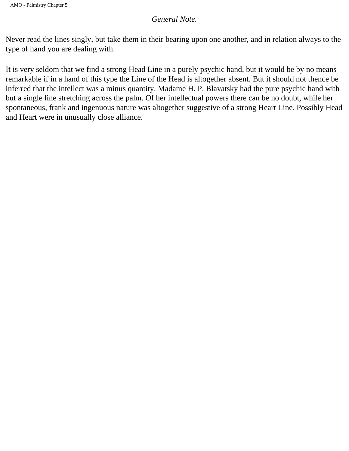#### *General Note.*

Never read the lines singly, but take them in their bearing upon one another, and in relation always to the type of hand you are dealing with.

It is very seldom that we find a strong Head Line in a purely psychic hand, but it would be by no means remarkable if in a hand of this type the Line of the Head is altogether absent. But it should not thence be inferred that the intellect was a minus quantity. Madame H. P. Blavatsky had the pure psychic hand with but a single line stretching across the palm. Of her intellectual powers there can be no doubt, while her spontaneous, frank and ingenuous nature was altogether suggestive of a strong Heart Line. Possibly Head and Heart were in unusually close alliance.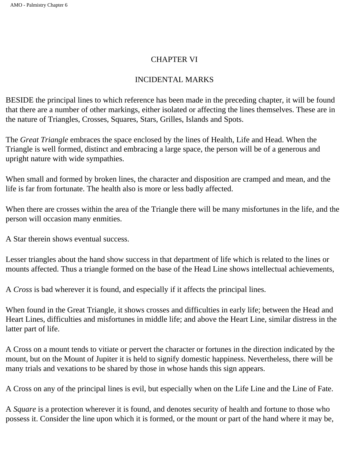#### CHAPTER VI

#### INCIDENTAL MARKS

BESIDE the principal lines to which reference has been made in the preceding chapter, it will be found that there are a number of other markings, either isolated or affecting the lines themselves. These are in the nature of Triangles, Crosses, Squares, Stars, Grilles, Islands and Spots.

The *Great Triangle* embraces the space enclosed by the lines of Health, Life and Head. When the Triangle is well formed, distinct and embracing a large space, the person will be of a generous and upright nature with wide sympathies.

When small and formed by broken lines, the character and disposition are cramped and mean, and the life is far from fortunate. The health also is more or less badly affected.

When there are crosses within the area of the Triangle there will be many misfortunes in the life, and the person will occasion many enmities.

A Star therein shows eventual success.

Lesser triangles about the hand show success in that department of life which is related to the lines or mounts affected. Thus a triangle formed on the base of the Head Line shows intellectual achievements,

A *Cross* is bad wherever it is found, and especially if it affects the principal lines.

When found in the Great Triangle, it shows crosses and difficulties in early life; between the Head and Heart Lines, difficulties and misfortunes in middle life; and above the Heart Line, similar distress in the latter part of life.

A Cross on a mount tends to vitiate or pervert the character or fortunes in the direction indicated by the mount, but on the Mount of Jupiter it is held to signify domestic happiness. Nevertheless, there will be many trials and vexations to be shared by those in whose hands this sign appears.

A Cross on any of the principal lines is evil, but especially when on the Life Line and the Line of Fate.

A *Square* is a protection wherever it is found, and denotes security of health and fortune to those who possess it. Consider the line upon which it is formed, or the mount or part of the hand where it may be,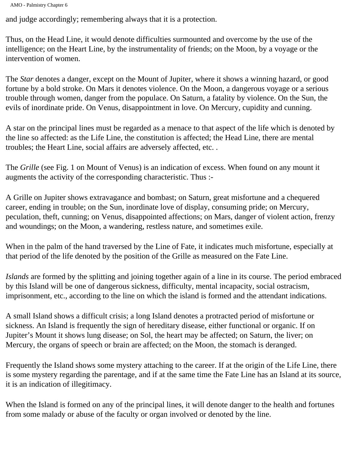```
AMO - Palmistry Chapter 6
```
and judge accordingly; remembering always that it is a protection.

Thus, on the Head Line, it would denote difficulties surmounted and overcome by the use of the intelligence; on the Heart Line, by the instrumentality of friends; on the Moon, by a voyage or the intervention of women.

The *Star* denotes a danger, except on the Mount of Jupiter, where it shows a winning hazard, or good fortune by a bold stroke. On Mars it denotes violence. On the Moon, a dangerous voyage or a serious trouble through women, danger from the populace. On Saturn, a fatality by violence. On the Sun, the evils of inordinate pride. On Venus, disappointment in love. On Mercury, cupidity and cunning.

A star on the principal lines must be regarded as a menace to that aspect of the life which is denoted by the line so affected: as the Life Line, the constitution is affected; the Head Line, there are mental troubles; the Heart Line, social affairs are adversely affected, etc. .

The *Grille* (see Fig. 1 on Mount of Venus) is an indication of excess. When found on any mount it augments the activity of the corresponding characteristic. Thus :-

A Grille on Jupiter shows extravagance and bombast; on Saturn, great misfortune and a chequered career, ending in trouble; on the Sun, inordinate love of display, consuming pride; on Mercury, peculation, theft, cunning; on Venus, disappointed affections; on Mars, danger of violent action, frenzy and woundings; on the Moon, a wandering, restless nature, and sometimes exile.

When in the palm of the hand traversed by the Line of Fate, it indicates much misfortune, especially at that period of the life denoted by the position of the Grille as measured on the Fate Line.

*Islands* are formed by the splitting and joining together again of a line in its course. The period embraced by this Island will be one of dangerous sickness, difficulty, mental incapacity, social ostracism, imprisonment, etc., according to the line on which the island is formed and the attendant indications.

A small Island shows a difficult crisis; a long Island denotes a protracted period of misfortune or sickness. An Island is frequently the sign of hereditary disease, either functional or organic. If on Jupiter's Mount it shows lung disease; on Sol, the heart may be affected; on Saturn, the liver; on Mercury, the organs of speech or brain are affected; on the Moon, the stomach is deranged.

Frequently the Island shows some mystery attaching to the career. If at the origin of the Life Line, there is some mystery regarding the parentage, and if at the same time the Fate Line has an Island at its source, it is an indication of illegitimacy.

When the Island is formed on any of the principal lines, it will denote danger to the health and fortunes from some malady or abuse of the faculty or organ involved or denoted by the line.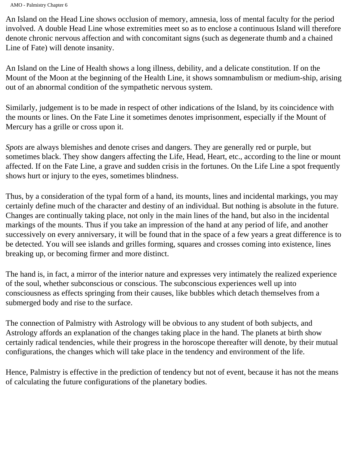An Island on the Head Line shows occlusion of memory, amnesia, loss of mental faculty for the period involved. A double Head Line whose extremities meet so as to enclose a continuous Island will therefore denote chronic nervous affection and with concomitant signs (such as degenerate thumb and a chained Line of Fate) will denote insanity.

An Island on the Line of Health shows a long illness, debility, and a delicate constitution. If on the Mount of the Moon at the beginning of the Health Line, it shows somnambulism or medium-ship, arising out of an abnormal condition of the sympathetic nervous system.

Similarly, judgement is to be made in respect of other indications of the Island, by its coincidence with the mounts or lines. On the Fate Line it sometimes denotes imprisonment, especially if the Mount of Mercury has a grille or cross upon it.

*Spots* are always blemishes and denote crises and dangers. They are generally red or purple, but sometimes black. They show dangers affecting the Life, Head, Heart, etc., according to the line or mount affected. If on the Fate Line, a grave and sudden crisis in the fortunes. On the Life Line a spot frequently shows hurt or injury to the eyes, sometimes blindness.

Thus, by a consideration of the typal form of a hand, its mounts, lines and incidental markings, you may certainly define much of the character and destiny of an individual. But nothing is absolute in the future. Changes are continually taking place, not only in the main lines of the hand, but also in the incidental markings of the mounts. Thus if you take an impression of the hand at any period of life, and another successively on every anniversary, it will be found that in the space of a few years a great difference is to be detected. You will see islands and grilles forming, squares and crosses coming into existence, lines breaking up, or becoming firmer and more distinct.

The hand is, in fact, a mirror of the interior nature and expresses very intimately the realized experience of the soul, whether subconscious or conscious. The subconscious experiences well up into consciousness as effects springing from their causes, like bubbles which detach themselves from a submerged body and rise to the surface.

The connection of Palmistry with Astrology will be obvious to any student of both subjects, and Astrology affords an explanation of the changes taking place in the hand. The planets at birth show certainly radical tendencies, while their progress in the horoscope thereafter will denote, by their mutual configurations, the changes which will take place in the tendency and environment of the life.

Hence, Palmistry is effective in the prediction of tendency but not of event, because it has not the means of calculating the future configurations of the planetary bodies.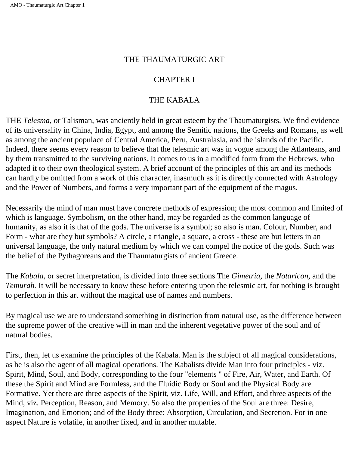#### THE THAUMATURGIC ART

#### CHAPTER I

#### THE KABALA

THE *Telesma,* or Talisman, was anciently held in great esteem by the Thaumaturgists. We find evidence of its universality in China, India, Egypt, and among the Semitic nations, the Greeks and Romans, as well as among the ancient populace of Central America, Peru, Australasia, and the islands of the Pacific. Indeed, there seems every reason to believe that the telesmic art was in vogue among the Atlanteans, and by them transmitted to the surviving nations. It comes to us in a modified form from the Hebrews, who adapted it to their own theological system. A brief account of the principles of this art and its methods can hardly be omitted from a work of this character, inasmuch as it is directly connected with Astrology and the Power of Numbers, and forms a very important part of the equipment of the magus.

Necessarily the mind of man must have concrete methods of expression; the most common and limited of which is language. Symbolism, on the other hand, may be regarded as the common language of humanity, as also it is that of the gods. The universe is a symbol; so also is man. Colour, Number, and Form - what are they but symbols? A circle, a triangle, a square, a cross - these are but letters in an universal language, the only natural medium by which we can compel the notice of the gods. Such was the belief of the Pythagoreans and the Thaumaturgists of ancient Greece.

The *Kabala,* or secret interpretation, is divided into three sections The *Gimetria,* the *Notaricon,* and the *Temurah.* It will be necessary to know these before entering upon the telesmic art, for nothing is brought to perfection in this art without the magical use of names and numbers.

By magical use we are to understand something in distinction from natural use, as the difference between the supreme power of the creative will in man and the inherent vegetative power of the soul and of natural bodies.

First, then, let us examine the principles of the Kabala. Man is the subject of all magical considerations, as he is also the agent of all magical operations. The Kabalists divide Man into four principles - viz. Spirit, Mind, Soul, and Body, corresponding to the four "elements " of Fire, Air, Water, and Earth. Of these the Spirit and Mind are Formless, and the Fluidic Body or Soul and the Physical Body are Formative. Yet there are three aspects of the Spirit, viz. Life, Will, and Effort, and three aspects of the Mind, viz. Perception, Reason, and Memory. So also the properties of the Soul are three: Desire, Imagination, and Emotion; and of the Body three: Absorption, Circulation, and Secretion. For in one aspect Nature is volatile, in another fixed, and in another mutable.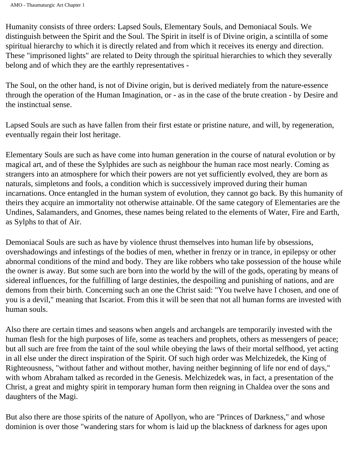Humanity consists of three orders: Lapsed Souls, Elementary Souls, and Demoniacal Souls. We distinguish between the Spirit and the Soul. The Spirit in itself is of Divine origin, a scintilla of some spiritual hierarchy to which it is directly related and from which it receives its energy and direction. These "imprisoned lights" are related to Deity through the spiritual hierarchies to which they severally belong and of which they are the earthly representatives -

The Soul, on the other hand, is not of Divine origin, but is derived mediately from the nature-essence through the operation of the Human Imagination, or - as in the case of the brute creation - by Desire and the instinctual sense.

Lapsed Souls are such as have fallen from their first estate or pristine nature, and will, by regeneration, eventually regain their lost heritage.

Elementary Souls are such as have come into human generation in the course of natural evolution or by magical art, and of these the Sylphides are such as neighbour the human race most nearly. Coming as strangers into an atmosphere for which their powers are not yet sufficiently evolved, they are born as naturals, simpletons and fools, a condition which is successively improved during their human incarnations. Once entangled in the human system of evolution, they cannot go back. By this humanity of theirs they acquire an immortality not otherwise attainable. Of the same category of Elementaries are the Undines, Salamanders, and Gnomes, these names being related to the elements of Water, Fire and Earth, as Sylphs to that of Air.

Demoniacal Souls are such as have by violence thrust themselves into human life by obsessions, overshadowings and infestings of the bodies of men, whether in frenzy or in trance, in epilepsy or other abnormal conditions of the mind and body. They are like robbers who take possession of the house while the owner is away. But some such are born into the world by the will of the gods, operating by means of sidereal influences, for the fulfilling of large destinies, the despoiling and punishing of nations, and are demons from their birth. Concerning such an one the Christ said: "You twelve have I chosen, and one of you is a devil," meaning that Iscariot. From this it will be seen that not all human forms are invested with human souls.

Also there are certain times and seasons when angels and archangels are temporarily invested with the human flesh for the high purposes of life, some as teachers and prophets, others as messengers of peace; but all such are free from the taint of the soul while obeying the laws of their mortal selfhood, yet acting in all else under the direct inspiration of the Spirit. Of such high order was Melchizedek, the King of Righteousness, "without father and without mother, having neither beginning of life nor end of days," with whom Abraham talked as recorded in the Genesis. Melchizedek was, in fact, a presentation of the Christ, a great and mighty spirit in temporary human form then reigning in Chaldea over the sons and daughters of the Magi.

But also there are those spirits of the nature of Apollyon, who are "Princes of Darkness," and whose dominion is over those "wandering stars for whom is laid up the blackness of darkness for ages upon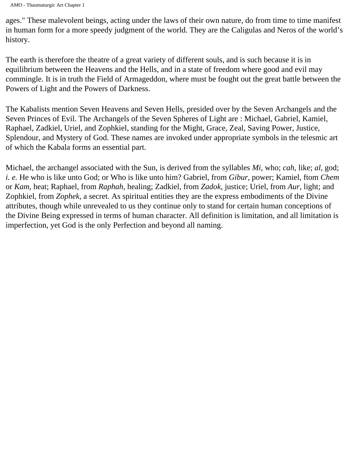ages." These malevolent beings, acting under the laws of their own nature, do from time to time manifest in human form for a more speedy judgment of the world. They are the Caligulas and Neros of the world's history.

The earth is therefore the theatre of a great variety of different souls, and is such because it is in equilibrium between the Heavens and the Hells, and in a state of freedom where good and evil may commingle. It is in truth the Field of Armageddon, where must be fought out the great battle between the Powers of Light and the Powers of Darkness.

The Kabalists mention Seven Heavens and Seven Hells, presided over by the Seven Archangels and the Seven Princes of Evil. The Archangels of the Seven Spheres of Light are : Michael, Gabriel, Kamiel, Raphael, Zadkiel, Uriel, and Zophkiel, standing for the Might, Grace, Zeal, Saving Power, Justice, Splendour, and Mystery of God. These names are invoked under appropriate symbols in the telesmic art of which the Kabala forms an essential part.

Michael, the archangel associated with the Sun, is derived from the syllables *Mi,* who; *cah,* like; *al,* god; *i. e.* He who is like unto God; or Who is like unto him? Gabriel, from *Gibur,* power; Kamiel, ftom *Chem*  or *Kam,* heat; Raphael, from *Raphah,* healing; Zadkiel, from *Zadok,* justice; Uriel, from *Aur,* light; and Zophkiel, from *Zophek,* a secret. As spiritual entities they are the express embodiments of the Divine attributes, though while unrevealed to us they continue only to stand for certain human conceptions of the Divine Being expressed in terms of human character. All definition is limitation, and all limitation is imperfection, yet God is the only Perfection and beyond all naming.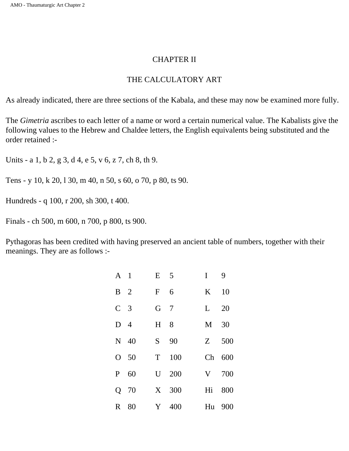#### CHAPTER II

#### THE CALCULATORY ART

As already indicated, there are three sections of the Kabala, and these may now be examined more fully.

The *Gimetria* ascribes to each letter of a name or word a certain numerical value. The Kabalists give the following values to the Hebrew and Chaldee letters, the English equivalents being substituted and the order retained :-

Units - a 1, b 2, g 3, d 4, e 5, v 6, z 7, ch 8, th 9.

Tens - y 10, k 20, l 30, m 40, n 50, s 60, o 70, p 80, ts 90.

Hundreds - q 100, r 200, sh 300, t 400.

Finals - ch 500, m 600, n 700, p 800, ts 900.

Pythagoras has been credited with having preserved an ancient table of numbers, together with their meanings. They are as follows :-

| A <sub>1</sub> |                 | $E \quad 5$ |              | $1 \quad 9$ |        |
|----------------|-----------------|-------------|--------------|-------------|--------|
| B <sub>2</sub> |                 | $F \quad 6$ |              | $K_{-}$     | - 10   |
| C <sub>3</sub> |                 | $G \quad 7$ |              | $L = 20$    |        |
| D <sub>4</sub> |                 | H 8         |              | M 30        |        |
|                | N 40            |             | $S \quad 90$ |             | Z 500  |
|                | O <sub>50</sub> |             | T 100        | Ch          | 600    |
|                | P 60            |             | $U$ 200      |             | V 700  |
|                | Q 70            |             | X 300        |             | Hi 800 |
|                | R 80            |             | $Y$ 400      |             | Hu 900 |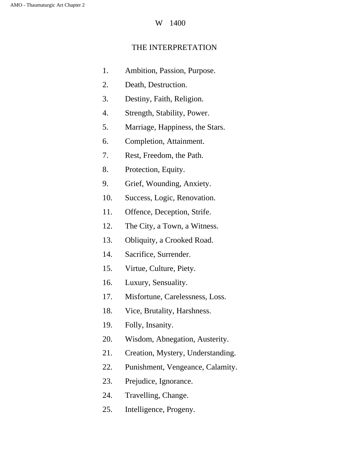#### W 1400

#### THE INTERPRETATION

- 1. Ambition, Passion, Purpose.
- 2. Death, Destruction.
- 3. Destiny, Faith, Religion.
- 4. Strength, Stability, Power.
- 5. Marriage, Happiness, the Stars.
- 6. Completion, Attainment.
- 7. Rest, Freedom, the Path.
- 8. Protection, Equity.
- 9. Grief, Wounding, Anxiety.
- 10. Success, Logic, Renovation.
- 11. Offence, Deception, Strife.
- 12. The City, a Town, a Witness.
- 13. Obliquity, a Crooked Road.
- 14. Sacrifice, Surrender.
- 15. Virtue, Culture, Piety.
- 16. Luxury, Sensuality.
- 17. Misfortune, Carelessness, Loss.
- 18. Vice, Brutality, Harshness.
- 19. Folly, Insanity.
- 20. Wisdom, Abnegation, Austerity.
- 21. Creation, Mystery, Understanding.
- 22. Punishment, Vengeance, Calamity.
- 23. Prejudice, Ignorance.
- 24. Travelling, Change.
- 25. Intelligence, Progeny.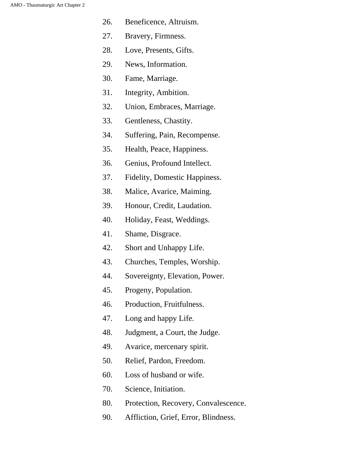- 26. Beneficence, Altruism.
- 27. Bravery, Firmness.
- 28. Love, Presents, Gifts.
- 29. News, Information.
- 30. Fame, Marriage.
- 31. Integrity, Ambition.
- 32. Union, Embraces, Marriage.
- 33. Gentleness, Chastity.
- 34. Suffering, Pain, Recompense.
- 35. Health, Peace, Happiness.
- 36. Genius, Profound Intellect.
- 37. Fidelity, Domestic Happiness.
- 38. Malice, Avarice, Maiming.
- 39. Honour, Credit, Laudation.
- 40. Holiday, Feast, Weddings.
- 41. Shame, Disgrace.
- 42. Short and Unhappy Life.
- 43. Churches, Temples, Worship.
- 44. Sovereignty, Elevation, Power.
- 45. Progeny, Population.
- 46. Production, Fruitfulness.
- 47. Long and happy Life.
- 48. Judgment, a Court, the Judge.
- 49. Avarice, mercenary spirit.
- 50. Relief, Pardon, Freedom.
- 60. Loss of husband or wife.
- 70. Science, Initiation.
- 80. Protection, Recovery, Convalescence.
- 90. Affliction, Grief, Error, Blindness.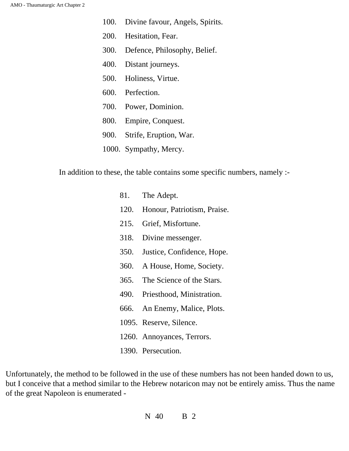- 100. Divine favour, Angels, Spirits.
- 200. Hesitation, Fear.
- 300. Defence, Philosophy, Belief.
- 400. Distant journeys.
- 500. Holiness, Virtue.
- 600. Perfection.
- 700. Power, Dominion.
- 800. Empire, Conquest.
- 900. Strife, Eruption, War.
- 1000. Sympathy, Mercy.

In addition to these, the table contains some specific numbers, namely :-

| 81.  | The Adept.                      |
|------|---------------------------------|
| 120. | Honour, Patriotism, Praise.     |
| 215. | Grief, Misfortune.              |
| 318. | Divine messenger.               |
|      | 350. Justice, Confidence, Hope. |
|      | 360. A House, Home, Society.    |
|      | 365. The Science of the Stars.  |
|      | 490. Priesthood, Ministration.  |
|      | 666. An Enemy, Malice, Plots.   |
|      | 1095. Reserve, Silence.         |
|      | 1260. Annoyances, Terrors.      |
|      | 1390. Persecution.              |

Unfortunately, the method to be followed in the use of these numbers has not been handed down to us, but I conceive that a method similar to the Hebrew notaricon may not be entirely amiss. Thus the name of the great Napoleon is enumerated -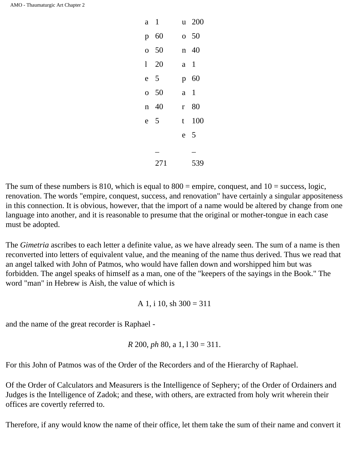|                | a 1      |                | u 200   |
|----------------|----------|----------------|---------|
|                | p 60     |                | o 50    |
|                | o 50     |                | n 40    |
|                | $1 \t20$ | a 1            |         |
| e <sub>5</sub> |          |                | p 60    |
|                | o 50     |                | a 1     |
|                | n 40     |                | r 80    |
| e 5            |          |                | $t$ 100 |
|                |          | e <sub>5</sub> |         |
|                |          |                |         |
|                | 271      |                | 539     |

The sum of these numbers is 810, which is equal to  $800 =$  empire, conquest, and  $10 =$  success, logic, renovation. The words "empire, conquest, success, and renovation" have certainly a singular appositeness in this connection. It is obvious, however, that the import of a name would be altered by change from one language into another, and it is reasonable to presume that the original or mother-tongue in each case must be adopted.

The *Gimetria* ascribes to each letter a definite value, as we have already seen. The sum of a name is then reconverted into letters of equivalent value, and the meaning of the name thus derived. Thus we read that an angel talked with John of Patmos, who would have fallen down and worshipped him but was forbidden. The angel speaks of himself as a man, one of the "keepers of the sayings in the Book." The word "man" in Hebrew is Aish, the value of which is

A 1, i 10, sh  $300 = 311$ 

and the name of the great recorder is Raphael -

$$
R\,200, \, ph\,80, \, a\,1, \, 1\,30 = 311.
$$

For this John of Patmos was of the Order of the Recorders and of the Hierarchy of Raphael.

Of the Order of Calculators and Measurers is the Intelligence of Sephery; of the Order of Ordainers and Judges is the Intelligence of Zadok; and these, with others, are extracted from holy writ wherein their offices are covertly referred to.

Therefore, if any would know the name of their office, let them take the sum of their name and convert it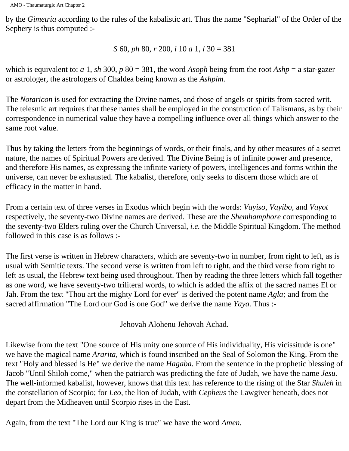by the *Gimetria* according to the rules of the kabalistic art. Thus the name "Sepharial" of the Order of the Sephery is thus computed :-

*S* 60, *ph* 80, *r* 200, *i* 10 *a* 1, *l* 30 = 381

which is equivalent to: *a* 1, *sh* 300, *p* 80 = 381, the word *Asoph* being from the root  $Ashp = a$  star-gazer or astrologer, the astrologers of Chaldea being known as the *Ashpim.*

The *Notaricon* is used for extracting the Divine names, and those of angels or spirits from sacred writ. The telesmic art requires that these names shall be employed in the construction of Talismans, as by their correspondence in numerical value they have a compelling influence over all things which answer to the same root value.

Thus by taking the letters from the beginnings of words, or their finals, and by other measures of a secret nature, the names of Spiritual Powers are derived. The Divine Being is of infinite power and presence, and therefore His names, as expressing the infinite variety of powers, intelligences and forms within the universe, can never be exhausted. The kabalist, therefore, only seeks to discern those which are of efficacy in the matter in hand.

From a certain text of three verses in Exodus which begin with the words: *Vayiso, Vayibo,* and *Vayot*  respectively, the seventy-two Divine names are derived. These are the *Shemhamphore* corresponding to the seventy-two Elders ruling over the Church Universal, *i.e.* the Middle Spiritual Kingdom. The method followed in this case is as follows :-

The first verse is written in Hebrew characters, which are seventy-two in number, from right to left, as is usual with Semitic texts. The second verse is written from left to right, and the third verse from right to left as usual, the Hebrew text being used throughout. Then by reading the three letters which fall together as one word, we have seventy-two triliteral words, to which is added the affix of the sacred names El or Jah. From the text "Thou art the mighty Lord for ever" is derived the potent name *Agla;* and from the sacred affirmation "The Lord our God is one God" we derive the name *Yaya.* Thus :-

Jehovah Alohenu Jehovah Achad.

Likewise from the text "One source of His unity one source of His individuality, His vicissitude is one" we have the magical name *Ararita,* which is found inscribed on the Seal of Solomon the King. From the text "Holy and blessed is He" we derive the name *Hagaba.* From the sentence in the prophetic blessing of Jacob "Until Shiloh come," when the patriarch was predicting the fate of Judah, we have the name *Jesu.*  The well-informed kabalist, however, knows that this text has reference to the rising of the Star *Shuleh* in the constellation of Scorpio; for *Leo,* the lion of Judah, with *Cepheus* the Lawgiver beneath, does not depart from the Midheaven until Scorpio rises in the East.

Again, from the text "The Lord our King is true" we have the word *Amen.*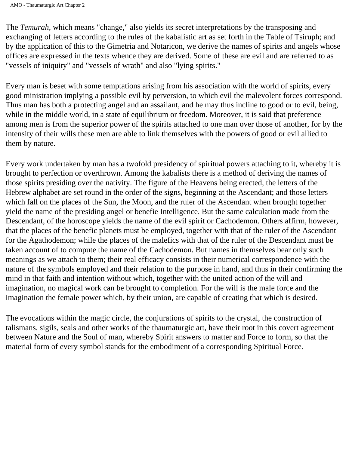The *Temurah,* which means "change," also yields its secret interpretations by the transposing and exchanging of letters according to the rules of the kabalistic art as set forth in the Table of Tsiruph; and by the application of this to the Gimetria and Notaricon, we derive the names of spirits and angels whose offices are expressed in the texts whence they are derived. Some of these are evil and are referred to as "vessels of iniquity" and "vessels of wrath" and also "lying spirits."

Every man is beset with some temptations arising from his association with the world of spirits, every good ministration implying a possible evil by perversion, to which evil the malevolent forces correspond. Thus man has both a protecting angel and an assailant, and he may thus incline to good or to evil, being, while in the middle world, in a state of equilibrium or freedom. Moreover, it is said that preference among men is from the superior power of the spirits attached to one man over those of another, for by the intensity of their wills these men are able to link themselves with the powers of good or evil allied to them by nature.

Every work undertaken by man has a twofold presidency of spiritual powers attaching to it, whereby it is brought to perfection or overthrown. Among the kabalists there is a method of deriving the names of those spirits presiding over the nativity. The figure of the Heavens being erected, the letters of the Hebrew alphabet are set round in the order of the signs, beginning at the Ascendant; and those letters which fall on the places of the Sun, the Moon, and the ruler of the Ascendant when brought together yield the name of the presiding angel or benefie Intelligence. But the same calculation made from the Descendant, of the horoscope yields the name of the evil spirit or Cachodemon. Others affirm, however, that the places of the benefic planets must be employed, together with that of the ruler of the Ascendant for the Agathodemon; while the places of the malefics with that of the ruler of the Descendant must be taken account of to compute the name of the Cachodemon. But names in themselves bear only such meanings as we attach to them; their real efficacy consists in their numerical correspondence with the nature of the symbols employed and their relation to the purpose in hand, and thus in their confirming the mind in that faith and intention without which, together with the united action of the will and imagination, no magical work can be brought to completion. For the will is the male force and the imagination the female power which, by their union, are capable of creating that which is desired.

The evocations within the magic circle, the conjurations of spirits to the crystal, the construction of talismans, sigils, seals and other works of the thaumaturgic art, have their root in this covert agreement between Nature and the Soul of man, whereby Spirit answers to matter and Force to form, so that the material form of every symbol stands for the embodiment of a corresponding Spiritual Force.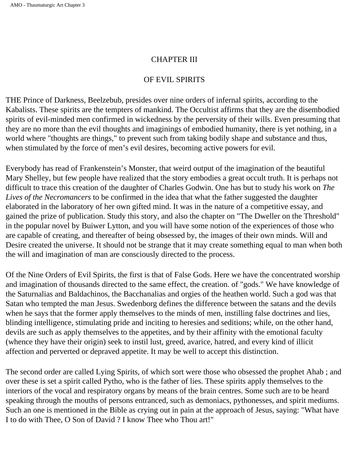# CHAPTER III

## OF EVIL SPIRITS

THE Prince of Darkness, Beelzebub, presides over nine orders of infernal spirits, according to the Kabalists. These spirits are the tempters of mankind. The Occultist affirms that they are the disembodied spirits of evil-minded men confirmed in wickedness by the perversity of their wills. Even presuming that they are no more than the evil thoughts and imaginings of embodied humanity, there is yet nothing, in a world where "thoughts are things," to prevent such from taking bodily shape and substance and thus, when stimulated by the force of men's evil desires, becoming active powers for evil.

Everybody has read of Frankenstein's Monster, that weird output of the imagination of the beautiful Mary Shelley, but few people have realized that the story embodies a great occult truth. It is perhaps not difficult to trace this creation of the daughter of Charles Godwin. One has but to study his work on *The Lives of the Necromancers* to be confirmed in the idea that what the father suggested the daughter elaborated in the laboratory of her own gifted mind. It was in the nature of a competitive essay, and gained the prize of publication. Study this story, and also the chapter on "The Dweller on the Threshold" in the popular novel by Buiwer Lytton, and you will have some notion of the experiences of those who are capable of creating, and thereafter of being obsessed by, the images of their own minds. Will and Desire created the universe. It should not be strange that it may create something equal to man when both the will and imagination of man are consciously directed to the process.

Of the Nine Orders of Evil Spirits, the first is that of False Gods. Here we have the concentrated worship and imagination of thousands directed to the same effect, the creation. of "gods." We have knowledge of the Saturnalias and Baldachinos, the Bacchanalias and orgies of the heathen world. Such a god was that Satan who tempted the man Jesus. Swedenborg defines the difference between the satans and the devils when he says that the former apply themselves to the minds of men, instilling false doctrines and lies, blinding intelligence, stimulating pride and inciting to heresies and seditions; while, on the other hand, devils are such as apply themselves to the appetites, and by their affinity with the emotional faculty (whence they have their origin) seek to instil lust, greed, avarice, hatred, and every kind of illicit affection and perverted or depraved appetite. It may be well to accept this distinction.

The second order are called Lying Spirits, of which sort were those who obsessed the prophet Ahab ; and over these is set a spirit called Pytho, who is the father of lies. These spirits apply themselves to the interiors of the vocal and respiratory organs by means of the brain centres. Some such are to be heard speaking through the mouths of persons entranced, such as demoniacs, pythonesses, and spirit mediums. Such an one is mentioned in the Bible as crying out in pain at the approach of Jesus, saying: "What have I to do with Thee, O Son of David ? I know Thee who Thou art!"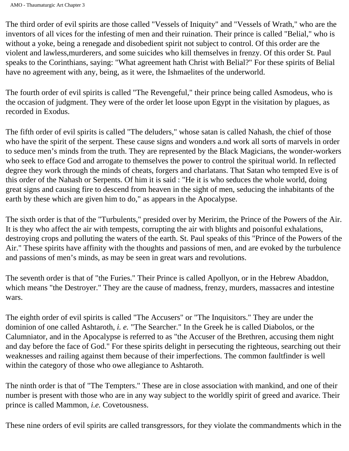The third order of evil spirits are those called "Vessels of Iniquity" and "Vessels of Wrath," who are the inventors of all vices for the infesting of men and their ruination. Their prince is called "Belial," who is without a yoke, being a renegade and disobedient spirit not subject to control. Of this order are the violent and lawless,murderers, and some suicides who kill themselves in frenzy. Of this order St. Paul speaks to the Corinthians, saying: "What agreement hath Christ with Belial?" For these spirits of Belial have no agreement with any, being, as it were, the Ishmaelites of the underworld.

The fourth order of evil spirits is called "The Revengeful," their prince being called Asmodeus, who is the occasion of judgment. They were of the order let loose upon Egypt in the visitation by plagues, as recorded in Exodus.

The fifth order of evil spirits is called "The deluders," whose satan is called Nahash, the chief of those who have the spirit of the serpent. These cause signs and wonders a.nd work all sorts of marvels in order to seduce men's minds from the truth. They are represented by the Black Magicians, the wonder-workers who seek to efface God and arrogate to themselves the power to control the spiritual world. In reflected degree they work through the minds of cheats, forgers and charlatans. That Satan who tempted Eve is of this order of the Nahash or Serpents. Of him it is said : "He it is who seduces the whole world, doing great signs and causing fire to descend from heaven in the sight of men, seducing the inhabitants of the earth by these which are given him to do," as appears in the Apocalypse.

The sixth order is that of the "Turbulents," presided over by Meririm, the Prince of the Powers of the Air. It is they who affect the air with tempests, corrupting the air with blights and poisonful exhalations, destroying crops and polluting the waters of the earth. St. Paul speaks of this "Prince of the Powers of the Air." These spirits have affinity with the thoughts and passions of men, and are evoked by the turbulence and passions of men's minds, as may be seen in great wars and revolutions.

The seventh order is that of "the Furies." Their Prince is called Apollyon, or in the Hebrew Abaddon, which means "the Destroyer." They are the cause of madness, frenzy, murders, massacres and intestine wars.

The eighth order of evil spirits is called "The Accusers" or "The Inquisitors." They are under the dominion of one called Ashtaroth, *i. e.* "The Searcher." In the Greek he is called Diabolos, or the Calumniator, and in the Apocalypse is referred to as "the Accuser of the Brethren, accusing them night and day before the face of God." For these spirits delight in persecuting the righteous, searching out their weaknesses and railing against them because of their imperfections. The common faultfinder is well within the category of those who owe allegiance to Ashtaroth.

The ninth order is that of "The Tempters." These are in close association with mankind, and one of their number is present with those who are in any way subject to the worldly spirit of greed and avarice. Their prince is called Mammon, *i.e.* Covetousness.

These nine orders of evil spirits are called transgressors, for they violate the commandments which in the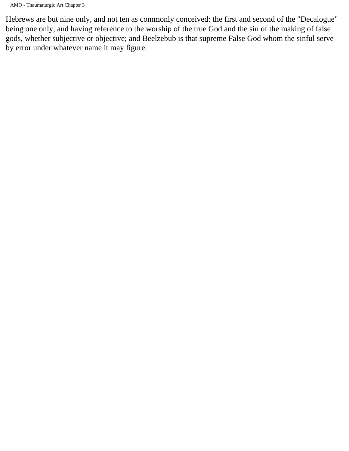Hebrews are but nine only, and not ten as commonly conceived: the first and second of the "Decalogue" being one only, and having reference to the worship of the true God and the sin of the making of false gods, whether subjective or objective; and Beelzebub is that supreme False God whom the sinful serve by error under whatever name it may figure.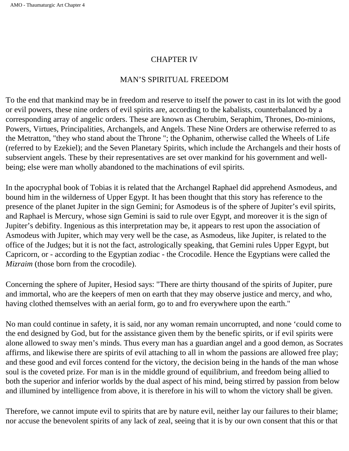# CHAPTER IV

## MAN'S SPIRITUAL FREEDOM

To the end that mankind may be in freedom and reserve to itself the power to cast in its lot with the good or evil powers, these nine orders of evil spirits are, according to the kabalists, counterbalanced by a corresponding array of angelic orders. These are known as Cherubim, Seraphim, Thrones, Do-minions, Powers, Virtues, Principalities, Archangels, and Angels. These Nine Orders are otherwise referred to as the Metratton, "they who stand about the Throne "; the Ophanim, otherwise called the Wheels of Life (referred to by Ezekiel); and the Seven Planetary Spirits, which include the Archangels and their hosts of subservient angels. These by their representatives are set over mankind for his government and wellbeing; else were man wholly abandoned to the machinations of evil spirits.

In the apocryphal book of Tobias it is related that the Archangel Raphael did apprehend Asmodeus, and bound him in the wilderness of Upper Egypt. It has been thought that this story has reference to the presence of the planet Jupiter in the sign Gemini; for Asmodeus is of the sphere of Jupiter's evil spirits, and Raphael is Mercury, whose sign Gemini is said to rule over Egypt, and moreover it is the sign of Jupiter's debifity. Ingenious as this interpretation may be, it appears to rest upon the association of Asmodeus with Jupiter, which may very well be the case, as Asmodeus, like Jupiter, is related to the office of the Judges; but it is not the fact, astrologically speaking, that Gemini rules Upper Egypt, but Capricorn, or - according to the Egyptian zodiac - the Crocodile. Hence the Egyptians were called the *Mizraim* (those born from the crocodile).

Concerning the sphere of Jupiter, Hesiod says: "There are thirty thousand of the spirits of Jupiter, pure and immortal, who are the keepers of men on earth that they may observe justice and mercy, and who, having clothed themselves with an aerial form, go to and fro everywhere upon the earth."

No man could continue in safety, it is said, nor any woman remain uncorrupted, and none 'could come to the end designed by God, but for the assistance given them by the benefic spirits, or if evil spirits were alone allowed to sway men's minds. Thus every man has a guardian angel and a good demon, as Socrates affirms, and likewise there are spirits of evil attaching to all in whom the passions are allowed free play; and these good and evil forces contend for the victory, the decision being in the hands of the man whose soul is the coveted prize. For man is in the middle ground of equilibrium, and freedom being allied to both the superior and inferior worlds by the dual aspect of his mind, being stirred by passion from below and illumined by intelligence from above, it is therefore in his will to whom the victory shall be given.

Therefore, we cannot impute evil to spirits that are by nature evil, neither lay our failures to their blame; nor accuse the benevolent spirits of any lack of zeal, seeing that it is by our own consent that this or that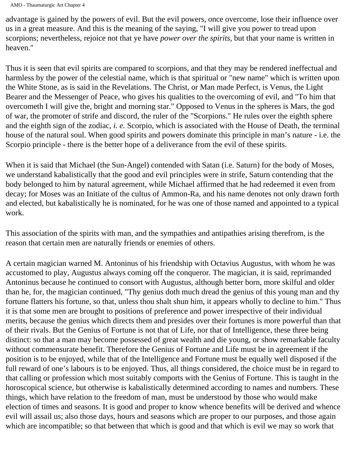advantage is gained by the powers of evil. But the evil powers, once overcome, lose their influence over us in a great measure. And this is the meaning of the saying, "I will give you power to tread upon scorpions; nevertheless, rejoice not that ye have *power over the spirits,* but that your name is written in heaven."

Thus it is seen that evil spirits are compared to scorpions, and that they may be rendered ineffectual and harmless by the power of the celestial name, which is that spiritual or "new name" which is written upon the White Stone, as is said in the Revelations. The Christ, or Man made Perfect, is Venus, the Light Bearer and the Messenger of Peace, who gives his qualities to the overcoming of evil, and "To him that overcometh I will give the, bright and morning star." Opposed to Venus in the spheres is Mars, the god of war, the promoter of strife and discord, the ruler of the "Scorpions." He rules over the eighth sphere and the eighth sign of the zodiac, *i. e.* Scorpio, which is associated with the House of Death, the terminal house of the natural soul. When good spirits and powers dominate this principle in man's nature - i.e. the Scorpio principle - there is the better hope of a deliverance from the evil of these spirits.

When it is said that Michael (the Sun-Angel) contended with Satan (i.e. Saturn) for the body of Moses, we understand kabalistically that the good and evil principles were in strife, Saturn contending that the body belonged to him by natural agreement, while Michael affirmed that he had redeemed it even from decay; for Moses was an Initiate of the cultus of Ammon-Ra, and his name denotes not only drawn forth and elected, but kabalistically he is nominated, for he was one of those named and appointed to a typical work.

This association of the spirits with man, and the sympathies and antipathies arising therefrom, is the reason that certain men are naturally friends or enemies of others.

A certain magician warned M. Antoninus of his friendship with Octavius Augustus, with whom he was accustomed to play, Augustus always coming off the conqueror. The magician, it is said, reprimanded Antoninus because he continued to consort with Augustus, although better born, more skilful and older than he, for, the magician continued, "Thy genius doth much dread the genius of this young man and thy fortune flatters his fortune, so that, unless thou shalt shun him, it appears wholly to decline to him." Thus it is that some men are brought to positions of preference and power irrespective of their individual merits, because the genius which directs them and presides over their fortunes is more powerful than that of their rivals. But the Genius of Fortune is not that of Life, nor that of Intelligence, these three being distinct: so that a man may become possessed of great wealth and die young, or show remarkable faculty without commensurate benefit. Therefore the Genius of Fortune and Life must be in agreement if the position is to be enjoyed, while that of the Intelligence and Fortune must be equally well disposed if the full reward of one's labours is to be enjoyed. Thus, all things considered, the choice must be in regard to that calling or profession which most suitably comports with the Genius of Fortune. This is taught in the horoscopical science, but otherwise is kabalistically determined according to names and numbers. These things, which have relation to the freedom of man, must be understood by those who would make election of times and seasons. It is good and proper to know whence benefits will be derived and whence evil will assail us; also those days, hours and seasons which are proper to our purposes, and those again which are incompatible; so that between that which is good and that which is evil we may so work that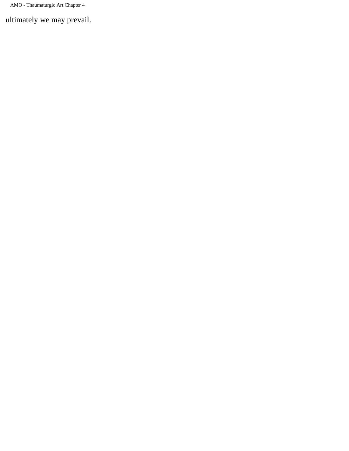AMO - Thaumaturgic Art Chapter 4

ultimately we may prevail.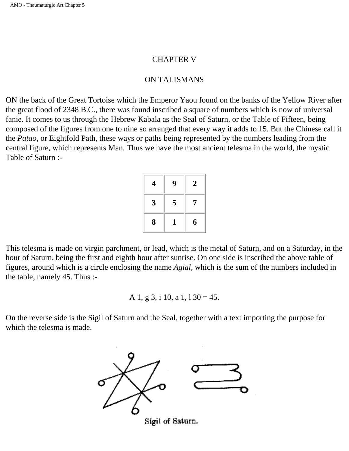#### CHAPTER V

#### ON TALISMANS

ON the back of the Great Tortoise which the Emperor Yaou found on the banks of the Yellow River after the great flood of 2348 B.C., there was found inscribed a square of numbers which is now of universal fanie. It comes to us through the Hebrew Kabala as the Seal of Saturn, or the Table of Fifteen, being composed of the figures from one to nine so arranged that every way it adds to 15. But the Chinese call it the *Patao,* or Eightfold Path, these ways or paths being represented by the numbers leading from the central figure, which represents Man. Thus we have the most ancient telesma in the world, the mystic Table of Saturn :-

| 4 | 9 | $\boldsymbol{2}$ |
|---|---|------------------|
| 3 | 5 | 7                |
| 8 | 1 | 6                |

This telesma is made on virgin parchment, or lead, which is the metal of Saturn, and on a Saturday, in the hour of Saturn, being the first and eighth hour after sunrise. On one side is inscribed the above table of figures, around which is a circle enclosing the name *Agial,* which is the sum of the numbers included in the table, namely 45. Thus :-

A 1, g 3, i 10, a 1,  $130 = 45$ .

On the reverse side is the Sigil of Saturn and the Seal, together with a text importing the purpose for which the telesma is made.



Sigil of Saturn.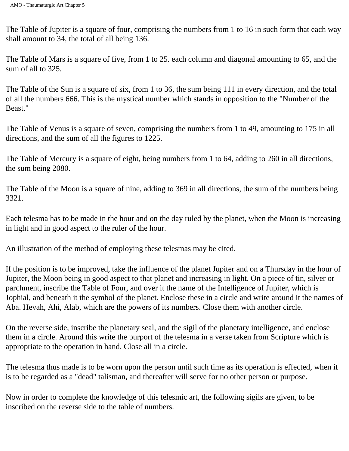The Table of Jupiter is a square of four, comprising the numbers from 1 to 16 in such form that each way shall amount to 34, the total of all being 136.

The Table of Mars is a square of five, from 1 to 25. each column and diagonal amounting to 65, and the sum of all to 325.

The Table of the Sun is a square of six, from 1 to 36, the sum being 111 in every direction, and the total of all the numbers 666. This is the mystical number which stands in opposition to the "Number of the Beast."

The Table of Venus is a square of seven, comprising the numbers from 1 to 49, amounting to 175 in all directions, and the sum of all the figures to 1225.

The Table of Mercury is a square of eight, being numbers from 1 to 64, adding to 260 in all directions, the sum being 2080.

The Table of the Moon is a square of nine, adding to 369 in all directions, the sum of the numbers being 3321.

Each telesma has to be made in the hour and on the day ruled by the planet, when the Moon is increasing in light and in good aspect to the ruler of the hour.

An illustration of the method of employing these telesmas may be cited.

If the position is to be improved, take the influence of the planet Jupiter and on a Thursday in the hour of Jupiter, the Moon being in good aspect to that planet and increasing in light. On a piece of tin, silver or parchment, inscribe the Table of Four, and over it the name of the Intelligence of Jupiter, which is Jophial, and beneath it the symbol of the planet. Enclose these in a circle and write around it the names of Aba. Hevah, Ahi, Alab, which are the powers of its numbers. Close them with another circle.

On the reverse side, inscribe the planetary seal, and the sigil of the planetary intelligence, and enclose them in a circle. Around this write the purport of the telesma in a verse taken from Scripture which is appropriate to the operation in hand. Close all in a circle.

The telesma thus made is to be worn upon the person until such time as its operation is effected, when it is to be regarded as a "dead" talisman, and thereafter will serve for no other person or purpose.

Now in order to complete the knowledge of this telesmic art, the following sigils are given, to be inscribed on the reverse side to the table of numbers.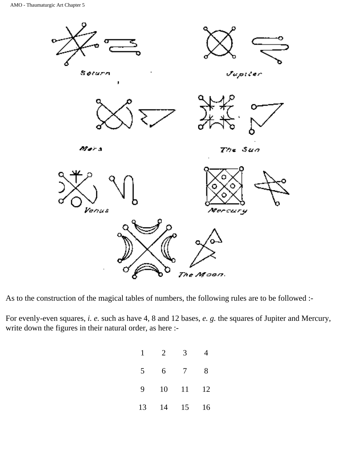

As to the construction of the magical tables of numbers, the following rules are to be followed :-

For evenly-even squares, *i. e.* such as have 4, 8 and 12 bases, *e. g.* the squares of Jupiter and Mercury, write down the figures in their natural order, as here :-

| 1  | 2  | 3  |    |
|----|----|----|----|
| 5  | 6  | 7  | 8  |
| 9  | 10 | 11 | 12 |
| 13 | 14 | 15 | 16 |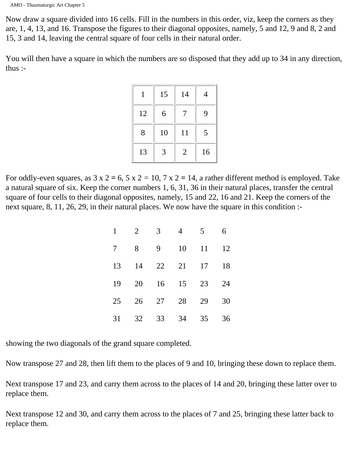Now draw a square divided into 16 cells. Fill in the numbers in this order, viz, keep the corners as they are, 1, 4, 13, and 16. Transpose the figures to their diagonal opposites, namely, 5 and 12, 9 and 8, 2 and 15, 3 and 14, leaving the central square of four cells in their natural order.

You will then have a square in which the numbers are so disposed that they add up to 34 in any direction, thus :-

| 1  | 15 | 14             | 4  |
|----|----|----------------|----|
| 12 | 6  |                | 9  |
| 8  | 10 | 11             | 5  |
| 13 | 3  | $\overline{2}$ | 16 |

For oddly-even squares, as  $3 \times 2 = 6$ ,  $5 \times 2 = 10$ ,  $7 \times 2 = 14$ , a rather different method is employed. Take a natural square of six. Keep the corner numbers 1, 6, 31, 36 in their natural places, transfer the central square of four cells to their diagonal opposites, namely, 15 and 22, 16 and 21. Keep the corners of the next square, 8, 11, 26, 29, in their natural places. We now have the square in this condition :-

| $\mathbf{1}$   | $\overline{2}$ | 3  | 4  | 5  | 6  |
|----------------|----------------|----|----|----|----|
| $\overline{7}$ | 8              | 9  | 10 | 11 | 12 |
| 13             | 14             | 22 | 21 | 17 | 18 |
| 19             | 20             | 16 | 15 | 23 | 24 |
| 25             | 26             | 27 | 28 | 29 | 30 |
| 31             | 32             | 33 | 34 | 35 | 36 |

showing the two diagonals of the grand square completed.

Now transpose 27 and 28, then lift them to the places of 9 and 10, bringing these down to replace them.

Next transpose 17 and 23, and carry them across to the places of 14 and 20, bringing these latter over to replace them.

Next transpose 12 and 30, and carry them across to the places of 7 and 25, bringing these latter back to replace them.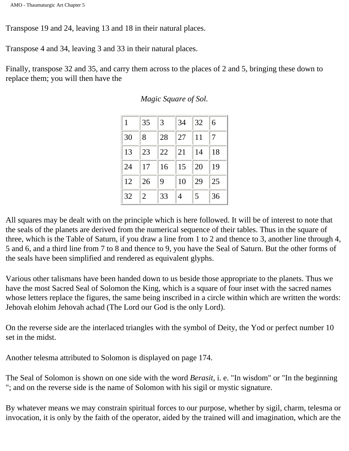Transpose 19 and 24, leaving 13 and 18 in their natural places.

Transpose 4 and 34, leaving 3 and 33 in their natural places.

Finally, transpose 32 and 35, and carry them across to the places of 2 and 5, bringing these down to replace them; you will then have the

|    | 35             | 3  | 34 | 32 | 6  |
|----|----------------|----|----|----|----|
| 30 | 8              | 28 | 27 | 11 |    |
| 13 | 23             | 22 | 21 | 14 | 18 |
| 24 | 17             | 16 | 15 | 20 | 19 |
| 12 | 26             | 9  | 10 | 29 | 25 |
| 32 | $\overline{2}$ | 33 |    | 5  | 36 |

*Magic Square of Sol.*

All squares may be dealt with on the principle which is here followed. It will be of interest to note that the seals of the planets are derived from the numerical sequence of their tables. Thus in the square of three, which is the Table of Saturn, if you draw a line from 1 to 2 and thence to 3, another line through 4, 5 and 6, and a third line from 7 to 8 and thence to 9, you have the Seal of Saturn. But the other forms of the seals have been simplified and rendered as equivalent glyphs.

Various other talismans have been handed down to us beside those appropriate to the planets. Thus we have the most Sacred Seal of Solomon the King, which is a square of four inset with the sacred names whose letters replace the figures, the same being inscribed in a circle within which are written the words: Jehovah elohim Jehovah achad (The Lord our God is the only Lord).

On the reverse side are the interlaced triangles with the symbol of Deity, the Yod or perfect number 10 set in the midst.

Another telesma attributed to Solomon is displayed on page 174.

The Seal of Solomon is shown on one side with the word *Berasit,* i. e. "In wisdom" or "In the beginning "; and on the reverse side is the name of Solomon with his sigil or mystic signature.

By whatever means we may constrain spiritual forces to our purpose, whether by sigil, charm, telesma or invocation, it is only by the faith of the operator, aided by the trained will and imagination, which are the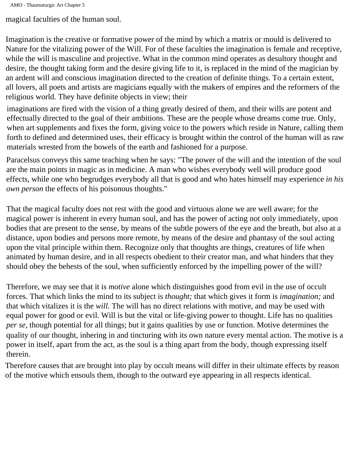```
AMO - Thaumaturgic Art Chapter 5
```
magical faculties of the human soul.

Imagination is the creative or formative power of the mind by which a matrix or mould is delivered to Nature for the vitalizing power of the Will. For of these faculties the imagination is female and receptive, while the will is masculine and projective. What in the common mind operates as desultory thought and desire, the thought taking form and the desire giving life to it, is replaced in the mind of the magician by an ardent will and conscious imagination directed to the creation of definite things. To a certain extent, all lovers, all poets and artists are magicians equally with the makers of empires and the reformers of the religious world. They have definite objects in view; their

imaginations are fired with the vision of a thing greatly desired of them, and their wills are potent and effectually directed to the goal of their ambitions. These are the people whose dreams come true. Only, when art supplements and fixes the form, giving voice to the powers which reside in Nature, calling them forth to defined and determined uses, their efficacy is brought within the control of the human will as raw materials wrested from the bowels of the earth and fashioned for a purpose.

Paracelsus conveys this same teaching when he says: "The power of the will and the intention of the soul are the main points in magic as in medicine. A man who wishes everybody well will produce good effects, while one who begrudges everybody all that is good and who hates himself may experience *in his own person* the effects of his poisonous thoughts."

That the magical faculty does not rest with the good and virtuous alone we are well aware; for the magical power is inherent in every human soul, and has the power of acting not only immediately, upon bodies that are present to the sense, by means of the subtle powers of the eye and the breath, but also at a distance, upon bodies and persons more remote, by means of the desire and phantasy of the soul acting upon the vital principle within them. Recognize only that thoughts are things, creatures of life when animated by human desire, and in all respects obedient to their creator man, and what hinders that they should obey the behests of the soul, when sufficiently enforced by the impelling power of the will?

Therefore, we may see that it is *motive* alone which distinguishes good from evil in the use of occult forces. That which links the mind to its subject is *thought;* that which gives it form is *imagination;* and that which vitalizes it is the *will.* The will has no direct relations with motive, and may be used with equal power for good or evil. Will is but the vital or life-giving power to thought. Life has no qualities *per se*, though potential for all things; but it gains qualities by use or function. Motive determines the quality of our thought, inhering in and tincturing with its own nature every mental action. The motive is a power in itself, apart from the act, as the soul is a thing apart from the body, though expressing itself therein.

Therefore causes that are brought into play by occult means will differ in their ultimate effects by reason of the motive which ensouls them, though to the outward eye appearing in all respects identical.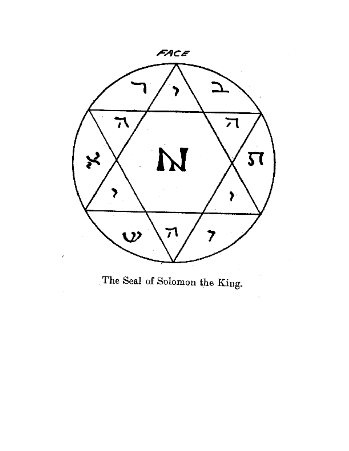

The Seal of Solomon the King.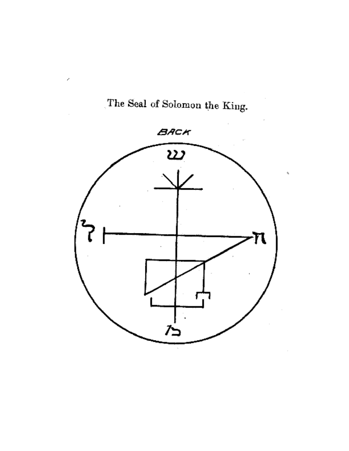

ł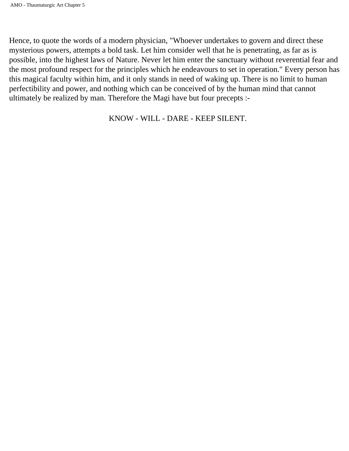Hence, to quote the words of a modern physician, "Whoever undertakes to govern and direct these mysterious powers, attempts a bold task. Let him consider well that he is penetrating, as far as is possible, into the highest laws of Nature. Never let him enter the sanctuary without reverential fear and the most profound respect for the principles which he endeavours to set in operation." Every person has this magical faculty within him, and it only stands in need of waking up. There is no limit to human perfectibility and power, and nothing which can be conceived of by the human mind that cannot ultimately be realized by man. Therefore the Magi have but four precepts :-

KNOW - WILL - DARE - KEEP SILENT.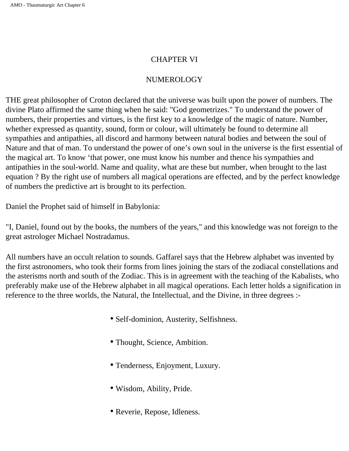# CHAPTER VI

## NUMEROLOGY

THE great philosopher of Croton declared that the universe was built upon the power of numbers. The divine Plato affirmed the same thing when he said: "God geometrizes." To understand the power of numbers, their properties and virtues, is the first key to a knowledge of the magic of nature. Number, whether expressed as quantity, sound, form or colour, will ultimately be found to determine all sympathies and antipathies, all discord and harmony between natural bodies and between the soul of Nature and that of man. To understand the power of one's own soul in the universe is the first essential of the magical art. To know 'that power, one must know his number and thence his sympathies and antipathies in the soul-world. Name and quality, what are these but number, when brought to the last equation ? By the right use of numbers all magical operations are effected, and by the perfect knowledge of numbers the predictive art is brought to its perfection.

Daniel the Prophet said of himself in Babylonia:

"I, Daniel, found out by the books, the numbers of the years," and this knowledge was not foreign to the great astrologer Michael Nostradamus.

All numbers have an occult relation to sounds. Gaffarel says that the Hebrew alphabet was invented by the first astronomers, who took their forms from lines joining the stars of the zodiacal constellations and the asterisms north and south of the Zodiac. This is in agreement with the teaching of the Kabalists, who preferably make use of the Hebrew alphabet in all magical operations. Each letter holds a signification in reference to the three worlds, the Natural, the Intellectual, and the Divine, in three degrees :-

- Self-dominion, Austerity, Selfishness.
- Thought, Science, Ambition.
- Tenderness, Enjoyment, Luxury.
- Wisdom, Ability, Pride.
- Reverie, Repose, Idleness.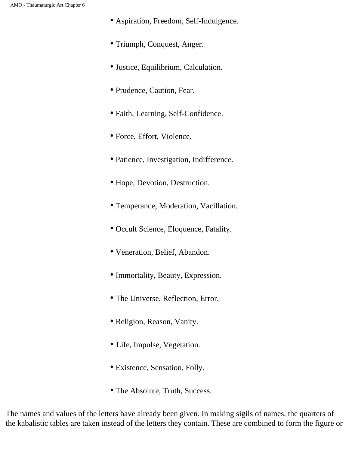- Aspiration, Freedom, Self-Indulgence.
- Triumph, Conquest, Anger.
- Justice, Equilibrium, Calculation.
- Prudence, Caution, Fear.
- Faith, Learning, Self-Confidence.
- Force, Effort, Violence.
- Patience, Investigation, Indifference.
- Hope, Devotion, Destruction.
- Temperance, Moderation, Vacillation.
- Occult Science, Eloquence, Fatality.
- Veneration, Belief, Abandon.
- Immortality, Beauty, Expression.
- The Universe, Reflection, Error.
- Religion, Reason, Vanity.
- Life, Impulse, Vegetation.
- Existence, Sensation, Folly.
- The Absolute, Truth, Success.

The names and values of the letters have already been given. In making sigils of names, the quarters of the kabalistic tables are taken instead of the letters they contain. These are combined to form the figure or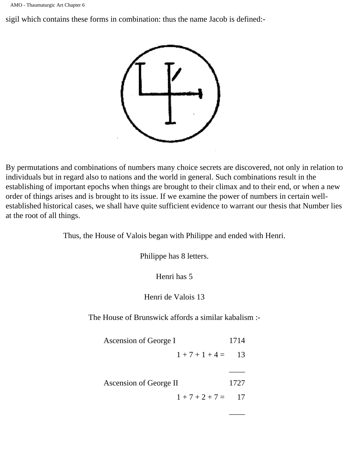sigil which contains these forms in combination: thus the name Jacob is defined:-



By permutations and combinations of numbers many choice secrets are discovered, not only in relation to individuals but in regard also to nations and the world in general. Such combinations result in the establishing of important epochs when things are brought to their climax and to their end, or when a new order of things arises and is brought to its issue. If we examine the power of numbers in certain wellestablished historical cases, we shall have quite sufficient evidence to warrant our thesis that Number lies at the root of all things.

Thus, the House of Valois began with Philippe and ended with Henri.

Philippe has 8 letters.

Henri has 5

Henri de Valois 13

The House of Brunswick affords a similar kabalism :-

| Ascension of George I  | 1714              |
|------------------------|-------------------|
|                        | $1+7+1+4=$<br>13  |
|                        |                   |
| Ascension of George II | 1727              |
|                        | $1+7+2+7=$<br>-17 |

 $\overline{\phantom{a}}$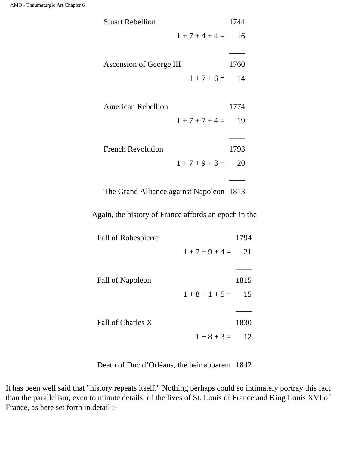| <b>Stuart Rebellion</b>                              |                   | 1744 |
|------------------------------------------------------|-------------------|------|
|                                                      | $1 + 7 + 4 + 4 =$ | 16   |
|                                                      |                   |      |
| Ascension of George III                              |                   | 1760 |
|                                                      | $1 + 7 + 6 = 14$  |      |
| <b>American Rebellion</b>                            |                   | 1774 |
|                                                      |                   |      |
|                                                      | $1+7+7+4=$        | 19   |
| <b>French Revolution</b>                             |                   | 1793 |
|                                                      | $1+7+9+3=$        | 20   |
|                                                      |                   |      |
| The Grand Alliance against Napoleon 1813             |                   |      |
| Again, the history of France affords an epoch in the |                   |      |
| Fall of Robespierre                                  |                   | 1794 |
|                                                      | $1+7+9+4=$        | 21   |
|                                                      |                   |      |
| Fall of Napoleon                                     |                   | 1815 |
|                                                      | $1+8+1+5=$        | 15   |
| Fall of Charles X                                    |                   | 1830 |
|                                                      | $1+8+3=$          | 12   |
|                                                      |                   |      |
|                                                      |                   |      |

Death of Duc d'Orléans, the heir apparent 1842

It has been well said that "history repeats itself." Nothing perhaps could so intimately portray this fact than the parallelism, even to minute details, of the lives of St. Louis of France and King Louis XVI of France, as here set forth in detail :-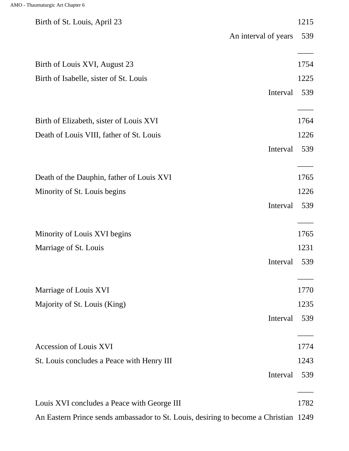AMO - Thaumaturgic Art Chapter 6

|                      | 1215                                                                                 |
|----------------------|--------------------------------------------------------------------------------------|
| An interval of years | 539                                                                                  |
|                      | 1754                                                                                 |
|                      | 1225                                                                                 |
| Interval             | 539                                                                                  |
|                      | 1764                                                                                 |
|                      | 1226                                                                                 |
| Interval             | 539                                                                                  |
|                      | 1765                                                                                 |
|                      | 1226                                                                                 |
| Interval             | 539                                                                                  |
|                      | 1765                                                                                 |
|                      | 1231                                                                                 |
| Interval             | 539                                                                                  |
|                      | 1770                                                                                 |
|                      | 1235                                                                                 |
| Interval             | 539                                                                                  |
|                      | 1774                                                                                 |
|                      | 1243                                                                                 |
| Interval             | 539                                                                                  |
|                      | 1782                                                                                 |
|                      |                                                                                      |
|                      | An Eastern Prince sends ambassador to St. Louis, desiring to become a Christian 1249 |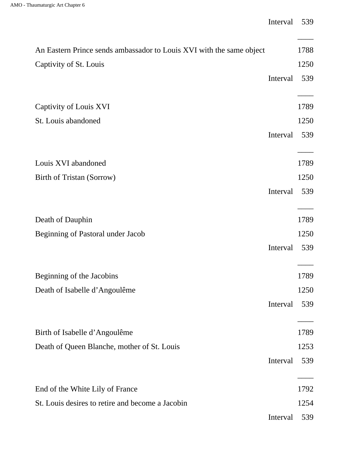| An Eastern Prince sends ambassador to Louis XVI with the same object |          | 1788 |
|----------------------------------------------------------------------|----------|------|
| Captivity of St. Louis                                               |          | 1250 |
|                                                                      | Interval | 539  |
|                                                                      |          |      |
| Captivity of Louis XVI                                               |          | 1789 |
| St. Louis abandoned                                                  |          | 1250 |
|                                                                      | Interval | 539  |
| Louis XVI abandoned                                                  |          | 1789 |
| Birth of Tristan (Sorrow)                                            |          | 1250 |
|                                                                      | Interval | 539  |
| Death of Dauphin                                                     |          | 1789 |
| Beginning of Pastoral under Jacob                                    |          | 1250 |
|                                                                      | Interval | 539  |
| Beginning of the Jacobins                                            |          | 1789 |
| Death of Isabelle d'Angoulême                                        |          | 1250 |
|                                                                      | Interval | 539  |
| Birth of Isabelle d'Angoulême                                        |          | 1789 |
| Death of Queen Blanche, mother of St. Louis                          |          | 1253 |
|                                                                      | Interval | 539  |
|                                                                      |          |      |
| End of the White Lily of France                                      |          | 1792 |
| St. Louis desires to retire and become a Jacobin                     |          | 1254 |
|                                                                      | Interval | 539  |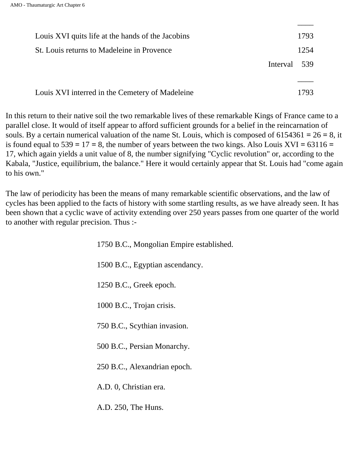| Louis XVI quits life at the hands of the Jacobins | 1793 |
|---------------------------------------------------|------|
| St. Louis returns to Madeleine in Provence        | 1254 |
| Interval                                          | 539  |
|                                                   |      |
| Louis XVI interred in the Cemetery of Madeleine   | 1793 |

 $\overline{\phantom{a}}$ 

In this return to their native soil the two remarkable lives of these remarkable Kings of France came to a parallel close. It would of itself appear to afford sufficient grounds for a belief in the reincarnation of souls. By a certain numerical valuation of the name St. Louis, which is composed of 6154361 *=* 26 *=* 8, it is found equal to  $539 = 17 = 8$ , the number of years between the two kings. Also Louis XVI =  $63116 =$ 17, which again yields a unit value of 8, the number signifying "Cyclic revolution" or, according to the Kabala, "Justice, equilibrium, the balance." Here it would certainly appear that St. Louis had "come again to his own."

The law of periodicity has been the means of many remarkable scientific observations, and the law of cycles has been applied to the facts of history with some startling results, as we have already seen. It has been shown that a cyclic wave of activity extending over 250 years passes from one quarter of the world to another with regular precision. Thus :-

> 1750 B.C., Mongolian Empire established. 1500 B.C., Egyptian ascendancy. 1250 B.C., Greek epoch. 1000 B.C., Trojan crisis. 750 B.C., Scythian invasion. 500 B.C., Persian Monarchy. 250 B.C., Alexandrian epoch. A.D. 0, Christian era. A.D. 250, The Huns.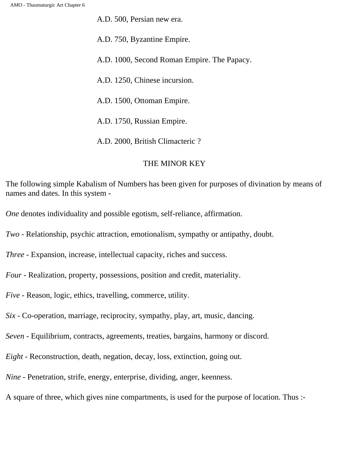A.D. 500, Persian new era.

- A.D. 750, Byzantine Empire.
- A.D. 1000, Second Roman Empire. The Papacy.
- A.D. 1250, Chinese incursion.
- A.D. 1500, Ottoman Empire.
- A.D. 1750, Russian Empire.
- A.D. 2000, British Climacteric ?

#### THE MINOR KEY

The following simple Kabalism of Numbers has been given for purposes of divination by means of names and dates. In this system -

*One* denotes individuality and possible egotism, self-reliance, affirmation.

*Two* - Relationship, psychic attraction, emotionalism, sympathy or antipathy, doubt.

*Three* - Expansion, increase, intellectual capacity, riches and success.

- *Four* Realization, property, possessions, position and credit, materiality.
- *Five* Reason, logic, ethics, travelling, commerce, utility.
- *Six* Co-operation, marriage, reciprocity, sympathy, play, art, music, dancing.
- *Seven*  Equilibrium, contracts, agreements, treaties, bargains, harmony or discord.
- *Eight* Reconstruction, death, negation, decay, loss, extinction, going out.
- *Nine* Penetration, strife, energy, enterprise, dividing, anger, keenness.
- A square of three, which gives nine compartments, is used for the purpose of location. Thus :-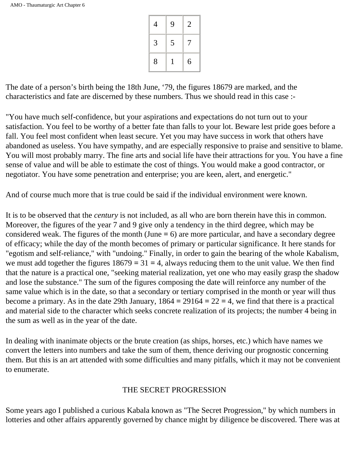| $\overline{4}$ | 9            | $\overline{2}$ |
|----------------|--------------|----------------|
| 3              | 5            | 7              |
| 8              | $\mathbf{1}$ | 6              |

The date of a person's birth being the 18th June, '79, the figures 18679 are marked, and the characteristics and fate are discerned by these numbers. Thus we should read in this case :-

"You have much self-confidence, but your aspirations and expectations do not turn out to your satisfaction. You feel to be worthy of a better fate than falls to your lot. Beware lest pride goes before a fall. You feel most confident when least secure. Yet you may have success in work that others have abandoned as useless. You have sympathy, and are especially responsive to praise and sensitive to blame. You will most probably marry. The fine arts and social life have their attractions for you. You have a fine sense of value and will be able to estimate the cost of things. You would make a good contractor, or negotiator. You have some penetration and enterprise; you are keen, alert, and energetic."

And of course much more that is true could be said if the individual environment were known.

It is to be observed that the *century* is not included, as all who are born therein have this in common. Moreover, the figures of the year 7 and 9 give only a tendency in the third degree, which may be considered weak. The figures of the month (June *=* 6) are more particular, and have a secondary degree of efficacy; while the day of the month becomes of primary or particular significance. It here stands for "egotism and self-reliance," with "undoing." Finally, in order to gain the bearing of the whole Kabalism, we must add together the figures  $18679 = 31 = 4$ , always reducing them to the unit value. We then find that the nature is a practical one, "seeking material realization, yet one who may easily grasp the shadow and lose the substance." The sum of the figures composing the date will reinforce any number of the same value which is in the date, so that a secondary or tertiary comprised in the month or year will thus become a primary. As in the date 29th January,  $1864 = 29164 = 22 = 4$ , we find that there is a practical and material side to the character which seeks concrete realization of its projects; the number 4 being in the sum as well as in the year of the date.

In dealing with inanimate objects or the brute creation (as ships, horses, etc.) which have names we convert the letters into numbers and take the sum of them, thence deriving our prognostic concerning them. But this is an art attended with some difficulties and many pitfalls, which it may not be convenient to enumerate.

### THE SECRET PROGRESSION

Some years ago I published a curious Kabala known as "The Secret Progression," by which numbers in lotteries and other affairs apparently governed by chance might by diligence be discovered. There was at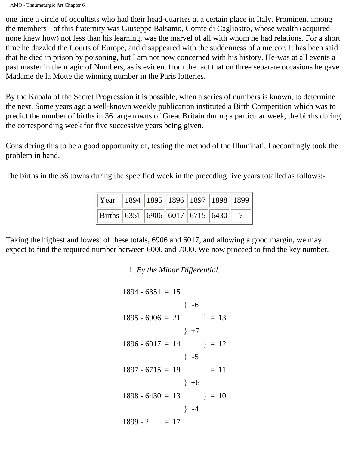one time a circle of occultists who had their head-quarters at a certain place in Italy. Prominent among the members - of this fraternity was Giuseppe Balsamo, Comte di Cagliostro, whose wealth (acquired none knew how) not less than his learning, was the marvel of all with whom he had relations. For a short time he dazzled the Courts of Europe, and disappeared with the suddenness of a meteor. It has been said that he died in prison by poisoning, but I am not now concerned with his history. He-was at all events a past master in the magic of Numbers, as is evident from the fact that on three separate occasions he gave Madame de la Motte the winning number in the Paris lotteries.

By the Kabala of the Secret Progression it is possible, when a series of numbers is known, to determine the next. Some years ago a well-known weekly publication instituted a Birth Competition which was to predict the number of births in 36 large towns of Great Britain during a particular week, the births during the corresponding week for five successive years being given.

Considering this to be a good opportunity of, testing the method of the Illuminati, I accordingly took the problem in hand.

The births in the 36 towns during the specified week in the preceding five years totalled as follows:-

| Year    1894    1895    1896    1897    1898    1899                                    |  |  |  |
|-----------------------------------------------------------------------------------------|--|--|--|
| $\vert$ Births $\vert$ 6351 $\vert$ 6906 $\vert$ 6017 $\vert$ 6715 $\vert$ 6430 $\vert$ |  |  |  |

Taking the highest and lowest of these totals, 6906 and 6017, and allowing a good margin, we may expect to find the required number between 6000 and 7000. We now proceed to find the key number.

1. *By the Minor Differential.*

```
1894 - 6351 = 15} -61895 - 6906 = 21 } = 13
   } +71896 - 6017 = 14 } = 12
 } -51897 - 6715 = 19 } = 11
} +61898 - 6430 = 13 } = 10
} -41899 - ? = 17
```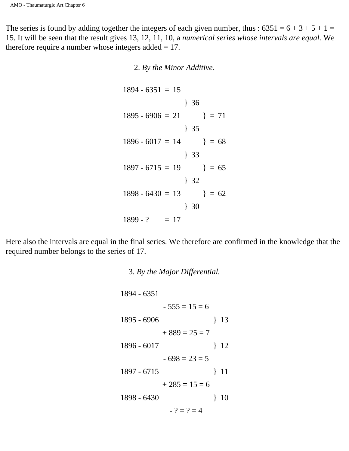The series is found by adding together the integers of each given number, thus :  $6351 = 6 + 3 + 5 + 1 =$ 15. It will be seen that the result gives 13, 12, 11, 10, a *numerical series whose intervals are equal.* We therefore require a number whose integers added  $= 17$ .

2. *By the Minor Additive.*

 $1894 - 6351 = 15$ } 36  $1895 - 6906 = 21$  } = 71 } 35  $1896 - 6017 = 14$  } = 68 } 33  $1897 - 6715 = 19$  } = 65 } 32  $1898 - 6430 = 13$  } = 62 } 30  $1899 - ? = 17$ 

Here also the intervals are equal in the final series. We therefore are confirmed in the knowledge that the required number belongs to the series of 17.

3. *By the Major Differential.*

| 1894 - 6351 |                 |       |
|-------------|-----------------|-------|
|             | $-555 = 15 = 6$ |       |
| 1895 - 6906 |                 | 13    |
|             | $+889=25=7$     |       |
| 1896 - 6017 |                 | 12    |
|             | $-698 = 23 = 5$ |       |
| 1897 - 6715 |                 | $+11$ |
|             | $+285=15=6$     |       |
| 1898 - 6430 |                 | $+10$ |
|             | $-2 = 2 = 4$    |       |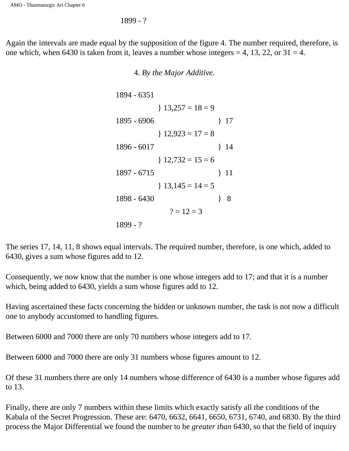1899 - ?

Again the intervals are made equal by the supposition of the figure 4. The number required, therefore, is one which, when 6430 is taken from it, leaves a number whose integers  $= 4$ , 13, 22, or 31  $= 4$ .

4. *By the Major Additive.*

1894 - 6351  $\{13,257 = 18 = 9\}$ 1895 - 6906 } 17  $\{12,923 = 17 = 8\}$ 1896 - 6017 } 14  $\frac{12,732} = 15 = 6$ 1897 - 6715 } 11  $\}$  13,145 = 14 = 5 1898 - 6430 } 8  $? = 12 = 3$ 1899 - ?

The series 17, 14, 11, 8 shows equal intervals. The required number, therefore, is one which, added to 6430, gives a sum whose figures add to 12.

Consequently, we now know that the number is one whose integers add to 17; and that it is a number which, being added to 6430, yields a sum whose figures add to 12.

Having ascertained these facts concerning the hidden or unknown number, the task is not now a difficult one to anybody accustomed to handling figures.

Between 6000 and 7000 there are only 70 numbers whose integers add to 17.

Between 6000 and 7000 there are only 31 numbers whose figures amount to 12.

Of these 31 numbers there are only 14 numbers whose difference of 6430 is a number whose figures add to 13.

Finally, there are only 7 numbers within these limits which exactly satisfy all the conditions of the Kabala of the Secret Progression. These are: 6470, 6632, 6641, 6650, 6731, 6740, and 6830. By the third process the Major Differential we found the number to be *greater than* 6430, so that the field of inquiry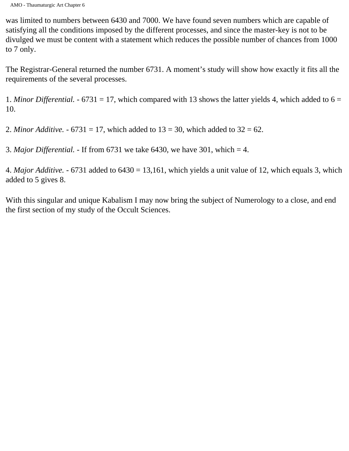was limited to numbers between 6430 and 7000. We have found seven numbers which are capable of satisfying all the conditions imposed by the different processes, and since the master-key is not to be divulged we must be content with a statement which reduces the possible number of chances from 1000 to 7 only.

The Registrar-General returned the number 6731. A moment's study will show how exactly it fits all the requirements of the several processes.

1. *Minor Differential.*  $-6731 = 17$ , which compared with 13 shows the latter yields 4, which added to  $6 =$ 10.

2. *Minor Additive.*  $-6731 = 17$ , which added to  $13 = 30$ , which added to  $32 = 62$ .

3. *Major Differential.* - If from 6731 we take 6430, we have 301, which = 4.

4. *Major Additive.* - 6731 added to 6430 = 13,161, which yields a unit value of 12, which equals 3, which added to 5 gives 8.

With this singular and unique Kabalism I may now bring the subject of Numerology to a close, and end the first section of my study of the Occult Sciences.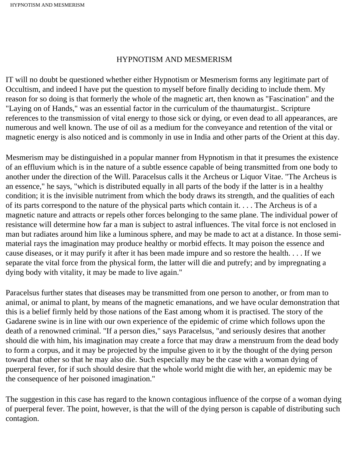### HYPNOTISM AND MESMERISM

IT will no doubt be questioned whether either Hypnotism or Mesmerism forms any legitimate part of Occultism, and indeed I have put the question to myself before finally deciding to include them. My reason for so doing is that formerly the whole of the magnetic art, then known as "Fascination" and the "Laying on of Hands," was an essential factor in the curriculum of the thaumaturgist.. Scripture references to the transmission of vital energy to those sick or dying, or even dead to all appearances, are numerous and well known. The use of oil as a medium for the conveyance and retention of the vital or magnetic energy is also noticed and is commonly in use in India and other parts of the Orient at this day.

Mesmerism may be distinguished in a popular manner from Hypnotism in that it presumes the existence of an effluvium which is in the nature of a subtle essence capable of being transmitted from one body to another under the direction of the Will. Paracelsus calls it the Archeus or Liquor Vitae. "The Archeus is an essence," he says, "which is distributed equally in all parts of the body if the latter is in a healthy condition; it is the invisible nutriment from which the body draws its strength, and the qualities of each of its parts correspond to the nature of the physical parts which contain it. . . . The Archeus is of a magnetic nature and attracts or repels other forces belonging to the same plane. The individual power of resistance will determine how far a man is subject to astral influences. The vital force is not enclosed in man but radiates around him like a luminous sphere, and may be made to act at a distance. In those semimaterial rays the imagination may produce healthy or morbid effects. It may poison the essence and cause diseases, or it may purify it after it has been made impure and so restore the health. . . . If we separate the vital force from the physical form, the latter will die and putrefy; and by impregnating a dying body with vitality, it may be made to live again."

Paracelsus further states that diseases may be transmitted from one person to another, or from man to animal, or animal to plant, by means of the magnetic emanations, and we have ocular demonstration that this is a belief firmly held by those nations of the East among whom it is practised. The story of the Gadarene swine is in line with our own experience of the epidemic of crime which follows upon the death of a renowned criminal. "If a person dies," says Paracelsus, "and seriously desires that another should die with him, his imagination may create a force that may draw a menstruum from the dead body to form a corpus, and it may be projected by the impulse given to it by the thought of the dying person toward that other so that he may also die. Such especially may be the case with a woman dying of puerperal fever, for if such should desire that the whole world might die with her, an epidemic may be the consequence of her poisoned imagination."

The suggestion in this case has regard to the known contagious influence of the corpse of a woman dying of puerperal fever. The point, however, is that the will of the dying person is capable of distributing such contagion.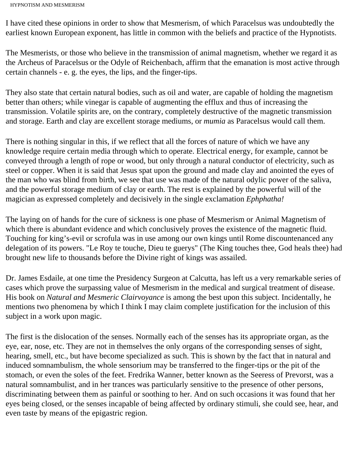I have cited these opinions in order to show that Mesmerism, of which Paracelsus was undoubtedly the earliest known European exponent, has little in common with the beliefs and practice of the Hypnotists.

The Mesmerists, or those who believe in the transmission of animal magnetism, whether we regard it as the Archeus of Paracelsus or the Odyle of Reichenbach, affirm that the emanation is most active through certain channels - e. g. the eyes, the lips, and the finger-tips.

They also state that certain natural bodies, such as oil and water, are capable of holding the magnetism better than others; while vinegar is capable of augmenting the efflux and thus of increasing the transmission. Volatile spirits are, on the contrary, completely destructive of the magnetic transmission and storage. Earth and clay are excellent storage mediums, or *mumia* as Paracelsus would call them.

There is nothing singular in this, if we reflect that all the forces of nature of which we have any knowledge require certain media through which to operate. Electrical energy, for example, cannot be conveyed through a length of rope or wood, but only through a natural conductor of electricity, such as steel or copper. When it is said that Jesus spat upon the ground and made clay and anointed the eyes of the man who was blind from birth, we see that use was made of the natural odylic power of the saliva, and the powerful storage medium of clay or earth. The rest is explained by the powerful will of the magician as expressed completely and decisively in the single exclamation *Ephphatha!*

The laying on of hands for the cure of sickness is one phase of Mesmerism or Animal Magnetism of which there is abundant evidence and which conclusively proves the existence of the magnetic fluid. Touching for king's-evil or scrofula was in use among our own kings until Rome discountenanced any delegation of its powers. "Le Roy te touche, Dieu te guerys" (The King touches thee, God heals thee) had brought new life to thousands before the Divine right of kings was assailed.

Dr. James Esdaile, at one time the Presidency Surgeon at Calcutta, has left us a very remarkable series of cases which prove the surpassing value of Mesmerism in the medical and surgical treatment of disease. His book on *Natural and Mesmeric Clairvoyance* is among the best upon this subject. Incidentally, he mentions two phenomena by which I think I may claim complete justification for the inclusion of this subject in a work upon magic.

The first is the dislocation of the senses. Normally each of the senses has its appropriate organ, as the eye, ear, nose, etc. They are not in themselves the only organs of the corresponding senses of sight, hearing, smell, etc., but have become specialized as such. This is shown by the fact that in natural and induced somnambulism, the whole sensorium may be transferred to the finger-tips or the pit of the stomach, or even the soles of the feet. Fredrika Wanner, better known as the Seeress of Prevorst, was a natural somnambulist, and in her trances was particularly sensitive to the presence of other persons, discriminating between them as painful or soothing to her. And on such occasions it was found that her eyes being closed, or the senses incapable of being affected by ordinary stimuli, she could see, hear, and even taste by means of the epigastric region.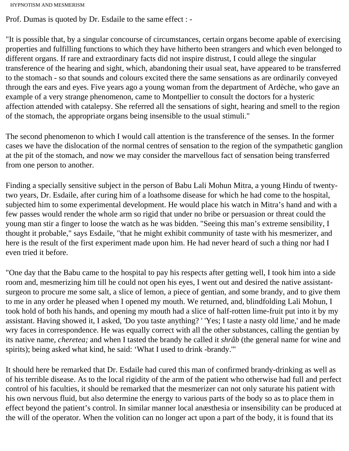HYPNOTISM AND MESMERISM

Prof. Dumas is quoted by Dr. Esdaile to the same effect : -

"It is possible that, by a singular concourse of circumstances, certain organs become apable of exercising properties and fulfilling functions to which they have hitherto been strangers and which even belonged to different organs. If rare and extraordinary facts did not inspire distrust, I could allege the singular transference of the hearing and sight, which, abandoning their usual seat, have appeared to be transferred to the stomach - so that sounds and colours excited there the same sensations as are ordinarily conveyed through the ears and eyes. Five years ago a young woman from the department of Ardèche, who gave an example of a very strange phenomenon, came to Montpellier to consult the doctors for a hysteric affection attended with catalepsy. She referred all the sensations of sight, hearing and smell to the region of the stomach, the appropriate organs being insensible to the usual stimuli."

The second phenomenon to which I would call attention is the transference of the senses. In the former cases we have the dislocation of the normal centres of sensation to the region of the sympathetic ganglion at the pit of the stomach, and now we may consider the marvellous fact of sensation being transferred from one person to another.

Finding a specially sensitive subject in the person of Babu Lali Mohun Mitra, a young Hindu of twentytwo years, Dr. Esdaile, after curing him of a loathsome disease for which he had come to the hospital, subjected him to some experimental development. He would place his watch in Mitra's hand and with a few passes would render the whole arm so rigid that under no bribe or persuasion or threat could the young man stir a finger to loose the watch as he was bidden. "Seeing this man's extreme sensibility, I thought it probable," says Esdaile, "that he might exhibit community of taste with his mesmerizer, and here is the result of the first experiment made upon him. He had never heard of such a thing nor had I even tried it before.

"One day that the Babu came to the hospital to pay his respects after getting well, I took him into a side room and, mesmerizing him till he could not open his eyes, I went out and desired the native assistantsurgeon to procure me some salt, a slice of lemon, a piece of gentian, and some brandy, and to give them to me in any order he pleased when I opened my mouth. We returned, and, blindfolding Lali Mohun, I took hold of both his hands, and opening my mouth had a slice of half-rotten lime-fruit put into it by my assistant. Having showed it, I asked, 'Do you taste anything? ' 'Yes; I taste a nasty old lime,' and he made wry faces in correspondence. He was equally correct with all the other substances, calling the gentian by its native name, *cheretea;* and when I tasted the brandy he called it *shrâb* (the general name for wine and spirits); being asked what kind, he said: 'What I used to drink -brandy.'"

It should here be remarked that Dr. Esdaile had cured this man of confirmed brandy-drinking as well as of his terrible disease. As to the local rigidity of the arm of the patient who otherwise had full and perfect control of his faculties, it should be remarked that the mesmerizer can not only saturate his patient with his own nervous fluid, but also determine the energy to various parts of the body so as to place them in effect beyond the patient's control. In similar manner local anæsthesia or insensibility can be produced at the will of the operator. When the volition can no longer act upon a part of the body, it is found that its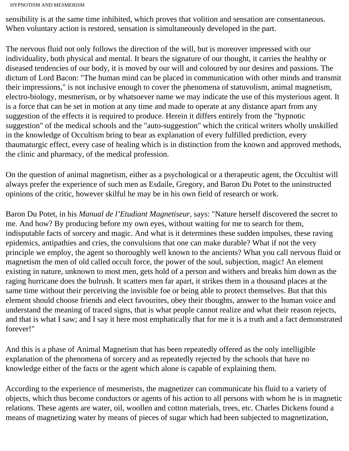```
HYPNOTISM AND MESMERISM
```
sensibility is at the same time inhibited, which proves that volition and sensation are consentaneous. When voluntary action is restored, sensation is simultaneously developed in the part.

The nervous fluid not only follows the direction of the will, but is moreover impressed with our individuality, both physical and mental. It bears the signature of our thought, it carries the healthy or diseased tendencies of our body, it is moved by our will and coloured by our desires and passions. The dictum of Lord Bacon: "The human mind can be placed in communication with other minds and transmit their impressions," is not inclusive enough to cover the phenomena of statuvolism, animal magnetism, electro-biology, mesmerism, or by whatsoever name we may indicate the use of this mysterious agent. It is a force that can be set in motion at any time and made to operate at any distance apart from any suggestion of the effects it is required to produce. Herein it differs entirely from the "hypnotic suggestion" of the medical schools and the "auto-suggestion" which the critical writers wholly unskilled in the knowledge of Occultism bring to bear as explanation of every fulfilled prediction, every thaumaturgic effect, every case of healing which is in distinction from the known and approved methods, the clinic and pharmacy, of the medical profession.

On the question of animal magnetism, either as a psychological or a therapeutic agent, the Occultist will always prefer the experience of such men as Esdaile, Gregory, and Baron Du Potet to the uninstructed opinions of the critic, however skilful he may be in his own field of research or work.

Baron Du Potet, in his *Manual de l'Etudiant Magnetiseur,* says: "Nature herself discovered the secret to me. And how? By producing before my own eyes, without waiting for me to search for them, indisputable facts of sorcery and magic. And what is it determines these sudden impulses, these raving epidemics, antipathies and cries, the convulsions that one can make durable? What if not the very principle we employ, the agent so thoroughly well known to the ancients? What you call nervous fluid or magnetism the men of old called occult force, the power of the soul, subjection, magic! An element existing in nature, unknown to most men, gets hold of a person and withers and breaks him down as the raging hurricane does the bulrush. It scatters men far apart, it strikes them in a thousand places at the same time without their perceiving the invisible foe or being able to protect themselves. But that this element should choose friends and elect favourites, obey their thoughts, answer to the human voice and understand the meaning of traced signs, that is what people cannot realize and what their reason rejects, and that is what I saw; and I say it here most emphatically that for me it is a truth and a fact demonstrated forever!"

And this is a phase of Animal Magnetism that has been repeatedly offered as the only intelligible explanation of the phenomena of sorcery and as repeatedly rejected by the schools that have no knowledge either of the facts or the agent which alone is capable of explaining them.

According to the experience of mesmerists, the magnetizer can communicate his fluid to a variety of objects, which thus become conductors or agents of his action to all persons with whom he is in magnetic relations. These agents are water, oil, woollen and cotton materials, trees, etc. Charles Dickens found a means of magnetizing water by means of pieces of sugar which had been subjected to magnetization,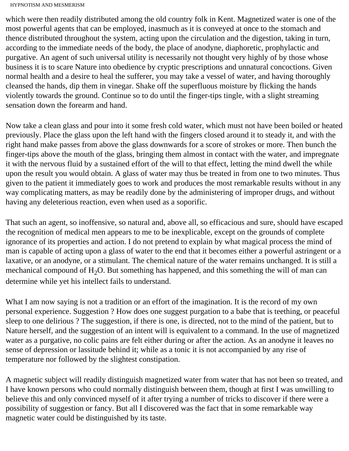#### HYPNOTISM AND MESMERISM

which were then readily distributed among the old country folk in Kent. Magnetized water is one of the most powerful agents that can be employed, inasmuch as it is conveyed at once to the stomach and thence distributed throughout the system, acting upon the circulation and the digestion, taking in turn, according to the immediate needs of the body, the place of anodyne, diaphoretic, prophylactic and purgative. An agent of such universal utility is necessarily not thought very highly of by those whose business it is to scare Nature into obedience by cryptic prescriptions and unnatural concoctions. Given normal health and a desire to heal the sufferer, you may take a vessel of water, and having thoroughly cleansed the hands, dip them in vinegar. Shake off the superfluous moisture by flicking the hands violently towards the ground. Continue so to do until the finger-tips tingle, with a slight streaming sensation down the forearm and hand.

Now take a clean glass and pour into it some fresh cold water, which must not have been boiled or heated previously. Place the glass upon the left hand with the fingers closed around it to steady it, and with the right hand make passes from above the glass downwards for a score of strokes or more. Then bunch the finger-tips above the mouth of the glass, bringing them almost in contact with the water, and impregnate it with the nervous fluid by a sustained effort of the will to that effect, letting the mind dwell the while upon the result you would obtain. A glass of water may thus be treated in from one to two minutes. Thus given to the patient it immediately goes to work and produces the most remarkable results without in any way complicating matters, as may be readily done by the administering of improper drugs, and without having any deleterious reaction, even when used as a soporific.

That such an agent, so inoffensive, so natural and, above all, so efficacious and sure, should have escaped the recognition of medical men appears to me to be inexplicable, except on the grounds of complete ignorance of its properties and action. I do not pretend to explain by what magical process the mind of man is capable of acting upon a glass of water to the end that it becomes either a powerful astringent or a laxative, or an anodyne, or a stimulant. The chemical nature of the water remains unchanged. It is still a mechanical compound of  $H_2O$ . But something has happened, and this something the will of man can determine while yet his intellect fails to understand.

What I am now saying is not a tradition or an effort of the imagination. It is the record of my own personal experience. Suggestion ? How does one suggest purgation to a babe that is teething, or peaceful sleep to one delirious ? The suggestion, if there is one, is directed, not to the mind of the patient, but to Nature herself, and the suggestion of an intent will is equivalent to a command. In the use of magnetized water as a purgative, no colic pains are felt either during or after the action. As an anodyne it leaves no sense of depression or lassitude behind it; while as a tonic it is not accompanied by any rise of temperature nor followed by the slightest constipation.

A magnetic subject will readily distinguish magnetized water from water that has not been so treated, and I have known persons who could normally distinguish between them, though at first I was unwilling to believe this and only convinced myself of it after trying a number of tricks to discover if there were a possibility of suggestion or fancy. But all I discovered was the fact that in some remarkable way magnetic water could be distinguished by its taste.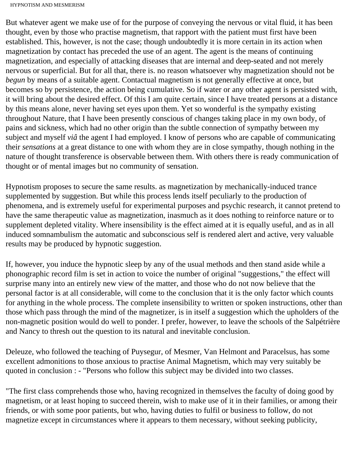HYPNOTISM AND MESMERISM

But whatever agent we make use of for the purpose of conveying the nervous or vital fluid, it has been thought, even by those who practise magnetism, that rapport with the patient must first have been established. This, however, is not the case; though undoubtedly it is more certain in its action when magnetization by contact has preceded the use of an agent. The agent is the means of continuing magnetization, and especially of attacking diseases that are internal and deep-seated and not merely nervous or superficial. But for all that, there is. no reason whatsoever why magnetization should not be *begun* by means of a suitable agent. Contactual magnetism is not generally effective at once, but becomes so by persistence, the action being cumulative. So if water or any other agent is persisted with, it will bring about the desired effect. Of this I am quite certain, since I have treated persons at a distance by this means alone, never having set eyes upon them. Yet so wonderful is the sympathy existing throughout Nature, that I have been presently conscious of changes taking place in my own body, of pains and sickness, which had no other origin than the subtle connection of sympathy between my subject and myself *viâ* the agent I had employed. I know of persons who are capable of communicating their *sensations* at a great distance to one with whom they are in close sympathy, though nothing in the nature of thought transference is observable between them. With others there is ready communication of thought or of mental images but no community of sensation.

Hypnotism proposes to secure the same results. as magnetization by mechanically-induced trance supplemented by suggestion. But while this process lends itself peculiarly to the production of phenomena, and is extremely useful for experimental purposes and psychic research, it cannot pretend to have the same therapeutic value as magnetization, inasmuch as it does nothing to reinforce nature or to supplement depleted vitality. Where insensibility is the effect aimed at it is equally useful, and as in all induced somnambulism the automatic and subconscious self is rendered alert and active, very valuable results may be produced by hypnotic suggestion.

If, however, you induce the hypnotic sleep by any of the usual methods and then stand aside while a phonographic record film is set in action to voice the number of original "suggestions," the effect will surprise many into an entirely new view of the matter, and those who do not now believe that the personal factor is at all considerable, will come to the conclusion that it is the only factor which counts for anything in the whole process. The complete insensibility to written or spoken instructions, other than those which pass through the mind of the magnetizer, is in itself a suggestion which the upholders of the non-magnetic position would do well to ponder. I prefer, however, to leave the schools of the Salpétrière and Nancy to thresh out the question to its natural and inevitable conclusion.

Deleuze, who followed the teaching of Puysegur, of Mesmer, Van Helmont and Paracelsus, has some excellent admonitions to those anxious to practise Animal Magnetism, which may very suitably be quoted in conclusion : - "Persons who follow this subject may be divided into two classes.

"The first class comprehends those who, having recognized in themselves the faculty of doing good by magnetism, or at least hoping to succeed therein, wish to make use of it in their families, or among their friends, or with some poor patients, but who, having duties to fulfil or business to follow, do not magnetize except in circumstances where it appears to them necessary, without seeking publicity,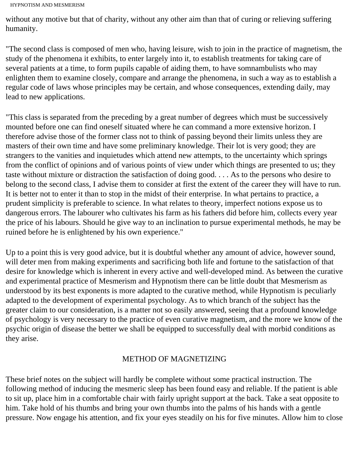without any motive but that of charity, without any other aim than that of curing or relieving suffering humanity.

"The second class is composed of men who, having leisure, wish to join in the practice of magnetism, the study of the phenomena it exhibits, to enter largely into it, to establish treatments for taking care of several patients at a time, to form pupils capable of aiding them, to have somnambulists who may enlighten them to examine closely, compare and arrange the phenomena, in such a way as to establish a regular code of laws whose principles may be certain, and whose consequences, extending daily, may lead to new applications.

"This class is separated from the preceding by a great number of degrees which must be successively mounted before one can find oneself situated where he can command a more extensive horizon. I therefore advise those of the former class not to think of passing beyond their limits unless they are masters of their own time and have some preliminary knowledge. Their lot is very good; they are strangers to the vanities and inquietudes which attend new attempts, to the uncertainty which springs from the conflict of opinions and of various points of view under which things are presented to us; they taste without mixture or distraction the satisfaction of doing good. . . . As to the persons who desire to belong to the second class, I advise them to consider at first the extent of the career they will have to run. It is better not to enter it than to stop in the midst of their enterprise. In what pertains to practice, a prudent simplicity is preferable to science. In what relates to theory, imperfect notions expose us to dangerous errors. The labourer who cultivates his farm as his fathers did before him, collects every year the price of his labours. Should he give way to an inclination to pursue experimental methods, he may be ruined before he is enlightened by his own experience."

Up to a point this is very good advice, but it is doubtful whether any amount of advice, however sound, will deter men from making experiments and sacrificing both life and fortune to the satisfaction of that desire for knowledge which is inherent in every active and well-developed mind. As between the curative and experimental practice of Mesmerism and Hypnotism there can be little doubt that Mesmerism as understood by its best exponents is more adapted to the curative method, while Hypnotism is peculiarly adapted to the development of experimental psychology. As to which branch of the subject has the greater claim to our consideration, is a matter not so easily answered, seeing that a profound knowledge of psychology is very necessary to the practice of even curative magnetism, and the more we know of the psychic origin of disease the better we shall be equipped to successfully deal with morbid conditions as they arise.

# METHOD OF MAGNETIZING

These brief notes on the subject will hardly be complete without some practical instruction. The following method of inducing the mesmeric sleep has been found easy and reliable. If the patient is able to sit up, place him in a comfortable chair with fairly upright support at the back. Take a seat opposite to him. Take hold of his thumbs and bring your own thumbs into the palms of his hands with a gentle pressure. Now engage his attention, and fix your eyes steadily on his for five minutes. Allow him to close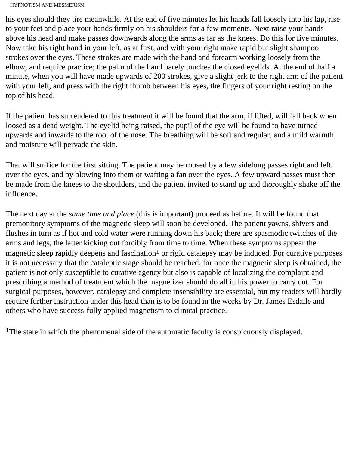HYPNOTISM AND MESMERISM

his eyes should they tire meanwhile. At the end of five minutes let his hands fall loosely into his lap, rise to your feet and place your hands firmly on his shoulders for a few moments. Next raise your hands above his head and make passes downwards along the arms as far as the knees. Do this for five minutes. Now take his right hand in your left, as at first, and with your right make rapid but slight shampoo strokes over the eyes. These strokes are made with the hand and forearm working loosely from the elbow, and require practice; the palm of the hand barely touches the closed eyelids. At the end of half a minute, when you will have made upwards of 200 strokes, give a slight jerk to the right arm of the patient with your left, and press with the right thumb between his eyes, the fingers of your right resting on the top of his head.

If the patient has surrendered to this treatment it will be found that the arm, if lifted, will fall back when loosed as a dead weight. The eyelid being raised, the pupil of the eye will be found to have turned upwards and inwards to the root of the nose. The breathing will be soft and regular, and a mild warmth and moisture will pervade the skin.

That will suffice for the first sitting. The patient may be roused by a few sidelong passes right and left over the eyes, and by blowing into them or wafting a fan over the eyes. A few upward passes must then be made from the knees to the shoulders, and the patient invited to stand up and thoroughly shake off the influence.

The next day at the *same time and place* (this is important) proceed as before. It will be found that premonitory symptoms of the magnetic sleep will soon be developed. The patient yawns, shivers and flushes in turn as if hot and cold water were running down his back; there are spasmodic twitches of the arms and legs, the latter kicking out forcibly from time to time. When these symptoms appear the magnetic sleep rapidly deepens and fascination<sup>1</sup> or rigid catalepsy may be induced. For curative purposes it is not necessary that the cataleptic stage should be reached, for once the magnetic sleep is obtained, the patient is not only susceptible to curative agency but also is capable of localizing the complaint and prescribing a method of treatment which the magnetizer should do all in his power to carry out. For surgical purposes, however, catalepsy and complete insensibility are essential, but my readers will hardly require further instruction under this head than is to be found in the works by Dr. James Esdaile and others who have success-fully applied magnetism to clinical practice.

1The state in which the phenomenal side of the automatic faculty is conspicuously displayed.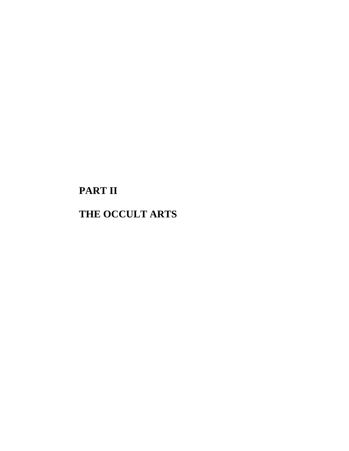# **PART II**

# THE OCCULT ARTS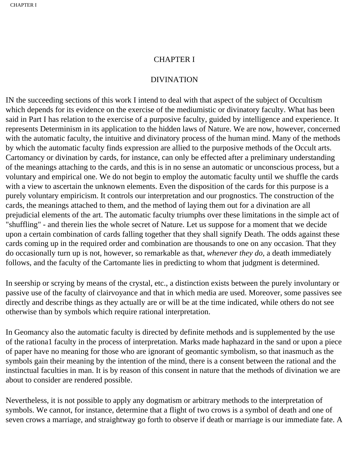### DIVINATION

IN the succeeding sections of this work I intend to deal with that aspect of the subject of Occultism which depends for its evidence on the exercise of the mediumistic or divinatory faculty. What has been said in Part I has relation to the exercise of a purposive faculty, guided by intelligence and experience. It represents Determinism in its application to the hidden laws of Nature. We are now, however, concerned with the automatic faculty, the intuitive and divinatory process of the human mind. Many of the methods by which the automatic faculty finds expression are allied to the purposive methods of the Occult arts. Cartomancy or divination by cards, for instance, can only be effected after a preliminary understanding of the meanings attaching to the cards, and this is in no sense an automatic or unconscious process, but a voluntary and empirical one. We do not begin to employ the automatic faculty until we shuffle the cards with a view to ascertain the unknown elements. Even the disposition of the cards for this purpose is a purely voluntary empiricism. It controls our interpretation and our prognostics. The construction of the cards, the meanings attached to them, and the method of laying them out for a divination are all prejudicial elements of the art. The automatic faculty triumphs over these limitations in the simple act of "shuffling" - and therein lies the whole secret of Nature. Let us suppose for a moment that we decide upon a certain combination of cards falling together that they shall signify Death. The odds against these cards coming up in the required order and combination are thousands to one on any occasion. That they do occasionally turn up is not, however, so remarkable as that, *whenever they do,* a death immediately follows, and the faculty of the Cartomante lies in predicting to whom that judgment is determined.

In seership or scrying by means of the crystal, etc., a distinction exists between the purely involuntary or passive use of the faculty of clairvoyance and that in which media are used. Moreover, some passives see directly and describe things as they actually are or will be at the time indicated, while others do not see otherwise than by symbols which require rational interpretation.

In Geomancy also the automatic faculty is directed by definite methods and is supplemented by the use of the rationa1 faculty in the process of interpretation. Marks made haphazard in the sand or upon a piece of paper have no meaning for those who are ignorant of geomantic symbolism, so that inasmuch as the symbols gain their meaning by the intention of the mind, there is a consent between the rational and the instinctual faculties in man. It is by reason of this consent in nature that the methods of divination we are about to consider are rendered possible.

Nevertheless, it is not possible to apply any dogmatism or arbitrary methods to the interpretation of symbols. We cannot, for instance, determine that a flight of two crows is a symbol of death and one of seven crows a marriage, and straightway go forth to observe if death or marriage is our immediate fate. A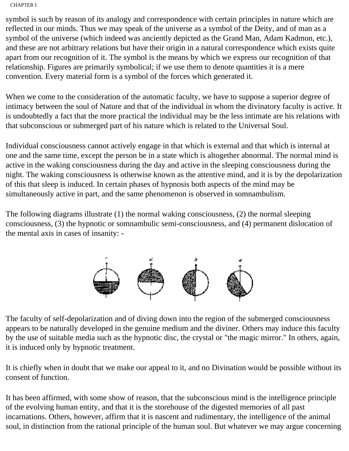symbol is such by reason of its analogy and correspondence with certain principles in nature which are reflected in our minds. Thus we may speak of the universe as a symbol of the Deity, and of man as a symbol of the universe (which indeed was anciently depicted as the Grand Man, Adam Kadmon, etc.), and these are not arbitrary relations but have their origin in a natural correspondence which exists quite apart from our recognition of it. The symbol is the means by which we express our recognition of that relationship. Figures are primarily symbolical; if we use them to denote quantities it is a mere convention. Every material form is a symbol of the forces which generated it.

When we come to the consideration of the automatic faculty, we have to suppose a superior degree of intimacy between the soul of Nature and that of the individual in whom the divinatory faculty is active. It is undoubtedly a fact that the more practical the individual may be the less intimate are his relations with that subconscious or submerged part of his nature which is related to the Universal Soul.

Individual consciousness cannot actively engage in that which is external and that which is internal at one and the same time, except the person be in a state which is altogether abnormal. The normal mind is active in the waking consciousness during the day and active in the sleeping consciousness during the night. The waking consciousness is otherwise known as the attentive mind, and it is by the depolarization of this that sleep is induced. In certain phases of hypnosis both aspects of the mind may be simultaneously active in part, and the same phenomenon is observed in somnambulism.

The following diagrams illustrate (1) the normal waking consciousness, (2) the normal sleeping consciousness, (3) the hypnotic or somnambulic semi-consciousness, and (4) permanent dislocation of the mental axis in cases of insanity: -



The faculty of self-depolarization and of diving down into the region of the submerged consciousness appears to be naturally developed in the genuine medium and the diviner. Others may induce this faculty by the use of suitable media such as the hypnotic disc, the crystal or "the magic mirror." In others, again, it is induced only by hypnotic treatment.

It is chiefly when in doubt that we make our appeal to it, and no Divination would be possible without its consent of function.

It has been affirmed, with some show of reason, that the subconscious mind is the intelligence principle of the evolving human entity, and that it is the storehouse of the digested memories of all past incarnations. Others, however, affirm that it is nascent and rudimentary, the intelligence of the animal soul, in distinction from the rational principle of the human soul. But whatever we may argue concerning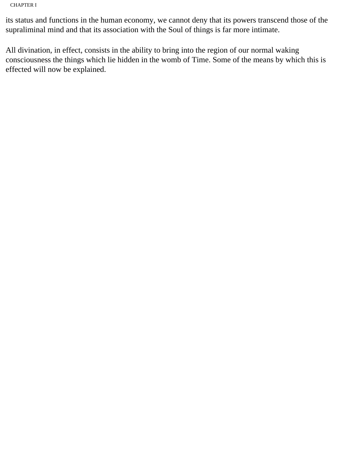its status and functions in the human economy, we cannot deny that its powers transcend those of the supraliminal mind and that its association with the Soul of things is far more intimate.

All divination, in effect, consists in the ability to bring into the region of our normal waking consciousness the things which lie hidden in the womb of Time. Some of the means by which this is effected will now be explained.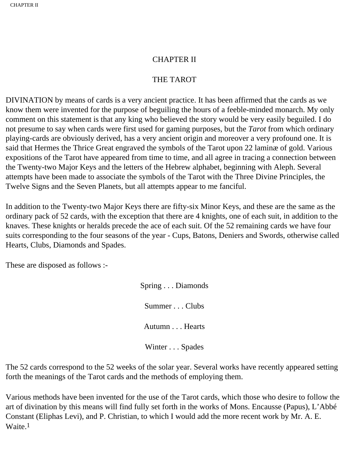### THE TAROT

DIVINATION by means of cards is a very ancient practice. It has been affirmed that the cards as we know them were invented for the purpose of beguiling the hours of a feeble-minded monarch. My only comment on this statement is that any king who believed the story would be very easily beguiled. I do not presume to say when cards were first used for gaming purposes, but the *Tarot* from which ordinary playing-cards are obviously derived, has a very ancient origin and moreover a very profound one. It is said that Hermes the Thrice Great engraved the symbols of the Tarot upon 22 laminæ of gold. Various expositions of the Tarot have appeared from time to time, and all agree in tracing a connection between the Twenty-two Major Keys and the letters of the Hebrew alphabet, beginning with Aleph. Several attempts have been made to associate the symbols of the Tarot with the Three Divine Principles, the Twelve Signs and the Seven Planets, but all attempts appear to me fanciful.

In addition to the Twenty-two Major Keys there are fifty-six Minor Keys, and these are the same as the ordinary pack of 52 cards, with the exception that there are 4 knights, one of each suit, in addition to the knaves. These knights or heralds precede the ace of each suit. Of the 52 remaining cards we have four suits corresponding to the four seasons of the year - Cups, Batons, Deniers and Swords, otherwise called Hearts, Clubs, Diamonds and Spades.

These are disposed as follows :-

Spring . . . Diamonds Summer . . . Clubs Autumn . . . Hearts

Winter . . . Spades

The 52 cards correspond to the 52 weeks of the solar year. Several works have recently appeared setting forth the meanings of the Tarot cards and the methods of employing them.

Various methods have been invented for the use of the Tarot cards, which those who desire to follow the art of divination by this means will find fully set forth in the works of Mons. Encausse (Papus), L'Abbé Constant (Eliphas Levi), and P. Christian, to which I would add the more recent work by Mr. A. E. Waite.1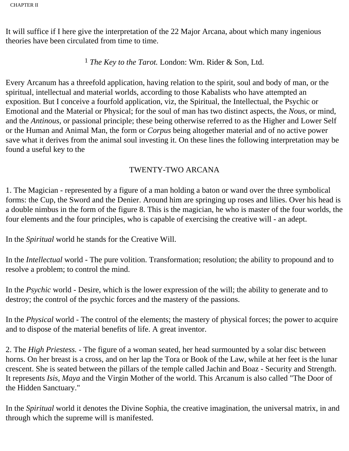It will suffice if I here give the interpretation of the 22 Major Arcana, about which many ingenious theories have been circulated from time to time.

1 *The Key to the Tarot.* London: Wm. Rider & Son, Ltd.

Every Arcanum has a threefold application, having relation to the spirit, soul and body of man, or the spiritual, intellectual and material worlds, according to those Kabalists who have attempted an exposition. But I conceive a fourfold application, viz, the Spiritual, the Intellectual, the Psychic or Emotional and the Material or Physical; for the soul of man has two distinct aspects, the *Nous,* or mind, and the *Antinous,* or passional principle; these being otherwise referred to as the Higher and Lower Self or the Human and Animal Man, the form or *Corpus* being altogether material and of no active power save what it derives from the animal soul investing it. On these lines the following interpretation may be found a useful key to the

# TWENTY-TWO ARCANA

1. The Magician - represented by a figure of a man holding a baton or wand over the three symbolical forms: the Cup, the Sword and the Denier. Around him are springing up roses and lilies. Over his head is a double nimbus in the form of the figure 8. This is the magician, he who is master of the four worlds, the four elements and the four principles, who is capable of exercising the creative will - an adept.

In the *Spiritual* world he stands for the Creative Will.

In the *Intellectual* world - The pure volition. Transformation; resolution; the ability to propound and to resolve a problem; to control the mind.

In the *Psychic* world - Desire, which is the lower expression of the will; the ability to generate and to destroy; the control of the psychic forces and the mastery of the passions.

In the *Physical* world - The control of the elements; the mastery of physical forces; the power to acquire and to dispose of the material benefits of life. A great inventor.

2. The *High Priestess.* - The figure of a woman seated, her head surmounted by a solar disc between horns. On her breast is a cross, and on her lap the Tora or Book of the Law, while at her feet is the lunar crescent. She is seated between the pillars of the temple called Jachin and Boaz - Security and Strength. It represents *Isis, Maya* and the Virgin Mother of the world. This Arcanum is also called "The Door of the Hidden Sanctuary."

In the *Spiritual* world it denotes the Divine Sophia, the creative imagination, the universal matrix, in and through which the supreme will is manifested.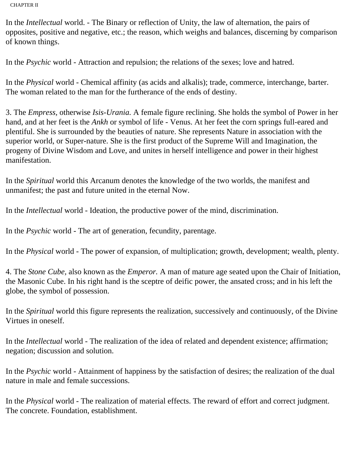In the *Intellectual* world. - The Binary or reflection of Unity, the law of alternation, the pairs of opposites, positive and negative, etc.; the reason, which weighs and balances, discerning by comparison of known things.

In the *Psychic* world - Attraction and repulsion; the relations of the sexes; love and hatred.

In the *Physical* world - Chemical affinity (as acids and alkalis); trade, commerce, interchange, barter. The woman related to the man for the furtherance of the ends of destiny.

3. The *Empress,* otherwise *Isis-Urania.* A female figure reclining. She holds the symbol of Power in her hand, and at her feet is the *Ankh* or symbol of life - Venus. At her feet the corn springs full-eared and plentiful. She is surrounded by the beauties of nature. She represents Nature in association with the superior world, or Super-nature. She is the first product of the Supreme Will and Imagination, the progeny of Divine Wisdom and Love, and unites in herself intelligence and power in their highest manifestation.

In the *Spiritual* world this Arcanum denotes the knowledge of the two worlds, the manifest and unmanifest; the past and future united in the eternal Now.

In the *Intellectual* world - Ideation, the productive power of the mind, discrimination.

In the *Psychic* world - The art of generation, fecundity, parentage.

In the *Physical* world - The power of expansion, of multiplication; growth, development; wealth, plenty.

4. The *Stone Cube,* also known as the *Emperor.* A man of mature age seated upon the Chair of Initiation, the Masonic Cube. In his right hand is the sceptre of deific power, the ansated cross; and in his left the globe, the symbol of possession.

In the *Spiritual* world this figure represents the realization, successively and continuously, of the Divine Virtues in oneself.

In the *Intellectual* world - The realization of the idea of related and dependent existence; affirmation; negation; discussion and solution.

In the *Psychic* world - Attainment of happiness by the satisfaction of desires; the realization of the dual nature in male and female successions.

In the *Physical* world - The realization of material effects. The reward of effort and correct judgment. The concrete. Foundation, establishment.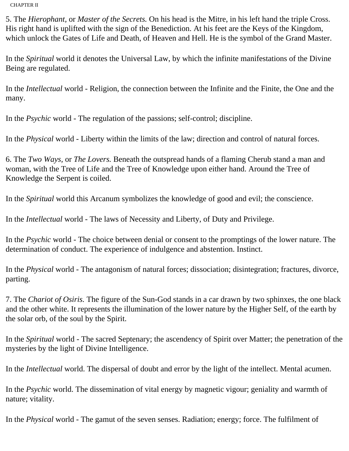5. The *Hierophant,* or *Master of the Secrets.* On his head is the Mitre, in his left hand the triple Cross. His right hand is uplifted with the sign of the Benediction. At his feet are the Keys of the Kingdom, which unlock the Gates of Life and Death, of Heaven and Hell. He is the symbol of the Grand Master.

In the *Spiritual* world it denotes the Universal Law, by which the infinite manifestations of the Divine Being are regulated.

In the *Intellectual* world - Religion, the connection between the Infinite and the Finite, the One and the many.

In the *Psychic* world - The regulation of the passions; self-control; discipline.

In the *Physical* world - Liberty within the limits of the law; direction and control of natural forces.

6. The *Two Ways,* or *The Lovers.* Beneath the outspread hands of a flaming Cherub stand a man and woman, with the Tree of Life and the Tree of Knowledge upon either hand. Around the Tree of Knowledge the Serpent is coiled.

In the *Spiritual* world this Arcanum symbolizes the knowledge of good and evil; the conscience.

In the *Intellectual* world - The laws of Necessity and Liberty, of Duty and Privilege.

In the *Psychic* world - The choice between denial or consent to the promptings of the lower nature. The determination of conduct. The experience of indulgence and abstention. Instinct.

In the *Physical* world - The antagonism of natural forces; dissociation; disintegration; fractures, divorce, parting.

7. The *Chariot of Osiris.* The figure of the Sun-God stands in a car drawn by two sphinxes, the one black and the other white. It represents the illumination of the lower nature by the Higher Self, of the earth by the solar orb, of the soul by the Spirit.

In the *Spiritual* world - The sacred Septenary; the ascendency of Spirit over Matter; the penetration of the mysteries by the light of Divine Intelligence.

In the *Intellectual* world. The dispersal of doubt and error by the light of the intellect. Mental acumen.

In the *Psychic* world. The dissemination of vital energy by magnetic vigour; geniality and warmth of nature; vitality.

In the *Physical* world - The gamut of the seven senses. Radiation; energy; force. The fulfilment of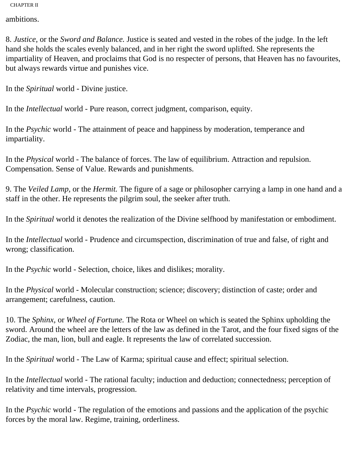ambitions.

8. *Justice,* or the *Sword and Balance.* Justice is seated and vested in the robes of the judge. In the left hand she holds the scales evenly balanced, and in her right the sword uplifted. She represents the impartiality of Heaven, and proclaims that God is no respecter of persons, that Heaven has no favourites, but always rewards virtue and punishes vice.

In the *Spiritual* world - Divine justice.

In the *Intellectual* world - Pure reason, correct judgment, comparison, equity.

In the *Psychic* world - The attainment of peace and happiness by moderation, temperance and impartiality.

In the *Physical* world - The balance of forces. The law of equilibrium. Attraction and repulsion. Compensation. Sense of Value. Rewards and punishments.

9. The *Veiled Lamp,* or the *Hermit.* The figure of a sage or philosopher carrying a lamp in one hand and a staff in the other. He represents the pilgrim soul, the seeker after truth.

In the *Spiritual* world it denotes the realization of the Divine selfhood by manifestation or embodiment.

In the *Intellectual* world - Prudence and circumspection, discrimination of true and false, of right and wrong; classification.

In the *Psychic* world - Selection, choice, likes and dislikes; morality.

In the *Physical* world - Molecular construction; science; discovery; distinction of caste; order and arrangement; carefulness, caution.

10. The *Sphinx,* or *Wheel of Fortune.* The Rota or Wheel on which is seated the Sphinx upholding the sword. Around the wheel are the letters of the law as defined in the Tarot, and the four fixed signs of the Zodiac, the man, lion, bull and eagle. It represents the law of correlated succession.

In the *Spiritual* world - The Law of Karma; spiritual cause and effect; spiritual selection.

In the *Intellectual* world - The rational faculty; induction and deduction; connectedness; perception of relativity and time intervals, progression.

In the *Psychic* world - The regulation of the emotions and passions and the application of the psychic forces by the moral law. Regime, training, orderliness.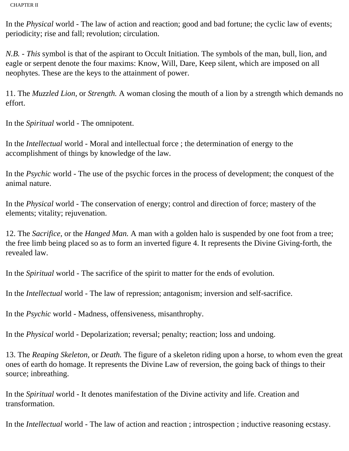In the *Physical* world - The law of action and reaction; good and bad fortune; the cyclic law of events; periodicity; rise and fall; revolution; circulation.

*N.B. - This* symbol is that of the aspirant to Occult Initiation. The symbols of the man, bull, lion, and eagle or serpent denote the four maxims: Know, Will, Dare, Keep silent, which are imposed on all neophytes. These are the keys to the attainment of power.

11. The *Muzzled Lion,* or *Strength.* A woman closing the mouth of a lion by a strength which demands no effort.

In the *Spiritual* world - The omnipotent.

In the *Intellectual* world - Moral and intellectual force ; the determination of energy to the accomplishment of things by knowledge of the law.

In the *Psychic* world - The use of the psychic forces in the process of development; the conquest of the animal nature.

In the *Physical* world - The conservation of energy; control and direction of force; mastery of the elements; vitality; rejuvenation.

12. The *Sacrifice,* or the *Hanged Man.* A man with a golden halo is suspended by one foot from a tree; the free limb being placed so as to form an inverted figure 4. It represents the Divine Giving-forth, the revealed law.

In the *Spiritual* world - The sacrifice of the spirit to matter for the ends of evolution.

In the *Intellectual* world - The law of repression; antagonism; inversion and self-sacrifice.

In the *Psychic* world - Madness, offensiveness, misanthrophy.

In the *Physical* world - Depolarization; reversal; penalty; reaction; loss and undoing.

13. The *Reaping Skeleton,* or *Death.* The figure of a skeleton riding upon a horse, to whom even the great ones of earth do homage. It represents the Divine Law of reversion, the going back of things to their source; inbreathing.

In the *Spiritual* world - It denotes manifestation of the Divine activity and life. Creation and transformation.

In the *Intellectual* world - The law of action and reaction ; introspection ; inductive reasoning ecstasy.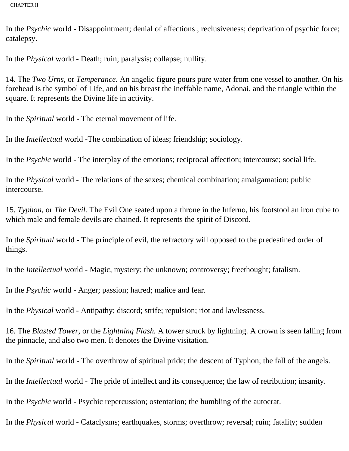In the *Psychic* world - Disappointment; denial of affections ; reclusiveness; deprivation of psychic force; catalepsy.

In the *Physical* world - Death; ruin; paralysis; collapse; nullity.

14. The *Two Urns,* or *Temperance.* An angelic figure pours pure water from one vessel to another. On his forehead is the symbol of Life, and on his breast the ineffable name, Adonai, and the triangle within the square. It represents the Divine life in activity.

In the *Spiritual* world - The eternal movement of life.

In the *Intellectual* world -The combination of ideas; friendship; sociology.

In the *Psychic* world - The interplay of the emotions; reciprocal affection; intercourse; social life.

In the *Physical* world - The relations of the sexes; chemical combination; amalgamation; public intercourse.

15. *Typhon,* or *The Devil.* The Evil One seated upon a throne in the Inferno, his footstool an iron cube to which male and female devils are chained. It represents the spirit of Discord.

In the *Spiritual* world - The principle of evil, the refractory will opposed to the predestined order of things.

In the *Intellectual* world - Magic, mystery; the unknown; controversy; freethought; fatalism.

In the *Psychic* world - Anger; passion; hatred; malice and fear.

In the *Physical* world - Antipathy; discord; strife; repulsion; riot and lawlessness.

16. The *Blasted Tower,* or the *Lightning Flash.* A tower struck by lightning. A crown is seen falling from the pinnacle, and also two men. It denotes the Divine visitation.

In the *Spiritual* world - The overthrow of spiritual pride; the descent of Typhon; the fall of the angels.

In the *Intellectual* world - The pride of intellect and its consequence; the law of retribution; insanity.

In the *Psychic* world - Psychic repercussion; ostentation; the humbling of the autocrat.

In the *Physical* world - Cataclysms; earthquakes, storms; overthrow; reversal; ruin; fatality; sudden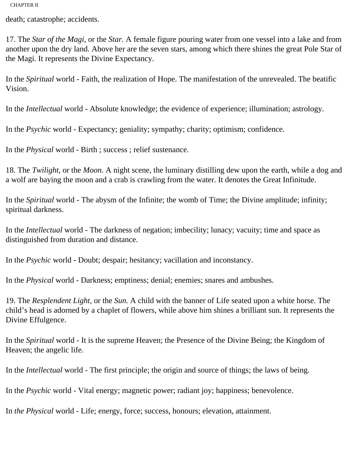death; catastrophe; accidents.

17. The *Star of the Magi,* or the *Star.* A female figure pouring water from one vessel into a lake and from another upon the dry land. Above her are the seven stars, among which there shines the great Pole Star of the Magi. It represents the Divine Expectancy.

In the *Spiritual* world - Faith, the realization of Hope. The manifestation of the unrevealed. The beatific Vision.

In the *Intellectual* world - Absolute knowledge; the evidence of experience; illumination; astrology.

In the *Psychic* world - Expectancy; geniality; sympathy; charity; optimism; confidence.

In the *Physical* world - Birth ; success ; relief sustenance.

18. The *Twilight,* or the *Moon.* A night scene, the luminary distilling dew upon the earth, while a dog and a wolf are baying the moon and a crab is crawling from the water. It denotes the Great Infinitude.

In the *Spiritual* world - The abysm of the Infinite; the womb of Time; the Divine amplitude; infinity; spiritual darkness.

In the *Intellectual* world - The darkness of negation; imbecility; lunacy; vacuity; time and space as distinguished from duration and distance.

In the *Psychic* world - Doubt; despair; hesitancy; vacillation and inconstancy.

In the *Physical* world - Darkness; emptiness; denial; enemies; snares and ambushes.

19. The *Resplendent Light,* or the *Sun.* A child with the banner of Life seated upon a white horse. The child's head is adorned by a chaplet of flowers, while above him shines a brilliant sun. It represents the Divine Effulgence.

In the *Spiritual* world - It is the supreme Heaven; the Presence of the Divine Being; the Kingdom of Heaven; the angelic life.

In the *Intellectual* world - The first principle; the origin and source of things; the laws of being.

In the *Psychic* world - Vital energy; magnetic power; radiant joy; happiness; benevolence.

In *the Physical* world - Life; energy, force; success, honours; elevation, attainment.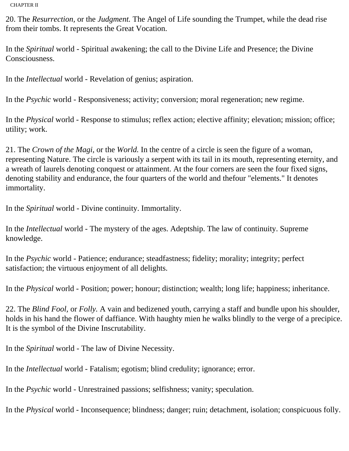20. The *Resurrection,* or the *Judgment.* The Angel of Life sounding the Trumpet, while the dead rise from their tombs. It represents the Great Vocation.

In the *Spiritual* world - Spiritual awakening; the call to the Divine Life and Presence; the Divine Consciousness.

In the *Intellectual* world - Revelation of genius; aspiration.

In the *Psychic* world - Responsiveness; activity; conversion; moral regeneration; new regime.

In the *Physical* world - Response to stimulus; reflex action; elective affinity; elevation; mission; office; utility; work.

21. The *Crown of the Magi,* or the *World.* In the centre of a circle is seen the figure of a woman, representing Nature. The circle is variously a serpent with its tail in its mouth, representing eternity, and a wreath of laurels denoting conquest or attainment. At the four corners are seen the four fixed signs, denoting stability and endurance, the four quarters of the world and thefour "elements." It denotes immortality.

In the *Spiritual* world - Divine continuity. Immortality.

In the *Intellectual* world - The mystery of the ages. Adeptship. The law of continuity. Supreme knowledge.

In the *Psychic* world - Patience; endurance; steadfastness; fidelity; morality; integrity; perfect satisfaction; the virtuous enjoyment of all delights.

In the *Physical* world - Position; power; honour; distinction; wealth; long life; happiness; inheritance.

22. The *Blind Fool,* or *Folly.* A vain and bedizened youth, carrying a staff and bundle upon his shoulder, holds in his hand the flower of daffiance. With haughty mien he walks blindly to the verge of a precipice. It is the symbol of the Divine Inscrutability.

In the *Spiritual* world - The law of Divine Necessity.

In the *Intellectual* world - Fatalism; egotism; blind credulity; ignorance; error.

In the *Psychic* world - Unrestrained passions; selfishness; vanity; speculation.

In the *Physical* world - Inconsequence; blindness; danger; ruin; detachment, isolation; conspicuous folly.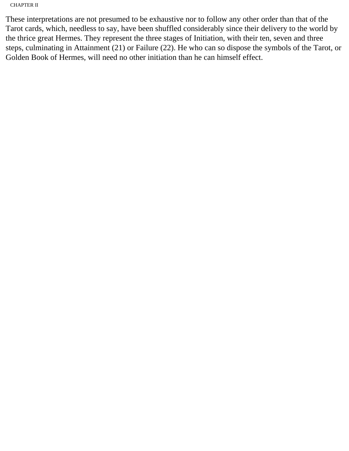These interpretations are not presumed to be exhaustive nor to follow any other order than that of the Tarot cards, which, needless to say, have been shuffled considerably since their delivery to the world by the thrice great Hermes. They represent the three stages of Initiation, with their ten, seven and three steps, culminating in Attainment (21) or Failure (22). He who can so dispose the symbols of the Tarot, or Golden Book of Hermes, will need no other initiation than he can himself effect.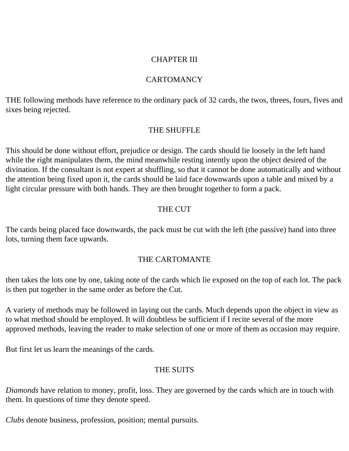### **CARTOMANCY**

THE following methods have reference to the ordinary pack of 32 cards, the twos, threes, fours, fives and sixes being rejected.

### THE SHUFFLE

This should be done without effort, prejudice or design. The cards should lie loosely in the left hand while the right manipulates them, the mind meanwhile resting intently upon the object desired of the divination. If the consultant is not expert at shuffling, so that it cannot be done automatically and without the attention being fixed upon it, the cards should be laid face downwards upon a table and mixed by a light circular pressure with both hands. They are then brought together to form a pack.

### THE CUT

The cards being placed face downwards, the pack must be cut with the left (the passive) hand into three lots, turning them face upwards.

### THE CARTOMANTE

then takes the lots one by one, taking note of the cards which lie exposed on the top of each lot. The pack is then put together in the same order as before the Cut.

A variety of methods may be followed in laying out the cards. Much depends upon the object in view as to what method should be employed. It will doubtless be sufficient if I recite several of the more approved methods, leaving the reader to make selection of one or more of them as occasion may require.

But first let us learn the meanings of the cards.

### THE SUITS

*Diamonds* have relation to money, profit, loss. They are governed by the cards which are in touch with them. In questions of time they denote speed.

*Clubs* denote business, profession, position; mental pursuits.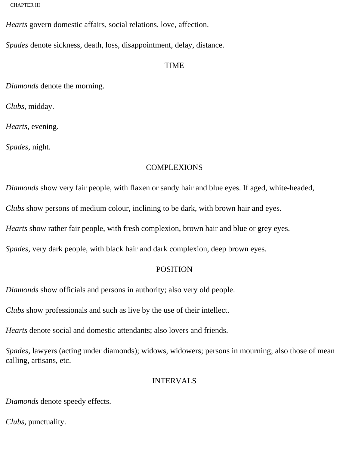*Hearts* govern domestic affairs, social relations, love, affection.

*Spades* denote sickness, death, loss, disappointment, delay, distance.

### TIME

*Diamonds* denote the morning.

*Clubs,* midday.

*Hearts,* evening.

*Spades,* night.

### **COMPLEXIONS**

*Diamonds* show very fair people, with flaxen or sandy hair and blue eyes. If aged, white-headed,

*Clubs* show persons of medium colour, inclining to be dark, with brown hair and eyes.

*Hearts* show rather fair people, with fresh complexion, brown hair and blue or grey eyes.

*Spades,* very dark people, with black hair and dark complexion, deep brown eyes.

### POSITION

*Diamonds* show officials and persons in authority; also very old people.

*Clubs* show professionals and such as live by the use of their intellect.

*Hearts* denote social and domestic attendants; also lovers and friends.

Spades, lawyers (acting under diamonds); widows, widowers; persons in mourning; also those of mean calling, artisans, etc.

### INTERVALS

*Diamonds* denote speedy effects.

*Clubs,* punctuality.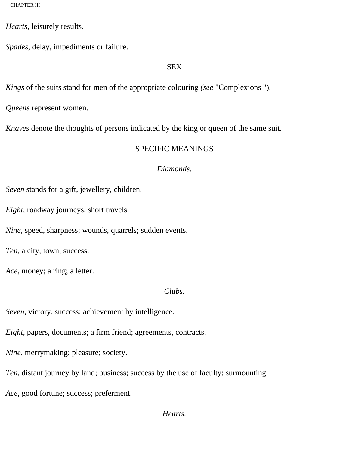*Hearts,* leisurely results.

*Spades,* delay, impediments or failure.

### SEX

*Kings* of the suits stand for men of the appropriate colouring *(see* "Complexions ").

*Queens* represent women.

*Knaves* denote the thoughts of persons indicated by the king or queen of the same suit.

### SPECIFIC MEANINGS

#### *Diamonds.*

*Seven* stands for a gift, jewellery, children.

*Eight,* roadway journeys, short travels.

*Nine,* speed, sharpness; wounds, quarrels; sudden events.

*Ten,* a city, town; success.

*Ace,* money; a ring; a letter.

### *Clubs.*

*Seven,* victory, success; achievement by intelligence.

*Eight, papers, documents; a firm friend; agreements, contracts.* 

*Nine,* merrymaking; pleasure; society.

*Ten,* distant journey by land; business; success by the use of faculty; surmounting.

*Ace,* good fortune; success; preferment.

#### *Hearts.*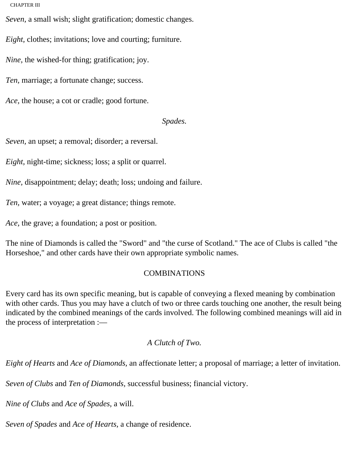*Seven,* a small wish; slight gratification; domestic changes.

*Eight,* clothes; invitations; love and courting; furniture.

*Nine,* the wished-for thing; gratification; joy.

*Ten,* marriage; a fortunate change; success.

*Ace,* the house; a cot or cradle; good fortune.

### *Spades.*

*Seven,* an upset; a removal; disorder; a reversal.

*Eight,* night-time; sickness; loss; a split or quarrel.

*Nine,* disappointment; delay; death; loss; undoing and failure.

*Ten,* water; a voyage; a great distance; things remote.

*Ace,* the grave; a foundation; a post or position.

The nine of Diamonds is called the "Sword" and "the curse of Scotland." The ace of Clubs is called "the Horseshoe," and other cards have their own appropriate symbolic names.

# COMBINATIONS

Every card has its own specific meaning, but is capable of conveying a flexed meaning by combination with other cards. Thus you may have a clutch of two or three cards touching one another, the result being indicated by the combined meanings of the cards involved. The following combined meanings will aid in the process of interpretation :—

# *A Clutch of Two.*

*Eight of Hearts* and *Ace of Diamonds,* an affectionate letter; a proposal of marriage; a letter of invitation.

*Seven of Clubs* and *Ten of Diamonds,* successful business; financial victory.

*Nine of Clubs* and *Ace of Spades,* a will.

*Seven of Spades* and *Ace of Hearts,* a change of residence.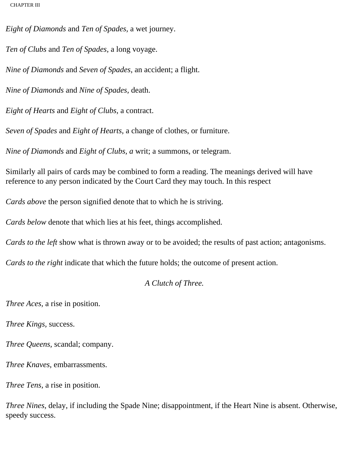*Eight of Diamonds* and *Ten of Spades,* a wet journey.

*Ten of Clubs* and *Ten of Spades,* a long voyage.

*Nine of Diamonds* and *Seven of Spades,* an accident; a flight.

*Nine of Diamonds* and *Nine of Spades,* death.

*Eight of Hearts* and *Eight of Clubs,* a contract.

*Seven of Spades* and *Eight of Hearts,* a change of clothes, or furniture.

*Nine of Diamonds* and *Eight of Clubs, a* writ; a summons, or telegram.

Similarly all pairs of cards may be combined to form a reading. The meanings derived will have reference to any person indicated by the Court Card they may touch. In this respect

*Cards above* the person signified denote that to which he is striving.

*Cards below* denote that which lies at his feet, things accomplished.

*Cards to the left* show what is thrown away or to be avoided; the results of past action; antagonisms.

*Cards to the right* indicate that which the future holds; the outcome of present action.

### *A Clutch of Three.*

*Three Aces,* a rise in position.

*Three Kings,* success.

*Three Queens,* scandal; company.

*Three Knaves,* embarrassments.

*Three Tens,* a rise in position.

*Three Nines*, delay, if including the Spade Nine; disappointment, if the Heart Nine is absent. Otherwise, speedy success.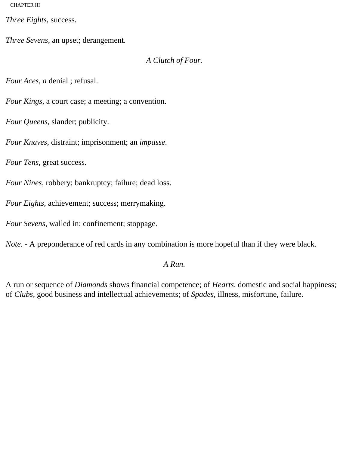*Three Eights,* success.

*Three Sevens,* an upset; derangement.

### *A Clutch of Four.*

*Four Aces, a* denial ; refusal.

*Four Kings,* a court case; a meeting; a convention.

*Four Queens,* slander; publicity.

*Four Knaves,* distraint; imprisonment; an *impasse.*

*Four Tens,* great success.

*Four Nines,* robbery; bankruptcy; failure; dead loss.

*Four Eights,* achievement; success; merrymaking.

*Four Sevens,* walled in; confinement; stoppage.

*Note.* - A preponderance of red cards in any combination is more hopeful than if they were black.

### *A Run.*

A run or sequence of *Diamonds* shows financial competence; of *Hearts,* domestic and social happiness; of *Clubs,* good business and intellectual achievements; of *Spades,* illness, misfortune, failure.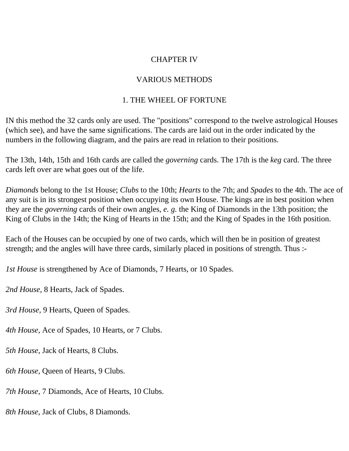### VARIOUS METHODS

### 1. THE WHEEL OF FORTUNE

IN this method the 32 cards only are used. The "positions" correspond to the twelve astrological Houses (which see), and have the same significations. The cards are laid out in the order indicated by the numbers in the following diagram, and the pairs are read in relation to their positions.

The 13th, 14th, 15th and 16th cards are called the *governing* cards. The 17th is the *keg* card. The three cards left over are what goes out of the life.

*Diamonds* belong to the 1st House; *Clubs* to the 10th; *Hearts* to the 7th; and *Spades* to the 4th. The ace of any suit is in its strongest position when occupying its own House. The kings are in best position when they are the *governing* cards of their own angles, *e. g.* the King of Diamonds in the 13th position; the King of Clubs in the 14th; the King of Hearts in the 15th; and the King of Spades in the 16th position.

Each of the Houses can be occupied by one of two cards, which will then be in position of greatest strength; and the angles will have three cards, similarly placed in positions of strength. Thus :-

*1st House* is strengthened by Ace of Diamonds, 7 Hearts, or 10 Spades.

*2nd House,* 8 Hearts, Jack of Spades.

*3rd House,* 9 Hearts, Queen of Spades.

*4th House,* Ace of Spades, 10 Hearts, or 7 Clubs.

*5th House,* Jack of Hearts, 8 Clubs.

*6th House,* Queen of Hearts, 9 Clubs.

*7th House,* 7 Diamonds, Ace of Hearts, 10 Clubs.

*8th House,* Jack of Clubs, 8 Diamonds.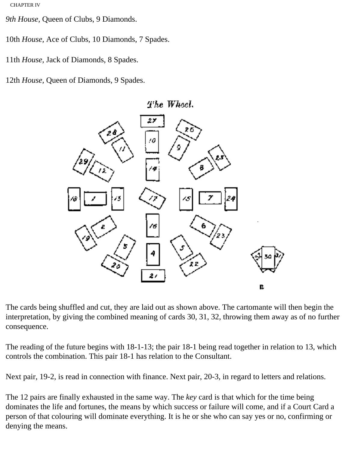*9th House,* Queen of Clubs, 9 Diamonds.

10th *House,* Ace of Clubs, 10 Diamonds, 7 Spades.

11th *House,* Jack of Diamonds, 8 Spades.

12th *House,* Queen of Diamonds, 9 Spades.



The cards being shuffled and cut, they are laid out as shown above. The cartomante will then begin the interpretation, by giving the combined meaning of cards 30, 31, 32, throwing them away as of no further consequence.

The reading of the future begins with 18-1-13; the pair 18-1 being read together in relation to 13, which controls the combination. This pair 18-1 has relation to the Consultant.

Next pair, 19-2, is read in connection with finance. Next pair, 20-3, in regard to letters and relations.

The 12 pairs are finally exhausted in the same way. The *key* card is that which for the time being dominates the life and fortunes, the means by which success or failure will come, and if a Court Card a person of that colouring will dominate everything. It is he or she who can say yes or no, confirming or denying the means.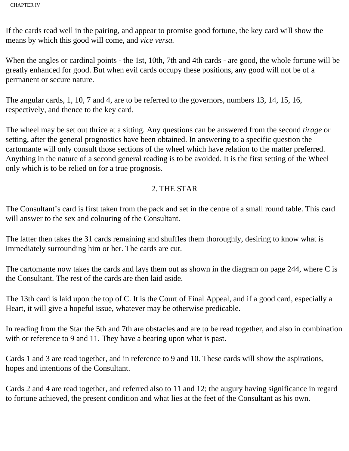If the cards read well in the pairing, and appear to promise good fortune, the key card will show the means by which this good will come, and *vice versa.*

When the angles or cardinal points - the 1st, 10th, 7th and 4th cards - are good, the whole fortune will be greatly enhanced for good. But when evil cards occupy these positions, any good will not be of a permanent or secure nature.

The angular cards, 1, 10, 7 and 4, are to be referred to the governors, numbers 13, 14, 15, 16, respectively, and thence to the key card.

The wheel may be set out thrice at a sitting. Any questions can be answered from the second *tirage* or setting, after the general prognostics have been obtained. In answering to a specific question the cartomante will only consult those sections of the wheel which have relation to the matter preferred. Anything in the nature of a second general reading is to be avoided. It is the first setting of the Wheel only which is to be relied on for a true prognosis.

### 2. THE STAR

The Consultant's card is first taken from the pack and set in the centre of a small round table. This card will answer to the sex and colouring of the Consultant.

The latter then takes the 31 cards remaining and shuffles them thoroughly, desiring to know what is immediately surrounding him or her. The cards are cut.

The cartomante now takes the cards and lays them out as shown in the diagram on page 244, where C is the Consultant. The rest of the cards are then laid aside.

The 13th card is laid upon the top of C. It is the Court of Final Appeal, and if a good card, especially a Heart, it will give a hopeful issue, whatever may be otherwise predicable.

In reading from the Star the 5th and 7th are obstacles and are to be read together, and also in combination with or reference to 9 and 11. They have a bearing upon what is past.

Cards 1 and 3 are read together, and in reference to 9 and 10. These cards will show the aspirations, hopes and intentions of the Consultant.

Cards 2 and 4 are read together, and referred also to 11 and 12; the augury having significance in regard to fortune achieved, the present condition and what lies at the feet of the Consultant as his own.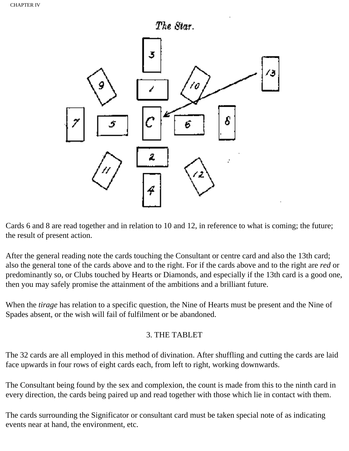



Cards 6 and 8 are read together and in relation to 10 and 12, in reference to what is coming; the future; the result of present action.

After the general reading note the cards touching the Consultant or centre card and also the 13th card; also the general tone of the cards above and to the right. For if the cards above and to the right are *red* or predominantly so, or Clubs touched by Hearts or Diamonds, and especially if the 13th card is a good one, then you may safely promise the attainment of the ambitions and a brilliant future.

When the *tirage* has relation to a specific question, the Nine of Hearts must be present and the Nine of Spades absent, or the wish will fail of fulfilment or be abandoned.

# 3. THE TABLET

The 32 cards are all employed in this method of divination. After shuffling and cutting the cards are laid face upwards in four rows of eight cards each, from left to right, working downwards.

The Consultant being found by the sex and complexion, the count is made from this to the ninth card in every direction, the cards being paired up and read together with those which lie in contact with them.

The cards surrounding the Significator or consultant card must be taken special note of as indicating events near at hand, the environment, etc.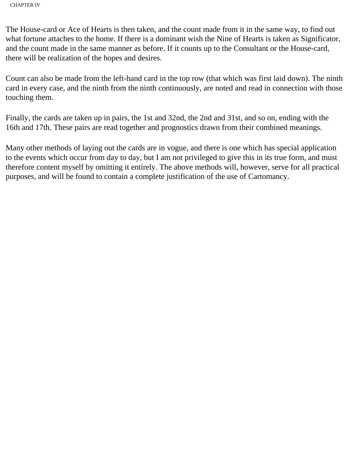The House-card or Ace of Hearts is then taken, and the count made from it in the same way, to find out what fortune attaches to the home. If there is a dominant wish the Nine of Hearts is taken as Significator, and the count made in the same manner as before. If it counts up to the Consultant or the House-card, there will be realization of the hopes and desires.

Count can also be made from the left-hand card in the top row (that which was first laid down). The ninth card in every case, and the ninth from the ninth continuously, are noted and read in connection with those touching them.

Finally, the cards are taken up in pairs, the 1st and 32nd, the 2nd and 31st, and so on, ending with the 16th and 17th. These pairs are read together and prognostics drawn from their combined meanings.

Many other methods of laying out the cards are in vogue, and there is one which has special application to the events which occur from day to day, but I am not privileged to give this in its true form, and must therefore content myself by omitting it entirely. The above methods will, however, serve for all practical purposes, and will be found to contain a complete justification of the use of Cartomancy.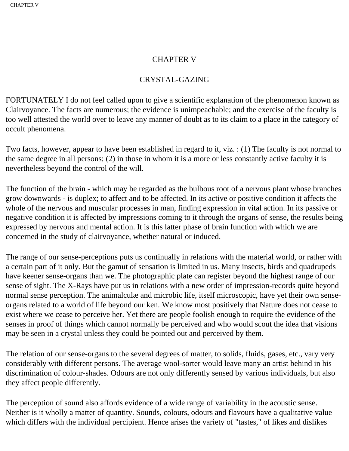### CRYSTAL-GAZING

FORTUNATELY I do not feel called upon to give a scientific explanation of the phenomenon known as Clairvoyance. The facts are numerous; the evidence is unimpeachable; and the exercise of the faculty is too well attested the world over to leave any manner of doubt as to its claim to a place in the category of occult phenomena.

Two facts, however, appear to have been established in regard to it, viz. : (1) The faculty is not normal to the same degree in all persons; (2) in those in whom it is a more or less constantly active faculty it is nevertheless beyond the control of the will.

The function of the brain - which may be regarded as the bulbous root of a nervous plant whose branches grow downwards - is duplex; to affect and to be affected. In its active or positive condition it affects the whole of the nervous and muscular processes in man, finding expression in vital action. In its passive or negative condition it is affected by impressions coming to it through the organs of sense, the results being expressed by nervous and mental action. It is this latter phase of brain function with which we are concerned in the study of clairvoyance, whether natural or induced.

The range of our sense-perceptions puts us continually in relations with the material world, or rather with a certain part of it only. But the gamut of sensation is limited in us. Many insects, birds and quadrupeds have keener sense-organs than we. The photographic plate can register beyond the highest range of our sense of sight. The X-Rays have put us in relations with a new order of impression-records quite beyond normal sense perception. The animalculæ and microbic life, itself microscopic, have yet their own senseorgans related to a world of life beyond our ken. We know most positively that Nature does not cease to exist where we cease to perceive her. Yet there are people foolish enough to require the evidence of the senses in proof of things which cannot normally be perceived and who would scout the idea that visions may be seen in a crystal unless they could be pointed out and perceived by them.

The relation of our sense-organs to the several degrees of matter, to solids, fluids, gases, etc., vary very considerably with different persons. The average wool-sorter would leave many an artist behind in his discrimination of colour-shades. Odours are not only differently sensed by various individuals, but also they affect people differently.

The perception of sound also affords evidence of a wide range of variability in the acoustic sense. Neither is it wholly a matter of quantity. Sounds, colours, odours and flavours have a qualitative value which differs with the individual percipient. Hence arises the variety of "tastes," of likes and dislikes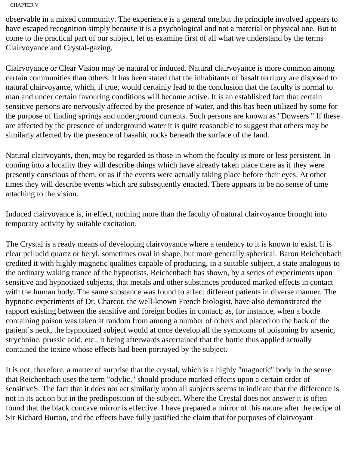observable in a mixed community. The experience is a general one,but the principle involved appears to have escaped recognition simply because it is a psychological and not a material or physical one. But to come to the practical part of our subject, let us examine first of all what we understand by the terms Clairvoyance and Crystal-gazing.

Clairvoyance or Clear Vision may be natural or induced. Natural clairvoyance is more common among certain communities than others. It has been stated that the inhabitants of basalt territory are disposed to natural clairvoyance, which, if true, would certainly lead to the conclusion that the faculty is normal to man and under certain favouring conditions will become active. It is an established fact that certain sensitive persons are nervously affected by the presence of water, and this has been utilized by some for the purpose of finding springs and underground currents. Such persons are known as "Dowsers." If these are affected by the presence of underground water it is quite reasonable to suggest that others may be similarly affected by the presence of basaltic rocks beneath the surface of the land.

Natural clairvoyants, then, may be regarded as those in whom the faculty is more or less persistent. In coming into a locality they will describe things which have already taken place there as if they were presently conscious of them, or as if the events were actually taking place before their eyes. At other times they will describe events which are subsequently enacted. There appears to be no sense of time attaching to the vision.

Induced clairvoyance is, in effect, nothing more than the faculty of natural clairvoyance brought into temporary activity by suitable excitation.

The Crystal is a ready means of developing clairvoyance where a tendency to it is known to exist. It is clear pellucid quartz or beryl, sometimes oval in shape, but more generally spherical. Baron Reichenbach credited it with highly magnetic qualities capable of producing, in a suitable subject, a state analogous to the ordinary waking trance of the hypnotists. Reichenbach has shown, by a series of experiments upon sensitive and hypnotized subjects, that metals and other substances produced marked effects in contact with the human body. The same substance was found to affect different patients in diverse manner. The hypnotic experiments of Dr. Charcot, the well-known French biologist, have also demonstrated the rapport existing between the sensitive and foreign bodies in contact; as, for instance, when a bottle containing poison was taken at random from among a number of others and placed on the back of the patient's neck, the hypnotized subject would at once develop all the symptoms of poisoning by arsenic, strychnine, prussic acid, etc., it being afterwards ascertained that the bottle thus applied actually contained the toxine whose effects had been portrayed by the subject.

It is not, therefore, a matter of surprise that the crystal, which is a highly "magnetic" body in the sense that Reichenbach uses the term "odylic," should produce marked effects upon a certain order of sensitiveS. The fact that it does not act similarly upon all subjects seems to indicate that the difference is not in its action but in the predisposition of the subject. Where the Crystal does not answer it is often found that the black concave mirror is effective. I have prepared a mirror of this nature after the recipe of Sir Richard Burton, and the effects have fully justified the claim that for purposes of clairvoyant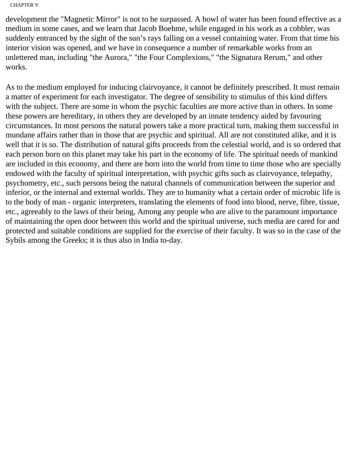development the "Magnetic Mirror" is not to be surpassed. A bowl of water has been found effective as a medium in some cases, and we learn that Jacob Boehme, while engaged in his work as a cobbler, was suddenly entranced by the sight of the sun's rays falling on a vessel containing water. From that time his interior vision was opened, and we have in consequence a number of remarkable works from an unlettered man, including "the Aurora," "the Four Complexions," "the Signatura Rerum," and other works.

As to the medium employed for inducing clairvoyance, it cannot be definitely prescribed. It must remain a matter of experiment for each investigator. The degree of sensibility to stimulus of this kind differs with the subject. There are some in whom the psychic faculties are more active than in others. In some these powers are hereditary, in others they are developed by an innate tendency aided by favouring circumstances. In most persons the natural powers take a more practical turn, making them successful in mundane affairs rather than in those that are psychic and spiritual. All are not constituted alike, and it is well that it is so. The distribution of natural gifts proceeds from the celestial world, and is so ordered that each person born on this planet may take his part in the economy of life. The spiritual needs of mankind are included in this economy, and there are born into the world from time to time those who are specially endowed with the faculty of spiritual interpretation, with psychic gifts such as clairvoyance, telepathy, psychometry, etc., such persons being the natural channels of communication between the superior and inferior, or the internal and external worlds. They are to humanity what a certain order of microbic life is to the body of man - organic interpreters, translating the elements of food into blood, nerve, fibre, tissue, etc., agreeably to the laws of their being, Among any people who are alive to the paramount importance of maintaining the open door between this world and the spiritual universe, such media are cared for and protected and suitable conditions are supplied for the exercise of their faculty. It was so in the case of the Sybils among the Greeks; it is thus also in India to-day.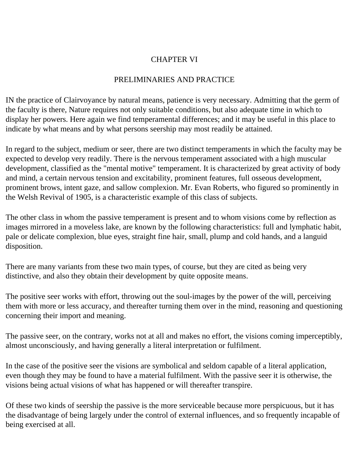# CHAPTER VI

### PRELIMINARIES AND PRACTICE

IN the practice of Clairvoyance by natural means, patience is very necessary. Admitting that the germ of the faculty is there, Nature requires not only suitable conditions, but also adequate time in which to display her powers. Here again we find temperamental differences; and it may be useful in this place to indicate by what means and by what persons seership may most readily be attained.

In regard to the subject, medium or seer, there are two distinct temperaments in which the faculty may be expected to develop very readily. There is the nervous temperament associated with a high muscular development, classified as the "mental motive" temperament. It is characterized by great activity of body and mind, a certain nervous tension and excitability, prominent features, full osseous development, prominent brows, intent gaze, and sallow complexion. Mr. Evan Roberts, who figured so prominently in the Welsh Revival of 1905, is a characteristic example of this class of subjects.

The other class in whom the passive temperament is present and to whom visions come by reflection as images mirrored in a moveless lake, are known by the following characteristics: full and lymphatic habit, pale or delicate complexion, blue eyes, straight fine hair, small, plump and cold hands, and a languid disposition.

There are many variants from these two main types, of course, but they are cited as being very distinctive, and also they obtain their development by quite opposite means.

The positive seer works with effort, throwing out the soul-images by the power of the will, perceiving them with more or less accuracy, and thereafter turning them over in the mind, reasoning and questioning concerning their import and meaning.

The passive seer, on the contrary, works not at all and makes no effort, the visions coming imperceptibly, almost unconsciously, and having generally a literal interpretation or fulfilment.

In the case of the positive seer the visions are symbolical and seldom capable of a literal application, even though they may be found to have a material fulfilment. With the passive seer it is otherwise, the visions being actual visions of what has happened or will thereafter transpire.

Of these two kinds of seership the passive is the more serviceable because more perspicuous, but it has the disadvantage of being largely under the control of external influences, and so frequently incapable of being exercised at all.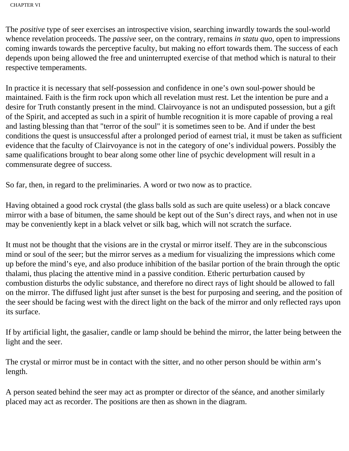The *positive* type of seer exercises an introspective vision, searching inwardly towards the soul-world whence revelation proceeds. The *passive* seer, on the contrary, remains *in statu quo,* open to impressions coming inwards towards the perceptive faculty, but making no effort towards them. The success of each depends upon being allowed the free and uninterrupted exercise of that method which is natural to their respective temperaments.

In practice it is necessary that self-possession and confidence in one's own soul-power should be maintained. Faith is the firm rock upon which all revelation must rest. Let the intention be pure and a desire for Truth constantly present in the mind. Clairvoyance is not an undisputed possession, but a gift of the Spirit, and accepted as such in a spirit of humble recognition it is more capable of proving a real and lasting blessing than that "terror of the soul" it is sometimes seen to be. And if under the best conditions the quest is unsuccessful after a prolonged period of earnest trial, it must be taken as sufficient evidence that the faculty of Clairvoyance is not in the category of one's individual powers. Possibly the same qualifications brought to bear along some other line of psychic development will result in a commensurate degree of success.

So far, then, in regard to the preliminaries. A word or two now as to practice.

Having obtained a good rock crystal (the glass balls sold as such are quite useless) or a black concave mirror with a base of bitumen, the same should be kept out of the Sun's direct rays, and when not in use may be conveniently kept in a black velvet or silk bag, which will not scratch the surface.

It must not be thought that the visions are in the crystal or mirror itself. They are in the subconscious mind or soul of the seer; but the mirror serves as a medium for visualizing the impressions which come up before the mind's eye, and also produce inhibition of the basilar portion of the brain through the optic thalami, thus placing the attentive mind in a passive condition. Etheric perturbation caused by combustion disturbs the odylic substance, and therefore no direct rays of light should be allowed to fall on the mirror. The diffused light just after sunset is the best for purposing and seering, and the position of the seer should be facing west with the direct light on the back of the mirror and only reflected rays upon its surface.

If by artificial light, the gasalier, candle or lamp should be behind the mirror, the latter being between the light and the seer.

The crystal or mirror must be in contact with the sitter, and no other person should be within arm's length.

A person seated behind the seer may act as prompter or director of the séance, and another similarly placed may act as recorder. The positions are then as shown in the diagram.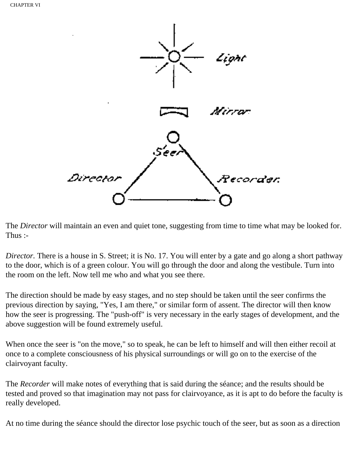

The *Director* will maintain an even and quiet tone, suggesting from time to time what may be looked for. Thus :-

*Director.* There is a house in S. Street; it is No. 17. You will enter by a gate and go along a short pathway to the door, which is of a green colour. You will go through the door and along the vestibule. Turn into the room on the left. Now tell me who and what you see there.

The direction should be made by easy stages, and no step should be taken until the seer confirms the previous direction by saying, "Yes, I am there," or similar form of assent. The director will then know how the seer is progressing. The "push-off" is very necessary in the early stages of development, and the above suggestion will be found extremely useful.

When once the seer is "on the move," so to speak, he can be left to himself and will then either recoil at once to a complete consciousness of his physical surroundings or will go on to the exercise of the clairvoyant faculty.

The *Recorder* will make notes of everything that is said during the séance; and the results should be tested and proved so that imagination may not pass for clairvoyance, as it is apt to do before the faculty is really developed.

At no time during the séance should the director lose psychic touch of the seer, but as soon as a direction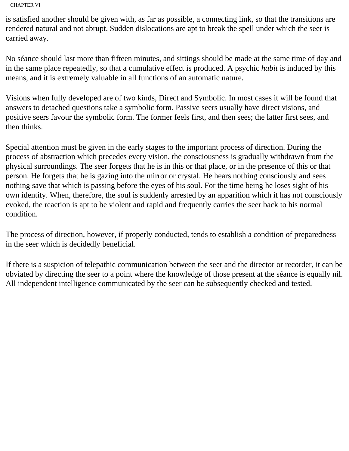CHAPTER VI

is satisfied another should be given with, as far as possible, a connecting link, so that the transitions are rendered natural and not abrupt. Sudden dislocations are apt to break the spell under which the seer is carried away.

No séance should last more than fifteen minutes, and sittings should be made at the same time of day and in the same place repeatedly, so that a cumulative effect is produced. A psychic *habit* is induced by this means, and it is extremely valuable in all functions of an automatic nature.

Visions when fully developed are of two kinds, Direct and Symbolic. In most cases it will be found that answers to detached questions take a symbolic form. Passive seers usually have direct visions, and positive seers favour the symbolic form. The former feels first, and then sees; the latter first sees, and then thinks.

Special attention must be given in the early stages to the important process of direction. During the process of abstraction which precedes every vision, the consciousness is gradually withdrawn from the physical surroundings. The seer forgets that he is in this or that place, or in the presence of this or that person. He forgets that he is gazing into the mirror or crystal. He hears nothing consciously and sees nothing save that which is passing before the eyes of his soul. For the time being he loses sight of his own identity. When, therefore, the soul is suddenly arrested by an apparition which it has not consciously evoked, the reaction is apt to be violent and rapid and frequently carries the seer back to his normal condition.

The process of direction, however, if properly conducted, tends to establish a condition of preparedness in the seer which is decidedly beneficial.

If there is a suspicion of telepathic communication between the seer and the director or recorder, it can be obviated by directing the seer to a point where the knowledge of those present at the séance is equally nil. All independent intelligence communicated by the seer can be subsequently checked and tested.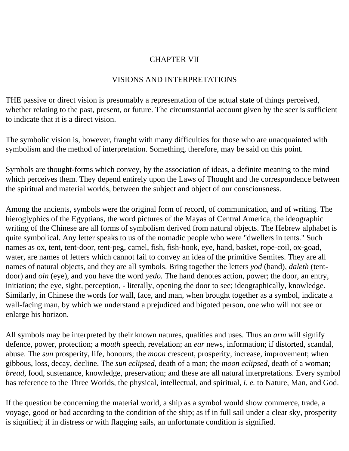# CHAPTER VII

# VISIONS AND INTERPRETATIONS

THE passive or direct vision is presumably a representation of the actual state of things perceived, whether relating to the past, present, or future. The circumstantial account given by the seer is sufficient to indicate that it is a direct vision.

The symbolic vision is, however, fraught with many difficulties for those who are unacquainted with symbolism and the method of interpretation. Something, therefore, may be said on this point.

Symbols are thought-forms which convey, by the association of ideas, a definite meaning to the mind which perceives them. They depend entirely upon the Laws of Thought and the correspondence between the spiritual and material worlds, between the subject and object of our consciousness.

Among the ancients, symbols were the original form of record, of communication, and of writing. The hieroglyphics of the Egyptians, the word pictures of the Mayas of Central America, the ideographic writing of the Chinese are all forms of symbolism derived from natural objects. The Hebrew alphabet is quite symbolical. Any letter speaks to us of the nomadic people who were "dwellers in tents." Such names as ox, tent, tent-door, tent-peg, camel, fish, fish-hook, eye, hand, basket, rope-coil, ox-goad, water, are names of letters which cannot fail to convey an idea of the primitive Semites. They are all names of natural objects, and they are all symbols. Bring together the letters *yod* (hand), *daleth* (tentdoor) and *oin* (eye), and you have the word *yedo.* The hand denotes action, power; the door, an entry, initiation; the eye, sight, perception, - literally, opening the door to see; ideographically, knowledge. Similarly, in Chinese the words for wall, face, and man, when brought together as a symbol, indicate a wall-facing man, by which we understand a prejudiced and bigoted person, one who will not see or enlarge his horizon.

All symbols may be interpreted by their known natures, qualities and uses. Thus an *arm* will signify defence, power, protection; a *mouth* speech, revelation; an *ear* news, information; if distorted, scandal, abuse. The *sun* prosperity, life, honours; the *moon* crescent, prosperity, increase, improvement; when gibbous, loss, decay, decline. The *sun eclipsed,* death of a man; the *moon eclipsed,* death of a woman; *bread,* food, sustenance, knowledge, preservation; and these are all natural interpretations. Every symbol has reference to the Three Worlds, the physical, intellectual, and spiritual, *i. e.* to Nature, Man, and God.

If the question be concerning the material world, a ship as a symbol would show commerce, trade, a voyage, good or bad according to the condition of the ship; as if in full sail under a clear sky, prosperity is signified; if in distress or with flagging sails, an unfortunate condition is signified.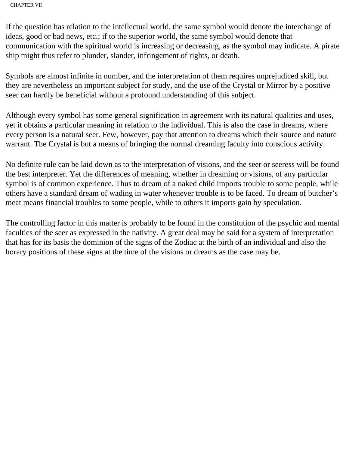CHAPTER VII

If the question has relation to the intellectual world, the same symbol would denote the interchange of ideas, good or bad news, etc.; if to the superior world, the same symbol would denote that communication with the spiritual world is increasing or decreasing, as the symbol may indicate. A pirate ship might thus refer to plunder, slander, infringement of rights, or death.

Symbols are almost infinite in number, and the interpretation of them requires unprejudiced skill, but they are nevertheless an important subject for study, and the use of the Crystal or Mirror by a positive seer can hardly be beneficial without a profound understanding of this subject.

Although every symbol has some general signification in agreement with its natural qualities and uses, yet it obtains a particular meaning in relation to the individual. This is also the case in dreams, where every person is a natural seer. Few, however, pay that attention to dreams which their source and nature warrant. The Crystal is but a means of bringing the normal dreaming faculty into conscious activity.

No definite rule can be laid down as to the interpretation of visions, and the seer or seeress will be found the best interpreter. Yet the differences of meaning, whether in dreaming or visions, of any particular symbol is of common experience. Thus to dream of a naked child imports trouble to some people, while others have a standard dream of wading in water whenever trouble is to be faced. To dream of butcher's meat means financial troubles to some people, while to others it imports gain by speculation.

The controlling factor in this matter is probably to be found in the constitution of the psychic and mental faculties of the seer as expressed in the nativity. A great deal may be said for a system of interpretation that has for its basis the dominion of the signs of the Zodiac at the birth of an individual and also the horary positions of these signs at the time of the visions or dreams as the case may be.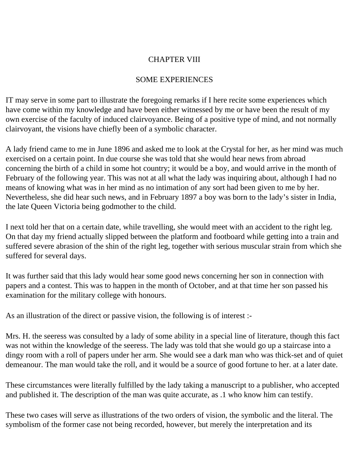# CHAPTER VIII

### SOME EXPERIENCES

IT may serve in some part to illustrate the foregoing remarks if I here recite some experiences which have come within my knowledge and have been either witnessed by me or have been the result of my own exercise of the faculty of induced clairvoyance. Being of a positive type of mind, and not normally clairvoyant, the visions have chiefly been of a symbolic character.

A lady friend came to me in June 1896 and asked me to look at the Crystal for her, as her mind was much exercised on a certain point. In due course she was told that she would hear news from abroad concerning the birth of a child in some hot country; it would be a boy, and would arrive in the month of February of the following year. This was not at all what the lady was inquiring about, although I had no means of knowing what was in her mind as no intimation of any sort had been given to me by her. Nevertheless, she did hear such news, and in February 1897 a boy was born to the lady's sister in India, the late Queen Victoria being godmother to the child.

I next told her that on a certain date, while travelling, she would meet with an accident to the right leg. On that day my friend actually slipped between the platform and footboard while getting into a train and suffered severe abrasion of the shin of the right leg, together with serious muscular strain from which she suffered for several days.

It was further said that this lady would hear some good news concerning her son in connection with papers and a contest. This was to happen in the month of October, and at that time her son passed his examination for the military college with honours.

As an illustration of the direct or passive vision, the following is of interest :-

Mrs. H. the seeress was consulted by a lady of some ability in a special line of literature, though this fact was not within the knowledge of the seeress. The lady was told that she would go up a staircase into a dingy room with a roll of papers under her arm. She would see a dark man who was thick-set and of quiet demeanour. The man would take the roll, and it would be a source of good fortune to her. at a later date.

These circumstances were literally fulfilled by the lady taking a manuscript to a publisher, who accepted and published it. The description of the man was quite accurate, as .1 who know him can testify.

These two cases will serve as illustrations of the two orders of vision, the symbolic and the literal. The symbolism of the former case not being recorded, however, but merely the interpretation and its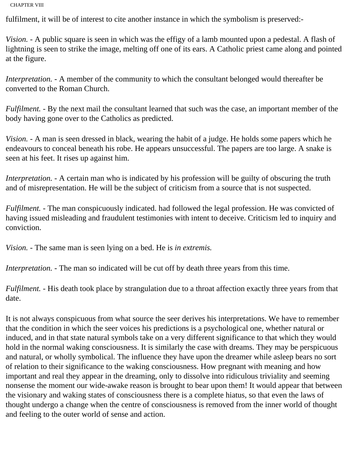CHAPTER VIII

fulfilment, it will be of interest to cite another instance in which the symbolism is preserved:-

*Vision.* - A public square is seen in which was the effigy of a lamb mounted upon a pedestal. A flash of lightning is seen to strike the image, melting off one of its ears. A Catholic priest came along and pointed at the figure.

*Interpretation.* - A member of the community to which the consultant belonged would thereafter be converted to the Roman Church.

*Fulfilment.* - By the next mail the consultant learned that such was the case, an important member of the body having gone over to the Catholics as predicted.

*Vision.* - A man is seen dressed in black, wearing the habit of a judge. He holds some papers which he endeavours to conceal beneath his robe. He appears unsuccessful. The papers are too large. A snake is seen at his feet. It rises up against him.

*Interpretation.* - A certain man who is indicated by his profession will be guilty of obscuring the truth and of misrepresentation. He will be the subject of criticism from a source that is not suspected.

*Fulfilment.* - The man conspicuously indicated. had followed the legal profession. He was convicted of having issued misleading and fraudulent testimonies with intent to deceive. Criticism led to inquiry and conviction.

*Vision.* - The same man is seen lying on a bed. He is *in extremis.*

*Interpretation.* - The man so indicated will be cut off by death three years from this time.

*Fulfilment.* - His death took place by strangulation due to a throat affection exactly three years from that date.

It is not always conspicuous from what source the seer derives his interpretations. We have to remember that the condition in which the seer voices his predictions is a psychological one, whether natural or induced, and in that state natural symbols take on a very different significance to that which they would hold in the normal waking consciousness. It is similarly the case with dreams. They may be perspicuous and natural, or wholly symbolical. The influence they have upon the dreamer while asleep bears no sort of relation to their significance to the waking consciousness. How pregnant with meaning and how important and real they appear in the dreaming, only to dissolve into ridiculous triviality and seeming nonsense the moment our wide-awake reason is brought to bear upon them! It would appear that between the visionary and waking states of consciousness there is a complete hiatus, so that even the laws of thought undergo a change when the centre of consciousness is removed from the inner world of thought and feeling to the outer world of sense and action.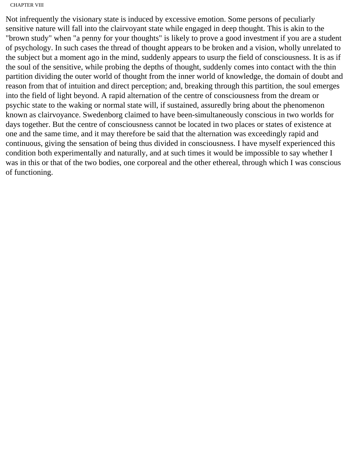#### CHAPTER VIII

Not infrequently the visionary state is induced by excessive emotion. Some persons of peculiarly sensitive nature will fall into the clairvoyant state while engaged in deep thought. This is akin to the "brown study" when "a penny for your thoughts" is likely to prove a good investment if you are a student of psychology. In such cases the thread of thought appears to be broken and a vision, wholly unrelated to the subject but a moment ago in the mind, suddenly appears to usurp the field of consciousness. It is as if the soul of the sensitive, while probing the depths of thought, suddenly comes into contact with the thin partition dividing the outer world of thought from the inner world of knowledge, the domain of doubt and reason from that of intuition and direct perception; and, breaking through this partition, the soul emerges into the field of light beyond. A rapid alternation of the centre of consciousness from the dream or psychic state to the waking or normal state will, if sustained, assuredly bring about the phenomenon known as clairvoyance. Swedenborg claimed to have been-simultaneously conscious in two worlds for days together. But the centre of consciousness cannot be located in two places or states of existence at one and the same time, and it may therefore be said that the alternation was exceedingly rapid and continuous, giving the sensation of being thus divided in consciousness. I have myself experienced this condition both experimentally and naturally, and at such times it would be impossible to say whether I was in this or that of the two bodies, one corporeal and the other ethereal, through which I was conscious of functioning.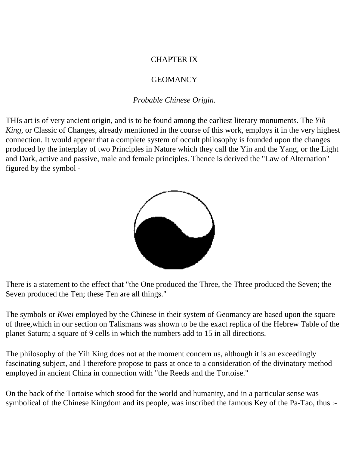# CHAPTER IX

## **GEOMANCY**

#### *Probable Chinese Origin.*

THIs art is of very ancient origin, and is to be found among the earliest literary monuments. The *Yih King,* or Classic of Changes, already mentioned in the course of this work, employs it in the very highest connection. It would appear that a complete system of occult philosophy is founded upon the changes produced by the interplay of two Principles in Nature which they call the Yin and the Yang, or the Light and Dark, active and passive, male and female principles. Thence is derived the "Law of Alternation" figured by the symbol -



There is a statement to the effect that "the One produced the Three, the Three produced the Seven; the Seven produced the Ten; these Ten are all things."

The symbols or *Kwei* employed by the Chinese in their system of Geomancy are based upon the square of three,which in our section on Talismans was shown to be the exact replica of the Hebrew Table of the planet Saturn; a square of 9 cells in which the numbers add to 15 in all directions.

The philosophy of the Yih King does not at the moment concern us, although it is an exceedingly fascinating subject, and I therefore propose to pass at once to a consideration of the divinatory method employed in ancient China in connection with "the Reeds and the Tortoise."

On the back of the Tortoise which stood for the world and humanity, and in a particular sense was symbolical of the Chinese Kingdom and its people, was inscribed the famous Key of the Pa-Tao, thus :-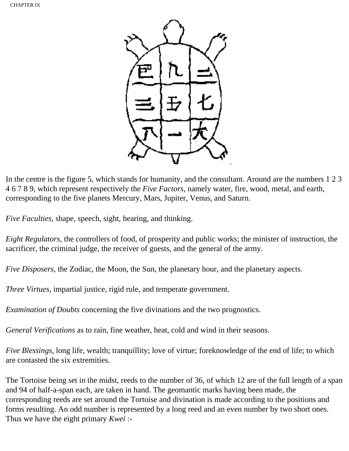

In the centre is the figure 5, which stands for humanity, and the consultant. Around are the numbers 1 2 3 4 6 7 8 9, which represent respectively the *Five Factors,* namely water, fire, wood, metal, and earth, corresponding to the five planets Mercury, Mars, Jupiter, Venus, and Saturn.

*Five Faculties,* shape, speech, sight, hearing, and thinking.

*Eight Regulators,* the controllers of food, of prosperity and public works; the minister of instruction, the sacrificer, the criminal judge, the receiver of guests, and the general of the army.

*Five Disposers,* the Zodiac, the Moon, the Sun, the planetary hour, and the planetary aspects.

*Three Virtues,* impartial justice, rigid rule, and temperate government.

*Examination of Doubts* concerning the five divinations and the two prognostics.

*General Verifications* as to rain, fine weather, heat, cold and wind in their seasons.

*Five Blessings,* long life, wealth; tranquillity; love of virtue; foreknowledge of the end of life; to which are contasted the six extremities.

The Tortoise being set in the midst, reeds to the number of 36, of which 12 are of the full length of a span and 94 of half-a-span each, are taken in hand. The geomantic marks having been made, the corresponding reeds are set around the Tortoise and divination is made according to the positions and forms resulting. An odd number is represented by a long reed and an even number by two short ones. Thus we have the eight primary *Kwei* :-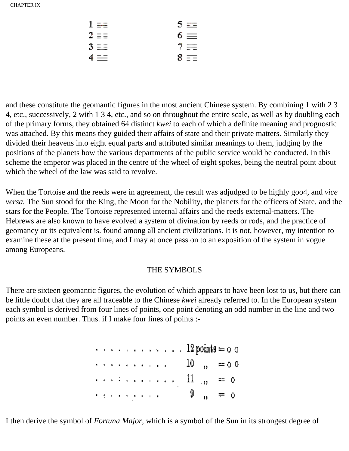CHAPTER IX

| $1 \equiv$        | 5 ==       |
|-------------------|------------|
| $2 \equiv \equiv$ | $6 \equiv$ |
| $3 \equiv$        | $7 =$      |
| 4 $\equiv$        | 8 ≡∃       |

and these constitute the geomantic figures in the most ancient Chinese system. By combining 1 with 2 3 4, etc., successively, 2 with 1 3 4, etc., and so on throughout the entire scale, as well as by doubling each of the primary forms, they obtained 64 distinct *kwei* to each of which a definite meaning and prognostic was attached. By this means they guided their affairs of state and their private matters. Similarly they divided their heavens into eight equal parts and attributed similar meanings to them, judging by the positions of the planets how the various departments of the public service would be conducted. In this scheme the emperor was placed in the centre of the wheel of eight spokes, being the neutral point about which the wheel of the law was said to revolve.

When the Tortoise and the reeds were in agreement, the result was adjudged to be highly goo4, and *vice versa.* The Sun stood for the King, the Moon for the Nobility, the planets for the officers of State, and the stars for the People. The Tortoise represented internal affairs and the reeds external-matters. The Hebrews are also known to have evolved a system of divination by reeds or rods, and the practice of geomancy or its equivalent is. found among all ancient civilizations. It is not, however, my intention to examine these at the present time, and I may at once pass on to an exposition of the system in vogue among Europeans.

#### THE SYMBOLS

There are sixteen geomantic figures, the evolution of which appears to have been lost to us, but there can be little doubt that they are all traceable to the Chinese *kwei* already referred to. In the European system each symbol is derived from four lines of points, one point denoting an odd number in the line and two points an even number. Thus. if I make four lines of points :-

|  |  |  |  |  |  | $\cdots$ 12 points = 0 0   |  |  |
|--|--|--|--|--|--|----------------------------|--|--|
|  |  |  |  |  |  | $\cdots$ 10 $\cdots$ = 0.0 |  |  |
|  |  |  |  |  |  |                            |  |  |
|  |  |  |  |  |  | $\cdots$ $\theta_{n} = 0$  |  |  |

I then derive the symbol of *Fortuna Major,* which is a symbol of the Sun in its strongest degree of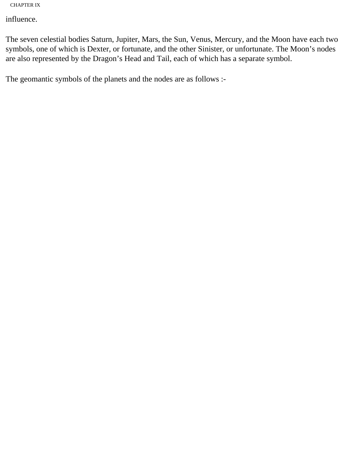CHAPTER IX

influence.

The seven celestial bodies Saturn, Jupiter, Mars, the Sun, Venus, Mercury, and the Moon have each two symbols, one of which is Dexter, or fortunate, and the other Sinister, or unfortunate. The Moon's nodes are also represented by the Dragon's Head and Tail, each of which has a separate symbol.

The geomantic symbols of the planets and the nodes are as follows :-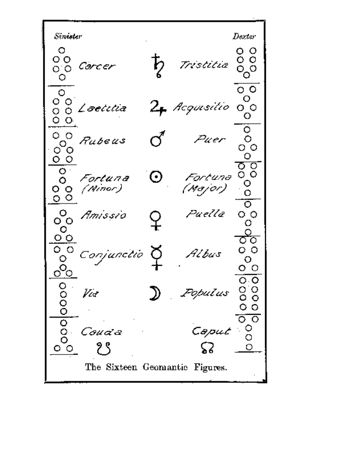**Sinister**  $\emph{Dexter}$  $\circ$  $\circ$ o  $\circ$  $\circ$   $\circ$ о Tristitia Carcer o o Ō O  $\circ$   $\circ$  $\circ$ Ο. О.  $\circ$  $2$  Acquisitio  $0$ 0 o Loetitia Ō O O  $\bullet$ o ٥  $\circ$ O זשי Rubeus О  $\circ$  $\circ \circ$ 0  $\circ$ ठ ठ Ο. ŌО Fortuna  $\rm{O}$ Fortuna Ó (Minor) (Major)  $\begin{smallmatrix}0&0\0&0\end{smallmatrix}$ Ő O  $\circ$ Puella  $\circ$   $\circ$ Amissio O  $\circ$  $\circ \circ$ oо 0. O o o Atbus Conjunctio O  $\circ^{\circ}$ o o o o oooo O О Vid dpułus ŏŏ<br>O O ত ত  $\overline{0}$ Caput O Couda O  $\circ$ 23 О  $\circ$  $\circ$ The Sixteen Geomantic Figures.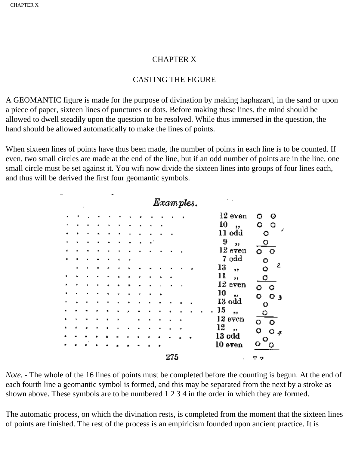#### CASTING THE FIGURE

A GEOMANTIC figure is made for the purpose of divination by making haphazard, in the sand or upon a piece of paper, sixteen lines of punctures or dots. Before making these lines, the mind should be allowed to dwell steadily upon the question to be resolved. While thus immersed in the question, the hand should be allowed automatically to make the lines of points.

When sixteen lines of points have thus been made, the number of points in each line is to be counted. If even, two small circles are made at the end of the line, but if an odd number of points are in the line, one small circle must be set against it. You wifi now divide the sixteen lines into groups of four lines each, and thus will be derived the first four geomantic symbols.

|  |  | v |                |  |           |   |  |                |                        |
|--|--|---|----------------|--|-----------|---|--|----------------|------------------------|
|  |  |   |                |  | Examples. |   |  |                |                        |
|  |  |   |                |  |           |   |  | $12$ even      | $\circ$<br>۰           |
|  |  |   |                |  |           |   |  | 10<br>J)       | $\circ$<br>۰           |
|  |  |   |                |  |           |   |  | $11$ $odd$     | ۰                      |
|  |  |   |                |  |           |   |  | 9<br>,,        | o                      |
|  |  |   |                |  |           |   |  | 12 even        | o o                    |
|  |  |   |                |  |           |   |  | 7 odd          | ο                      |
|  |  |   |                |  |           |   |  | 13<br>12       | 2<br>о                 |
|  |  |   |                |  |           |   |  | 11<br>,,       | $\bullet$              |
|  |  |   |                |  |           |   |  | $12$ even      | ۰<br>o                 |
|  |  |   |                |  |           |   |  | 10<br>,,       | о<br>O <sub>3</sub>    |
|  |  |   |                |  |           |   |  | $13\;\rm odd$  | o                      |
|  |  |   |                |  |           |   |  | 15<br>ä,<br>53 | ۰                      |
|  |  | ٠ | $\blacksquare$ |  |           | ۰ |  | $12$ even      | о<br>۰                 |
|  |  |   |                |  |           |   |  | 12<br>55       | o                      |
|  |  |   |                |  |           |   |  | 13 odd         | $Q_{\mathcal{A}}$<br>о |
|  |  |   |                |  |           |   |  | 10 even        | ο<br>о                 |
|  |  |   |                |  | 275       |   |  | $\blacksquare$ | ጥማ                     |

*Note.* - The whole of the 16 lines of points must be completed before the counting is begun. At the end of each fourth line a geomantic symbol is formed, and this may be separated from the next by a stroke as shown above. These symbols are to be numbered 1 2 3 4 in the order in which they are formed.

The automatic process, on which the divination rests, is completed from the moment that the sixteen lines of points are finished. The rest of the process is an empiricism founded upon ancient practice. It is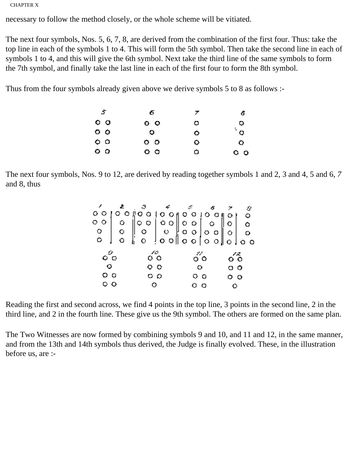necessary to follow the method closely, or the whole scheme will be vitiated.

The next four symbols, Nos. 5, 6, 7, 8, are derived from the combination of the first four. Thus: take the top line in each of the symbols 1 to 4. This will form the 5th symbol. Then take the second line in each of symbols 1 to 4, and this will give the 6th symbol. Next take the third line of the same symbols to form the 7th symbol, and finally take the last line in each of the first four to form the 8th symbol.

Thus from the four symbols already given above we derive symbols 5 to 8 as follows :-

| 5               | 6               | z | 6   |
|-----------------|-----------------|---|-----|
| o o             | $^{\circ}$      | o | ۰   |
| $\circ$         | O               | ۰ | ဲဝ  |
| $\circ$ $\circ$ | o o             | ο | o   |
| $\circ$ $\circ$ | $\circ$ $\circ$ | n | o o |

The next four symbols, Nos. 9 to 12, are derived by reading together symbols 1 and 2, 3 and 4, 5 and 6, *7*  and 8, thus

|              | -31<br>÷.                | E.              |                         | 8                  |  |  |
|--------------|--------------------------|-----------------|-------------------------|--------------------|--|--|
| оο           | o o ilo o lo o lo o i    |                 | $\circ$ $\circ$<br>Ţ.   | O≀<br>۰            |  |  |
| ၁ဝ<br>٥      | ००∥००<br>$\circ$ $\circ$ |                 | ०                       | ٥<br>٥             |  |  |
| $\circ$<br>o | 0                        | ပ ∦ဝဝ           | $\circ$ $\circ$ $\circ$ | o                  |  |  |
| o<br>o       | o                        |                 |                         | jo o∥o o[o o∥o]o o |  |  |
|              | 10                       | 22.             |                         |                    |  |  |
| లిం          | ००                       | $\circ$ $\circ$ |                         | రీం                |  |  |
| $\bullet$    | ००                       | o               |                         | o o                |  |  |
| o o          | oρ                       | o o             |                         | $\circ$ $\circ$    |  |  |
| $\circ\circ$ | o                        | oо              |                         | o                  |  |  |

Reading the first and second across, we find 4 points in the top line, 3 points in the second line, 2 in the third line, and 2 in the fourth line. These give us the 9th symbol. The others are formed on the same plan.

The Two Witnesses are now formed by combining symbols 9 and 10, and 11 and 12, in the same manner, and from the 13th and 14th symbols thus derived, the Judge is finally evolved. These, in the illustration before us, are :-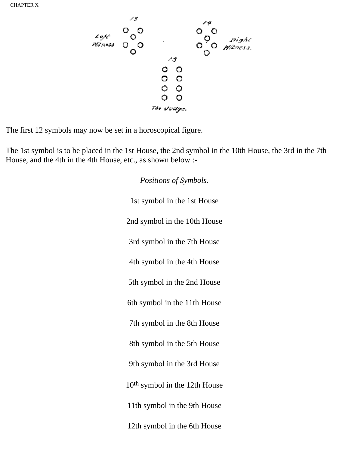

The first 12 symbols may now be set in a horoscopical figure.

The 1st symbol is to be placed in the 1st House, the 2nd symbol in the 10th House, the 3rd in the 7th House, and the 4th in the 4th House, etc., as shown below :-

> *Positions of Symbols.* 1st symbol in the 1st House 2nd symbol in the 10th House 3rd symbol in the 7th House 4th symbol in the 4th House 5th symbol in the 2nd House 6th symbol in the 11th House 7th symbol in the 8th House 8th symbol in the 5th House 9th symbol in the 3rd House 10th symbol in the 12th House 11th symbol in the 9th House 12th symbol in the 6th House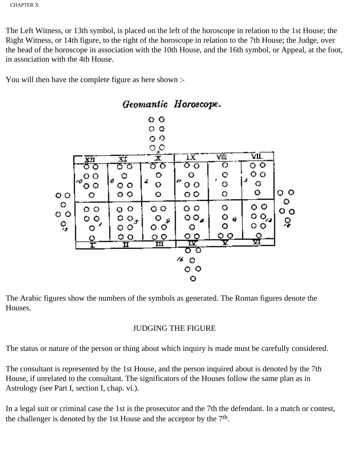The Left Witness, or 13th symbol, is placed on the left of the horoscope in relation to the 1st House; the Right Witness, or 14th figure, to the right of the horoscope in relation to the 7th House; the Judge, over the head of the horoscope in association with the 10th House, and the 16th symbol, or Appeal, at the foot, in association with the 4th House.

You will then have the complete figure as here shown :-



The Arabic figures show the numbers of the symbols as generated. The Roman figures denote the Houses.

# JUDGING THE FIGURE

The status or nature of the person or thing about which inquiry is made must be carefully considered.

The consultant is represented by the 1st House, and the person inquired about is denoted by the 7th House, if unrelated to the consultant. The significators of the Houses follow the same plan as in Astrology (see Part I, section I, chap. vi.).

In a legal suit or criminal case the 1st is the prosecutor and the 7th the defendant. In a match or contest, the challenger is denoted by the 1st House and the acceptor by the  $7<sup>th</sup>$ .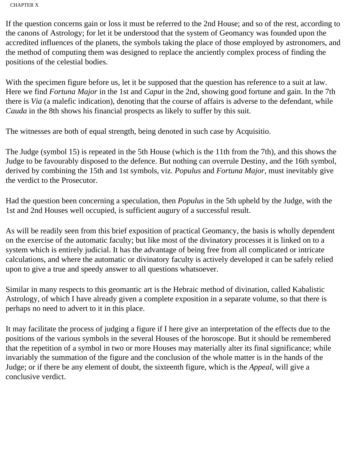If the question concerns gain or loss it must be referred to the 2nd House; and so of the rest, according to the canons of Astrology; for let it be understood that the system of Geomancy was founded upon the accredited influences of the planets, the symbols taking the place of those employed by astronomers, and the method of computing them was designed to replace the anciently complex process of finding the positions of the celestial bodies.

With the specimen figure before us, let it be supposed that the question has reference to a suit at law. Here we find *Fortuna Major* in the 1st and *Caput* in the 2nd, showing good fortune and gain. In the 7th there is *Via* (a malefic indication), denoting that the course of affairs is adverse to the defendant, while *Cauda* in the 8th shows his financial prospects as likely to suffer by this suit.

The witnesses are both of equal strength, being denoted in such case by Acquisitio.

The Judge (symbol 15) is repeated in the 5th House (which is the 11th from the 7th), and this shows the Judge to be favourably disposed to the defence. But nothing can overrule Destiny, and the 16th symbol, derived by combining the 15th and 1st symbols, viz. *Populus* and *Fortuna Major,* must inevitably give the verdict to the Prosecutor.

Had the question been concerning a speculation, then *Populus* in the 5th upheld by the Judge, with the 1st and 2nd Houses well occupied, is sufficient augury of a successful result.

As will be readily seen from this brief exposition of practical Geomancy, the basis is wholly dependent on the exercise of the automatic faculty; but like most of the divinatory processes it is linked on to a system which is entirely judicial. It has the advantage of being free from all complicated or intricate calculations, and where the automatic or divinatory faculty is actively developed it can be safely relied upon to give a true and speedy answer to all questions whatsoever.

Similar in many respects to this geomantic art is the Hebraic method of divination, called Kabalistic Astrology, of which I have already given a complete exposition in a separate volume, so that there is perhaps no need to advert to it in this place.

It may facilitate the process of judging a figure if I here give an interpretation of the effects due to the positions of the various symbols in the several Houses of the horoscope. But it should be remembered that the repetition of a symbol in two or more Houses may materially alter its final significance; while invariably the summation of the figure and the conclusion of the whole matter is in the hands of the Judge; or if there be any element of doubt, the sixteenth figure, which is the *Appeal,* will give a conclusive verdict.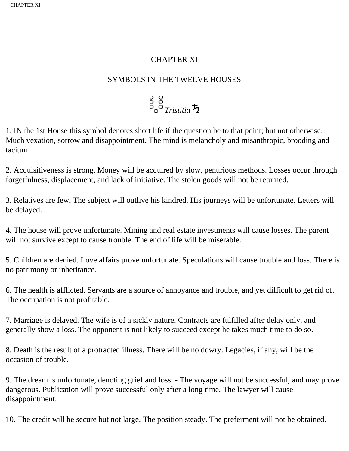# SYMBOLS IN THE TWELVE HOUSES

 $\begin{smallmatrix} \circ & \circ & \circ \\ \circ & \circ & \bullet \\ \circ & \circ & \bullet \end{smallmatrix}$ 

1. IN the 1st House this symbol denotes short life if the question be to that point; but not otherwise. Much vexation, sorrow and disappointment. The mind is melancholy and misanthropic, brooding and taciturn.

2. Acquisitiveness is strong. Money will be acquired by slow, penurious methods. Losses occur through forgetfulness, displacement, and lack of initiative. The stolen goods will not be returned.

3. Relatives are few. The subject will outlive his kindred. His journeys will be unfortunate. Letters will be delayed.

4. The house will prove unfortunate. Mining and real estate investments will cause losses. The parent will not survive except to cause trouble. The end of life will be miserable.

5. Children are denied. Love affairs prove unfortunate. Speculations will cause trouble and loss. There is no patrimony or inheritance.

6. The health is afflicted. Servants are a source of annoyance and trouble, and yet difficult to get rid of. The occupation is not profitable.

7. Marriage is delayed. The wife is of a sickly nature. Contracts are fulfilled after delay only, and generally show a loss. The opponent is not likely to succeed except he takes much time to do so.

8. Death is the result of a protracted illness. There will be no dowry. Legacies, if any, will be the occasion of trouble.

9. The dream is unfortunate, denoting grief and loss. - The voyage will not be successful, and may prove dangerous. Publication will prove successful only after a long time. The lawyer will cause disappointment.

10. The credit will be secure but not large. The position steady. The preferment will not be obtained.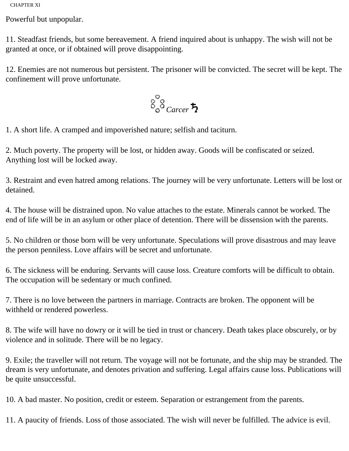Powerful but unpopular.

11. Steadfast friends, but some bereavement. A friend inquired about is unhappy. The wish will not be granted at once, or if obtained will prove disappointing.

12. Enemies are not numerous but persistent. The prisoner will be convicted. The secret will be kept. The confinement will prove unfortunate.

 $\int_{0}^{\infty}$  *Carcer* **ħ** 

1. A short life. A cramped and impoverished nature; selfish and taciturn.

2. Much poverty. The property will be lost, or hidden away. Goods will be confiscated or seized. Anything lost will be locked away.

3. Restraint and even hatred among relations. The journey will be very unfortunate. Letters will be lost or detained.

4. The house will be distrained upon. No value attaches to the estate. Minerals cannot be worked. The end of life will be in an asylum or other place of detention. There will be dissension with the parents.

5. No children or those born will be very unfortunate. Speculations will prove disastrous and may leave the person penniless. Love affairs will be secret and unfortunate.

6. The sickness will be enduring. Servants will cause loss. Creature comforts will be difficult to obtain. The occupation will be sedentary or much confined.

7. There is no love between the partners in marriage. Contracts are broken. The opponent will be withheld or rendered powerless.

8. The wife will have no dowry or it will be tied in trust or chancery. Death takes place obscurely, or by violence and in solitude. There will be no legacy.

9. Exile; the traveller will not return. The voyage will not be fortunate, and the ship may be stranded. The dream is very unfortunate, and denotes privation and suffering. Legal affairs cause loss. Publications will be quite unsuccessful.

10. A bad master. No position, credit or esteem. Separation or estrangement from the parents.

11. A paucity of friends. Loss of those associated. The wish will never be fulfilled. The advice is evil.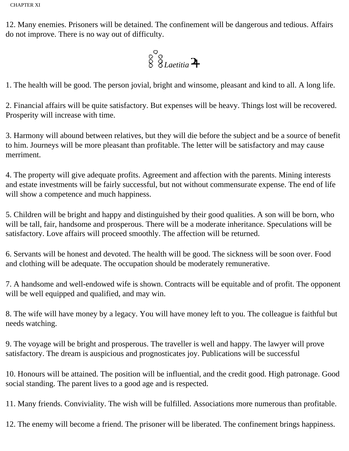12. Many enemies. Prisoners will be detained. The confinement will be dangerous and tedious. Affairs do not improve. There is no way out of difficulty.



1. The health will be good. The person jovial, bright and winsome, pleasant and kind to all. A long life.

2. Financial affairs will be quite satisfactory. But expenses will be heavy. Things lost will be recovered. Prosperity will increase with time.

3. Harmony will abound between relatives, but they will die before the subject and be a source of benefit to him. Journeys will be more pleasant than profitable. The letter will be satisfactory and may cause merriment.

4. The property will give adequate profits. Agreement and affection with the parents. Mining interests and estate investments will be fairly successful, but not without commensurate expense. The end of life will show a competence and much happiness.

5. Children will be bright and happy and distinguished by their good qualities. A son will be born, who will be tall, fair, handsome and prosperous. There will be a moderate inheritance. Speculations will be satisfactory. Love affairs will proceed smoothly. The affection will be returned.

6. Servants will be honest and devoted. The health will be good. The sickness will be soon over. Food and clothing will be adequate. The occupation should be moderately remunerative.

7. A handsome and well-endowed wife is shown. Contracts will be equitable and of profit. The opponent will be well equipped and qualified, and may win.

8. The wife will have money by a legacy. You will have money left to you. The colleague is faithful but needs watching.

9. The voyage will be bright and prosperous. The traveller is well and happy. The lawyer will prove satisfactory. The dream is auspicious and prognosticates joy. Publications will be successful

10. Honours will be attained. The position will be influential, and the credit good. High patronage. Good social standing. The parent lives to a good age and is respected.

11. Many friends. Conviviality. The wish will be fulfilled. Associations more numerous than profitable.

12. The enemy will become a friend. The prisoner will be liberated. The confinement brings happiness.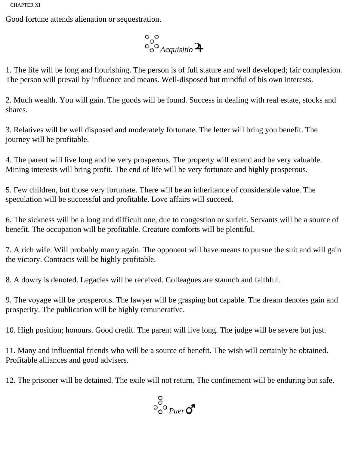Good fortune attends alienation or sequestration.

 $\int_{\alpha}^{\infty}$  *Acquisitio* **4** 

1. The life will be long and flourishing. The person is of full stature and well developed; fair complexion. The person will prevail by influence and means. Well-disposed but mindful of his own interests.

2. Much wealth. You will gain. The goods will be found. Success in dealing with real estate, stocks and shares.

3. Relatives will be well disposed and moderately fortunate. The letter will bring you benefit. The journey will be profitable.

4. The parent will live long and be very prosperous. The property will extend and be very valuable. Mining interests will bring profit. The end of life will be very fortunate and highly prosperous.

5. Few children, but those very fortunate. There will be an inheritance of considerable value. The speculation will be successful and profitable. Love affairs will succeed.

6. The sickness will be a long and difficult one, due to congestion or surfeit. Servants will be a source of benefit. The occupation will be profitable. Creature comforts will be plentiful.

7. A rich wife. Will probably marry again. The opponent will have means to pursue the suit and will gain the victory. Contracts will be highly profitable.

8. A dowry is denoted. Legacies will be received. Colleagues are staunch and faithful.

9. The voyage will be prosperous. The lawyer will be grasping but capable. The dream denotes gain and prosperity. The publication will be highly remunerative.

10. High position; honours. Good credit. The parent will live long. The judge will be severe but just.

11. Many and influential friends who will be a source of benefit. The wish will certainly be obtained. Profitable alliances and good advisers.

12. The prisoner will be detained. The exile will not return. The confinement will be enduring but safe.

္မွာ<br>၀.၀*<sub>Puer</sub> ႐ုိ*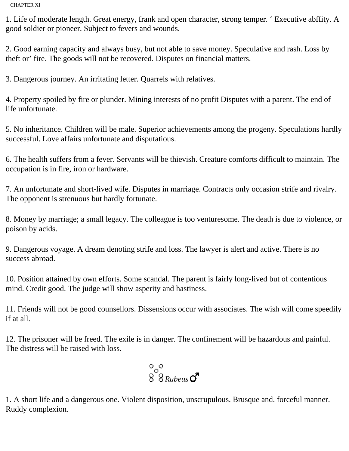1. Life of moderate length. Great energy, frank and open character, strong temper. ' Executive abffity. A good soldier or pioneer. Subject to fevers and wounds.

2. Good earning capacity and always busy, but not able to save money. Speculative and rash. Loss by theft or' fire. The goods will not be recovered. Disputes on financial matters.

3. Dangerous journey. An irritating letter. Quarrels with relatives.

4. Property spoiled by fire or plunder. Mining interests of no profit Disputes with a parent. The end of life unfortunate.

5. No inheritance. Children will be male. Superior achievements among the progeny. Speculations hardly successful. Love affairs unfortunate and disputatious.

6. The health suffers from a fever. Servants will be thievish. Creature comforts difficult to maintain. The occupation is in fire, iron or hardware.

7. An unfortunate and short-lived wife. Disputes in marriage. Contracts only occasion strife and rivalry. The opponent is strenuous but hardly fortunate.

8. Money by marriage; a small legacy. The colleague is too venturesome. The death is due to violence, or poison by acids.

9. Dangerous voyage. A dream denoting strife and loss. The lawyer is alert and active. There is no success abroad.

10. Position attained by own efforts. Some scandal. The parent is fairly long-lived but of contentious mind. Credit good. The judge will show asperity and hastiness.

11. Friends will not be good counsellors. Dissensions occur with associates. The wish will come speedily if at all.

12. The prisoner will be freed. The exile is in danger. The confinement will be hazardous and painful. The distress will be raised with loss.



1. A short life and a dangerous one. Violent disposition, unscrupulous. Brusque and. forceful manner. Ruddy complexion.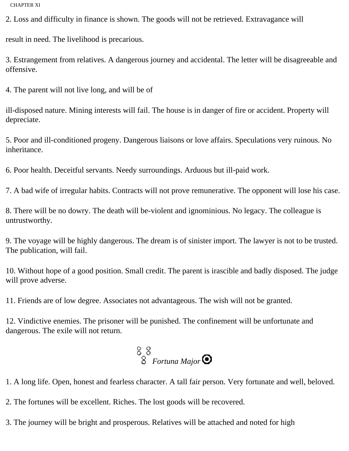2. Loss and difficulty in finance is shown. The goods will not be retrieved. Extravagance will

result in need. The livelihood is precarious.

3. Estrangement from relatives. A dangerous journey and accidental. The letter will be disagreeable and offensive.

4. The parent will not live long, and will be of

ill-disposed nature. Mining interests will fail. The house is in danger of fire or accident. Property will depreciate.

5. Poor and ill-conditioned progeny. Dangerous liaisons or love affairs. Speculations very ruinous. No inheritance.

6. Poor health. Deceitful servants. Needy surroundings. Arduous but ill-paid work.

7. A bad wife of irregular habits. Contracts will not prove remunerative. The opponent will lose his case.

8. There will be no dowry. The death will be-violent and ignominious. No legacy. The colleague is untrustworthy.

9. The voyage will be highly dangerous. The dream is of sinister import. The lawyer is not to be trusted. The publication, will fail.

10. Without hope of a good position. Small credit. The parent is irascible and badly disposed. The judge will prove adverse.

11. Friends are of low degree. Associates not advantageous. The wish will not be granted.

12. Vindictive enemies. The prisoner will be punished. The confinement will be unfortunate and dangerous. The exile will not return.



1. A long life. Open, honest and fearless character. A tall fair person. Very fortunate and well, beloved.

2. The fortunes will be excellent. Riches. The lost goods will be recovered.

3. The journey will be bright and prosperous. Relatives will be attached and noted for high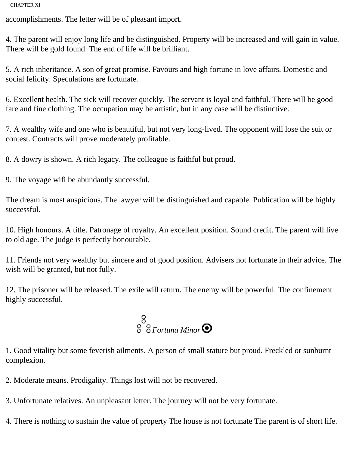accomplishments. The letter will be of pleasant import.

4. The parent will enjoy long life and be distinguished. Property will be increased and will gain in value. There will be gold found. The end of life will be brilliant.

5. A rich inheritance. A son of great promise. Favours and high fortune in love affairs. Domestic and social felicity. Speculations are fortunate.

6. Excellent health. The sick will recover quickly. The servant is loyal and faithful. There will be good fare and fine clothing. The occupation may be artistic, but in any case will be distinctive.

7. A wealthy wife and one who is beautiful, but not very long-lived. The opponent will lose the suit or contest. Contracts will prove moderately profitable.

8. A dowry is shown. A rich legacy. The colleague is faithful but proud.

9. The voyage wifi be abundantly successful.

The dream is most auspicious. The lawyer will be distinguished and capable. Publication will be highly successful.

10. High honours. A title. Patronage of royalty. An excellent position. Sound credit. The parent will live to old age. The judge is perfectly honourable.

11. Friends not very wealthy but sincere and of good position. Advisers not fortunate in their advice. The wish will be granted, but not fully.

12. The prisoner will be released. The exile will return. The enemy will be powerful. The confinement highly successful.



1. Good vitality but some feverish ailments. A person of small stature but proud. Freckled or sunburnt complexion.

2. Moderate means. Prodigality. Things lost will not be recovered.

3. Unfortunate relatives. An unpleasant letter. The journey will not be very fortunate.

4. There is nothing to sustain the value of property The house is not fortunate The parent is of short life.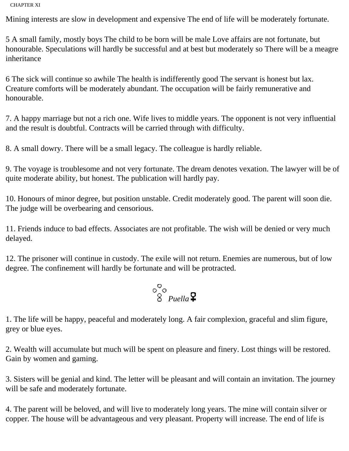Mining interests are slow in development and expensive The end of life will be moderately fortunate.

5 A small family, mostly boys The child to be born will be male Love affairs are not fortunate, but honourable. Speculations will hardly be successful and at best but moderately so There will be a meagre inheritance

6 The sick will continue so awhile The health is indifferently good The servant is honest but lax. Creature comforts will be moderately abundant. The occupation will be fairly remunerative and honourable.

7. A happy marriage but not a rich one. Wife lives to middle years. The opponent is not very influential and the result is doubtful. Contracts will be carried through with difficulty.

8. A small dowry. There will be a small legacy. The colleague is hardly reliable.

9. The voyage is troublesome and not very fortunate. The dream denotes vexation. The lawyer will be of quite moderate ability, but honest. The publication will hardly pay.

10. Honours of minor degree, but position unstable. Credit moderately good. The parent will soon die. The judge will be overbearing and censorious.

11. Friends induce to bad effects. Associates are not profitable. The wish will be denied or very much delayed.

12. The prisoner will continue in custody. The exile will not return. Enemies are numerous, but of low degree. The confinement will hardly be fortunate and will be protracted.

 *Puella* 

1. The life will be happy, peaceful and moderately long. A fair complexion, graceful and slim figure, grey or blue eyes.

2. Wealth will accumulate but much will be spent on pleasure and finery. Lost things will be restored. Gain by women and gaming.

3. Sisters will be genial and kind. The letter will be pleasant and will contain an invitation. The journey will be safe and moderately fortunate.

4. The parent will be beloved, and will live to moderately long years. The mine will contain silver or copper. The house will be advantageous and very pleasant. Property will increase. The end of life is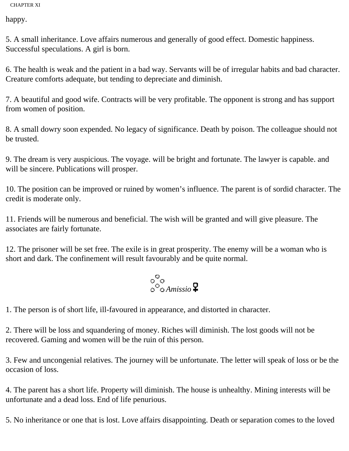happy.

5. A small inheritance. Love affairs numerous and generally of good effect. Domestic happiness. Successful speculations. A girl is born.

6. The health is weak and the patient in a bad way. Servants will be of irregular habits and bad character. Creature comforts adequate, but tending to depreciate and diminish.

7. A beautiful and good wife. Contracts will be very profitable. The opponent is strong and has support from women of position.

8. A small dowry soon expended. No legacy of significance. Death by poison. The colleague should not be trusted.

9. The dream is very auspicious. The voyage. will be bright and fortunate. The lawyer is capable. and will be sincere. Publications will prosper.

10. The position can be improved or ruined by women's influence. The parent is of sordid character. The credit is moderate only.

11. Friends will be numerous and beneficial. The wish will be granted and will give pleasure. The associates are fairly fortunate.

12. The prisoner will be set free. The exile is in great prosperity. The enemy will be a woman who is short and dark. The confinement will result favourably and be quite normal.

 *Amissio* 

1. The person is of short life, ill-favoured in appearance, and distorted in character.

2. There will be loss and squandering of money. Riches will diminish. The lost goods will not be recovered. Gaming and women will be the ruin of this person.

3. Few and uncongenial relatives. The journey will be unfortunate. The letter will speak of loss or be the occasion of loss.

4. The parent has a short life. Property will diminish. The house is unhealthy. Mining interests will be unfortunate and a dead loss. End of life penurious.

5. No inheritance or one that is lost. Love affairs disappointing. Death or separation comes to the loved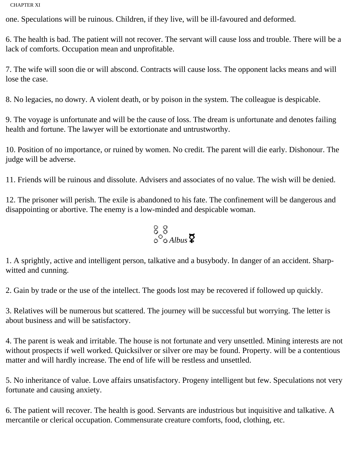one. Speculations will be ruinous. Children, if they live, will be ill-favoured and deformed.

6. The health is bad. The patient will not recover. The servant will cause loss and trouble. There will be a lack of comforts. Occupation mean and unprofitable.

7. The wife will soon die or will abscond. Contracts will cause loss. The opponent lacks means and will lose the case.

8. No legacies, no dowry. A violent death, or by poison in the system. The colleague is despicable.

9. The voyage is unfortunate and will be the cause of loss. The dream is unfortunate and denotes failing health and fortune. The lawyer will be extortionate and untrustworthy.

10. Position of no importance, or ruined by women. No credit. The parent will die early. Dishonour. The judge will be adverse.

11. Friends will be ruinous and dissolute. Advisers and associates of no value. The wish will be denied.

12. The prisoner will perish. The exile is abandoned to his fate. The confinement will be dangerous and disappointing or abortive. The enemy is a low-minded and despicable woman.

$$
\begin{array}{c}\n8 \ 8 \\
0 \ 0 \ \text{Albus}\n\end{array}
$$

1. A sprightly, active and intelligent person, talkative and a busybody. In danger of an accident. Sharpwitted and cunning.

2. Gain by trade or the use of the intellect. The goods lost may be recovered if followed up quickly.

3. Relatives will be numerous but scattered. The journey will be successful but worrying. The letter is about business and will be satisfactory.

4. The parent is weak and irritable. The house is not fortunate and very unsettled. Mining interests are not without prospects if well worked. Quicksilver or silver ore may be found. Property. will be a contentious matter and will hardly increase. The end of life will be restless and unsettled.

5. No inheritance of value. Love affairs unsatisfactory. Progeny intelligent but few. Speculations not very fortunate and causing anxiety.

6. The patient will recover. The health is good. Servants are industrious but inquisitive and talkative. A mercantile or clerical occupation. Commensurate creature comforts, food, clothing, etc.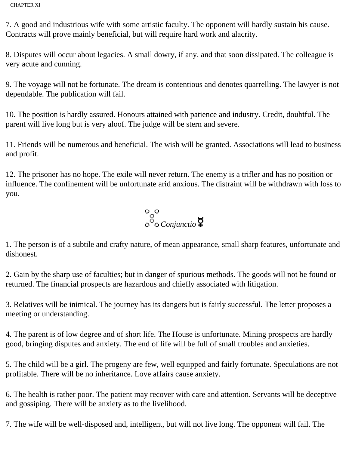7. A good and industrious wife with some artistic faculty. The opponent will hardly sustain his cause. Contracts will prove mainly beneficial, but will require hard work and alacrity.

8. Disputes will occur about legacies. A small dowry, if any, and that soon dissipated. The colleague is very acute and cunning.

9. The voyage will not be fortunate. The dream is contentious and denotes quarrelling. The lawyer is not dependable. The publication will fail.

10. The position is hardly assured. Honours attained with patience and industry. Credit, doubtful. The parent will live long but is very aloof. The judge will be stern and severe.

11. Friends will be numerous and beneficial. The wish will be granted. Associations will lead to business and profit.

12. The prisoner has no hope. The exile will never return. The enemy is a trifler and has no position or influence. The confinement will be unfortunate arid anxious. The distraint will be withdrawn with loss to you.



1. The person is of a subtile and crafty nature, of mean appearance, small sharp features, unfortunate and dishonest.

2. Gain by the sharp use of faculties; but in danger of spurious methods. The goods will not be found or returned. The financial prospects are hazardous and chiefly associated with litigation.

3. Relatives will be inimical. The journey has its dangers but is fairly successful. The letter proposes a meeting or understanding.

4. The parent is of low degree and of short life. The House is unfortunate. Mining prospects are hardly good, bringing disputes and anxiety. The end of life will be full of small troubles and anxieties.

5. The child will be a girl. The progeny are few, well equipped and fairly fortunate. Speculations are not profitable. There will be no inheritance. Love affairs cause anxiety.

6. The health is rather poor. The patient may recover with care and attention. Servants will be deceptive and gossiping. There will be anxiety as to the livelihood.

7. The wife will be well-disposed and, intelligent, but will not live long. The opponent will fail. The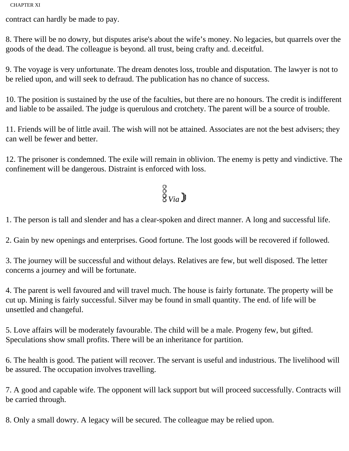contract can hardly be made to pay.

8. There will be no dowry, but disputes arise's about the wife's money. No legacies, but quarrels over the goods of the dead. The colleague is beyond. all trust, being crafty and. d.eceitful.

9. The voyage is very unfortunate. The dream denotes loss, trouble and disputation. The lawyer is not to be relied upon, and will seek to defraud. The publication has no chance of success.

10. The position is sustained by the use of the faculties, but there are no honours. The credit is indifferent and liable to be assailed. The judge is querulous and crotchety. The parent will be a source of trouble.

11. Friends will be of little avail. The wish will not be attained. Associates are not the best advisers; they can well be fewer and better.

12. The prisoner is condemned. The exile will remain in oblivion. The enemy is petty and vindictive. The confinement will be dangerous. Distraint is enforced with loss.

# $\begin{matrix} 0 \\ 0 \\ Via \end{matrix}$

1. The person is tall and slender and has a clear-spoken and direct manner. A long and successful life.

2. Gain by new openings and enterprises. Good fortune. The lost goods will be recovered if followed.

3. The journey will be successful and without delays. Relatives are few, but well disposed. The letter concerns a journey and will be fortunate.

4. The parent is well favoured and will travel much. The house is fairly fortunate. The property will be cut up. Mining is fairly successful. Silver may be found in small quantity. The end. of life will be unsettled and changeful.

5. Love affairs will be moderately favourable. The child will be a male. Progeny few, but gifted. Speculations show small profits. There will be an inheritance for partition.

6. The health is good. The patient will recover. The servant is useful and industrious. The livelihood will be assured. The occupation involves travelling.

7. A good and capable wife. The opponent will lack support but will proceed successfully. Contracts will be carried through.

8. Only a small dowry. A legacy will be secured. The colleague may be relied upon.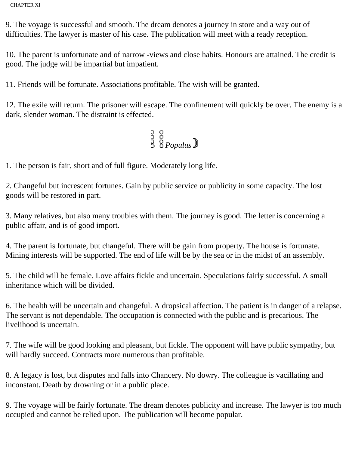9. The voyage is successful and smooth. The dream denotes a journey in store and a way out of difficulties. The lawyer is master of his case. The publication will meet with a ready reception.

10. The parent is unfortunate and of narrow -views and close habits. Honours are attained. The credit is good. The judge will be impartial but impatient.

11. Friends will be fortunate. Associations profitable. The wish will be granted.

12. The exile will return. The prisoner will escape. The confinement will quickly be over. The enemy is a dark, slender woman. The distraint is effected.

 *Populus* 

1. The person is fair, short and of full figure. Moderately long life.

*2.* Changeful but increscent fortunes. Gain by public service or publicity in some capacity. The lost goods will be restored in part.

3. Many relatives, but also many troubles with them. The journey is good. The letter is concerning a public affair, and is of good import.

4. The parent is fortunate, but changeful. There will be gain from property. The house is fortunate. Mining interests will be supported. The end of life will be by the sea or in the midst of an assembly.

5. The child will be female. Love affairs fickle and uncertain. Speculations fairly successful. A small inheritance which will be divided.

6. The health will be uncertain and changeful. A dropsical affection. The patient is in danger of a relapse. The servant is not dependable. The occupation is connected with the public and is precarious. The livelihood is uncertain.

7. The wife will be good looking and pleasant, but fickle. The opponent will have public sympathy, but will hardly succeed. Contracts more numerous than profitable.

8. A legacy is lost, but disputes and falls into Chancery. No dowry. The colleague is vacillating and inconstant. Death by drowning or in a public place.

9. The voyage will be fairly fortunate. The dream denotes publicity and increase. The lawyer is too much occupied and cannot be relied upon. The publication will become popular.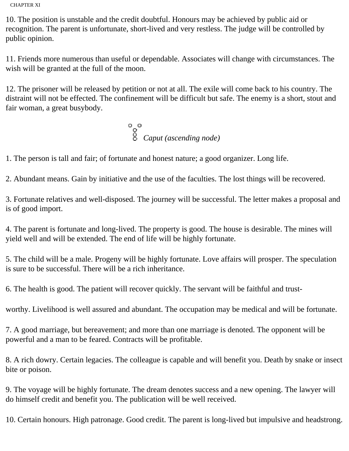10. The position is unstable and the credit doubtful. Honours may be achieved by public aid or recognition. The parent is unfortunate, short-lived and very restless. The judge will be controlled by public opinion.

11. Friends more numerous than useful or dependable. Associates will change with circumstances. The wish will be granted at the full of the moon.

12. The prisoner will be released by petition or not at all. The exile will come back to his country. The distraint will not be effected. The confinement will be difficult but safe. The enemy is a short, stout and fair woman, a great busybody.

 *Caput (ascending node)*

1. The person is tall and fair; of fortunate and honest nature; a good organizer. Long life.

2. Abundant means. Gain by initiative and the use of the faculties. The lost things will be recovered.

3. Fortunate relatives and well-disposed. The journey will be successful. The letter makes a proposal and is of good import.

4. The parent is fortunate and long-lived. The property is good. The house is desirable. The mines will yield well and will be extended. The end of life will be highly fortunate.

5. The child will be a male. Progeny will be highly fortunate. Love affairs will prosper. The speculation is sure to be successful. There will be a rich inheritance.

6. The health is good. The patient will recover quickly. The servant will be faithful and trust-

worthy. Livelihood is well assured and abundant. The occupation may be medical and will be fortunate.

7. A good marriage, but bereavement; and more than one marriage is denoted. The opponent will be powerful and a man to be feared. Contracts will be profitable.

8. A rich dowry. Certain legacies. The colleague is capable and will benefit you. Death by snake or insect bite or poison.

9. The voyage will be highly fortunate. The dream denotes success and a new opening. The lawyer will do himself credit and benefit you. The publication will be well received.

10. Certain honours. High patronage. Good credit. The parent is long-lived but impulsive and headstrong.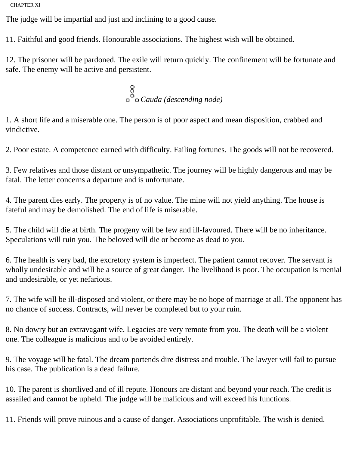The judge will be impartial and just and inclining to a good cause.

11. Faithful and good friends. Honourable associations. The highest wish will be obtained.

12. The prisoner will be pardoned. The exile will return quickly. The confinement will be fortunate and safe. The enemy will be active and persistent.

 *Cauda (descending node)*

1. A short life and a miserable one. The person is of poor aspect and mean disposition, crabbed and vindictive.

2. Poor estate. A competence earned with difficulty. Failing fortunes. The goods will not be recovered.

3. Few relatives and those distant or unsympathetic. The journey will be highly dangerous and may be fatal. The letter concerns a departure and is unfortunate.

4. The parent dies early. The property is of no value. The mine will not yield anything. The house is fateful and may be demolished. The end of life is miserable.

5. The child will die at birth. The progeny will be few and ill-favoured. There will be no inheritance. Speculations will ruin you. The beloved will die or become as dead to you.

6. The health is very bad, the excretory system is imperfect. The patient cannot recover. The servant is wholly undesirable and will be a source of great danger. The livelihood is poor. The occupation is menial and undesirable, or yet nefarious.

7. The wife will be ill-disposed and violent, or there may be no hope of marriage at all. The opponent has no chance of success. Contracts, will never be completed but to your ruin.

8. No dowry but an extravagant wife. Legacies are very remote from you. The death will be a violent one. The colleague is malicious and to be avoided entirely.

9. The voyage will be fatal. The dream portends dire distress and trouble. The lawyer will fail to pursue his case. The publication is a dead failure.

10. The parent is shortlived and of ill repute. Honours are distant and beyond your reach. The credit is assailed and cannot be upheld. The judge will be malicious and will exceed his functions.

11. Friends will prove ruinous and a cause of danger. Associations unprofitable. The wish is denied.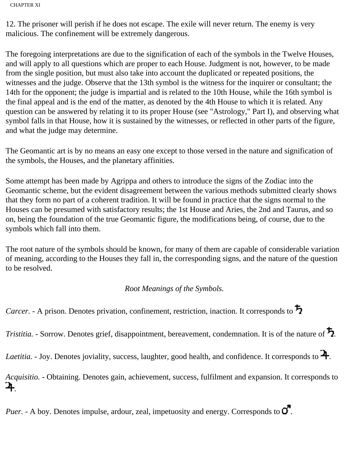12. The prisoner will perish if he does not escape. The exile will never return. The enemy is very malicious. The confinement will be extremely dangerous.

The foregoing interpretations are due to the signification of each of the symbols in the Twelve Houses, and will apply to all questions which are proper to each House. Judgment is not, however, to be made from the single position, but must also take into account the duplicated or repeated positions, the witnesses and the judge. Observe that the 13th symbol is the witness for the inquirer or consultant; the 14th for the opponent; the judge is impartial and is related to the 10th House, while the 16th symbol is the final appeal and is the end of the matter, as denoted by the 4th House to which it is related. Any question can be answered by relating it to its proper House (see "Astrology," Part I), and observing what symbol falls in that House, how it is sustained by the witnesses, or reflected in other parts of the figure, and what the judge may determine.

The Geomantic art is by no means an easy one except to those versed in the nature and signification of the symbols, the Houses, and the planetary affinities.

Some attempt has been made by Agrippa and others to introduce the signs of the Zodiac into the Geomantic scheme, but the evident disagreement between the various methods submitted clearly shows that they form no part of a coherent tradition. It will be found in practice that the signs normal to the Houses can be presumed with satisfactory results; the 1st House and Aries, the 2nd and Taurus, and so on, being the foundation of the true Geomantic figure, the modifications being, of course, due to the symbols which fall into them.

The root nature of the symbols should be known, for many of them are capable of considerable variation of meaning, according to the Houses they fall in, the corresponding signs, and the nature of the question to be resolved.

# *Root Meanings of the Symbols.*

*Carcer.* - A prison. Denotes privation, confinement, restriction, inaction. It corresponds to  $\overline{\mathbf{b}}$ 

*Tristitia.* - Sorrow. Denotes grief, disappointment, bereavement, condemnation. It is of the nature of  $\bar{\mathbf{h}}$ .

*Laetitia.* - Joy. Denotes joviality, success, laughter, good health, and confidence. It corresponds to  $\triangle$ .

*Acquisitio.* - Obtaining. Denotes gain, achievement, success, fulfilment and expansion. It corresponds to ት.

*Puer.* - A boy. Denotes impulse, ardour, zeal, impetuosity and energy. Corresponds to  $\vec{G}$ .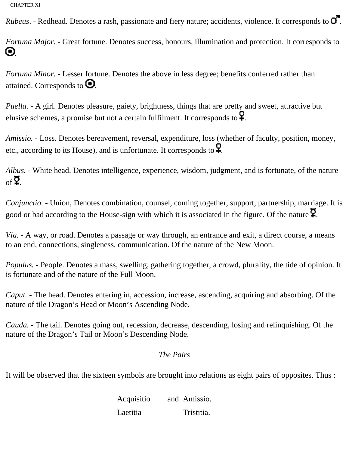*Rubeus.* - Redhead. Denotes a rash, passionate and fiery nature; accidents, violence. It corresponds to  $\vec{G}$ .

*Fortuna Major.* - Great fortune. Denotes success, honours, illumination and protection. It corresponds to .

*Fortuna Minor. -* Lesser fortune. Denotes the above in less degree; benefits conferred rather than attained. Corresponds to  $\bullet$ .

*Puella.* - A girl. Denotes pleasure, gaiety, brightness, things that are pretty and sweet, attractive but elusive schemes, a promise but not a certain fulfilment. It corresponds to  $\mathbf{\mathcal{P}}$ .

*Amissio.* - Loss. Denotes bereavement, reversal, expenditure, loss (whether of faculty, position, money, etc., according to its House), and is unfortunate. It corresponds to  $\ddot{\ddot{+}}$ .

*Albus.* - White head. Denotes intelligence, experience, wisdom, judgment, and is fortunate, of the nature of  $\overline{2}$ .

*Conjunctio.* - Union, Denotes combination, counsel, coming together, support, partnership, marriage. It is good or bad according to the House-sign with which it is associated in the figure. Of the nature  $\overline{P}$ .

*Via.* - A way, or road. Denotes a passage or way through, an entrance and exit, a direct course, a means to an end, connections, singleness, communication. Of the nature of the New Moon.

*Populus.* - People. Denotes a mass, swelling, gathering together, a crowd, plurality, the tide of opinion. It is fortunate and of the nature of the Full Moon.

*Caput.* - The head. Denotes entering in, accession, increase, ascending, acquiring and absorbing. Of the nature of tile Dragon's Head or Moon's Ascending Node.

*Cauda.* - The tail. Denotes going out, recession, decrease, descending, losing and relinquishing. Of the nature of the Dragon's Tail or Moon's Descending Node.

# *The Pairs*

It will be observed that the sixteen symbols are brought into relations as eight pairs of opposites. Thus :

| Acquisitio | and Amissio. |
|------------|--------------|
| Laetitia   | Tristitia.   |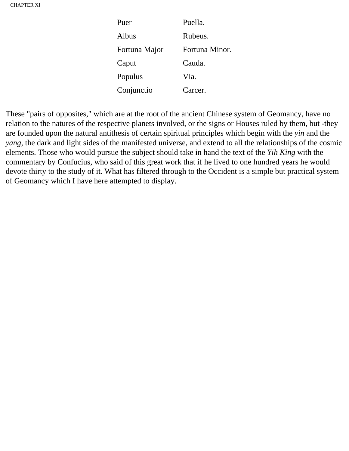| Puer          | Puella.        |
|---------------|----------------|
| Albus         | Rubeus.        |
| Fortuna Major | Fortuna Minor. |
| Caput         | Cauda.         |
| Populus       | Via.           |
| Conjunctio    | Carcer.        |

These "pairs of opposites," which are at the root of the ancient Chinese system of Geomancy, have no relation to the natures of the respective planets involved, or the signs or Houses ruled by them, but -they are founded upon the natural antithesis of certain spiritual principles which begin with the *yin* and the *yang,* the dark and light sides of the manifested universe, and extend to all the relationships of the cosmic elements. Those who would pursue the subject should take in hand the text of the *Yih King* with the commentary by Confucius, who said of this great work that if he lived to one hundred years he would devote thirty to the study of it. What has filtered through to the Occident is a simple but practical system of Geomancy which I have here attempted to display.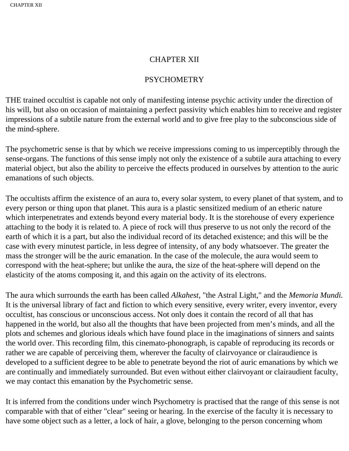#### **PSYCHOMETRY**

THE trained occultist is capable not only of manifesting intense psychic activity under the direction of his will, but also on occasion of maintaining a perfect passivity which enables him to receive and register impressions of a subtile nature from the external world and to give free play to the subconscious side of the mind-sphere.

The psychometric sense is that by which we receive impressions coming to us imperceptibly through the sense-organs. The functions of this sense imply not only the existence of a subtile aura attaching to every material object, but also the ability to perceive the effects produced in ourselves by attention to the auric emanations of such objects.

The occultists affirm the existence of an aura to, every solar system, to every planet of that system, and to every person or thing upon that planet. This aura is a plastic sensitized medium of an etheric nature which interpenetrates and extends beyond every material body. It is the storehouse of every experience attaching to the body it is related to. A piece of rock will thus preserve to us not only the record of the earth of which it is a part, but also the individual record of its detached existence; and this will be the case with every minutest particle, in less degree of intensity, of any body whatsoever. The greater the mass the stronger will be the auric emanation. In the case of the molecule, the aura would seem to correspond with the heat-sphere; but unlike the aura, the size of the heat-sphere will depend on the elasticity of the atoms composing it, and this again on the activity of its electrons.

The aura which surrounds the earth has been called *Alkahest,* "the Astral Light," and the *Memoria Mundi.*  It is the universal library of fact and fiction to which every sensitive, every writer, every inventor, every occultist, has conscious or unconscious access. Not only does it contain the record of all that has happened in the world, but also all the thoughts that have been projected from men's minds, and all the plots and schemes and glorious ideals which have found place in the imaginations of sinners and saints the world over. This recording film, this cinemato-phonograph, is capable of reproducing its records or rather we are capable of perceiving them, wherever the faculty of clairvoyance or clairaudience is developed to a sufficient degree to be able to penetrate beyond the riot of auric emanations by which we are continually and immediately surrounded. But even without either clairvoyant or clairaudient faculty, we may contact this emanation by the Psychometric sense.

It is inferred from the conditions under winch Psychometry is practised that the range of this sense is not comparable with that of either "clear" seeing or hearing. In the exercise of the faculty it is necessary to have some object such as a letter, a lock of hair, a glove, belonging to the person concerning whom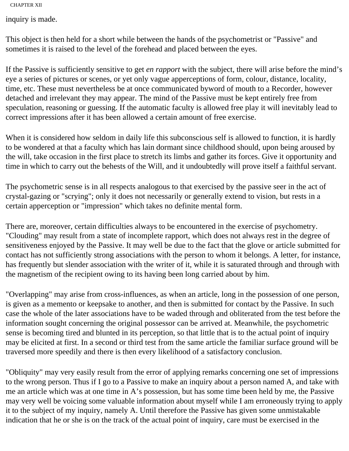inquiry is made.

This object is then held for a short while between the hands of the psychometrist or "Passive" and sometimes it is raised to the level of the forehead and placed between the eyes.

If the Passive is sufficiently sensitive to get *en rapport* with the subject, there will arise before the mind's eye a series of pictures or scenes, or yet only vague apperceptions of form, colour, distance, locality, time, etc. These must nevertheless be at once communicated byword of mouth to a Recorder, however detached and irrelevant they may appear. The mind of the Passive must be kept entirely free from speculation, reasoning or guessing. If the automatic faculty is allowed free play it will inevitably lead to correct impressions after it has been allowed a certain amount of free exercise.

When it is considered how seldom in daily life this subconscious self is allowed to function, it is hardly to be wondered at that a faculty which has lain dormant since childhood should, upon being aroused by the will, take occasion in the first place to stretch its limbs and gather its forces. Give it opportunity and time in which to carry out the behests of the Will, and it undoubtedly will prove itself a faithful servant.

The psychometric sense is in all respects analogous to that exercised by the passive seer in the act of crystal-gazing or "scrying"; only it does not necessarily or generally extend to vision, but rests in a certain apperception or "impression" which takes no definite mental form.

There are, moreover, certain difficulties always to be encountered in the exercise of psychometry. "Clouding" may result from a state of incomplete rapport, which does not always rest in the degree of sensitiveness enjoyed by the Passive. It may well be due to the fact that the glove or article submitted for contact has not sufficiently strong associations with the person to whom it belongs. A letter, for instance, has frequently but slender association with the writer of it, while it is saturated through and through with the magnetism of the recipient owing to its having been long carried about by him.

"Overlapping" may arise from cross-influences, as when an article, long in the possession of one person, is given as a memento or keepsake to another, and then is submitted for contact by the Passive. In such case the whole of the later associations have to be waded through and obliterated from the test before the information sought concerning the original possessor can be arrived at. Meanwhile, the psychometric sense is becoming tired and blunted in its perception, so that little that is to the actual point of inquiry may be elicited at first. In a second or third test from the same article the familiar surface ground will be traversed more speedily and there is then every likelihood of a satisfactory conclusion.

"Obliquity" may very easily result from the error of applying remarks concerning one set of impressions to the wrong person. Thus if I go to a Passive to make an inquiry about a person named A, and take with me an article which was at one time in A's possession, but has some time been held by me, the Passive may very well be voicing some valuable information about myself while I am erroneously trying to apply it to the subject of my inquiry, namely A. Until therefore the Passive has given some unmistakable indication that he or she is on the track of the actual point of inquiry, care must be exercised in the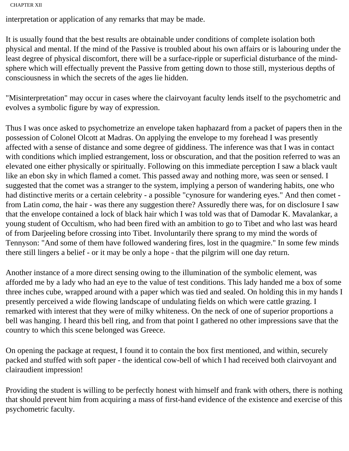interpretation or application of any remarks that may be made.

It is usually found that the best results are obtainable under conditions of complete isolation both physical and mental. If the mind of the Passive is troubled about his own affairs or is labouring under the least degree of physical discomfort, there will be a surface-ripple or superficial disturbance of the mindsphere which will effectually prevent the Passive from getting down to those still, mysterious depths of consciousness in which the secrets of the ages lie hidden.

"Misinterpretation" may occur in cases where the clairvoyant faculty lends itself to the psychometric and evolves a symbolic figure by way of expression.

Thus I was once asked to psychometrize an envelope taken haphazard from a packet of papers then in the possession of Colonel Olcott at Madras. On applying the envelope to my forehead I was presently affected with a sense of distance and some degree of giddiness. The inference was that I was in contact with conditions which implied estrangement, loss or obscuration, and that the position referred to was an elevated one either physically or spiritually. Following on this immediate perception I saw a black vault like an ebon sky in which flamed a comet. This passed away and nothing more, was seen or sensed. I suggested that the comet was a stranger to the system, implying a person of wandering habits, one who had distinctive merits or a certain celebrity - a possible "cynosure for wandering eyes." And then comet from Latin *coma,* the hair - was there any suggestion there? Assuredly there was, for on disclosure I saw that the envelope contained a lock of black hair which I was told was that of Damodar K. Mavalankar, a young student of Occultism, who had been fired with an ambition to go to Tibet and who last was heard of from Darjeeling before crossing into Tibet. Involuntarily there sprang to my mind the words of Tennyson: "And some of them have followed wandering fires, lost in the quagmire." In some few minds there still lingers a belief - or it may be only a hope - that the pilgrim will one day return.

Another instance of a more direct sensing owing to the illumination of the symbolic element, was afforded me by a lady who had an eye to the value of test conditions. This lady handed me a box of some three inches cube, wrapped around with a paper which was tied and sealed. On holding this in my hands I presently perceived a wide flowing landscape of undulating fields on which were cattle grazing. I remarked with interest that they were of milky whiteness. On the neck of one of superior proportions a bell was hanging. I heard this bell ring, and from that point I gathered no other impressions save that the country to which this scene belonged was Greece.

On opening the package at request, I found it to contain the box first mentioned, and within, securely packed and stuffed with soft paper - the identical cow-bell of which I had received both clairvoyant and clairaudient impression!

Providing the student is willing to be perfectly honest with himself and frank with others, there is nothing that should prevent him from acquiring a mass of first-hand evidence of the existence and exercise of this psychometric faculty.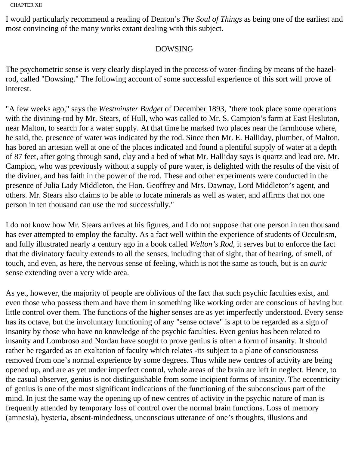I would particularly recommend a reading of Denton's *The Soul of Things* as being one of the earliest and most convincing of the many works extant dealing with this subject.

# DOWSING

The psychometric sense is very clearly displayed in the process of water-finding by means of the hazelrod, called "Dowsing." The following account of some successful experience of this sort will prove of interest.

"A few weeks ago," says the *Westminster Budget* of December 1893, "there took place some operations with the divining-rod by Mr. Stears, of Hull, who was called to Mr. S. Campion's farm at East Hesluton, near Malton, to search for a water supply. At that time he marked two places near the farmhouse where, he said, the. presence of water was indicated by the rod. Since then Mr. E. Halliday, plumber, of Malton, has bored an artesian well at one of the places indicated and found a plentiful supply of water at a depth of 87 feet, after going through sand, clay and a bed of what Mr. Halliday says is quartz and lead ore. Mr. Campion, who was previously without a supply of pure water, is delighted with the results of the visit of the diviner, and has faith in the power of the rod. These and other experiments were conducted in the presence of Julia Lady Middleton, the Hon. Geoffrey and Mrs. Dawnay, Lord Middleton's agent, and others. Mr. Stears also claims to be able to locate minerals as well as water, and affirms that not one person in ten thousand can use the rod successfully."

I do not know how Mr. Stears arrives at his figures, and I do not suppose that one person in ten thousand has ever attempted to employ the faculty. As a fact well within the experience of students of Occultism, and fully illustrated nearly a century ago in a book called *Welton's Rod,* it serves but to enforce the fact that the divinatory faculty extends to all the senses, including that of sight, that of hearing, of smell, of touch, and even, as here, the nervous sense of feeling, which is not the same as touch, but is an *auric*  sense extending over a very wide area.

As yet, however, the majority of people are oblivious of the fact that such psychic faculties exist, and even those who possess them and have them in something like working order are conscious of having but little control over them. The functions of the higher senses are as yet imperfectly understood. Every sense has its octave, but the involuntary functioning of any "sense octave" is apt to be regarded as a sign of insanity by those who have no knowledge of the psychic faculties. Even genius has been related to insanity and Lombroso and Nordau have sought to prove genius is often a form of insanity. It should rather be regarded as an exaltation of faculty which relates -its subject to a plane of consciousness removed from one's normal experience by some degrees. Thus while new centres of activity are being opened up, and are as yet under imperfect control, whole areas of the brain are left in neglect. Hence, to the casual observer, genius is not distinguishable from some incipient forms of insanity. The eccentricity of genius is one of the most significant indications of the functioning of the subconscious part of the mind. In just the same way the opening up of new centres of activity in the psychic nature of man is frequently attended by temporary loss of control over the normal brain functions. Loss of memory (amnesia), hysteria, absent-mindedness, unconscious utterance of one's thoughts, illusions and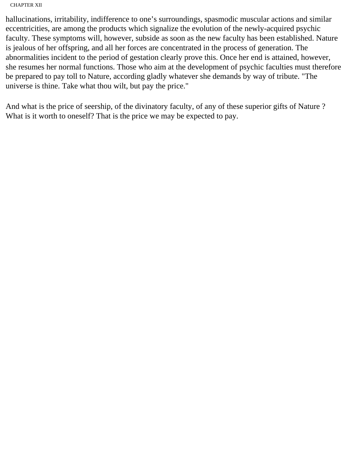hallucinations, irritability, indifference to one's surroundings, spasmodic muscular actions and similar eccentricities, are among the products which signalize the evolution of the newly-acquired psychic faculty. These symptoms will, however, subside as soon as the new faculty has been established. Nature is jealous of her offspring, and all her forces are concentrated in the process of generation. The abnormalities incident to the period of gestation clearly prove this. Once her end is attained, however, she resumes her normal functions. Those who aim at the development of psychic faculties must therefore be prepared to pay toll to Nature, according gladly whatever she demands by way of tribute. "The universe is thine. Take what thou wilt, but pay the price."

And what is the price of seership, of the divinatory faculty, of any of these superior gifts of Nature ? What is it worth to oneself? That is the price we may be expected to pay.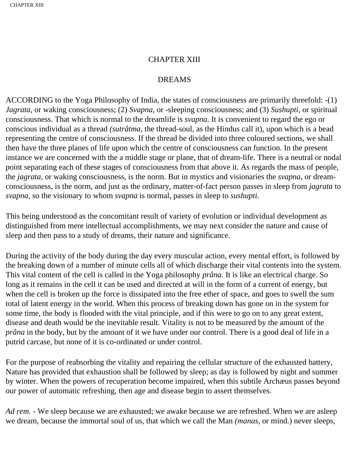### DREAMS

ACCORDING to the Yoga Philosophy of India, the states of consciousness are primarily threefold: -(1) *Jagrata,* or waking consciousness; (2) *Svapna,* or -sleeping consciousness; and (3) *Sushupti,* or spiritual consciousness. That which is normal to the dreamlife is *svapna.* It is convenient to regard the ego or conscious individual as a thread *(sutrâtma,* the thread-soul, as the Hindus call it), upon which is a bead representing the centre of consciousness. If the thread be divided into three coloured sections, we shall then have the three planes of life upon which the centre of consciousness can function. In the present instance we are concerned with the a middle stage or plane, that of dream-life. There is a neutral or nodal point separating each of these stages of consciousness from that above it. As regards the mass of people, the *jagrata,* or waking consciousness, is the norm. But in mystics and visionaries the *svapna,* or dreamconsciousness, is the norm, and just as the ordinary, matter-of-fact person passes in sleep from *jagrata* to *svapna,* so the visionary to whom *svapna* is normal, passes in sleep to *sushupti.*

This being understood as the concomitant result of variety of evolution or individual development as distinguished from mere intellectual accomplishments, we may next consider the nature and cause of sleep and then pass to a study of dreams, their nature and significance.

During the activity of the body during the day every muscular action, every mental effort, is followed by the breaking down of a number of minute cells all of which discharge their vital contents into the system. This vital content of the cell is called in the Yoga philosophy *prâna.* It is like an electrical charge. So long as it remains in the cell it can be used and directed at will in the form of a current of energy, but when the cell is broken up the force is dissipated into the free ether of space, and goes to swell the sum total of latent energy in the world. When this process of breaking down has gone on in the system for some time, the body is flooded with the vital principle, and if this were to go on to any great extent, disease and death would be the inevitable result. Vitality is not to be measured by the amount of the *prâna* in the body, but by the amount of it we have under our control. There is a good deal of life in a putrid carcase, but none of it is co-ordinated or under control.

For the purpose of reabsorbing the vitality and repairing the cellular structure of the exhausted battery, Nature has provided that exhaustion shall be followed by sleep; as day is followed by night and summer by winter. When the powers of recuperation become impaired, when this subtile Archæus passes beyond our power of automatic refreshing, then age and disease begin to assert themselves.

*Ad rem.* - We sleep because we are exhausted; we awake because we are refreshed. When we are asleep we dream, because the immortal soul of us, that which we call the Man *(manas,* or mind.) never sleeps,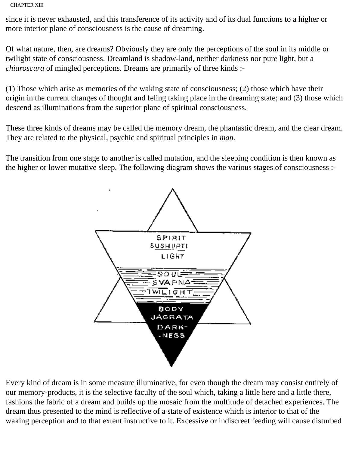since it is never exhausted, and this transference of its activity and of its dual functions to a higher or more interior plane of consciousness is the cause of dreaming.

Of what nature, then, are dreams? Obviously they are only the perceptions of the soul in its middle or twilight state of consciousness. Dreamland is shadow-land, neither darkness nor pure light, but a *chiaroscura* of mingled perceptions. Dreams are primarily of three kinds :-

(1) Those which arise as memories of the waking state of consciousness; (2) those which have their origin in the current changes of thought and feling taking place in the dreaming state; and (3) those which descend as illuminations from the superior plane of spiritual consciousness.

These three kinds of dreams may be called the memory dream, the phantastic dream, and the clear dream. They are related to the physical, psychic and spiritual principles in *man.*

The transition from one stage to another is called mutation, and the sleeping condition is then known as the higher or lower mutative sleep. The following diagram shows the various stages of consciousness :-



Every kind of dream is in some measure illuminative, for even though the dream may consist entirely of our memory-products, it is the selective faculty of the soul which, taking a little here and a little there, fashions the fabric of a dream and builds up the mosaic from the multitude of detached experiences. The dream thus presented to the mind is reflective of a state of existence which is interior to that of the waking perception and to that extent instructive to it. Excessive or indiscreet feeding will cause disturbed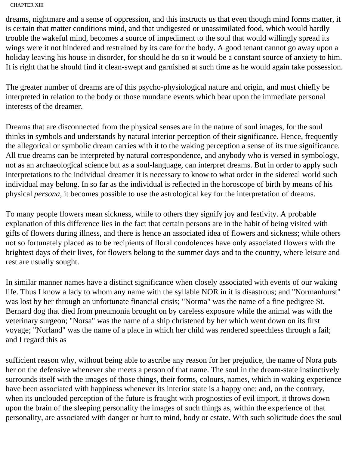dreams, nightmare and a sense of oppression, and this instructs us that even though mind forms matter, it is certain that matter conditions mind, and that undigested or unassimilated food, which would hardly trouble the wakeful mind, becomes a source of impediment to the soul that would willingly spread its wings were it not hindered and restrained by its care for the body. A good tenant cannot go away upon a holiday leaving his house in disorder, for should he do so it would be a constant source of anxiety to him. It is right that he should find it clean-swept and garnished at such time as he would again take possession.

The greater number of dreams are of this psycho-physiological nature and origin, and must chiefly be interpreted in relation to the body or those mundane events which bear upon the immediate personal interests of the dreamer.

Dreams that are disconnected from the physical senses are in the nature of soul images, for the soul thinks in symbols and understands by natural interior perception of their significance. Hence, frequently the allegorical or symbolic dream carries with it to the waking perception a sense of its true significance. All true dreams can be interpreted by natural correspondence, and anybody who is versed in symbology, not as an archaeological science but as a soul-language, can interpret dreams. But in order to apply such interpretations to the individual dreamer it is necessary to know to what order in the sidereal world such individual may belong. In so far as the individual is reflected in the horoscope of birth by means of his physical *persona,* it becomes possible to use the astrological key for the interpretation of dreams.

To many people flowers mean sickness, while to others they signify joy and festivity. A probable explanation of this difference lies in the fact that certain persons are in the habit of being visited with gifts of flowers during illness, and there is hence an associated idea of flowers and sickness; while others not so fortunately placed as to be recipients of floral condolences have only associated flowers with the brightest days of their lives, for flowers belong to the summer days and to the country, where leisure and rest are usually sought.

In similar manner names have a distinct significance when closely associated with events of our waking life. Thus I know a lady to whom any name with the syllable NOR in it is disastrous; and "Normanhurst" was lost by her through an unfortunate financial crisis; "Norma" was the name of a fine pedigree St. Bernard dog that died from pneumonia brought on by careless exposure while the animal was with the veterinary surgeon; "Norsa" was the name of a ship christened by her which went down on its first voyage; "Norland" was the name of a place in which her child was rendered speechless through a fail; and I regard this as

sufficient reason why, without being able to ascribe any reason for her prejudice, the name of Nora puts her on the defensive whenever she meets a person of that name. The soul in the dream-state instinctively surrounds itself with the images of those things, their forms, colours, names, which in waking experience have been associated with happiness whenever its interior state is a happy one; and, on the contrary, when its unclouded perception of the future is fraught with prognostics of evil import, it throws down upon the brain of the sleeping personality the images of such things as, within the experience of that personality, are associated with danger or hurt to mind, body or estate. With such solicitude does the soul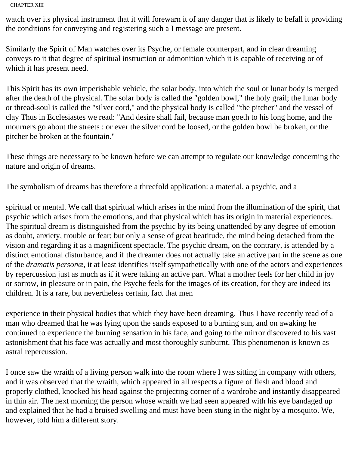watch over its physical instrument that it will forewarn it of any danger that is likely to befall it providing the conditions for conveying and registering such a I message are present.

Similarly the Spirit of Man watches over its Psyche, or female counterpart, and in clear dreaming conveys to it that degree of spiritual instruction or admonition which it is capable of receiving or of which it has present need.

This Spirit has its own imperishable vehicle, the solar body, into which the soul or lunar body is merged after the death of the physical. The solar body is called the "golden bowl," the holy grail; the lunar body or thread-soul is called the "silver cord," and the physical body is called "the pitcher" and the vessel of clay Thus in Ecclesiastes we read: "And desire shall fail, because man goeth to his long home, and the mourners go about the streets : or ever the silver cord be loosed, or the golden bowl be broken, or the pitcher be broken at the fountain."

These things are necessary to be known before we can attempt to regulate our knowledge concerning the nature and origin of dreams.

The symbolism of dreams has therefore a threefold application: a material, a psychic, and a

spiritual or mental. We call that spiritual which arises in the mind from the illumination of the spirit, that psychic which arises from the emotions, and that physical which has its origin in material experiences. The spiritual dream is distinguished from the psychic by its being unattended by any degree of emotion as doubt, anxiety, trouble or fear; but only a sense of great beatitude, the mind being detached from the vision and regarding it as a magnificent spectacle. The psychic dream, on the contrary, is attended by a distinct emotional disturbance, and if the dreamer does not actually take an active part in the scene as one of the *dramatis personæ,* it at least identifies itself sympathetically with one of the actors and experiences by repercussion just as much as if it were taking an active part. What a mother feels for her child in joy or sorrow, in pleasure or in pain, the Psyche feels for the images of its creation, for they are indeed its children. It is a rare, but nevertheless certain, fact that men

experience in their physical bodies that which they have been dreaming. Thus I have recently read of a man who dreamed that he was lying upon the sands exposed to a burning sun, and on awaking he continued to experience the burning sensation in his face, and going to the mirror discovered to his vast astonishment that his face was actually and most thoroughly sunburnt. This phenomenon is known as astral repercussion.

I once saw the wraith of a living person walk into the room where I was sitting in company with others, and it was observed that the wraith, which appeared in all respects a figure of flesh and blood and properly clothed, knocked his head against the projecting corner of a wardrobe and instantly disappeared in thin air. The next morning the person whose wraith we had seen appeared with his eye bandaged up and explained that he had a bruised swelling and must have been stung in the night by a mosquito. We, however, told him a different story.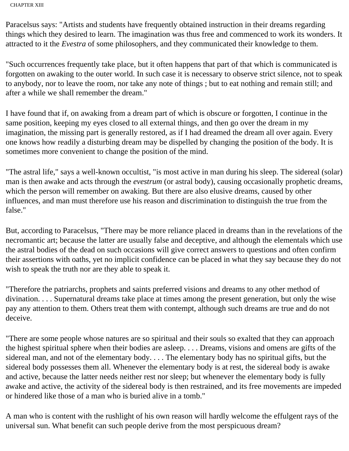Paracelsus says: "Artists and students have frequently obtained instruction in their dreams regarding things which they desired to learn. The imagination was thus free and commenced to work its wonders. It attracted to it the *Evestra* of some philosophers, and they communicated their knowledge to them.

"Such occurrences frequently take place, but it often happens that part of that which is communicated is forgotten on awaking to the outer world. In such case it is necessary to observe strict silence, not to speak to anybody, nor to leave the room, nor take any note of things ; but to eat nothing and remain still; and after a while we shall remember the dream."

I have found that if, on awaking from a dream part of which is obscure or forgotten, I continue in the same position, keeping my eyes closed to all external things, and then go over the dream in my imagination, the missing part is generally restored, as if I had dreamed the dream all over again. Every one knows how readily a disturbing dream may be dispelled by changing the position of the body. It is sometimes more convenient to change the position of the mind.

"The astral life," says a well-known occultist, "is most active in man during his sleep. The sidereal (solar) man is then awake and acts through the *evestrum* (or astral body), causing occasionally prophetic dreams, which the person will remember on awaking. But there are also elusive dreams, caused by other influences, and man must therefore use his reason and discrimination to distinguish the true from the false."

But, according to Paracelsus, "There may be more reliance placed in dreams than in the revelations of the necromantic art; because the latter are usually false and deceptive, and although the elementals which use the astral bodies of the dead on such occasions will give correct answers to questions and often confirm their assertions with oaths, yet no implicit confidence can be placed in what they say because they do not wish to speak the truth nor are they able to speak it.

"Therefore the patriarchs, prophets and saints preferred visions and dreams to any other method of divination. . . . Supernatural dreams take place at times among the present generation, but only the wise pay any attention to them. Others treat them with contempt, although such dreams are true and do not deceive.

"There are some people whose natures are so spiritual and their souls so exalted that they can approach the highest spiritual sphere when their bodies are asleep. . . . Dreams, visions and omens are gifts of the sidereal man, and not of the elementary body. . . . The elementary body has no spiritual gifts, but the sidereal body possesses them all. Whenever the elementary body is at rest, the sidereal body is awake and active, because the latter needs neither rest nor sleep; but whenever the elementary body is fully awake and active, the activity of the sidereal body is then restrained, and its free movements are impeded or hindered like those of a man who is buried alive in a tomb."

A man who is content with the rushlight of his own reason will hardly welcome the effulgent rays of the universal sun. What benefit can such people derive from the most perspicuous dream?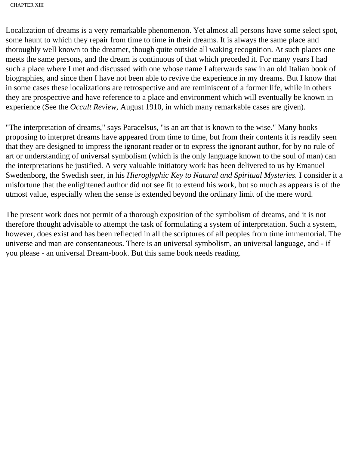Localization of dreams is a very remarkable phenomenon. Yet almost all persons have some select spot, some haunt to which they repair from time to time in their dreams. It is always the same place and thoroughly well known to the dreamer, though quite outside all waking recognition. At such places one meets the same persons, and the dream is continuous of that which preceded it. For many years I had such a place where I met and discussed with one whose name I afterwards saw in an old Italian book of biographies, and since then I have not been able to revive the experience in my dreams. But I know that in some cases these localizations are retrospective and are reminiscent of a former life, while in others they are prospective and have reference to a place and environment which will eventually be known in experience (See the *Occult Review,* August 1910, in which many remarkable cases are given).

"The interpretation of dreams," says Paracelsus, "is an art that is known to the wise." Many books proposing to interpret dreams have appeared from time to time, but from their contents it is readily seen that they are designed to impress the ignorant reader or to express the ignorant author, for by no rule of art or understanding of universal symbolism (which is the only language known to the soul of man) can the interpretations be justified. A very valuable initiatory work has been delivered to us by Emanuel Swedenborg, the Swedish seer, in his *Hieroglyphic Key to Natural and Spiritual Mysteries.* I consider it a misfortune that the enlightened author did not see fit to extend his work, but so much as appears is of the utmost value, especially when the sense is extended beyond the ordinary limit of the mere word.

The present work does not permit of a thorough exposition of the symbolism of dreams, and it is not therefore thought advisable to attempt the task of formulating a system of interpretation. Such a system, however, does exist and has been reflected in all the scriptures of all peoples from time immemorial. The universe and man are consentaneous. There is an universal symbolism, an universal language, and - if you please - an universal Dream-book. But this same book needs reading.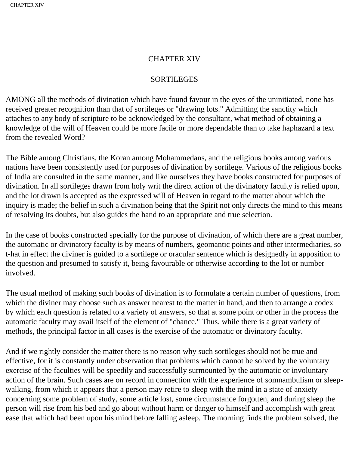# CHAPTER XIV

## SORTILEGES

AMONG all the methods of divination which have found favour in the eyes of the uninitiated, none has received greater recognition than that of sortileges or "drawing lots." Admitting the sanctity which attaches to any body of scripture to be acknowledged by the consultant, what method of obtaining a knowledge of the will of Heaven could be more facile or more dependable than to take haphazard a text from the revealed Word?

The Bible among Christians, the Koran among Mohammedans, and the religious books among various nations have been consistently used for purposes of divination by sortilege. Various of the religious books of India are consulted in the same manner, and like ourselves they have books constructed for purposes of divination. In all sortileges drawn from holy writ the direct action of the divinatory faculty is relied upon, and the lot drawn is accepted as the expressed will of Heaven in regard to the matter about which the inquiry is made; the belief in such a divination being that the Spirit not only directs the mind to this means of resolving its doubts, but also guides the hand to an appropriate and true selection.

In the case of books constructed specially for the purpose of divination, of which there are a great number, the automatic or divinatory faculty is by means of numbers, geomantic points and other intermediaries, so t-hat in effect the diviner is guided to a sortilege or oracular sentence which is designedly in apposition to the question and presumed to satisfy it, being favourable or otherwise according to the lot or number involved.

The usual method of making such books of divination is to formulate a certain number of questions, from which the diviner may choose such as answer nearest to the matter in hand, and then to arrange a codex by which each question is related to a variety of answers, so that at some point or other in the process the automatic faculty may avail itself of the element of "chance." Thus, while there is a great variety of methods, the principal factor in all cases is the exercise of the automatic or divinatory faculty.

And if we rightly consider the matter there is no reason why such sortileges should not be true and effective, for it is constantly under observation that problems which cannot be solved by the voluntary exercise of the faculties will be speedily and successfully surmounted by the automatic or involuntary action of the brain. Such cases are on record in connection with the experience of somnambulism or sleepwalking, from which it appears that a person may retire to sleep with the mind in a state of anxiety concerning some problem of study, some article lost, some circumstance forgotten, and during sleep the person will rise from his bed and go about without harm or danger to himself and accomplish with great ease that which had been upon his mind before falling asleep. The morning finds the problem solved, the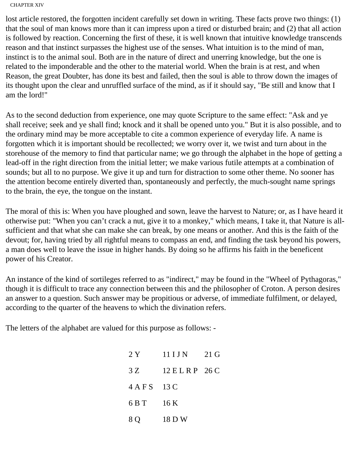#### CHAPTER XIV

lost article restored, the forgotten incident carefully set down in writing. These facts prove two things: (1) that the soul of man knows more than it can impress upon a tired or disturbed brain; and (2) that all action is followed by reaction. Concerning the first of these, it is well known that intuitive knowledge transcends reason and that instinct surpasses the highest use of the senses. What intuition is to the mind of man, instinct is to the animal soul. Both are in the nature of direct and unerring knowledge, but the one is related to the imponderable and the other to the material world. When the brain is at rest, and when Reason, the great Doubter, has done its best and failed, then the soul is able to throw down the images of its thought upon the clear and unruffled surface of the mind, as if it should say, "Be still and know that I am the lord!"

As to the second deduction from experience, one may quote Scripture to the same effect: "Ask and ye shall receive; seek and ye shall find; knock and it shall be opened unto you." But it is also possible, and to the ordinary mind may be more acceptable to cite a common experience of everyday life. A name is forgotten which it is important should be recollected; we worry over it, we twist and turn about in the storehouse of the memory to find that particular name; we go through the alphabet in the hope of getting a lead-off in the right direction from the initial letter; we make various futile attempts at a combination of sounds; but all to no purpose. We give it up and turn for distraction to some other theme. No sooner has the attention become entirely diverted than, spontaneously and perfectly, the much-sought name springs to the brain, the eye, the tongue on the instant.

The moral of this is: When you have ploughed and sown, leave the harvest to Nature; or, as I have heard it otherwise put: "When you can't crack a nut, give it to a monkey," which means, I take it, that Nature is allsufficient and that what she can make she can break, by one means or another. And this is the faith of the devout; for, having tried by all rightful means to compass an end, and finding the task beyond his powers, a man does well to leave the issue in higher hands. By doing so he affirms his faith in the beneficent power of his Creator.

An instance of the kind of sortileges referred to as "indirect," may be found in the "Wheel of Pythagoras," though it is difficult to trace any connection between this and the philosopher of Croton. A person desires an answer to a question. Such answer may be propitious or adverse, of immediate fulfilment, or delayed, according to the quarter of the heavens to which the divination refers.

The letters of the alphabet are valued for this purpose as follows: -

| 2Y      | $11$ I J N      | 21 G |  |  |
|---------|-----------------|------|--|--|
| 3Z      | 12 E L R P 26 C |      |  |  |
| 4 A F S | 13 C            |      |  |  |
| 6 B T   | 16K             |      |  |  |
| 8 Q     | 18 D W          |      |  |  |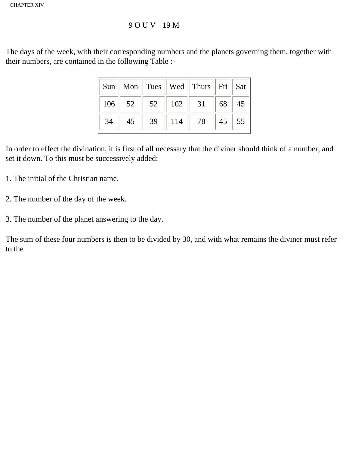The days of the week, with their corresponding numbers and the planets governing them, together with their numbers, are contained in the following Table :-

| Sun |    |    |     | Mon   Tues   Wed   Thurs   Fri   Sat |                 |    |
|-----|----|----|-----|--------------------------------------|-----------------|----|
| 106 | 52 | 52 | 102 | 31                                   | 68 <sup>°</sup> | 45 |
| 34  | 45 | 39 | 114 | 78                                   | 45              | 55 |

In order to effect the divination, it is first of all necessary that the diviner should think of a number, and set it down. To this must be successively added:

1. The initial of the Christian name.

- 2. The number of the day of the week.
- 3. The number of the planet answering to the day.

The sum of these four numbers is then to be divided by 30, and with what remains the diviner must refer to the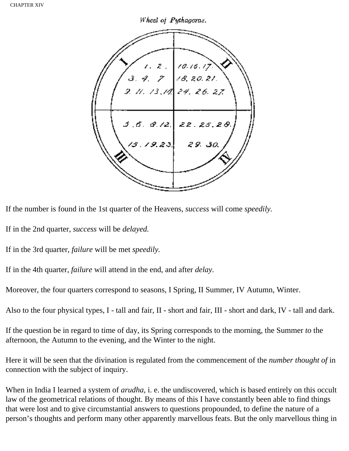

If the number is found in the 1st quarter of the Heavens, *success* will come *speedily.*

If in the 2nd quarter, *success* will be *delayed.* 

If in the 3rd quarter, *failure* will be met *speedily.*

If in the 4th quarter, *failure* will attend in the end, and after *delay.*

Moreover, the four quarters correspond to seasons, I Spring, II Summer, IV Autumn, Winter.

Also to the four physical types, I - tall and fair, II - short and fair, III - short and dark, IV - tall and dark.

If the question be in regard to time of day, its Spring corresponds to the morning, the Summer *to* the afternoon, the Autumn to the evening, and the Winter to the night.

Here it will be seen that the divination is regulated from the commencement of the *number thought of* in connection with the subject of inquiry.

When in India I learned a system of *arudha,* i. e. the undiscovered, which is based entirely on this occult law of the geometrical relations of thought. By means of this I have constantly been able to find things that were lost and to give circumstantial answers to questions propounded, to define the nature of a person's thoughts and perform many other apparently marvellous feats. But the only marvellous thing in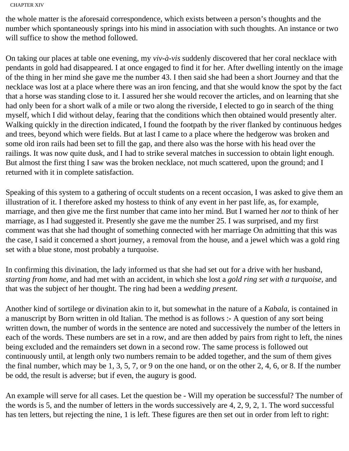CHAPTER XIV

the whole matter is the aforesaid correspondence, which exists between a person's thoughts and the number which spontaneously springs into his mind in association with such thoughts. An instance or two will suffice to show the method followed.

On taking our places at table one evening, my *viv-à-vis* suddenly discovered that her coral necklace with pendants in gold had disappeared. I at once engaged to find it for her. After dwelling intently on the image of the thing in her mind she gave me the number 43. I then said she had been a short Journey and that the necklace was lost at a place where there was an iron fencing, and that she would know the spot by the fact that a horse was standing close to it. I assured her she would recover the articles, and on learning that she had only been for a short walk of a mile or two along the riverside, I elected to go in search of the thing myself, which I did without delay, fearing that the conditions which then obtained would presently alter. Walking quickly in the direction indicated, I found the footpath by the river flanked by continuous hedges and trees, beyond which were fields. But at last I came to a place where the hedgerow was broken and some old iron rails had been set to fill the gap, and there also was the horse with his head over the railings. It was now quite dusk, and I had to strike several matches in succession to obtain light enough. But almost the first thing I saw was the broken necklace, not much scattered, upon the ground; and I returned with it in complete satisfaction.

Speaking of this system to a gathering of occult students on a recent occasion, I was asked to give them an illustration of it. I therefore asked my hostess to think of any event in her past life, as, for example, marriage, and then give me the first number that came into her mind. But I warned her *not* to think of her marriage, as I had suggested it. Presently she gave me the number 25. I was surprised, and my first comment was that she had thought of something connected with her marriage On admitting that this was the case, I said it concerned a short journey, a removal from the house, and a jewel which was a gold ring set with a blue stone, most probably a turquoise.

In confirming this divination, the lady informed us that she had set out for a drive with her husband, *starting from home,* and had met with an accident, in which she lost a *gold ring set with a turquoise,* and that was the subject of her thought. The ring had been a *wedding present.*

Another kind of sortilege or divination akin to it, but somewhat in the nature of a *Kabala,* is contained in a manuscript by Born written in old Italian. The method is as follows :- A question of any sort being written down, the number of words in the sentence are noted and successively the number of the letters in each of the words. These numbers are set in a row, and are then added by pairs from right to left, the nines being excluded and the remainders set down in a second row. The same process is followed out continuously until, at length only two numbers remain to be added together, and the sum of them gives the final number, which may be 1, 3, 5, 7, or 9 on the one hand, or on the other 2, 4, 6, or 8. If the number be odd, the result is adverse; but if even, the augury is good.

An example will serve for all cases. Let the question be - Will my operation be successful? The number of the words is 5, and the number of letters in the words successively are 4, 2, 9, 2, 1. The word successful has ten letters, but rejecting the nine, 1 is left. These figures are then set out in order from left to right: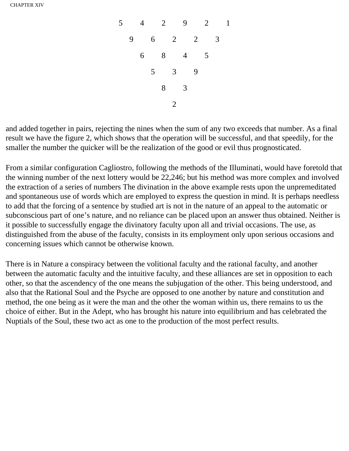

and added together in pairs, rejecting the nines when the sum of any two exceeds that number. As a final result we have the figure 2, which shows that the operation will be successful, and that speedily, for the smaller the number the quicker will be the realization of the good or evil thus prognosticated.

From a similar configuration Cagliostro, following the methods of the Illuminati, would have foretold that the winning number of the next lottery would be 22,246; but his method was more complex and involved the extraction of a series of numbers The divination in the above example rests upon the unpremeditated and spontaneous use of words which are employed to express the question in mind. It is perhaps needless to add that the forcing of a sentence by studied art is not in the nature of an appeal to the automatic or subconscious part of one's nature, and no reliance can be placed upon an answer thus obtained. Neither is it possible to successfully engage the divinatory faculty upon all and trivial occasions. The use, as distinguished from the abuse of the faculty, consists in its employment only upon serious occasions and concerning issues which cannot be otherwise known.

There is in Nature a conspiracy between the volitional faculty and the rational faculty, and another between the automatic faculty and the intuitive faculty, and these alliances are set in opposition to each other, so that the ascendency of the one means the subjugation of the other. This being understood, and also that the Rational Soul and the Psyche are opposed to one another by nature and constitution and method, the one being as it were the man and the other the woman within us, there remains to us the choice of either. But in the Adept, who has brought his nature into equilibrium and has celebrated the Nuptials of the Soul, these two act as one to the production of the most perfect results.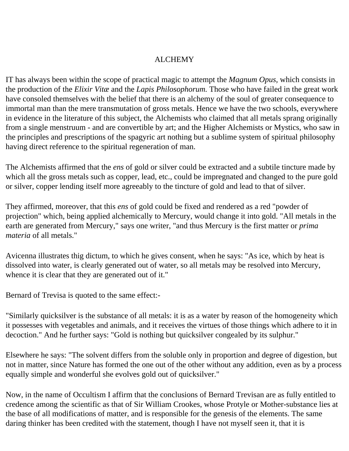# **ALCHEMY**

IT has always been within the scope of practical magic to attempt the *Magnum Opus,* which consists in the production of the *Elixir Vitæ* and the *Lapis Philosophorum.* Those who have failed in the great work have consoled themselves with the belief that there is an alchemy of the soul of greater consequence to immortal man than the mere transmutation of gross metals. Hence we have the two schools, everywhere in evidence in the literature of this subject, the Alchemists who claimed that all metals sprang originally from a single menstruum - and are convertible by art; and the Higher Alchemists or Mystics, who saw in the principles and prescriptions of the spagyric art nothing but a sublime system of spiritual philosophy having direct reference to the spiritual regeneration of man.

The Alchemists affirmed that the *ens* of gold or silver could be extracted and a subtile tincture made by which all the gross metals such as copper, lead, etc., could be impregnated and changed to the pure gold or silver, copper lending itself more agreeably to the tincture of gold and lead to that of silver.

They affirmed, moreover, that this *ens* of gold could be fixed and rendered as a red "powder of projection" which, being applied alchemically to Mercury, would change it into gold. "All metals in the earth are generated from Mercury," says one writer, "and thus Mercury is the first matter or *prima materia* of all metals."

Avicenna illustrates thig dictum, to which he gives consent, when he says: "As ice, which by heat is dissolved into water, is clearly generated out of water, so all metals may be resolved into Mercury, whence it is clear that they are generated out of it."

Bernard of Trevisa is quoted to the same effect:-

"Similarly quicksilver is the substance of all metals: it is as a water by reason of the homogeneity which it possesses with vegetables and animals, and it receives the virtues of those things which adhere to it in decoction." And he further says: "Gold is nothing but quicksilver congealed by its sulphur."

Elsewhere he says: "The solvent differs from the soluble only in proportion and degree of digestion, but not in matter, since Nature has formed the one out of the other without any addition, even as by a process equally simple and wonderful she evolves gold out of quicksilver."

Now, in the name of Occultism I affirm that the conclusions of Bernard Trevisan are as fully entitled to credence among the scientific as that of Sir William Crookes, whose Protyle or Mother-substance lies at the base of all modifications of matter, and is responsible for the genesis of the elements. The same daring thinker has been credited with the statement, though I have not myself seen it, that it is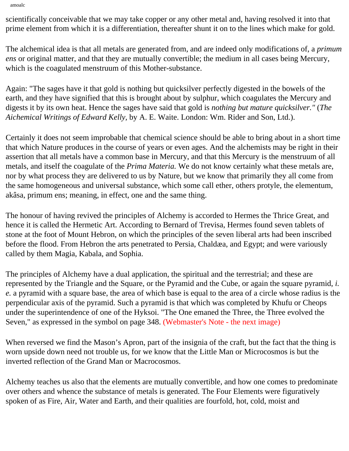scientifically conceivable that we may take copper or any other metal and, having resolved it into that prime element from which it is a differentiation, thereafter shunt it on to the lines which make for gold.

The alchemical idea is that all metals are generated from, and are indeed only modifications of, a *primum ens* or original matter, and that they are mutually convertible; the medium in all cases being Mercury, which is the coagulated menstruum of this Mother-substance.

Again: "The sages have it that gold is nothing but quicksilver perfectly digested in the bowels of the earth, and they have signified that this is brought about by sulphur, which coagulates the Mercury and digests it by its own heat. Hence the sages have said that gold is *nothing but mature quicksilver."* (*The Aichemical Writings of Edward Kelly,* by A. E. Waite. London: Wm. Rider and Son, Ltd.).

Certainly it does not seem improbable that chemical science should be able to bring about in a short time that which Nature produces in the course of years or even ages. And the alchemists may be right in their assertion that all metals have a common base in Mercury, and that this Mercury is the menstruum of all metals, and itself the coagulate of the *Prima Materia.* We do not know certainly what these metals are, nor by what process they are delivered to us by Nature, but we know that primarily they all come from the same homogeneous and universal substance, which some call ether, others protyle, the elementum, akâsa, primum ens; meaning, in effect, one and the same thing.

The honour of having revived the principles of Alchemy is accorded to Hermes the Thrice Great, and hence it is called the Hermetic Art. According to Bernard of Trevisa, Hermes found seven tablets of stone at the foot of Mount Hebron, on which the principles of the seven liberal arts had been inscribed before the flood. From Hebron the arts penetrated to Persia, Chaldæa, and Egypt; and were variously called by them Magia, Kabala, and Sophia.

The principles of Alchemy have a dual application, the spiritual and the terrestrial; and these are represented by the Triangle and the Square, or the Pyramid and the Cube, or again the square pyramid, *i. e.* a pyramid with a square base, the area of which base is equal to the area of a circle whose radius is the perpendicular axis of the pyramid. Such a pyramid is that which was completed by Khufu or Cheops under the superintendence of one of the Hyksoi. "The One emaned the Three, the Three evolved the Seven," as expressed in the symbol on page 348. (Webmaster's Note - the next image)

When reversed we find the Mason's Apron, part of the insignia of the craft, but the fact that the thing is worn upside down need not trouble us, for we know that the Little Man or Microcosmos is but the inverted reflection of the Grand Man or Macrocosmos.

Alchemy teaches us also that the elements are mutually convertible, and how one comes to predominate over others and whence the substance of metals is generated. The Four Elements were figuratively spoken of as Fire, Air, Water and Earth, and their qualities are fourfold, hot, cold, moist and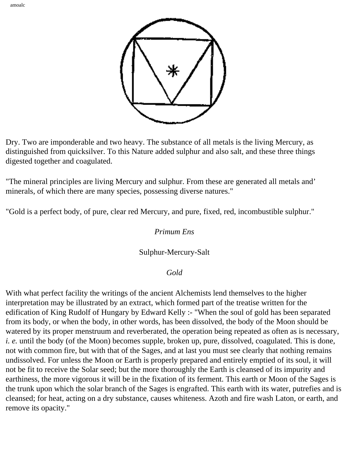

Dry. Two are imponderable and two heavy. The substance of all metals is the living Mercury, as distinguished from quicksilver. To this Nature added sulphur and also salt, and these three things digested together and coagulated.

"The mineral principles are living Mercury and sulphur. From these are generated all metals and' minerals, of which there are many species, possessing diverse natures."

"Gold is a perfect body, of pure, clear red Mercury, and pure, fixed, red, incombustible sulphur."

*Primum Ens*

Sulphur-Mercury-Salt

## *Gold*

With what perfect facility the writings of the ancient Alchemists lend themselves to the higher interpretation may be illustrated by an extract, which formed part of the treatise written for the edification of King Rudolf of Hungary by Edward Kelly :- "When the soul of gold has been separated from its body, or when the body, in other words, has been dissolved, the body of the Moon should be watered by its proper menstruum and reverberated, the operation being repeated as often as is necessary, *i. e.* until the body (of the Moon) becomes supple, broken up, pure, dissolved, coagulated. This is done, not with common fire, but with that of the Sages, and at last you must see clearly that nothing remains undissolved. For unless the Moon or Earth is properly prepared and entirely emptied of its soul, it will not be fit to receive the Solar seed; but the more thoroughly the Earth is cleansed of its impurity and earthiness, the more vigorous it will be in the fixation of its ferment. This earth or Moon of the Sages is the trunk upon which the solar branch of the Sages is engrafted. This earth with its water, putrefies and is cleansed; for heat, acting on a dry substance, causes whiteness. Azoth and fire wash Laton, or earth, and remove its opacity."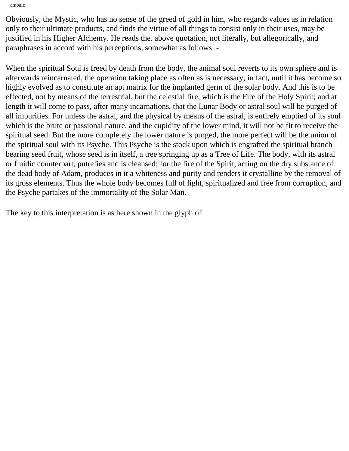Obviously, the Mystic, who has no sense of the greed of gold in him, who regards values as in relation only to their ultimate products, and finds the virtue of all things to consist only in their uses, may be justified in his Higher Alchemy. He reads the. above quotation, not literally, but allegorically, and paraphrases in accord with his perceptions, somewhat as follows :-

When the spiritual Soul is freed by death from the body, the animal soul reverts to its own sphere and is afterwards reincarnated, the operation taking place as often as is necessary, in fact, until it has become so highly evolved as to constitute an apt matrix for the implanted germ of the solar body. And this is to be effected, not by means of the terrestrial, but the celestial fire, which is the Fire of the Holy Spirit; and at length it will come to pass, after many incarnations, that the Lunar Body or astral soul will be purged of all impurities. For unless the astral, and the physical by means of the astral, is entirely emptied of its soul which is the brute or passional nature, and the cupidity of the lower mind, it will not be fit to receive the spiritual seed. But the more completely the lower nature is purged, the more perfect will be the union of the spiritual soul with its Psyche. This Psyche is the stock upon which is engrafted the spiritual branch bearing seed fruit, whose seed is in itself, a tree springing up as a Tree of Life. The body, with its astral or fluidic counterpart, putrefies and is cleansed; for the fire of the Spirit, acting on the dry substance of the dead body of Adam, produces in it a whiteness and purity and renders it crystalline by the removal of its gross elements. Thus the whole body becomes full of light, spiritualized and free from corruption, and the Psyche partakes of the immortality of the Solar Man.

The key to this interpretation is as here shown in the glyph of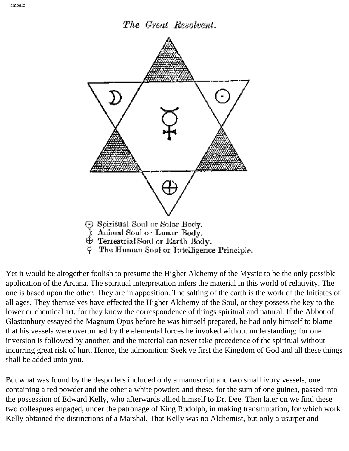



- Animal Soul or Lunar Body.
- $\oplus$  Terrestrial Soul or Earth Body.
- $\tilde{\varphi}$  The Human Soul or Intelligence Principle.

Yet it would be altogether foolish to presume the Higher Alchemy of the Mystic to be the only possible application of the Arcana. The spiritual interpretation infers the material in this world of relativity. The one is based upon the other. They are in apposition. The salting of the earth is the work of the Initiates of all ages. They themselves have effected the Higher Alchemy of the Soul, or they possess the key to the lower or chemical art, for they know the correspondence of things spiritual and natural. If the Abbot of Glastonbury essayed the Magnum Opus before he was himself prepared, he had only himself to blame that his vessels were overturned by the elemental forces he invoked without understanding; for one inversion is followed by another, and the material can never take precedence of the spiritual without incurring great risk of hurt. Hence, the admonition: Seek ye first the Kingdom of God and all these things shall be added unto you.

But what was found by the despoilers included only a manuscript and two small ivory vessels, one containing a red powder and the other a white powder; and these, for the sum of one guinea, passed into the possession of Edward Kelly, who afterwards allied himself to Dr. Dee. Then later on we find these two colleagues engaged, under the patronage of King Rudolph, in making transmutation, for which work Kelly obtained the distinctions of a Marshal. That Kelly was no Alchemist, but only a usurper and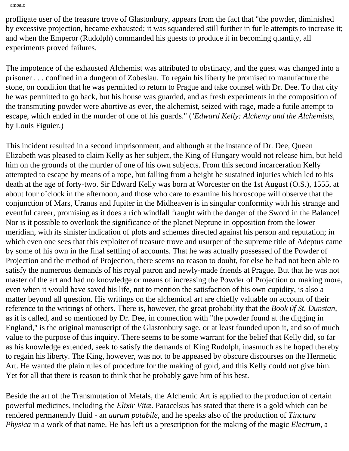profligate user of the treasure trove of Glastonbury, appears from the fact that "the powder, diminished by excessive projection, became exhausted; it was squandered still further in futile attempts to increase it; and when the Emperor (Rudolph) commanded his guests to produce it in becoming quantity, all experiments proved failures.

The impotence of the exhausted Alchemist was attributed to obstinacy, and the guest was changed into a prisoner . . . confined in a dungeon of Zobeslau. To regain his liberty he promised to manufacture the stone, on condition that he was permitted to return to Prague and take counsel with Dr. Dee. To that city he was permitted to go back, but his house was guarded, and as fresh experiments in the composition of the transmuting powder were abortive as ever, the alchemist, seized with rage, made a futile attempt to escape, which ended in the murder of one of his guards." (*'Edward Kelly: Alchemy and the Alchemists,*  by Louis Figuier.)

This incident resulted in a second imprisonment, and although at the instance of Dr. Dee, Queen Elizabeth was pleased to claim Kelly as her subject, the King of Hungary would not release him, but held him on the grounds of the murder of one of his own subjects. From this second incarceration Kelly attempted to escape by means of a rope, but falling from a height he sustained injuries which led to his death at the age of forty-two. Sir Edward Kelly was born at Worcester on the 1st August (O.S.), 1555, at about four o'clock in the afternoon, and those who care to examine his horoscope will observe that the conjunction of Mars, Uranus and Jupiter in the Midheaven is in singular conformity with his strange and eventful career, promising as it does a rich windfall fraught with the danger of the Sword in the Balance! Nor is it possible to overlook the significance of the planet Neptune in opposition from the lower meridian, with its sinister indication of plots and schemes directed against his person and reputation; in which even one sees that this exploiter of treasure trove and usurper of the supreme title of Adeptus came by some of his own in the final settling of accounts. That he was actually possessed of the Powder of Projection and the method of Projection, there seems no reason to doubt, for else he had not been able to satisfy the numerous demands of his royal patron and newly-made friends at Prague. But that he was not master of the art and had no knowledge or means of increasing the Powder of Projection or making more, even when it would have saved his life, not to mention the satisfaction of his own cupidity, is also a matter beyond all question. His writings on the alchemical art are chiefly valuable on account of their reference to the writings of others. There is, however, the great probability that the *Book 0f St. Dunstan,*  as it is called, and so mentioned by Dr. Dee, in connection with "the powder found at the digging in England," is the original manuscript of the Glastonbury sage, or at least founded upon it, and so of much value to the purpose of this inquiry. There seems to be some warrant for the belief that Kelly did, so far as his knowledge extended, seek to satisfy the demands of King Rudolph, inasmuch as he hoped thereby to regain his liberty. The King, however, was not to be appeased by obscure discourses on the Hermetic Art. He wanted the plain rules of procedure for the making of gold, and this Kelly could not give him. Yet for all that there is reason to think that he probably gave him of his best.

Beside the art of the Transmutation of Metals, the Alchemic Art is applied to the production of certain powerful medicines, including the *Elixir Vitæ.* Paracelsus has stated that there is a gold which can be rendered permanently fluid - an *aurum potabile,* and he speaks also of the production of *Tinctura Physica* in a work of that name. He has left us a prescription for the making of the magic *Electrum,* a